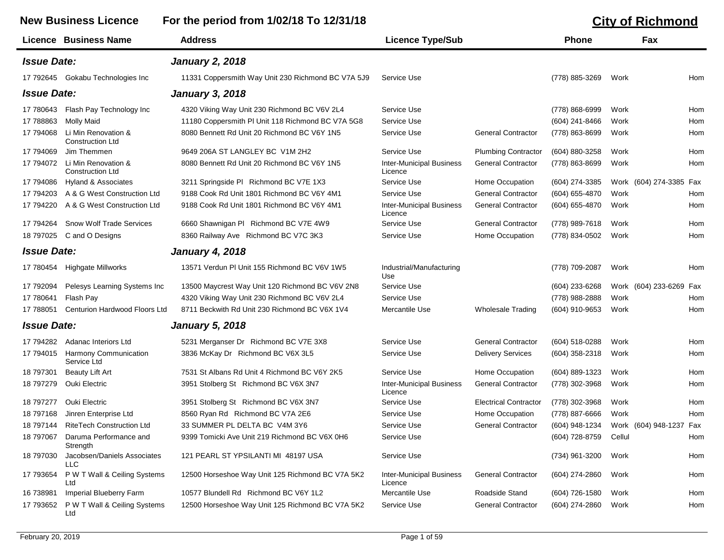٠

## **New Business Licence For the period from 1/02/18 To 12/31/18 City of Richmond**

|                           | Licence Business Name                          | <b>Address</b>                                     | <b>Licence Type/Sub</b>                    |                              | <b>Phone</b>     |        | Fax                        |
|---------------------------|------------------------------------------------|----------------------------------------------------|--------------------------------------------|------------------------------|------------------|--------|----------------------------|
| <b>Issue Date:</b>        |                                                | <b>January 2, 2018</b>                             |                                            |                              |                  |        |                            |
|                           | 17 792645 Gokabu Technologies Inc              | 11331 Coppersmith Way Unit 230 Richmond BC V7A 5J9 | Service Use                                |                              | (778) 885-3269   | Work   | Hom                        |
| <b>Issue Date:</b>        |                                                | <b>January 3, 2018</b>                             |                                            |                              |                  |        |                            |
| 17 780643                 | Flash Pay Technology Inc                       | 4320 Viking Way Unit 230 Richmond BC V6V 2L4       | Service Use                                |                              | (778) 868-6999   | Work   | Hom                        |
| 17 788863                 | <b>Molly Maid</b>                              | 11180 Coppersmith PI Unit 118 Richmond BC V7A 5G8  | Service Use                                |                              | (604) 241-8466   | Work   | Hom                        |
| 17 794068                 | Li Min Renovation &<br><b>Construction Ltd</b> | 8080 Bennett Rd Unit 20 Richmond BC V6Y 1N5        | Service Use                                | <b>General Contractor</b>    | (778) 863-8699   | Work   | Hom                        |
| 17 794069                 | Jim Themmen                                    | 9649 206A ST LANGLEY BC V1M 2H2                    | Service Use                                | <b>Plumbing Contractor</b>   | (604) 880-3258   | Work   | Hom                        |
| 17 794072                 | Li Min Renovation &<br><b>Construction Ltd</b> | 8080 Bennett Rd Unit 20 Richmond BC V6Y 1N5        | <b>Inter-Municipal Business</b><br>Licence | <b>General Contractor</b>    | (778) 863-8699   | Work   | Hom                        |
| 17 794086                 | Hyland & Associates                            | 3211 Springside PI Richmond BC V7E 1X3             | Service Use                                | Home Occupation              | (604) 274-3385   |        | Work (604) 274-3385 Fax    |
| 17 794203                 | A & G West Construction Ltd                    | 9188 Cook Rd Unit 1801 Richmond BC V6Y 4M1         | Service Use                                | <b>General Contractor</b>    | (604) 655-4870   | Work   | Hom                        |
| 17 794220                 | A & G West Construction Ltd                    | 9188 Cook Rd Unit 1801 Richmond BC V6Y 4M1         | <b>Inter-Municipal Business</b><br>Licence | <b>General Contractor</b>    | (604) 655-4870   | Work   | Hom                        |
| 17 794264                 | <b>Snow Wolf Trade Services</b>                | 6660 Shawnigan PI Richmond BC V7E 4W9              | Service Use                                | <b>General Contractor</b>    | (778) 989-7618   | Work   | Hom                        |
| 18 797025                 | C and O Designs                                | 8360 Railway Ave Richmond BC V7C 3K3               | Service Use                                | Home Occupation              | (778) 834-0502   | Work   | Hom                        |
| <i><b>Issue Date:</b></i> |                                                | <b>January 4, 2018</b>                             |                                            |                              |                  |        |                            |
| 17 780454                 | <b>Highgate Millworks</b>                      | 13571 Verdun PI Unit 155 Richmond BC V6V 1W5       | Industrial/Manufacturing<br>Use            |                              | (778) 709-2087   | Work   | Hom                        |
| 17 792094                 | Pelesys Learning Systems Inc                   | 13500 Maycrest Way Unit 120 Richmond BC V6V 2N8    | Service Use                                |                              | (604) 233-6268   |        | Work (604) 233-6269<br>Fax |
| 17 780641                 | Flash Pay                                      | 4320 Viking Way Unit 230 Richmond BC V6V 2L4       | Service Use                                |                              | (778) 988-2888   | Work   | Hom                        |
| 17 788051                 | Centurion Hardwood Floors Ltd                  | 8711 Beckwith Rd Unit 230 Richmond BC V6X 1V4      | Mercantile Use                             | <b>Wholesale Trading</b>     | (604) 910-9653   | Work   | Hom                        |
| <b>Issue Date:</b>        |                                                | <b>January 5, 2018</b>                             |                                            |                              |                  |        |                            |
| 17 794282                 | Adanac Interiors Ltd                           | 5231 Merganser Dr Richmond BC V7E 3X8              | Service Use                                | <b>General Contractor</b>    | (604) 518-0288   | Work   | Hom                        |
| 17 794015                 | Harmony Communication<br>Service Ltd           | 3836 McKay Dr Richmond BC V6X 3L5                  | Service Use                                | <b>Delivery Services</b>     | (604) 358-2318   | Work   | Hom                        |
| 18 797301                 | <b>Beauty Lift Art</b>                         | 7531 St Albans Rd Unit 4 Richmond BC V6Y 2K5       | Service Use                                | Home Occupation              | $(604)$ 889-1323 | Work   | Hom                        |
| 18 797279                 | Ouki Electric                                  | 3951 Stolberg St Richmond BC V6X 3N7               | <b>Inter-Municipal Business</b><br>Licence | <b>General Contractor</b>    | (778) 302-3968   | Work   | Hom                        |
| 18 797277                 | Ouki Electric                                  | 3951 Stolberg St Richmond BC V6X 3N7               | Service Use                                | <b>Electrical Contractor</b> | (778) 302-3968   | Work   | Hom                        |
| 18 797168                 | Jinren Enterprise Ltd                          | 8560 Ryan Rd Richmond BC V7A 2E6                   | Service Use                                | Home Occupation              | (778) 887-6666   | Work   | Hom                        |
| 18 797144                 | <b>RiteTech Construction Ltd</b>               | 33 SUMMER PL DELTA BC V4M 3Y6                      | Service Use                                | <b>General Contractor</b>    | (604) 948-1234   |        | Work (604) 948-1237<br>Fax |
|                           | 18 797067 Daruma Performance and<br>Strength   | 9399 Tomicki Ave Unit 219 Richmond BC V6X 0H6      | Service Use                                |                              | (604) 728-8759   | Cellul | Hom                        |
| 18 797030                 | Jacobsen/Daniels Associates<br>LLC.            | 121 PEARL ST YPSILANTI MI 48197 USA                | Service Use                                |                              | (734) 961-3200   | Work   | Hom                        |
| 17 793654                 | P W T Wall & Ceiling Systems<br>Ltd            | 12500 Horseshoe Way Unit 125 Richmond BC V7A 5K2   | <b>Inter-Municipal Business</b><br>Licence | <b>General Contractor</b>    | (604) 274-2860   | Work   | Hom                        |
| 16 738981                 | Imperial Blueberry Farm                        | 10577 Blundell Rd Richmond BC V6Y 1L2              | Mercantile Use                             | Roadside Stand               | (604) 726-1580   | Work   | Hom                        |
| 17 793652                 | P W T Wall & Ceiling Systems<br>Ltd            | 12500 Horseshoe Way Unit 125 Richmond BC V7A 5K2   | Service Use                                | <b>General Contractor</b>    | (604) 274-2860   | Work   | Hom                        |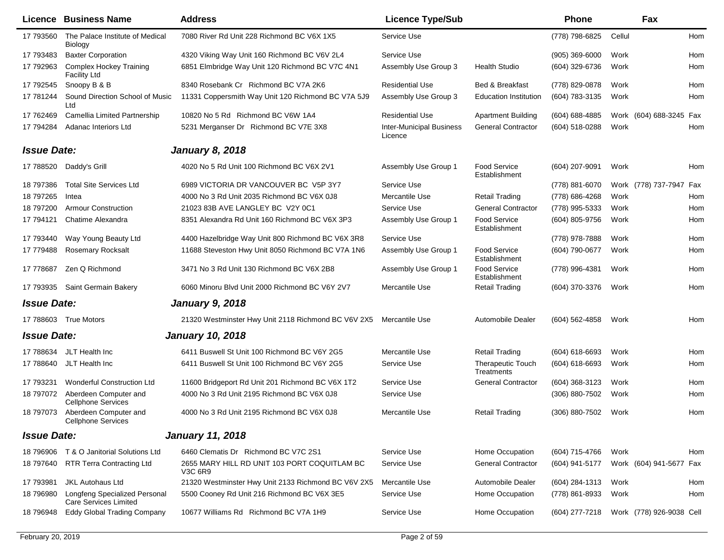|                    | <b>Licence Business Name</b>                                  | <b>Address</b>                                                 | <b>Licence Type/Sub</b>                    |                                        | <b>Phone</b>       |        | Fax                      |     |
|--------------------|---------------------------------------------------------------|----------------------------------------------------------------|--------------------------------------------|----------------------------------------|--------------------|--------|--------------------------|-----|
| 17 793560          | The Palace Institute of Medical<br>Biology                    | 7080 River Rd Unit 228 Richmond BC V6X 1X5                     | Service Use                                |                                        | (778) 798-6825     | Cellul |                          | Hom |
| 17 793483          | <b>Baxter Corporation</b>                                     | 4320 Viking Way Unit 160 Richmond BC V6V 2L4                   | Service Use                                |                                        | $(905)$ 369-6000   | Work   |                          | Hom |
| 17 792963          | <b>Complex Hockey Training</b><br><b>Facility Ltd</b>         | 6851 Elmbridge Way Unit 120 Richmond BC V7C 4N1                | Assembly Use Group 3                       | <b>Health Studio</b>                   | (604) 329-6736     | Work   |                          | Hom |
| 17 792545          | Snoopy B & B                                                  | 8340 Rosebank Cr Richmond BC V7A 2K6                           | <b>Residential Use</b>                     | Bed & Breakfast                        | (778) 829-0878     | Work   |                          | Hom |
| 17 781244          | Sound Direction School of Music<br>Ltd                        | 11331 Coppersmith Way Unit 120 Richmond BC V7A 5J9             | Assembly Use Group 3                       | <b>Education Institution</b>           | (604) 783-3135     | Work   |                          | Hom |
| 17 762469          | Camellia Limited Partnership                                  | 10820 No 5 Rd Richmond BC V6W 1A4                              | <b>Residential Use</b>                     | <b>Apartment Building</b>              | (604) 688-4885     |        | Work (604) 688-3245 Fax  |     |
| 17 794284          | Adanac Interiors Ltd                                          | 5231 Merganser Dr Richmond BC V7E 3X8                          | <b>Inter-Municipal Business</b><br>Licence | <b>General Contractor</b>              | (604) 518-0288     | Work   |                          | Hom |
| <b>Issue Date:</b> |                                                               | <b>January 8, 2018</b>                                         |                                            |                                        |                    |        |                          |     |
| 17 788520          | Daddy's Grill                                                 | 4020 No 5 Rd Unit 100 Richmond BC V6X 2V1                      | Assembly Use Group 1                       | Food Service<br>Establishment          | (604) 207-9091     | Work   |                          | Hom |
| 18 797386          | <b>Total Site Services Ltd</b>                                | 6989 VICTORIA DR VANCOUVER BC V5P 3Y7                          | Service Use                                |                                        | (778) 881-6070     |        | Work (778) 737-7947 Fax  |     |
| 18 797265          | Intea                                                         | 4000 No 3 Rd Unit 2035 Richmond BC V6X 0J8                     | Mercantile Use                             | <b>Retail Trading</b>                  | (778) 686-4268     | Work   |                          | Hom |
| 18 797200          | <b>Armour Construction</b>                                    | 21023 83B AVE LANGLEY BC V2Y 0C1                               | Service Use                                | <b>General Contractor</b>              | (778) 995-5333     | Work   |                          | Hom |
| 17 794121          | Chatime Alexandra                                             | 8351 Alexandra Rd Unit 160 Richmond BC V6X 3P3                 | Assembly Use Group 1                       | <b>Food Service</b><br>Establishment   | (604) 805-9756     | Work   |                          | Hom |
| 17 793440          | Way Young Beauty Ltd                                          | 4400 Hazelbridge Way Unit 800 Richmond BC V6X 3R8              | Service Use                                |                                        | (778) 978-7888     | Work   |                          | Hom |
| 17 779488          | <b>Rosemary Rocksalt</b>                                      | 11688 Steveston Hwy Unit 8050 Richmond BC V7A 1N6              | Assembly Use Group 1                       | <b>Food Service</b><br>Establishment   | (604) 790-0677     | Work   |                          | Hom |
| 17 778687          | Zen Q Richmond                                                | 3471 No 3 Rd Unit 130 Richmond BC V6X 2B8                      | Assembly Use Group 1                       | <b>Food Service</b><br>Establishment   | (778) 996-4381     | Work   |                          | Hom |
|                    | 17 793935 Saint Germain Bakery                                | 6060 Minoru Blvd Unit 2000 Richmond BC V6Y 2V7                 | Mercantile Use                             | <b>Retail Trading</b>                  | (604) 370-3376     | Work   |                          | Hom |
| <b>Issue Date:</b> |                                                               | <b>January 9, 2018</b>                                         |                                            |                                        |                    |        |                          |     |
|                    | 17 788603 True Motors                                         | 21320 Westminster Hwy Unit 2118 Richmond BC V6V 2X5            | Mercantile Use                             | <b>Automobile Dealer</b>               | $(604)$ 562-4858   | Work   |                          | Hom |
| <b>Issue Date:</b> |                                                               | <b>January 10, 2018</b>                                        |                                            |                                        |                    |        |                          |     |
| 17 788634          | JLT Health Inc                                                | 6411 Buswell St Unit 100 Richmond BC V6Y 2G5                   | Mercantile Use                             | <b>Retail Trading</b>                  | $(604) 618 - 6693$ | Work   |                          | Hom |
| 17 788640          | JLT Health Inc                                                | 6411 Buswell St Unit 100 Richmond BC V6Y 2G5                   | Service Use                                | <b>Therapeutic Touch</b><br>Treatments | $(604) 618 - 6693$ | Work   |                          | Hom |
| 17 793231          | <b>Wonderful Construction Ltd</b>                             | 11600 Bridgeport Rd Unit 201 Richmond BC V6X 1T2               | Service Use                                | <b>General Contractor</b>              | $(604)$ 368-3123   | Work   |                          | Hom |
| 18 797072          | Aberdeen Computer and<br><b>Cellphone Services</b>            | 4000 No 3 Rd Unit 2195 Richmond BC V6X 0J8                     | Service Use                                |                                        | (306) 880-7502     | Work   |                          | Hom |
| 18 797073          | Aberdeen Computer and<br><b>Cellphone Services</b>            | 4000 No 3 Rd Unit 2195 Richmond BC V6X 0J8                     | Mercantile Use                             | <b>Retail Trading</b>                  | (306) 880-7502     | Work   |                          | Hom |
| <b>Issue Date:</b> |                                                               | <b>January 11, 2018</b>                                        |                                            |                                        |                    |        |                          |     |
|                    | 18 796906 T & O Janitorial Solutions Ltd                      | 6460 Clematis Dr Richmond BC V7C 2S1                           | Service Use                                | Home Occupation                        | (604) 715-4766     | Work   |                          | Hom |
| 18 797640          | <b>RTR Terra Contracting Ltd</b>                              | 2655 MARY HILL RD UNIT 103 PORT COQUITLAM BC<br><b>V3C 6R9</b> | Service Use                                | <b>General Contractor</b>              | (604) 941-5177     |        | Work (604) 941-5677 Fax  |     |
| 17 793981          | <b>JKL Autohaus Ltd</b>                                       | 21320 Westminster Hwy Unit 2133 Richmond BC V6V 2X5            | Mercantile Use                             | Automobile Dealer                      | (604) 284-1313     | Work   |                          | Hom |
| 18 79 6980         | Longfeng Specialized Personal<br><b>Care Services Limited</b> | 5500 Cooney Rd Unit 216 Richmond BC V6X 3E5                    | Service Use                                | Home Occupation                        | (778) 861-8933     | Work   |                          | Hom |
| 18 796948          | <b>Eddy Global Trading Company</b>                            | 10677 Williams Rd Richmond BC V7A 1H9                          | Service Use                                | Home Occupation                        | (604) 277-7218     |        | Work (778) 926-9038 Cell |     |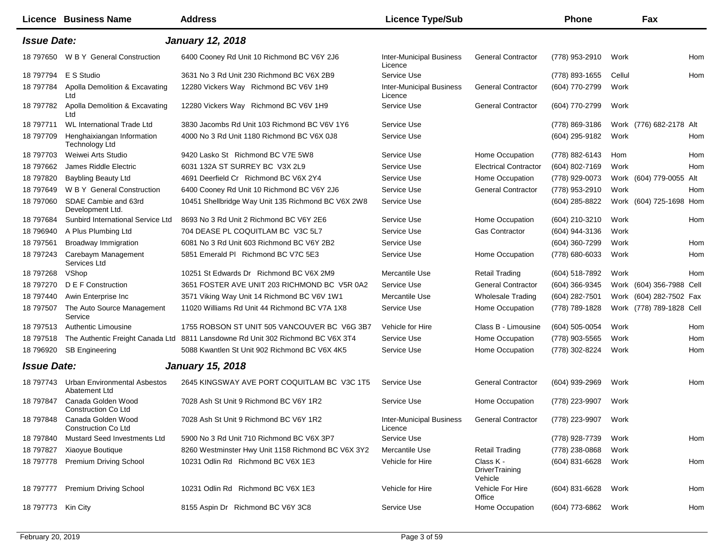|                    | Licence Business Name                                | <b>Address</b>                                                                  | <b>Licence Type/Sub</b>                    |                                               | <b>Phone</b>        |        | Fax                      |     |
|--------------------|------------------------------------------------------|---------------------------------------------------------------------------------|--------------------------------------------|-----------------------------------------------|---------------------|--------|--------------------------|-----|
| <b>Issue Date:</b> |                                                      | <b>January 12, 2018</b>                                                         |                                            |                                               |                     |        |                          |     |
| 18 797650          | W B Y General Construction                           | 6400 Cooney Rd Unit 10 Richmond BC V6Y 2J6                                      | <b>Inter-Municipal Business</b><br>Licence | <b>General Contractor</b>                     | (778) 953-2910      | Work   |                          | Hom |
| 18 797794          | E S Studio                                           | 3631 No 3 Rd Unit 230 Richmond BC V6X 2B9                                       | Service Use                                |                                               | (778) 893-1655      | Cellul |                          | Hom |
| 18 797784          | Apolla Demolition & Excavating<br>Ltd                | 12280 Vickers Way Richmond BC V6V 1H9                                           | <b>Inter-Municipal Business</b><br>Licence | <b>General Contractor</b>                     | (604) 770-2799      | Work   |                          |     |
| 18 797782          | Apolla Demolition & Excavating<br>Ltd                | 12280 Vickers Way Richmond BC V6V 1H9                                           | Service Use                                | <b>General Contractor</b>                     | (604) 770-2799      | Work   |                          |     |
| 18 797711          | <b>WL International Trade Ltd</b>                    | 3830 Jacombs Rd Unit 103 Richmond BC V6V 1Y6                                    | Service Use                                |                                               | (778) 869-3186      |        | Work (776) 682-2178 Alt  |     |
| 18 797709          | Henghaixiangan Information<br><b>Technology Ltd</b>  | 4000 No 3 Rd Unit 1180 Richmond BC V6X 0J8                                      | Service Use                                |                                               | (604) 295-9182      | Work   |                          | Hom |
| 18 797703          | Weiwei Arts Studio                                   | 9420 Lasko St Richmond BC V7E 5W8                                               | Service Use                                | Home Occupation                               | (778) 882-6143      | Hom    |                          | Hom |
| 18 797662          | James Riddle Electric                                | 6031 132A ST SURREY BC V3X 2L9                                                  | Service Use                                | <b>Electrical Contractor</b>                  | (604) 802-7169      | Work   |                          | Hom |
| 18 797820          | <b>Baybling Beauty Ltd</b>                           | 4691 Deerfield Cr Richmond BC V6X 2Y4                                           | Service Use                                | Home Occupation                               | (778) 929-0073      |        | Work (604) 779-0055 Alt  |     |
| 18 797649          | W B Y General Construction                           | 6400 Cooney Rd Unit 10 Richmond BC V6Y 2J6                                      | Service Use                                | <b>General Contractor</b>                     | (778) 953-2910      | Work   |                          | Hom |
| 18 797060          | SDAE Cambie and 63rd<br>Development Ltd.             | 10451 Shellbridge Way Unit 135 Richmond BC V6X 2W8                              | Service Use                                |                                               | (604) 285-8822      |        | Work (604) 725-1698 Hom  |     |
| 18 797684          | Sunbird International Service Ltd                    | 8693 No 3 Rd Unit 2 Richmond BC V6Y 2E6                                         | Service Use                                | Home Occupation                               | (604) 210-3210      | Work   |                          | Hom |
| 18 796940          | A Plus Plumbing Ltd                                  | 704 DEASE PL COQUITLAM BC V3C 5L7                                               | Service Use                                | <b>Gas Contractor</b>                         | (604) 944-3136      | Work   |                          |     |
| 18 797561          | <b>Broadway Immigration</b>                          | 6081 No 3 Rd Unit 603 Richmond BC V6Y 2B2                                       | Service Use                                |                                               | (604) 360-7299      | Work   |                          | Hom |
| 18 797243          | Carebaym Management<br>Services Ltd                  | 5851 Emerald PI Richmond BC V7C 5E3                                             | Service Use                                | Home Occupation                               | (778) 680-6033      | Work   |                          | Hom |
| 18 797268          | VShop                                                | 10251 St Edwards Dr Richmond BC V6X 2M9                                         | Mercantile Use                             | <b>Retail Trading</b>                         | (604) 518-7892      | Work   |                          | Hom |
| 18 797270          | D E F Construction                                   | 3651 FOSTER AVE UNIT 203 RICHMOND BC V5R 0A2                                    | Service Use                                | <b>General Contractor</b>                     | $(604)$ 366-9345    |        | Work (604) 356-7988 Cell |     |
| 18 797440          | Awin Enterprise Inc                                  | 3571 Viking Way Unit 14 Richmond BC V6V 1W1                                     | Mercantile Use                             | <b>Wholesale Trading</b>                      | (604) 282-7501      |        | Work (604) 282-7502 Fax  |     |
| 18 797507          | The Auto Source Management<br>Service                | 11020 Williams Rd Unit 44 Richmond BC V7A 1X8                                   | Service Use                                | Home Occupation                               | (778) 789-1828      |        | Work (778) 789-1828 Cell |     |
| 18 797513          | <b>Authentic Limousine</b>                           | 1755 ROBSON ST UNIT 505 VANCOUVER BC V6G 3B7                                    | Vehicle for Hire                           | Class B - Limousine                           | (604) 505-0054      | Work   |                          | Hom |
| 18 797518          |                                                      | The Authentic Freight Canada Ltd 8811 Lansdowne Rd Unit 302 Richmond BC V6X 3T4 | Service Use                                | Home Occupation                               | (778) 903-5565      | Work   |                          | Hom |
| 18 79 69 20        | <b>SB Engineering</b>                                | 5088 Kwantlen St Unit 902 Richmond BC V6X 4K5                                   | Service Use                                | Home Occupation                               | (778) 302-8224      | Work   |                          | Hom |
| <b>Issue Date:</b> |                                                      | <b>January 15, 2018</b>                                                         |                                            |                                               |                     |        |                          |     |
| 18 797743          | <b>Urban Environmental Asbestos</b><br>Abatement Ltd | 2645 KINGSWAY AVE PORT COQUITLAM BC V3C 1T5                                     | Service Use                                | <b>General Contractor</b>                     | (604) 939-2969      | Work   |                          | Hom |
| 18 797847          | Canada Golden Wood<br>Construction Co Ltd            | 7028 Ash St Unit 9 Richmond BC V6Y 1R2                                          | Service Use                                | Home Occupation                               | (778) 223-9907      | Work   |                          |     |
|                    | 18 797848 Canada Golden Wood<br>Construction Co Ltd  | 7028 Ash St Unit 9 Richmond BC V6Y 1R2                                          | <b>Inter-Municipal Business</b><br>Licence | <b>General Contractor</b>                     | (778) 223-9907 Work |        |                          |     |
| 18 797840          | Mustard Seed Investments Ltd                         | 5900 No 3 Rd Unit 710 Richmond BC V6X 3P7                                       | Service Use                                |                                               | (778) 928-7739      | Work   |                          | Hom |
| 18 797827          | Xiaoyue Boutique                                     | 8260 Westminster Hwy Unit 1158 Richmond BC V6X 3Y2                              | Mercantile Use                             | <b>Retail Trading</b>                         | (778) 238-0868      | Work   |                          |     |
|                    | 18 797778 Premium Driving School                     | 10231 Odlin Rd Richmond BC V6X 1E3                                              | Vehicle for Hire                           | Class K -<br><b>DriverTraining</b><br>Vehicle | (604) 831-6628      | Work   |                          | Hom |
| 18 797777          | <b>Premium Driving School</b>                        | 10231 Odlin Rd Richmond BC V6X 1E3                                              | Vehicle for Hire                           | Vehicle For Hire<br>Office                    | (604) 831-6628      | Work   |                          | Hom |
| 18 797773 Kin City |                                                      | 8155 Aspin Dr Richmond BC V6Y 3C8                                               | Service Use                                | Home Occupation                               | (604) 773-6862      | Work   |                          | Hom |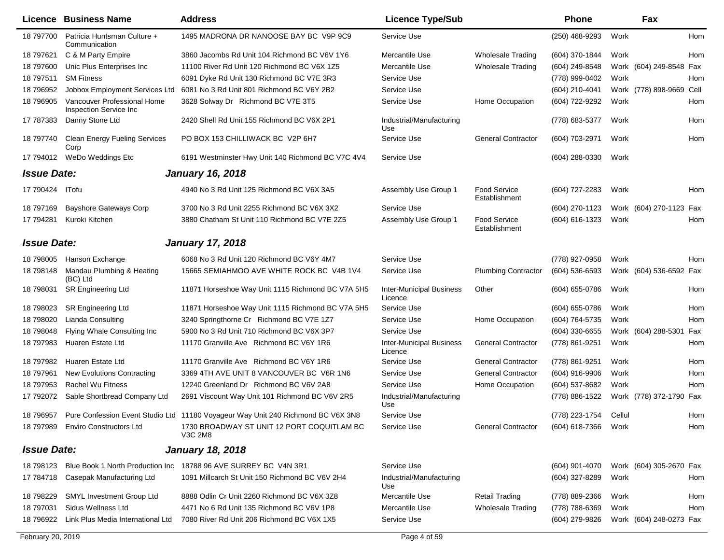|                    | <b>Licence Business Name</b>                          | <b>Address</b>                                                                   | <b>Licence Type/Sub</b>                    |                                      | <b>Phone</b>        |        | Fax                     |      |
|--------------------|-------------------------------------------------------|----------------------------------------------------------------------------------|--------------------------------------------|--------------------------------------|---------------------|--------|-------------------------|------|
| 18 797700          | Patricia Huntsman Culture +<br>Communication          | 1495 MADRONA DR NANOOSE BAY BC V9P 9C9                                           | Service Use                                |                                      | (250) 468-9293      | Work   |                         | Hom  |
| 18 797621          | C & M Party Empire                                    | 3860 Jacombs Rd Unit 104 Richmond BC V6V 1Y6                                     | Mercantile Use                             | <b>Wholesale Trading</b>             | (604) 370-1844      | Work   |                         | Hom  |
| 18 797600          | Unic Plus Enterprises Inc                             | 11100 River Rd Unit 120 Richmond BC V6X 1Z5                                      | Mercantile Use                             | <b>Wholesale Trading</b>             | (604) 249-8548      |        | Work (604) 249-8548     | Fax  |
| 18 797511          | <b>SM Fitness</b>                                     | 6091 Dyke Rd Unit 130 Richmond BC V7E 3R3                                        | Service Use                                |                                      | (778) 999-0402      | Work   |                         | Hom  |
| 18 79 6952         | Jobbox Employment Services Ltd                        | 6081 No 3 Rd Unit 801 Richmond BC V6Y 2B2                                        | Service Use                                |                                      | (604) 210-4041      |        | Work (778) 898-9669     | Cell |
| 18 79 6905         | Vancouver Professional Home<br>Inspection Service Inc | 3628 Solway Dr Richmond BC V7E 3T5                                               | Service Use                                | Home Occupation                      | (604) 722-9292      | Work   |                         | Hom  |
| 17 787383          | Danny Stone Ltd                                       | 2420 Shell Rd Unit 155 Richmond BC V6X 2P1                                       | Industrial/Manufacturing<br>Use            |                                      | (778) 683-5377      | Work   |                         | Hom  |
| 18 797740          | <b>Clean Energy Fueling Services</b><br>Corp          | PO BOX 153 CHILLIWACK BC V2P 6H7                                                 | Service Use                                | <b>General Contractor</b>            | (604) 703-2971      | Work   |                         | Hom  |
| 17 794012          | WeDo Weddings Etc                                     | 6191 Westminster Hwy Unit 140 Richmond BC V7C 4V4                                | Service Use                                |                                      | (604) 288-0330      | Work   |                         |      |
| <b>Issue Date:</b> |                                                       | <b>January 16, 2018</b>                                                          |                                            |                                      |                     |        |                         |      |
| 17 790424          | ITofu                                                 | 4940 No 3 Rd Unit 125 Richmond BC V6X 3A5                                        | Assembly Use Group 1                       | <b>Food Service</b><br>Establishment | (604) 727-2283      | Work   |                         | Hom  |
| 18 797169          | <b>Bayshore Gateways Corp</b>                         | 3700 No 3 Rd Unit 2255 Richmond BC V6X 3X2                                       | Service Use                                |                                      | (604) 270-1123      |        | Work (604) 270-1123     | Fax  |
| 17 794281          | Kuroki Kitchen                                        | 3880 Chatham St Unit 110 Richmond BC V7E 2Z5                                     | Assembly Use Group 1                       | <b>Food Service</b><br>Establishment | (604) 616-1323      | Work   |                         | Hom  |
| <b>Issue Date:</b> |                                                       | <b>January 17, 2018</b>                                                          |                                            |                                      |                     |        |                         |      |
| 18 798005          | Hanson Exchange                                       | 6068 No 3 Rd Unit 120 Richmond BC V6Y 4M7                                        | Service Use                                |                                      | (778) 927-0958      | Work   |                         | Hom  |
| 18 798148          | Mandau Plumbing & Heating<br>(BC) Ltd                 | 15665 SEMIAHMOO AVE WHITE ROCK BC V4B 1V4                                        | Service Use                                | <b>Plumbing Contractor</b>           | (604) 536-6593      |        | Work (604) 536-6592 Fax |      |
| 18 798031          | SR Engineering Ltd                                    | 11871 Horseshoe Way Unit 1115 Richmond BC V7A 5H5                                | <b>Inter-Municipal Business</b><br>Licence | Other                                | (604) 655-0786      | Work   |                         | Hom  |
| 18 798023          | <b>SR Engineering Ltd</b>                             | 11871 Horseshoe Way Unit 1115 Richmond BC V7A 5H5                                | Service Use                                |                                      | (604) 655-0786      | Work   |                         | Hom  |
| 18 798020          | <b>Lianda Consulting</b>                              | 3240 Springthorne Cr Richmond BC V7E 1Z7                                         | Service Use                                | Home Occupation                      | (604) 764-5735      | Work   |                         | Hom  |
| 18 798048          | Flying Whale Consulting Inc                           | 5900 No 3 Rd Unit 710 Richmond BC V6X 3P7                                        | Service Use                                |                                      | (604) 330-6655      |        | Work (604) 288-5301     | Fax  |
| 18 797983          | Huaren Estate Ltd                                     | 11170 Granville Ave Richmond BC V6Y 1R6                                          | <b>Inter-Municipal Business</b><br>Licence | <b>General Contractor</b>            | (778) 861-9251      | Work   |                         | Hom  |
| 18 797982          | Huaren Estate Ltd                                     | 11170 Granville Ave Richmond BC V6Y 1R6                                          | Service Use                                | <b>General Contractor</b>            | (778) 861-9251      | Work   |                         | Hom  |
| 18 797961          | <b>New Evolutions Contracting</b>                     | 3369 4TH AVE UNIT 8 VANCOUVER BC V6R 1N6                                         | Service Use                                | <b>General Contractor</b>            | (604) 916-9906      | Work   |                         | Hom  |
| 18 797953          | Rachel Wu Fitness                                     | 12240 Greenland Dr Richmond BC V6V 2A8                                           | Service Use                                | Home Occupation                      | (604) 537-8682      | Work   |                         | Hom  |
| 17 792072          | Sable Shortbread Company Ltd                          | 2691 Viscount Way Unit 101 Richmond BC V6V 2R5                                   | Industrial/Manufacturing<br>Use            |                                      | (778) 886-1522      |        | Work (778) 372-1790     | Fax  |
| 18 796957          |                                                       | Pure Confession Event Studio Ltd 11180 Voyageur Way Unit 240 Richmond BC V6X 3N8 | Service Use                                |                                      | (778) 223-1754      | Cellul |                         | Hom  |
|                    | 18 797989 Enviro Constructors Ltd                     | 1730 BROADWAY ST UNIT 12 PORT COQUITLAM BC<br>V3C 2M8                            | Service Use                                | General Contractor                   | (604) 618-7366 Work |        |                         | Hom  |
| <b>Issue Date:</b> |                                                       | <b>January 18, 2018</b>                                                          |                                            |                                      |                     |        |                         |      |
| 18 798123          | Blue Book 1 North Production Inc                      | 18788 96 AVE SURREY BC V4N 3R1                                                   | Service Use                                |                                      | $(604)$ 901-4070    |        | Work (604) 305-2670 Fax |      |
| 17 784718          | Casepak Manufacturing Ltd                             | 1091 Millcarch St Unit 150 Richmond BC V6V 2H4                                   | Industrial/Manufacturing<br>Use            |                                      | (604) 327-8289      | Work   |                         | Hom  |
| 18 798229          | <b>SMYL Investment Group Ltd</b>                      | 8888 Odlin Cr Unit 2260 Richmond BC V6X 3Z8                                      | Mercantile Use                             | <b>Retail Trading</b>                | (778) 889-2366      | Work   |                         | Hom  |
| 18 797031          | Sidus Wellness Ltd                                    | 4471 No 6 Rd Unit 135 Richmond BC V6V 1P8                                        | Mercantile Use                             | <b>Wholesale Trading</b>             | (778) 788-6369      | Work   |                         | Hom  |
| 18 79 69 22        | Link Plus Media International Ltd                     | 7080 River Rd Unit 206 Richmond BC V6X 1X5                                       | Service Use                                |                                      | (604) 279-9826      |        | Work (604) 248-0273 Fax |      |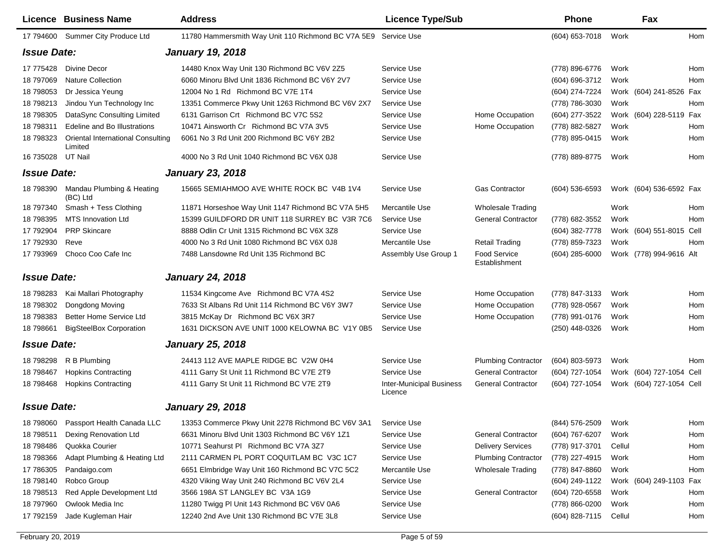|                    | Licence Business Name                        | <b>Address</b>                                                 | <b>Licence Type/Sub</b>                    |                                      | <b>Phone</b>     |        | Fax                      |     |
|--------------------|----------------------------------------------|----------------------------------------------------------------|--------------------------------------------|--------------------------------------|------------------|--------|--------------------------|-----|
| 17 794600          | Summer City Produce Ltd                      | 11780 Hammersmith Way Unit 110 Richmond BC V7A 5E9 Service Use |                                            |                                      | (604) 653-7018   | Work   |                          | Hom |
| <b>Issue Date:</b> |                                              | <b>January 19, 2018</b>                                        |                                            |                                      |                  |        |                          |     |
| 17 775428          | Divine Decor                                 | 14480 Knox Way Unit 130 Richmond BC V6V 2Z5                    | Service Use                                |                                      | (778) 896-6776   | Work   |                          | Hom |
| 18 797069          | <b>Nature Collection</b>                     | 6060 Minoru Blvd Unit 1836 Richmond BC V6Y 2V7                 | Service Use                                |                                      | (604) 696-3712   | Work   |                          | Hom |
| 18 798053          | Dr Jessica Yeung                             | 12004 No 1 Rd Richmond BC V7E 1T4                              | Service Use                                |                                      | (604) 274-7224   |        | Work (604) 241-8526      | Fax |
| 18 798213          | Jindou Yun Technology Inc                    | 13351 Commerce Pkwy Unit 1263 Richmond BC V6V 2X7              | Service Use                                |                                      | (778) 786-3030   | Work   |                          | Hom |
| 18 798305          | DataSync Consulting Limited                  | 6131 Garrison Crt Richmond BC V7C 5S2                          | Service Use                                | Home Occupation                      | (604) 277-3522   |        | Work (604) 228-5119      | Fax |
| 18 798311          | Edeline and Bo Illustrations                 | 10471 Ainsworth Cr Richmond BC V7A 3V5                         | Service Use                                | Home Occupation                      | (778) 882-5827   | Work   |                          | Hom |
| 18 798323          | Oriental International Consulting<br>Limited | 6061 No 3 Rd Unit 200 Richmond BC V6Y 2B2                      | Service Use                                |                                      | (778) 895-0415   | Work   |                          | Hom |
| 16 735028          | UT Nail                                      | 4000 No 3 Rd Unit 1040 Richmond BC V6X 0J8                     | Service Use                                |                                      | (778) 889-8775   | Work   |                          | Hom |
| <b>Issue Date:</b> |                                              | <b>January 23, 2018</b>                                        |                                            |                                      |                  |        |                          |     |
| 18 798390          | Mandau Plumbing & Heating<br>(BC) Ltd        | 15665 SEMIAHMOO AVE WHITE ROCK BC V4B 1V4                      | Service Use                                | <b>Gas Contractor</b>                | $(604)$ 536-6593 |        | Work (604) 536-6592 Fax  |     |
| 18 797340          | Smash + Tess Clothing                        | 11871 Horseshoe Way Unit 1147 Richmond BC V7A 5H5              | Mercantile Use                             | <b>Wholesale Trading</b>             |                  | Work   |                          | Hom |
| 18 798395          | <b>MTS Innovation Ltd</b>                    | 15399 GUILDFORD DR UNIT 118 SURREY BC V3R 7C6                  | Service Use                                | <b>General Contractor</b>            | (778) 682-3552   | Work   |                          | Hom |
| 17 792904          | <b>PRP Skincare</b>                          | 8888 Odlin Cr Unit 1315 Richmond BC V6X 3Z8                    | Service Use                                |                                      | (604) 382-7778   |        | Work (604) 551-8015 Cell |     |
| 17 792930          | Reve                                         | 4000 No 3 Rd Unit 1080 Richmond BC V6X 0J8                     | Mercantile Use                             | <b>Retail Trading</b>                | (778) 859-7323   | Work   |                          | Hom |
| 17 793969          | Choco Coo Cafe Inc                           | 7488 Lansdowne Rd Unit 135 Richmond BC                         | Assembly Use Group 1                       | <b>Food Service</b><br>Establishment | $(604)$ 285-6000 |        | Work (778) 994-9616 Alt  |     |
| <b>Issue Date:</b> |                                              | <b>January 24, 2018</b>                                        |                                            |                                      |                  |        |                          |     |
| 18 798283          | Kai Mallari Photography                      | 11534 Kingcome Ave Richmond BC V7A 4S2                         | Service Use                                | Home Occupation                      | (778) 847-3133   | Work   |                          | Hom |
| 18 798302          | Dongdong Moving                              | 7633 St Albans Rd Unit 114 Richmond BC V6Y 3W7                 | Service Use                                | Home Occupation                      | (778) 928-0567   | Work   |                          | Hom |
| 18 798383          | Better Home Service Ltd                      | 3815 McKay Dr Richmond BC V6X 3R7                              | Service Use                                | Home Occupation                      | (778) 991-0176   | Work   |                          | Hom |
| 18 798661          | <b>BigSteelBox Corporation</b>               | 1631 DICKSON AVE UNIT 1000 KELOWNA BC V1Y 0B5                  | Service Use                                |                                      | (250) 448-0326   | Work   |                          | Hom |
| <b>Issue Date:</b> |                                              | <b>January 25, 2018</b>                                        |                                            |                                      |                  |        |                          |     |
| 18 798298          | R B Plumbing                                 | 24413 112 AVE MAPLE RIDGE BC V2W 0H4                           | Service Use                                | <b>Plumbing Contractor</b>           | $(604)$ 803-5973 | Work   |                          | Hom |
| 18 798467          | <b>Hopkins Contracting</b>                   | 4111 Garry St Unit 11 Richmond BC V7E 2T9                      | Service Use                                | <b>General Contractor</b>            | (604) 727-1054   |        | Work (604) 727-1054 Cell |     |
| 18 798468          | <b>Hopkins Contracting</b>                   | 4111 Garry St Unit 11 Richmond BC V7E 2T9                      | <b>Inter-Municipal Business</b><br>Licence | <b>General Contractor</b>            | (604) 727-1054   |        | Work (604) 727-1054 Cell |     |
| <b>Issue Date:</b> |                                              | <b>January 29, 2018</b>                                        |                                            |                                      |                  |        |                          |     |
| 18 798060          | Passport Health Canada LLC                   | 13353 Commerce Pkwy Unit 2278 Richmond BC V6V 3A1              | Service Use                                |                                      | (844) 576-2509   | Work   |                          | Hom |
| 18 798511          | Dexing Renovation Ltd                        | 6631 Minoru Blvd Unit 1303 Richmond BC V6Y 1Z1                 | Service Use                                | <b>General Contractor</b>            | (604) 767-6207   | Work   |                          | Hom |
| 18 798486          | Quokka Courier                               | 10771 Seahurst PI Richmond BC V7A 3Z7                          | Service Use                                | <b>Delivery Services</b>             | (778) 917-3701   | Cellul |                          | Hom |
| 18 798366          | Adapt Plumbing & Heating Ltd                 | 2111 CARMEN PL PORT COQUITLAM BC V3C 1C7                       | Service Use                                | <b>Plumbing Contractor</b>           | (778) 227-4915   | Work   |                          | Hom |
| 17 786305          | Pandaigo.com                                 | 6651 Elmbridge Way Unit 160 Richmond BC V7C 5C2                | Mercantile Use                             | Wholesale Trading                    | (778) 847-8860   | Work   |                          | Hom |
| 18 798140          | Robco Group                                  | 4320 Viking Way Unit 240 Richmond BC V6V 2L4                   | Service Use                                |                                      | (604) 249-1122   |        | Work (604) 249-1103 Fax  |     |
| 18 798513          | Red Apple Development Ltd                    | 3566 198A ST LANGLEY BC V3A 1G9                                | Service Use                                | <b>General Contractor</b>            | (604) 720-6558   | Work   |                          | Hom |
| 18 797960          | Owlook Media Inc                             | 11280 Twigg PI Unit 143 Richmond BC V6V 0A6                    | Service Use                                |                                      | (778) 866-0200   | Work   |                          | Hom |
| 17 792159          | Jade Kugleman Hair                           | 12240 2nd Ave Unit 130 Richmond BC V7E 3L8                     | Service Use                                |                                      | (604) 828-7115   | Cellul |                          | Hom |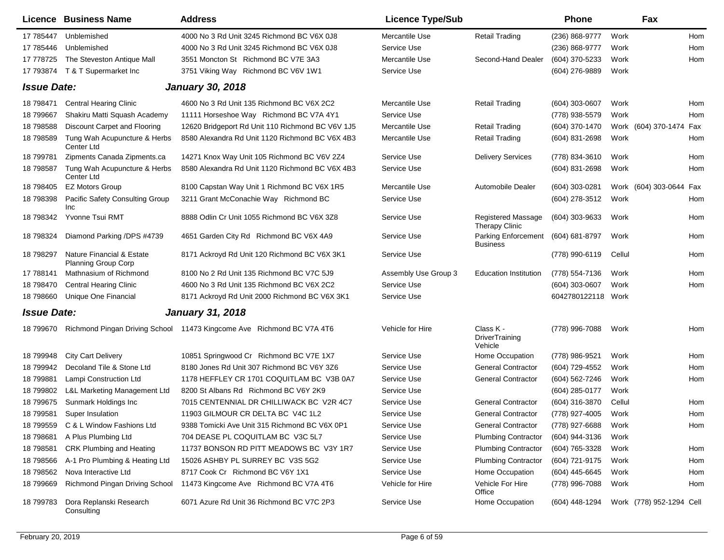|                    | <b>Licence Business Name</b>                            | <b>Address</b>                                                        | <b>Licence Type/Sub</b> |                                        | Phone              | Fax                      |     |
|--------------------|---------------------------------------------------------|-----------------------------------------------------------------------|-------------------------|----------------------------------------|--------------------|--------------------------|-----|
| 17 785447          | Unblemished                                             | 4000 No 3 Rd Unit 3245 Richmond BC V6X 0J8                            | Mercantile Use          | <b>Retail Trading</b>                  | (236) 868-9777     | Work                     | Hom |
| 17 785446          | Unblemished                                             | 4000 No 3 Rd Unit 3245 Richmond BC V6X 0J8                            | Service Use             |                                        | (236) 868-9777     | Work                     | Hom |
| 17 778725          | The Steveston Antique Mall                              | 3551 Moncton St Richmond BC V7E 3A3                                   | Mercantile Use          | Second-Hand Dealer                     | (604) 370-5233     | Work                     | Hom |
| 17 793874          | T & T Supermarket Inc                                   | 3751 Viking Way Richmond BC V6V 1W1                                   | Service Use             |                                        | (604) 276-9889     | Work                     |     |
| <b>Issue Date:</b> |                                                         | <b>January 30, 2018</b>                                               |                         |                                        |                    |                          |     |
| 18 798471          | <b>Central Hearing Clinic</b>                           | 4600 No 3 Rd Unit 135 Richmond BC V6X 2C2                             | Mercantile Use          | <b>Retail Trading</b>                  | $(604)$ 303-0607   | Work                     | Hom |
| 18 799667          | Shakiru Matti Squash Academy                            | 11111 Horseshoe Way Richmond BC V7A 4Y1                               | Service Use             |                                        | (778) 938-5579     | Work                     | Hom |
| 18 798588          | Discount Carpet and Flooring                            | 12620 Bridgeport Rd Unit 110 Richmond BC V6V 1J5                      | Mercantile Use          | <b>Retail Trading</b>                  | (604) 370-1470     | Work (604) 370-1474      | Fax |
| 18 798589          | Tung Wah Acupuncture & Herbs<br>Center Ltd              | 8580 Alexandra Rd Unit 1120 Richmond BC V6X 4B3                       | Mercantile Use          | <b>Retail Trading</b>                  | (604) 831-2698     | Work                     | Hom |
| 18 799781          | Zipments Canada Zipments.ca                             | 14271 Knox Way Unit 105 Richmond BC V6V 2Z4                           | Service Use             | <b>Delivery Services</b>               | (778) 834-3610     | Work                     | Hom |
| 18 798587          | Tung Wah Acupuncture & Herbs<br>Center Ltd              | 8580 Alexandra Rd Unit 1120 Richmond BC V6X 4B3                       | Service Use             |                                        | (604) 831-2698     | Work                     | Hom |
| 18 798405          | <b>EZ Motors Group</b>                                  | 8100 Capstan Way Unit 1 Richmond BC V6X 1R5                           | Mercantile Use          | <b>Automobile Dealer</b>               | (604) 303-0281     | Work (604) 303-0644 Fax  |     |
| 18 798398          | Pacific Safety Consulting Group<br>Inc                  | 3211 Grant McConachie Way Richmond BC                                 | Service Use             |                                        | (604) 278-3512     | Work                     | Hom |
| 18 798342          | Yvonne Tsui RMT                                         | 8888 Odlin Cr Unit 1055 Richmond BC V6X 3Z8                           | Service Use             | Registered Massage<br>Therapy Clinic   | (604) 303-9633     | Work                     | Hom |
| 18 798324          | Diamond Parking /DPS #4739                              | 4651 Garden City Rd Richmond BC V6X 4A9                               | Service Use             | Parking Enforcement<br><b>Business</b> | (604) 681-8797     | Work                     | Hom |
| 18 798297          | Nature Financial & Estate<br><b>Planning Group Corp</b> | 8171 Ackroyd Rd Unit 120 Richmond BC V6X 3K1                          | Service Use             |                                        | (778) 990-6119     | Cellul                   | Hom |
| 17 788141          | Mathnasium of Richmond                                  | 8100 No 2 Rd Unit 135 Richmond BC V7C 5J9                             | Assembly Use Group 3    | <b>Education Institution</b>           | (778) 554-7136     | Work                     | Hom |
| 18 798470          | <b>Central Hearing Clinic</b>                           | 4600 No 3 Rd Unit 135 Richmond BC V6X 2C2                             | Service Use             |                                        | (604) 303-0607     | Work                     | Hom |
| 18 798660          | Unique One Financial                                    | 8171 Ackroyd Rd Unit 2000 Richmond BC V6X 3K1                         | Service Use             |                                        | 6042780122118 Work |                          |     |
| <b>Issue Date:</b> |                                                         | <b>January 31, 2018</b>                                               |                         |                                        |                    |                          |     |
| 18 799670          |                                                         | Richmond Pingan Driving School 11473 Kingcome Ave Richmond BC V7A 4T6 | Vehicle for Hire        | Class K -<br>DriverTraining<br>Vehicle | (778) 996-7088     | Work                     | Hom |
| 18 799948          | <b>City Cart Delivery</b>                               | 10851 Springwood Cr Richmond BC V7E 1X7                               | Service Use             | Home Occupation                        | (778) 986-9521     | Work                     | Hom |
| 18 799942          | Decoland Tile & Stone Ltd                               | 8180 Jones Rd Unit 307 Richmond BC V6Y 3Z6                            | Service Use             | <b>General Contractor</b>              | (604) 729-4552     | Work                     | Hom |
| 18 799881          | Lampi Construction Ltd                                  | 1178 HEFFLEY CR 1701 COQUITLAM BC V3B 0A7                             | Service Use             | <b>General Contractor</b>              | (604) 562-7246     | Work                     | Hom |
| 18 799802          | L&L Marketing Management Ltd                            | 8200 St Albans Rd Richmond BC V6Y 2K9                                 | Service Use             |                                        | (604) 285-0177     | Work                     |     |
| 18 799675          | Sunmark Holdings Inc                                    | 7015 CENTENNIAL DR CHILLIWACK BC V2R 4C7                              | Service Use             | <b>General Contractor</b>              | (604) 316-3870     | Cellul                   | Hom |
| 18 799581          | Super Insulation                                        | 11903 GILMOUR CR DELTA BC V4C 1L2                                     | Service Use             | <b>General Contractor</b>              | (778) 927-4005     | Work                     | Hom |
| 18 799559          | C & L Window Fashions Ltd                               | 9388 Tomicki Ave Unit 315 Richmond BC V6X 0P1                         | Service Use             | <b>General Contractor</b>              | (778) 927-6688     | Work                     | Hom |
| 18 798681          | A Plus Plumbing Ltd                                     | 704 DEASE PL COQUITLAM BC V3C 5L7                                     | Service Use             | <b>Plumbing Contractor</b>             | (604) 944-3136     | Work                     |     |
| 18 798581          | CRK Plumbing and Heating                                | 11737 BONSON RD PITT MEADOWS BC V3Y 1R7                               | Service Use             | <b>Plumbing Contractor</b>             | (604) 765-3328     | Work                     | Hom |
| 18 798566          | A-1 Pro Plumbing & Heating Ltd                          | 15026 ASHBY PL SURREY BC V3S 5G2                                      | Service Use             | <b>Plumbing Contractor</b>             | (604) 721-9175     | Work                     | Hom |
| 18 798562          | Nova Interactive Ltd                                    | 8717 Cook Cr Richmond BC V6Y 1X1                                      | Service Use             | Home Occupation                        | (604) 445-6645     | Work                     | Hom |
| 18 799669          | Richmond Pingan Driving School                          | 11473 Kingcome Ave Richmond BC V7A 4T6                                | Vehicle for Hire        | Vehicle For Hire<br>Office             | (778) 996-7088     | Work                     | Hom |
| 18 799783          | Dora Replanski Research<br>Consulting                   | 6071 Azure Rd Unit 36 Richmond BC V7C 2P3                             | Service Use             | Home Occupation                        | (604) 448-1294     | Work (778) 952-1294 Cell |     |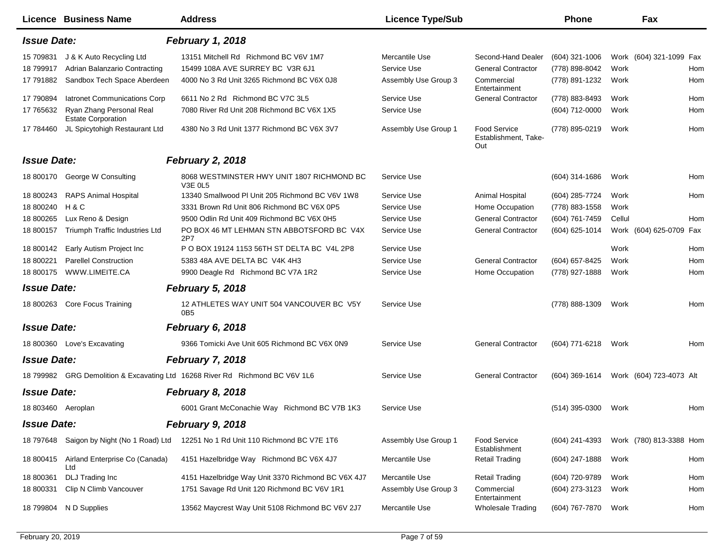| <b>Licence Business Name</b>                                                 | <b>Address</b>                                               | <b>Licence Type/Sub</b> |                                             | <b>Phone</b>     | Fax                     |
|------------------------------------------------------------------------------|--------------------------------------------------------------|-------------------------|---------------------------------------------|------------------|-------------------------|
| <b>Issue Date:</b>                                                           | <b>February 1, 2018</b>                                      |                         |                                             |                  |                         |
| 15 709831<br>J & K Auto Recycling Ltd                                        | 13151 Mitchell Rd Richmond BC V6V 1M7                        | Mercantile Use          | Second-Hand Dealer                          | $(604)$ 321-1006 | Work (604) 321-1099 Fax |
| Adrian Balanzario Contracting<br>18 799917                                   | 15499 108A AVE SURREY BC V3R 6J1                             | Service Use             | <b>General Contractor</b>                   | (778) 898-8042   | Work<br>Hom             |
| Sandbox Tech Space Aberdeen<br>17 791882                                     | 4000 No 3 Rd Unit 3265 Richmond BC V6X 0J8                   | Assembly Use Group 3    | Commercial<br>Entertainment                 | (778) 891-1232   | Work<br>Hom             |
| 17 790894<br>latronet Communications Corp                                    | 6611 No 2 Rd Richmond BC V7C 3L5                             | Service Use             | <b>General Contractor</b>                   | (778) 883-8493   | Work<br>Hom             |
| 17 765632<br>Ryan Zhang Personal Real<br><b>Estate Corporation</b>           | 7080 River Rd Unit 208 Richmond BC V6X 1X5                   | Service Use             |                                             | (604) 712-0000   | Work<br>Hom             |
| JL Spicytohigh Restaurant Ltd<br>17 784460                                   | 4380 No 3 Rd Unit 1377 Richmond BC V6X 3V7                   | Assembly Use Group 1    | Food Service<br>Establishment, Take-<br>Out | (778) 895-0219   | Work<br>Hom             |
| <b>Issue Date:</b>                                                           | <b>February 2, 2018</b>                                      |                         |                                             |                  |                         |
| George W Consulting<br>18 800170                                             | 8068 WESTMINSTER HWY UNIT 1807 RICHMOND BC<br><b>V3E 0L5</b> | Service Use             |                                             | (604) 314-1686   | Work<br>Hom             |
| <b>RAPS Animal Hospital</b><br>18 800243                                     | 13340 Smallwood PI Unit 205 Richmond BC V6V 1W8              | Service Use             | Animal Hospital                             | (604) 285-7724   | Work<br>Hom             |
| 18 800240<br>H & C                                                           | 3331 Brown Rd Unit 806 Richmond BC V6X 0P5                   | Service Use             | Home Occupation                             | (778) 883-1558   | Work                    |
| Lux Reno & Design<br>18 800265                                               | 9500 Odlin Rd Unit 409 Richmond BC V6X 0H5                   | Service Use             | <b>General Contractor</b>                   | (604) 761-7459   | Cellul<br>Hom           |
| Triumph Traffic Industries Ltd<br>18 800157                                  | PO BOX 46 MT LEHMAN STN ABBOTSFORD BC V4X<br>2P7             | Service Use             | <b>General Contractor</b>                   | (604) 625-1014   | Work (604) 625-0709 Fax |
| Early Autism Project Inc<br>18 800142                                        | P O BOX 19124 1153 56TH ST DELTA BC V4L 2P8                  | Service Use             |                                             |                  | Work<br>Hom             |
| <b>Parellel Construction</b><br>18 800221                                    | 5383 48A AVE DELTA BC V4K 4H3                                | Service Use             | <b>General Contractor</b>                   | (604) 657-8425   | Work<br>Hom             |
| 18 800175<br>WWW.LIMEITE.CA                                                  | 9900 Deagle Rd Richmond BC V7A 1R2                           | Service Use             | Home Occupation                             | (778) 927-1888   | Work<br>Hom             |
| <b>Issue Date:</b>                                                           | <b>February 5, 2018</b>                                      |                         |                                             |                  |                         |
| 18 800263 Core Focus Training                                                | 12 ATHLETES WAY UNIT 504 VANCOUVER BC V5Y<br>0 <sub>B5</sub> | Service Use             |                                             | (778) 888-1309   | Work<br>Hom             |
| <b>Issue Date:</b>                                                           | February 6, 2018                                             |                         |                                             |                  |                         |
| 18 800360 Love's Excavating                                                  | 9366 Tomicki Ave Unit 605 Richmond BC V6X 0N9                | Service Use             | <b>General Contractor</b>                   | (604) 771-6218   | Work<br>Hom             |
| <b>Issue Date:</b>                                                           | <b>February 7, 2018</b>                                      |                         |                                             |                  |                         |
| 18 799982 GRG Demolition & Excavating Ltd 16268 River Rd Richmond BC V6V 1L6 |                                                              | Service Use             | <b>General Contractor</b>                   | $(604)$ 369-1614 | Work (604) 723-4073 Alt |
| <b>Issue Date:</b>                                                           | February 8, 2018                                             |                         |                                             |                  |                         |
| 18 803460 Aeroplan                                                           | 6001 Grant McConachie Way Richmond BC V7B 1K3                | Service Use             |                                             | $(514)$ 395-0300 | Work<br>Hom             |
| <b>Issue Date:</b>                                                           | <b>February 9, 2018</b>                                      |                         |                                             |                  |                         |
| 18 797648 Saigon by Night (No 1 Road) Ltd                                    | 12251 No 1 Rd Unit 110 Richmond BC V7E 1T6                   | Assembly Use Group 1    | <b>Food Service</b><br>Establishment        | (604) 241-4393   | Work (780) 813-3388 Hom |
| Airland Enterprise Co (Canada)<br>18 800415<br>Ltd                           | 4151 Hazelbridge Way Richmond BC V6X 4J7                     | Mercantile Use          | <b>Retail Trading</b>                       | (604) 247-1888   | Work<br>Hom             |
| DLJ Trading Inc<br>18 800361                                                 | 4151 Hazelbridge Way Unit 3370 Richmond BC V6X 4J7           | Mercantile Use          | <b>Retail Trading</b>                       | (604) 720-9789   | Work<br>Hom             |
| 18 800331<br>Clip N Climb Vancouver                                          | 1751 Savage Rd Unit 120 Richmond BC V6V 1R1                  | Assembly Use Group 3    | Commercial<br>Entertainment                 | (604) 273-3123   | Work<br>Hom             |
| N D Supplies<br>18 799804                                                    | 13562 Maycrest Way Unit 5108 Richmond BC V6V 2J7             | Mercantile Use          | <b>Wholesale Trading</b>                    | (604) 767-7870   | Work<br>Hom             |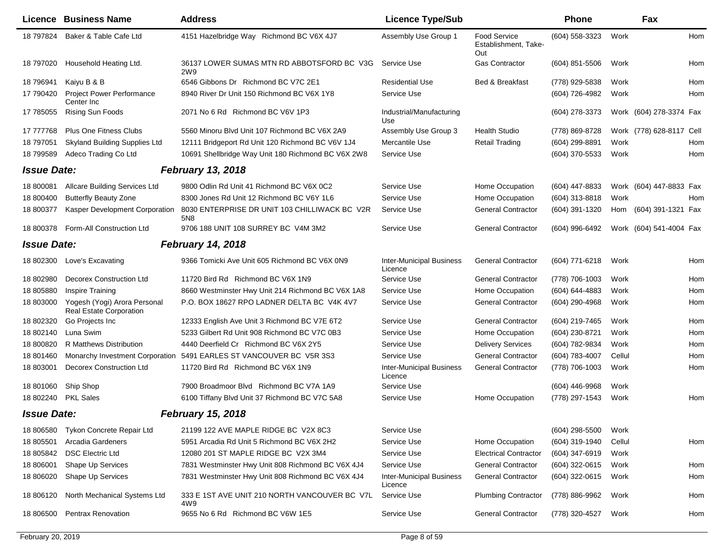|                    | <b>Licence Business Name</b>                                   | <b>Address</b>                                                   | <b>Licence Type/Sub</b>                    |                                                    | <b>Phone</b>     |        | Fax                      |     |
|--------------------|----------------------------------------------------------------|------------------------------------------------------------------|--------------------------------------------|----------------------------------------------------|------------------|--------|--------------------------|-----|
| 18 797824          | Baker & Table Cafe Ltd                                         | 4151 Hazelbridge Way Richmond BC V6X 4J7                         | Assembly Use Group 1                       | <b>Food Service</b><br>Establishment, Take-<br>Out | (604) 558-3323   | Work   |                          | Hom |
| 18 797020          | Household Heating Ltd.                                         | 36137 LOWER SUMAS MTN RD ABBOTSFORD BC V3G<br>2W9                | Service Use                                | Gas Contractor                                     | $(604)$ 851-5506 | Work   |                          | Hom |
| 18 79 6941         | Kaiyu B & B                                                    | 6546 Gibbons Dr Richmond BC V7C 2E1                              | <b>Residential Use</b>                     | Bed & Breakfast                                    | (778) 929-5838   | Work   |                          | Hom |
| 17 790420          | <b>Project Power Performance</b><br>Center Inc.                | 8940 River Dr Unit 150 Richmond BC V6X 1Y8                       | Service Use                                |                                                    | (604) 726-4982   | Work   |                          | Hom |
| 17 785055          | Rising Sun Foods                                               | 2071 No 6 Rd Richmond BC V6V 1P3                                 | Industrial/Manufacturing<br>Use            |                                                    | (604) 278-3373   |        | Work (604) 278-3374 Fax  |     |
| 17 777768          | <b>Plus One Fitness Clubs</b>                                  | 5560 Minoru Blvd Unit 107 Richmond BC V6X 2A9                    | Assembly Use Group 3                       | <b>Health Studio</b>                               | (778) 869-8728   |        | Work (778) 628-8117 Cell |     |
| 18 797051          | <b>Skyland Building Supplies Ltd</b>                           | 12111 Bridgeport Rd Unit 120 Richmond BC V6V 1J4                 | Mercantile Use                             | <b>Retail Trading</b>                              | (604) 299-8891   | Work   |                          | Hom |
| 18 799589          | Adeco Trading Co Ltd                                           | 10691 Shellbridge Way Unit 180 Richmond BC V6X 2W8               | Service Use                                |                                                    | (604) 370-5533   | Work   |                          | Hom |
| <b>Issue Date:</b> |                                                                | <b>February 13, 2018</b>                                         |                                            |                                                    |                  |        |                          |     |
| 18 800081          | <b>Allcare Building Services Ltd</b>                           | 9800 Odlin Rd Unit 41 Richmond BC V6X 0C2                        | Service Use                                | Home Occupation                                    | (604) 447-8833   |        | Work (604) 447-8833 Fax  |     |
| 18 800400          | <b>Butterfly Beauty Zone</b>                                   | 8300 Jones Rd Unit 12 Richmond BC V6Y 1L6                        | Service Use                                | Home Occupation                                    | (604) 313-8818   | Work   |                          | Hom |
| 18 800377          | Kasper Development Corporation                                 | 8030 ENTERPRISE DR UNIT 103 CHILLIWACK BC V2R<br>5N <sub>8</sub> | Service Use                                | <b>General Contractor</b>                          | (604) 391-1320   | Hom    | (604) 391-1321 Fax       |     |
| 18 800378          | Form-All Construction Ltd                                      | 9706 188 UNIT 108 SURREY BC V4M 3M2                              | Service Use                                | <b>General Contractor</b>                          | (604) 996-6492   |        | Work (604) 541-4004 Fax  |     |
| <b>Issue Date:</b> |                                                                | <b>February 14, 2018</b>                                         |                                            |                                                    |                  |        |                          |     |
| 18 802300          | Love's Excavating                                              | 9366 Tomicki Ave Unit 605 Richmond BC V6X 0N9                    | <b>Inter-Municipal Business</b><br>Licence | <b>General Contractor</b>                          | (604) 771-6218   | Work   |                          | Hom |
| 18 802980          | <b>Decorex Construction Ltd</b>                                | 11720 Bird Rd Richmond BC V6X 1N9                                | Service Use                                | <b>General Contractor</b>                          | (778) 706-1003   | Work   |                          | Hom |
| 18 805880          | Inspire Training                                               | 8660 Westminster Hwy Unit 214 Richmond BC V6X 1A8                | Service Use                                | Home Occupation                                    | (604) 644-4883   | Work   |                          | Hom |
| 18 803000          | Yogesh (Yogi) Arora Personal<br><b>Real Estate Corporation</b> | P.O. BOX 18627 RPO LADNER DELTA BC V4K 4V7                       | Service Use                                | <b>General Contractor</b>                          | (604) 290-4968   | Work   |                          | Hom |
| 18 802320          | Go Projects Inc                                                | 12333 English Ave Unit 3 Richmond BC V7E 6T2                     | Service Use                                | <b>General Contractor</b>                          | (604) 219-7465   | Work   |                          | Hom |
| 18 802140          | Luna Swim                                                      | 5233 Gilbert Rd Unit 908 Richmond BC V7C 0B3                     | Service Use                                | Home Occupation                                    | (604) 230-8721   | Work   |                          | Hom |
| 18 800820          | R Matthews Distribution                                        | 4440 Deerfield Cr Richmond BC V6X 2Y5                            | Service Use                                | <b>Delivery Services</b>                           | (604) 782-9834   | Work   |                          | Hom |
| 18 801460          | Monarchy Investment Corporation                                | 5491 EARLES ST VANCOUVER BC V5R 3S3                              | Service Use                                | <b>General Contractor</b>                          | (604) 783-4007   | Cellul |                          | Hom |
| 18 803001          | <b>Decorex Construction Ltd</b>                                | 11720 Bird Rd Richmond BC V6X 1N9                                | <b>Inter-Municipal Business</b><br>Licence | <b>General Contractor</b>                          | (778) 706-1003   | Work   |                          | Hom |
| 18 801060          | Ship Shop                                                      | 7900 Broadmoor Blvd Richmond BC V7A 1A9                          | Service Use                                |                                                    | (604) 446-9968   | Work   |                          |     |
| 18 802240          | <b>PKL Sales</b>                                               | 6100 Tiffany Blvd Unit 37 Richmond BC V7C 5A8                    | Service Use                                | Home Occupation                                    | (778) 297-1543   | Work   |                          | Hom |
| <b>Issue Date:</b> |                                                                | <b>February 15, 2018</b>                                         |                                            |                                                    |                  |        |                          |     |
|                    | 18 806580 Tykon Concrete Repair Ltd                            | 21199 122 AVE MAPLE RIDGE BC V2X 8C3                             | Service Use                                |                                                    | $(604)$ 298-5500 | Work   |                          |     |
| 18 805501          | <b>Arcadia Gardeners</b>                                       | 5951 Arcadia Rd Unit 5 Richmond BC V6X 2H2                       | Service Use                                | Home Occupation                                    | (604) 319-1940   | Cellul |                          | Hom |
| 18 805842          | <b>DSC Electric Ltd</b>                                        | 12080 201 ST MAPLE RIDGE BC V2X 3M4                              | Service Use                                | <b>Electrical Contractor</b>                       | (604) 347-6919   | Work   |                          |     |
| 18 806001          | Shape Up Services                                              | 7831 Westminster Hwy Unit 808 Richmond BC V6X 4J4                | Service Use                                | <b>General Contractor</b>                          | (604) 322-0615   | Work   |                          | Hom |
| 18 806020          | Shape Up Services                                              | 7831 Westminster Hwy Unit 808 Richmond BC V6X 4J4                | <b>Inter-Municipal Business</b><br>Licence | <b>General Contractor</b>                          | (604) 322-0615   | Work   |                          | Hom |
| 18 806120          | North Mechanical Systems Ltd                                   | 333 E 1ST AVE UNIT 210 NORTH VANCOUVER BC V7L<br>4W9             | Service Use                                | <b>Plumbing Contractor</b>                         | (778) 886-9962   | Work   |                          | Hom |
| 18 806500          | <b>Pentrax Renovation</b>                                      | 9655 No 6 Rd Richmond BC V6W 1E5                                 | Service Use                                | <b>General Contractor</b>                          | (778) 320-4527   | Work   |                          | Hom |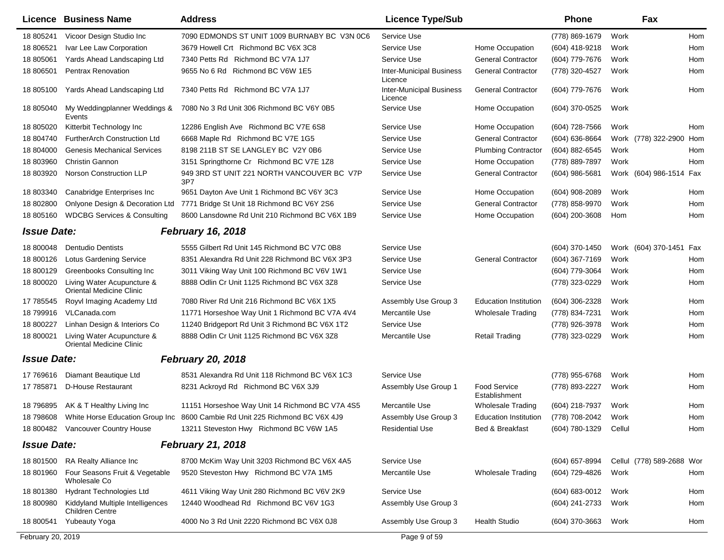| Licence            | <b>Business Name</b>                                          | <b>Address</b>                                                              | <b>Licence Type/Sub</b>                    |                                      | <b>Phone</b>       | Fax                       |     |
|--------------------|---------------------------------------------------------------|-----------------------------------------------------------------------------|--------------------------------------------|--------------------------------------|--------------------|---------------------------|-----|
| 18 805241          | Vicoor Design Studio Inc                                      | 7090 EDMONDS ST UNIT 1009 BURNABY BC V3N 0C6                                | Service Use                                |                                      | (778) 869-1679     | Work                      | Hom |
| 18 806521          | Ivar Lee Law Corporation                                      | 3679 Howell Crt Richmond BC V6X 3C8                                         | Service Use                                | Home Occupation                      | (604) 418-9218     | Work                      | Hom |
| 18 805061          | Yards Ahead Landscaping Ltd                                   | 7340 Petts Rd Richmond BC V7A 1J7                                           | Service Use                                | <b>General Contractor</b>            | (604) 779-7676     | Work                      | Hom |
| 18 806501          | <b>Pentrax Renovation</b>                                     | 9655 No 6 Rd Richmond BC V6W 1E5                                            | <b>Inter-Municipal Business</b><br>Licence | <b>General Contractor</b>            | (778) 320-4527     | Work                      | Hom |
| 18 805100          | Yards Ahead Landscaping Ltd                                   | 7340 Petts Rd Richmond BC V7A 1J7                                           | <b>Inter-Municipal Business</b><br>Licence | <b>General Contractor</b>            | (604) 779-7676     | Work                      | Hom |
| 18 805040          | My Weddingplanner Weddings &<br>Events                        | 7080 No 3 Rd Unit 306 Richmond BC V6Y 0B5                                   | Service Use                                | Home Occupation                      | (604) 370-0525     | Work                      |     |
| 18 805020          | Kitterbit Technology Inc                                      | 12286 English Ave Richmond BC V7E 6S8                                       | Service Use                                | Home Occupation                      | (604) 728-7566     | Work                      | Hom |
| 18 804740          | FurtherArch Construction Ltd                                  | 6668 Maple Rd Richmond BC V7E 1G5                                           | Service Use                                | <b>General Contractor</b>            | (604) 636-8664     | Work (778) 322-2900       | Hom |
| 18 804000          | <b>Genesis Mechanical Services</b>                            | 8198 211B ST SE LANGLEY BC V2Y 0B6                                          | Service Use                                | <b>Plumbing Contractor</b>           | (604) 882-6545     | Work                      | Hom |
| 18 803960          | Christin Gannon                                               | 3151 Springthorne Cr Richmond BC V7E 1Z8                                    | Service Use                                | Home Occupation                      | (778) 889-7897     | Work                      | Hom |
| 18 803920          | <b>Norson Construction LLP</b>                                | 949 3RD ST UNIT 221 NORTH VANCOUVER BC V7P<br>3P7                           | Service Use                                | <b>General Contractor</b>            | $(604)$ 986-5681   | Work (604) 986-1514 Fax   |     |
| 18 803340          | Canabridge Enterprises Inc                                    | 9651 Dayton Ave Unit 1 Richmond BC V6Y 3C3                                  | Service Use                                | Home Occupation                      | (604) 908-2089     | Work                      | Hom |
| 18 802800          | Onlyone Design & Decoration Ltd                               | 7771 Bridge St Unit 18 Richmond BC V6Y 2S6                                  | Service Use                                | <b>General Contractor</b>            | (778) 858-9970     | Work                      | Hom |
| 18 805160          | <b>WDCBG Services &amp; Consulting</b>                        | 8600 Lansdowne Rd Unit 210 Richmond BC V6X 1B9                              | Service Use                                | Home Occupation                      | (604) 200-3608     | Hom                       | Hom |
| <b>Issue Date:</b> |                                                               | <b>February 16, 2018</b>                                                    |                                            |                                      |                    |                           |     |
| 18 800048          | <b>Dentudio Dentists</b>                                      | 5555 Gilbert Rd Unit 145 Richmond BC V7C 0B8                                | Service Use                                |                                      | (604) 370-1450     | Work (604) 370-1451       | Fax |
| 18 800126          | <b>Lotus Gardening Service</b>                                | 8351 Alexandra Rd Unit 228 Richmond BC V6X 3P3                              | Service Use                                | <b>General Contractor</b>            | (604) 367-7169     | Work                      | Hom |
| 18 800129          | Greenbooks Consulting Inc                                     | 3011 Viking Way Unit 100 Richmond BC V6V 1W1                                | Service Use                                |                                      | (604) 779-3064     | Work                      | Hom |
| 18 800020          | Living Water Acupuncture &<br>Oriental Medicine Clinic        | 8888 Odlin Cr Unit 1125 Richmond BC V6X 3Z8                                 | Service Use                                |                                      | (778) 323-0229     | Work                      | Hom |
| 17 785545          | Royvl Imaging Academy Ltd                                     | 7080 River Rd Unit 216 Richmond BC V6X 1X5                                  | Assembly Use Group 3                       | <b>Education Institution</b>         | (604) 306-2328     | Work                      | Hom |
| 18 799916          | VLCanada.com                                                  | 11771 Horseshoe Way Unit 1 Richmond BC V7A 4V4                              | Mercantile Use                             | <b>Wholesale Trading</b>             | (778) 834-7231     | Work                      | Hom |
| 18 800227          | Linhan Design & Interiors Co                                  | 11240 Bridgeport Rd Unit 3 Richmond BC V6X 1T2                              | Service Use                                |                                      | (778) 926-3978     | Work                      | Hom |
| 18 800021          | Living Water Acupuncture &<br><b>Oriental Medicine Clinic</b> | 8888 Odlin Cr Unit 1125 Richmond BC V6X 3Z8                                 | Mercantile Use                             | <b>Retail Trading</b>                | (778) 323-0229     | Work                      | Hom |
| <b>Issue Date:</b> |                                                               | <b>February 20, 2018</b>                                                    |                                            |                                      |                    |                           |     |
| 17 769616          | Diamant Beautique Ltd                                         | 8531 Alexandra Rd Unit 118 Richmond BC V6X 1C3                              | Service Use                                |                                      | (778) 955-6768     | Work                      | Hom |
| 17 785871          | <b>D-House Restaurant</b>                                     | 8231 Ackroyd Rd Richmond BC V6X 3J9                                         | Assembly Use Group 1                       | <b>Food Service</b><br>Establishment | (778) 893-2227     | Work                      | Hom |
| 18 796895          | AK & T Healthy Living Inc                                     | 11151 Horseshoe Way Unit 14 Richmond BC V7A 4S5                             | Mercantile Use                             | <b>Wholesale Trading</b>             | (604) 218-7937     | Work                      | Hom |
| 18 798608          |                                                               | White Horse Education Group Inc 8600 Cambie Rd Unit 225 Richmond BC V6X 4J9 | Assembly Use Group 3                       | <b>Education Institution</b>         | (778) 708-2042     | Work                      | Hom |
|                    | 18 800482 Vancouver Country House                             | 13211 Steveston Hwy Richmond BC V6W 1A5                                     | <b>Residential Use</b>                     | Bed & Breakfast                      | (604) 780-1329     | Cellul                    | Hom |
| <b>Issue Date:</b> |                                                               | <b>February 21, 2018</b>                                                    |                                            |                                      |                    |                           |     |
| 18 801500          | RA Realty Alliance Inc                                        | 8700 McKim Way Unit 3203 Richmond BC V6X 4A5                                | Service Use                                |                                      | (604) 657-8994     | Cellul (778) 589-2688 Wor |     |
| 18 801960          | Four Seasons Fruit & Vegetable<br>Wholesale Co                | 9520 Steveston Hwy Richmond BC V7A 1M5                                      | Mercantile Use                             | Wholesale Trading                    | (604) 729-4826     | Work                      | Hom |
| 18 801380          | Hydrant Technologies Ltd                                      | 4611 Viking Way Unit 280 Richmond BC V6V 2K9                                | Service Use                                |                                      | $(604) 683 - 0012$ | Work                      | Hom |
| 18 800980          | Kiddyland Multiple Intelligences<br><b>Children Centre</b>    | 12440 Woodhead Rd Richmond BC V6V 1G3                                       | Assembly Use Group 3                       |                                      | (604) 241-2733     | Work                      | Hom |
| 18 800541          | <b>Yubeauty Yoga</b>                                          | 4000 No 3 Rd Unit 2220 Richmond BC V6X 0J8                                  | Assembly Use Group 3                       | <b>Health Studio</b>                 | (604) 370-3663     | Work                      | Hom |
| February 20, 2019  |                                                               |                                                                             | Page 9 of 59                               |                                      |                    |                           |     |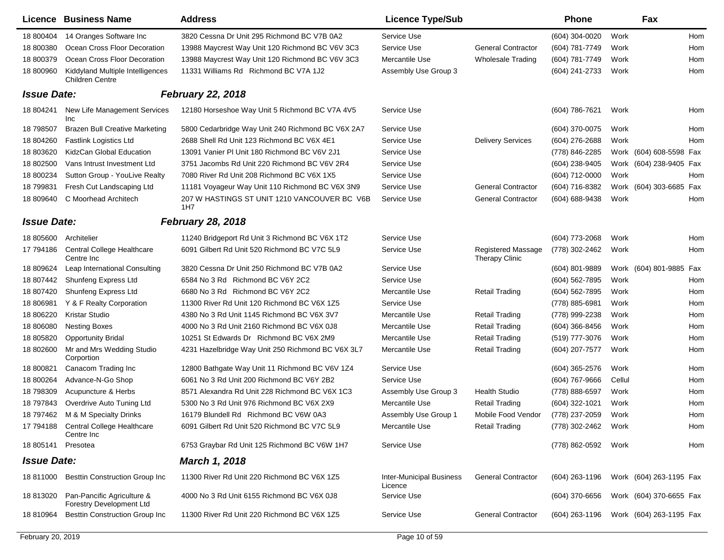| Licence            | <b>Business Name</b>                                          | <b>Address</b>                                      | <b>Licence Type/Sub</b>                    |                                                    | <b>Phone</b>     |        | Fax                     |            |
|--------------------|---------------------------------------------------------------|-----------------------------------------------------|--------------------------------------------|----------------------------------------------------|------------------|--------|-------------------------|------------|
| 18 800404          | 14 Oranges Software Inc                                       | 3820 Cessna Dr Unit 295 Richmond BC V7B 0A2         | Service Use                                |                                                    | (604) 304-0020   | Work   |                         | Hom        |
| 18 800380          | Ocean Cross Floor Decoration                                  | 13988 Maycrest Way Unit 120 Richmond BC V6V 3C3     | Service Use                                | <b>General Contractor</b>                          | (604) 781-7749   | Work   |                         | <b>Hom</b> |
| 18 800379          | Ocean Cross Floor Decoration                                  | 13988 Maycrest Way Unit 120 Richmond BC V6V 3C3     | Mercantile Use                             | <b>Wholesale Trading</b>                           | (604) 781-7749   | Work   |                         | Hom        |
| 18 800960          | Kiddyland Multiple Intelligences<br><b>Children Centre</b>    | 11331 Williams Rd Richmond BC V7A 1J2               | Assembly Use Group 3                       |                                                    | (604) 241-2733   | Work   |                         | Hom        |
| <b>Issue Date:</b> |                                                               | <b>February 22, 2018</b>                            |                                            |                                                    |                  |        |                         |            |
| 18 804241          | New Life Management Services<br>Inc                           | 12180 Horseshoe Way Unit 5 Richmond BC V7A 4V5      | Service Use                                |                                                    | (604) 786-7621   | Work   |                         | Hom        |
| 18 798507          | <b>Brazen Bull Creative Marketing</b>                         | 5800 Cedarbridge Way Unit 240 Richmond BC V6X 2A7   | Service Use                                |                                                    | (604) 370-0075   | Work   |                         | Hom        |
| 18 804260          | <b>Fastlink Logistics Ltd</b>                                 | 2688 Shell Rd Unit 123 Richmond BC V6X 4E1          | Service Use                                | <b>Delivery Services</b>                           | (604) 276-2688   | Work   |                         | Hom        |
| 18 803620          | KidzCan Global Education                                      | 13091 Vanier PI Unit 180 Richmond BC V6V 2J1        | Service Use                                |                                                    | (778) 846-2285   |        | Work (604) 608-5598 Fax |            |
| 18 802500          | Vans Intrust Investment Ltd                                   | 3751 Jacombs Rd Unit 220 Richmond BC V6V 2R4        | Service Use                                |                                                    | (604) 238-9405   |        | Work (604) 238-9405 Fax |            |
| 18 800234          | Sutton Group - YouLive Realty                                 | 7080 River Rd Unit 208 Richmond BC V6X 1X5          | Service Use                                |                                                    | (604) 712-0000   | Work   |                         | Hom        |
| 18 799831          | Fresh Cut Landscaping Ltd                                     | 11181 Voyageur Way Unit 110 Richmond BC V6X 3N9     | Service Use                                | <b>General Contractor</b>                          | (604) 716-8382   |        | Work (604) 303-6685 Fax |            |
| 18 809640          | C Moorhead Architech                                          | 207 W HASTINGS ST UNIT 1210 VANCOUVER BC V6B<br>1H7 | Service Use                                | <b>General Contractor</b>                          | (604) 688-9438   | Work   |                         | Hom        |
| <b>Issue Date:</b> |                                                               | <b>February 28, 2018</b>                            |                                            |                                                    |                  |        |                         |            |
| 18 805600          | Architelier                                                   | 11240 Bridgeport Rd Unit 3 Richmond BC V6X 1T2      | Service Use                                |                                                    | (604) 773-2068   | Work   |                         | Hom        |
| 17 794186          | Central College Healthcare<br>Centre Inc                      | 6091 Gilbert Rd Unit 520 Richmond BC V7C 5L9        | Service Use                                | <b>Registered Massage</b><br><b>Therapy Clinic</b> | (778) 302-2462   | Work   |                         | Hom        |
| 18 809624          | Leap International Consulting                                 | 3820 Cessna Dr Unit 250 Richmond BC V7B 0A2         | Service Use                                |                                                    | $(604)$ 801-9889 |        | Work (604) 801-9885 Fax |            |
| 18 807442          | Shunfeng Express Ltd                                          | 6584 No 3 Rd Richmond BC V6Y 2C2                    | Service Use                                |                                                    | (604) 562-7895   | Work   |                         | Hom        |
| 18 807420          | Shunfeng Express Ltd                                          | 6680 No 3 Rd Richmond BC V6Y 2C2                    | Mercantile Use                             | <b>Retail Trading</b>                              | (604) 562-7895   | Work   |                         | Hom        |
| 18 806981          | Y & F Realty Corporation                                      | 11300 River Rd Unit 120 Richmond BC V6X 1Z5         | Service Use                                |                                                    | (778) 885-6981   | Work   |                         | Hom        |
| 18 806220          | Kristar Studio                                                | 4380 No 3 Rd Unit 1145 Richmond BC V6X 3V7          | Mercantile Use                             | <b>Retail Trading</b>                              | (778) 999-2238   | Work   |                         | Hom        |
| 18 806080          | <b>Nesting Boxes</b>                                          | 4000 No 3 Rd Unit 2160 Richmond BC V6X 0J8          | Mercantile Use                             | <b>Retail Trading</b>                              | $(604)$ 366-8456 | Work   |                         | Hom        |
| 18 805820          | <b>Opportunity Bridal</b>                                     | 10251 St Edwards Dr Richmond BC V6X 2M9             | Mercantile Use                             | <b>Retail Trading</b>                              | (519) 777-3076   | Work   |                         | Hom        |
| 18 802600          | Mr and Mrs Wedding Studio<br>Corportion                       | 4231 Hazelbridge Way Unit 250 Richmond BC V6X 3L7   | Mercantile Use                             | <b>Retail Trading</b>                              | (604) 207-7577   | Work   |                         | Hom        |
| 18 800821          | Canacom Trading Inc                                           | 12800 Bathgate Way Unit 11 Richmond BC V6V 1Z4      | Service Use                                |                                                    | $(604)$ 365-2576 | Work   |                         | Hom        |
| 18 800264          | Advance-N-Go Shop                                             | 6061 No 3 Rd Unit 200 Richmond BC V6Y 2B2           | Service Use                                |                                                    | (604) 767-9666   | Cellul |                         | Hom        |
| 18 798309          | Acupuncture & Herbs                                           | 8571 Alexandra Rd Unit 228 Richmond BC V6X 1C3      | Assembly Use Group 3                       | <b>Health Studio</b>                               | (778) 888-6597   | Work   |                         | Hom        |
| 18 797843          | Overdrive Auto Tuning Ltd                                     | 5300 No 3 Rd Unit 976 Richmond BC V6X 2X9           | Mercantile Use                             | <b>Retail Trading</b>                              | (604) 322-1021   | Work   |                         | Hom        |
| 18 797462          | M & M Specialty Drinks                                        | 16179 Blundell Rd Richmond BC V6W 0A3               | Assembly Use Group 1                       | Mobile Food Vendor                                 | (778) 237-2059   | Work   |                         | Hom        |
|                    | 17 794188 Central College Healthcare<br>Centre Inc            | 6091 Gilbert Rd Unit 520 Richmond BC V7C 5L9        | Mercantile Use                             | <b>Retail Trading</b>                              | (778) 302-2462   | Work   |                         | Hom        |
| 18 805141          | Presotea                                                      | 6753 Graybar Rd Unit 125 Richmond BC V6W 1H7        | Service Use                                |                                                    | (778) 862-0592   | Work   |                         | Hom        |
| <b>Issue Date:</b> |                                                               | <b>March 1, 2018</b>                                |                                            |                                                    |                  |        |                         |            |
| 18 811000          | <b>Besttin Construction Group Inc</b>                         | 11300 River Rd Unit 220 Richmond BC V6X 1Z5         | <b>Inter-Municipal Business</b><br>Licence | <b>General Contractor</b>                          | (604) 263-1196   |        | Work (604) 263-1195 Fax |            |
| 18 813020          | Pan-Pancific Agriculture &<br><b>Forestry Development Ltd</b> | 4000 No 3 Rd Unit 6155 Richmond BC V6X 0J8          | Service Use                                |                                                    | $(604)$ 370-6656 |        | Work (604) 370-6655 Fax |            |
| 18 810964          | <b>Besttin Construction Group Inc</b>                         | 11300 River Rd Unit 220 Richmond BC V6X 1Z5         | Service Use                                | <b>General Contractor</b>                          | (604) 263-1196   |        | Work (604) 263-1195 Fax |            |
|                    |                                                               |                                                     |                                            |                                                    |                  |        |                         |            |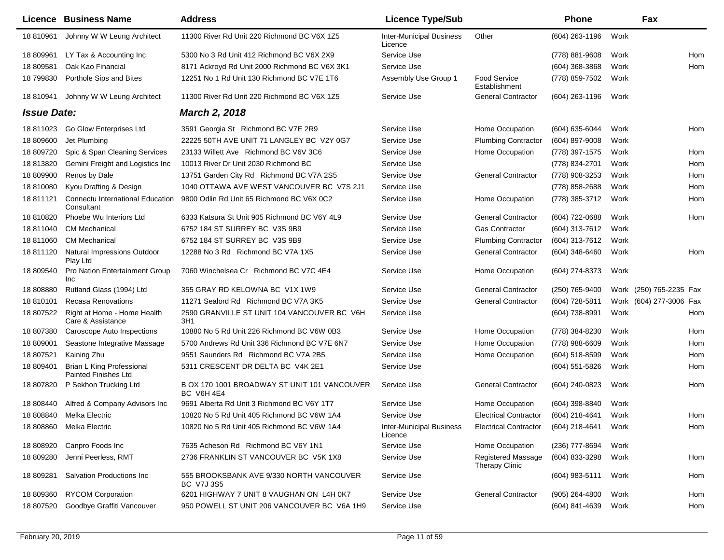|                    | <b>Licence Business Name</b>                             | <b>Address</b>                                                    | <b>Licence Type/Sub</b>                    |                                             | <b>Phone</b>     |      | Fax                     |     |
|--------------------|----------------------------------------------------------|-------------------------------------------------------------------|--------------------------------------------|---------------------------------------------|------------------|------|-------------------------|-----|
| 18 810961          | Johnny W W Leung Architect                               | 11300 River Rd Unit 220 Richmond BC V6X 1Z5                       | <b>Inter-Municipal Business</b><br>Licence | Other                                       | (604) 263-1196   | Work |                         |     |
| 18 809961          | LY Tax & Accounting Inc.                                 | 5300 No 3 Rd Unit 412 Richmond BC V6X 2X9                         | Service Use                                |                                             | (778) 881-9608   | Work |                         | Hom |
| 18 809581          | Oak Kao Financial                                        | 8171 Ackroyd Rd Unit 2000 Richmond BC V6X 3K1                     | Service Use                                |                                             | (604) 368-3868   | Work |                         | Hom |
| 18 799830          | Porthole Sips and Bites                                  | 12251 No 1 Rd Unit 130 Richmond BC V7E 1T6                        | Assembly Use Group 1                       | Food Service<br>Establishment               | (778) 859-7502   | Work |                         |     |
| 18 810941          | Johnny W W Leung Architect                               | 11300 River Rd Unit 220 Richmond BC V6X 1Z5                       | Service Use                                | <b>General Contractor</b>                   | (604) 263-1196   | Work |                         |     |
| <b>Issue Date:</b> |                                                          | <b>March 2, 2018</b>                                              |                                            |                                             |                  |      |                         |     |
| 18 811023          | Go Glow Enterprises Ltd                                  | 3591 Georgia St Richmond BC V7E 2R9                               | Service Use                                | Home Occupation                             | (604) 635-6044   | Work |                         | Hom |
| 18 809600          | Jet Plumbing                                             | 22225 50TH AVE UNIT 71 LANGLEY BC V2Y 0G7                         | Service Use                                | <b>Plumbing Contractor</b>                  | (604) 897-9008   | Work |                         |     |
| 18 809720          | Spic & Span Cleaning Services                            | 23133 Willett Ave Richmond BC V6V 3C6                             | Service Use                                | Home Occupation                             | (778) 397-1575   | Work |                         | Hom |
| 18 813820          | Gemini Freight and Logistics Inc                         | 10013 River Dr Unit 2030 Richmond BC                              | Service Use                                |                                             | (778) 834-2701   | Work |                         | Hom |
| 18 809900          | Renos by Dale                                            | 13751 Garden City Rd Richmond BC V7A 2S5                          | Service Use                                | <b>General Contractor</b>                   | (778) 908-3253   | Work |                         | Hom |
| 18 810080          | Kyou Drafting & Design                                   | 1040 OTTAWA AVE WEST VANCOUVER BC V7S 2J1                         | Service Use                                |                                             | (778) 858-2688   | Work |                         | Hom |
| 18 811121          | <b>Connectu International Education</b><br>Consultant    | 9800 Odlin Rd Unit 65 Richmond BC V6X 0C2                         | Service Use                                | Home Occupation                             | (778) 385-3712   | Work |                         | Hom |
| 18 810820          | Phoebe Wu Interiors Ltd                                  | 6333 Katsura St Unit 905 Richmond BC V6Y 4L9                      | Service Use                                | <b>General Contractor</b>                   | (604) 722-0688   | Work |                         | Hom |
| 18 811040          | <b>CM Mechanical</b>                                     | 6752 184 ST SURREY BC V3S 9B9                                     | Service Use                                | <b>Gas Contractor</b>                       | (604) 313-7612   | Work |                         |     |
| 18 811060          | <b>CM Mechanical</b>                                     | 6752 184 ST SURREY BC V3S 9B9                                     | Service Use                                | <b>Plumbing Contractor</b>                  | (604) 313-7612   | Work |                         |     |
| 18 811120          | Natural Impressions Outdoor<br>Play Ltd                  | 12288 No 3 Rd Richmond BC V7A 1X5                                 | Service Use                                | <b>General Contractor</b>                   | (604) 348-6460   | Work |                         | Hom |
| 18 809540          | Pro Nation Entertainment Group<br>Inc                    | 7060 Winchelsea Cr Richmond BC V7C 4E4                            | Service Use                                | Home Occupation                             | (604) 274-8373   | Work |                         |     |
| 18 808880          | Rutland Glass (1994) Ltd                                 | 355 GRAY RD KELOWNA BC V1X 1W9                                    | Service Use                                | <b>General Contractor</b>                   | (250) 765-9400   |      | Work (250) 765-2235 Fax |     |
| 18 810101          | <b>Recasa Renovations</b>                                | 11271 Sealord Rd Richmond BC V7A 3K5                              | Service Use                                | <b>General Contractor</b>                   | (604) 728-5811   |      | Work (604) 277-3006 Fax |     |
| 18 807522          | Right at Home - Home Health<br>Care & Assistance         | 2590 GRANVILLE ST UNIT 104 VANCOUVER BC V6H<br>3H1                | Service Use                                |                                             | (604) 738-8991   | Work |                         | Hom |
| 18 807380          | Caroscope Auto Inspections                               | 10880 No 5 Rd Unit 226 Richmond BC V6W 0B3                        | Service Use                                | Home Occupation                             | (778) 384-8230   | Work |                         | Hom |
| 18 809001          | Seastone Integrative Massage                             | 5700 Andrews Rd Unit 336 Richmond BC V7E 6N7                      | Service Use                                | Home Occupation                             | (778) 988-6609   | Work |                         | Hom |
| 18 807521          | Kaining Zhu                                              | 9551 Saunders Rd Richmond BC V7A 2B5                              | Service Use                                | Home Occupation                             | (604) 518-8599   | Work |                         | Hom |
| 18 809401          | Brian L King Professional<br><b>Painted Finishes Ltd</b> | 5311 CRESCENT DR DELTA BC V4K 2E1                                 | Service Use                                |                                             | $(604)$ 551-5826 | Work |                         | Hom |
| 18 807820          | P Sekhon Trucking Ltd                                    | B OX 170 1001 BROADWAY ST UNIT 101 VANCOUVER<br><b>BC V6H 4E4</b> | Service Use                                | <b>General Contractor</b>                   | (604) 240-0823   | Work |                         | Hom |
| 18 808440          | Alfred & Company Advisors Inc                            | 9691 Alberta Rd Unit 3 Richmond BC V6Y 1T7                        | Service Use                                | Home Occupation                             | (604) 398-8840   | Work |                         |     |
|                    | 18 808840 Melka Electric                                 | 10820 No 5 Rd Unit 405 Richmond BC V6W 1A4                        | Service Use                                | <b>Electrical Contractor</b>                | (604) 218-4641   | Work |                         | Hom |
|                    | 18 808860 Melka Electric                                 | 10820 No 5 Rd Unit 405 Richmond BC V6W 1A4                        | <b>Inter-Municipal Business</b><br>Licence | <b>Electrical Contractor</b>                | (604) 218-4641   | Work |                         | Hom |
| 18 808920          | Canpro Foods Inc                                         | 7635 Acheson Rd Richmond BC V6Y 1N1                               | Service Use                                | Home Occupation                             | (236) 777-8694   | Work |                         |     |
| 18 809280          | Jenni Peerless, RMT                                      | 2736 FRANKLIN ST VANCOUVER BC V5K 1X8                             | Service Use                                | <b>Registered Massage</b><br>Therapy Clinic | (604) 833-3298   | Work |                         | Hom |
| 18 809281          | Salvation Productions Inc                                | 555 BROOKSBANK AVE 9/330 NORTH VANCOUVER<br><b>BC V7J 3S5</b>     | Service Use                                |                                             | (604) 983-5111   | Work |                         | Hom |
| 18 809360          | <b>RYCOM Corporation</b>                                 | 6201 HIGHWAY 7 UNIT 8 VAUGHAN ON L4H 0K7                          | Service Use                                | <b>General Contractor</b>                   | $(905)$ 264-4800 | Work |                         | Hom |
| 18 807520          | Goodbye Graffiti Vancouver                               | 950 POWELL ST UNIT 206 VANCOUVER BC V6A 1H9                       | Service Use                                |                                             | (604) 841-4639   | Work |                         | Hom |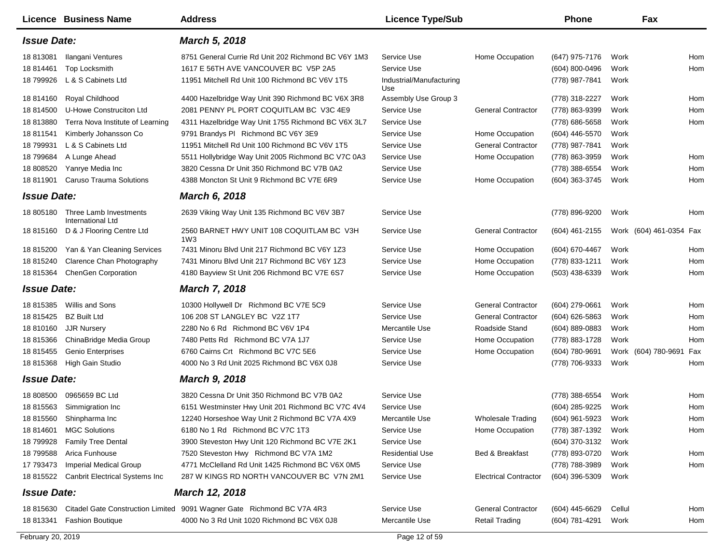|                    | <b>Licence Business Name</b>                          | <b>Address</b>                                                         | <b>Licence Type/Sub</b>         |                              | <b>Phone</b>     |        | Fax                     |     |
|--------------------|-------------------------------------------------------|------------------------------------------------------------------------|---------------------------------|------------------------------|------------------|--------|-------------------------|-----|
| <b>Issue Date:</b> |                                                       | <b>March 5, 2018</b>                                                   |                                 |                              |                  |        |                         |     |
| 18 813081          | Ilangani Ventures                                     | 8751 General Currie Rd Unit 202 Richmond BC V6Y 1M3                    | Service Use                     | Home Occupation              | (647) 975-7176   | Work   |                         | Hom |
| 18 814461          | Top Locksmith                                         | 1617 E 56TH AVE VANCOUVER BC V5P 2A5                                   | Service Use                     |                              | (604) 800-0496   | Work   |                         | Hom |
| 18 799926          | L & S Cabinets Ltd                                    | 11951 Mitchell Rd Unit 100 Richmond BC V6V 1T5                         | Industrial/Manufacturing<br>Use |                              | (778) 987-7841   | Work   |                         |     |
| 18 814160          | Royal Childhood                                       | 4400 Hazelbridge Way Unit 390 Richmond BC V6X 3R8                      | Assembly Use Group 3            |                              | (778) 318-2227   | Work   |                         | Hom |
| 18 814500          | U-Howe Construciton Ltd                               | 2081 PENNY PL PORT COQUITLAM BC V3C 4E9                                | Service Use                     | <b>General Contractor</b>    | (778) 863-9399   | Work   |                         | Hom |
| 18 813880          | Terra Nova Institute of Learning                      | 4311 Hazelbridge Way Unit 1755 Richmond BC V6X 3L7                     | Service Use                     |                              | (778) 686-5658   | Work   |                         | Hom |
| 18 811541          | Kimberly Johansson Co                                 | 9791 Brandys PI Richmond BC V6Y 3E9                                    | Service Use                     | Home Occupation              | (604) 446-5570   | Work   |                         |     |
| 18 799931          | L & S Cabinets Ltd                                    | 11951 Mitchell Rd Unit 100 Richmond BC V6V 1T5                         | Service Use                     | <b>General Contractor</b>    | (778) 987-7841   | Work   |                         |     |
| 18 799684          | A Lunge Ahead                                         | 5511 Hollybridge Way Unit 2005 Richmond BC V7C 0A3                     | Service Use                     | Home Occupation              | (778) 863-3959   | Work   |                         | Hom |
| 18 808520          | Yanrye Media Inc                                      | 3820 Cessna Dr Unit 350 Richmond BC V7B 0A2                            | Service Use                     |                              | (778) 388-6554   | Work   |                         | Hom |
| 18 811901          | <b>Caruso Trauma Solutions</b>                        | 4388 Moncton St Unit 9 Richmond BC V7E 6R9                             | Service Use                     | Home Occupation              | (604) 363-3745   | Work   |                         | Hom |
| <b>Issue Date:</b> |                                                       | <b>March 6, 2018</b>                                                   |                                 |                              |                  |        |                         |     |
|                    | 18 805180 Three Lamb Investments<br>International Ltd | 2639 Viking Way Unit 135 Richmond BC V6V 3B7                           | Service Use                     |                              | (778) 896-9200   | Work   |                         | Hom |
| 18 815160          | D & J Flooring Centre Ltd                             | 2560 BARNET HWY UNIT 108 COQUITLAM BC V3H<br>1W3                       | Service Use                     | <b>General Contractor</b>    | (604) 461-2155   |        | Work (604) 461-0354 Fax |     |
| 18 815200          | Yan & Yan Cleaning Services                           | 7431 Minoru Blvd Unit 217 Richmond BC V6Y 1Z3                          | Service Use                     | Home Occupation              | (604) 670-4467   | Work   |                         | Hom |
| 18 815240          | Clarence Chan Photography                             | 7431 Minoru Blvd Unit 217 Richmond BC V6Y 1Z3                          | Service Use                     | Home Occupation              | (778) 833-1211   | Work   |                         | Hom |
| 18 815364          | <b>ChenGen Corporation</b>                            | 4180 Bayview St Unit 206 Richmond BC V7E 6S7                           | Service Use                     | Home Occupation              | $(503)$ 438-6339 | Work   |                         | Hom |
| <b>Issue Date:</b> |                                                       | <b>March 7, 2018</b>                                                   |                                 |                              |                  |        |                         |     |
| 18 815385          | Willis and Sons                                       | 10300 Hollywell Dr Richmond BC V7E 5C9                                 | Service Use                     | <b>General Contractor</b>    | (604) 279-0661   | Work   |                         | Hom |
| 18 815425          | <b>BZ Built Ltd</b>                                   | 106 208 ST LANGLEY BC V2Z 1T7                                          | Service Use                     | <b>General Contractor</b>    | (604) 626-5863   | Work   |                         | Hom |
| 18 810160          | <b>JJR Nursery</b>                                    | 2280 No 6 Rd Richmond BC V6V 1P4                                       | Mercantile Use                  | Roadside Stand               | (604) 889-0883   | Work   |                         | Hom |
| 18 815366          | ChinaBridge Media Group                               | 7480 Petts Rd Richmond BC V7A 1J7                                      | Service Use                     | Home Occupation              | (778) 883-1728   | Work   |                         | Hom |
| 18 815455          | <b>Genio Enterprises</b>                              | 6760 Cairns Crt Richmond BC V7C 5E6                                    | Service Use                     | Home Occupation              | (604) 780-9691   |        | Work (604) 780-9691     | Fax |
| 18 815368          | High Gain Studio                                      | 4000 No 3 Rd Unit 2025 Richmond BC V6X 0J8                             | Service Use                     |                              | (778) 706-9333   | Work   |                         | Hom |
| <b>Issue Date:</b> |                                                       | <b>March 9, 2018</b>                                                   |                                 |                              |                  |        |                         |     |
| 18 808500          | 0965659 BC Ltd                                        | 3820 Cessna Dr Unit 350 Richmond BC V7B 0A2                            | Service Use                     |                              | (778) 388-6554   | Work   |                         | Hom |
| 18 815563          | Simmigration Inc                                      | 6151 Westminster Hwy Unit 201 Richmond BC V7C 4V4                      | Service Use                     |                              | (604) 285-9225   | Work   |                         | Hom |
|                    | 18 815560 Shinpharma Inc                              | 12240 Horseshoe Way Unit 2 Richmond BC V7A 4X9                         | Mercantile Use                  | Wholesale Trading            | (604) 961-5923   | Work   |                         | Hom |
|                    | 18 814601 MGC Solutions                               | 6180 No 1 Rd Richmond BC V7C 1T3                                       | Service Use                     | Home Occupation              | (778) 387-1392   | Work   |                         | Hom |
| 18 799928          | <b>Family Tree Dental</b>                             | 3900 Steveston Hwy Unit 120 Richmond BC V7E 2K1                        | Service Use                     |                              | (604) 370-3132   | Work   |                         |     |
| 18 799588          | Arica Funhouse                                        | 7520 Steveston Hwy Richmond BC V7A 1M2                                 | <b>Residential Use</b>          | Bed & Breakfast              | (778) 893-0720   | Work   |                         | Hom |
| 17 793473          | <b>Imperial Medical Group</b>                         | 4771 McClelland Rd Unit 1425 Richmond BC V6X 0M5                       | Service Use                     |                              | (778) 788-3989   | Work   |                         | Hom |
| 18 815522          | <b>Canbrit Electrical Systems Inc</b>                 | 287 W KINGS RD NORTH VANCOUVER BC V7N 2M1                              | Service Use                     | <b>Electrical Contractor</b> | (604) 396-5309   | Work   |                         |     |
| <b>Issue Date:</b> |                                                       | <b>March 12, 2018</b>                                                  |                                 |                              |                  |        |                         |     |
|                    |                                                       | Citadel Gate Construction Limited 9091 Wagner Gate Richmond BC V7A 4R3 |                                 | <b>General Contractor</b>    |                  |        |                         |     |
| 18 815630          |                                                       | 4000 No 3 Rd Unit 1020 Richmond BC V6X 0J8                             | Service Use                     |                              | (604) 445-6629   | Cellul |                         | Hom |
| 18 813341          | <b>Fashion Boutique</b>                               |                                                                        | Mercantile Use                  | <b>Retail Trading</b>        | (604) 781-4291   | Work   |                         | Hom |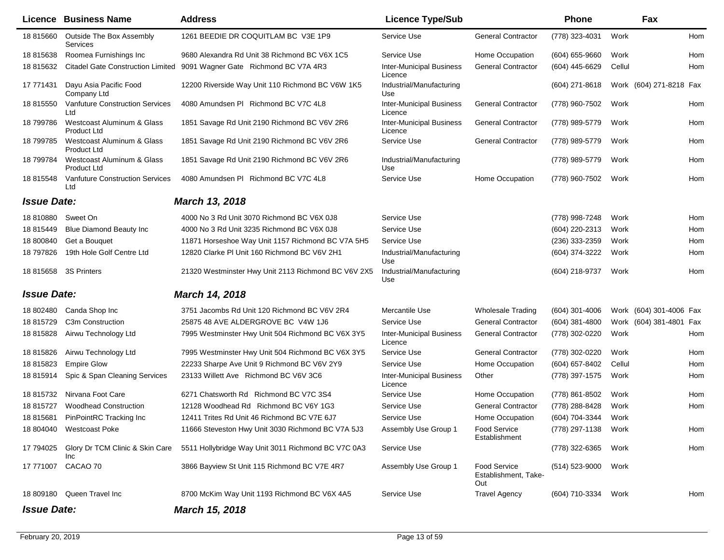|                    | <b>Licence Business Name</b>                     | <b>Address</b>                                      | <b>Licence Type/Sub</b>                    |                                                    | <b>Phone</b>       |        | Fax                     |            |
|--------------------|--------------------------------------------------|-----------------------------------------------------|--------------------------------------------|----------------------------------------------------|--------------------|--------|-------------------------|------------|
| 18 815660          | Outside The Box Assembly<br>Services             | 1261 BEEDIE DR COQUITLAM BC V3E 1P9                 | Service Use                                | <b>General Contractor</b>                          | (778) 323-4031     | Work   |                         | <b>Hom</b> |
| 18 815638          | Roomea Furnishings Inc                           | 9680 Alexandra Rd Unit 38 Richmond BC V6X 1C5       | Service Use                                | Home Occupation                                    | $(604) 655 - 9660$ | Work   |                         | <b>Hom</b> |
| 18 815632          | <b>Citadel Gate Construction Limited</b>         | 9091 Wagner Gate Richmond BC V7A 4R3                | <b>Inter-Municipal Business</b><br>Licence | <b>General Contractor</b>                          | (604) 445-6629     | Cellul |                         | Hom        |
| 17 771431          | Dayu Asia Pacific Food<br>Company Ltd            | 12200 Riverside Way Unit 110 Richmond BC V6W 1K5    | Industrial/Manufacturing<br>Use            |                                                    | (604) 271-8618     |        | Work (604) 271-8218 Fax |            |
| 18 815550          | Vanfuture Construction Services<br>Ltd           | 4080 Amundsen PI Richmond BC V7C 4L8                | <b>Inter-Municipal Business</b><br>Licence | <b>General Contractor</b>                          | (778) 960-7502     | Work   |                         | Hom        |
| 18 799786          | Westcoast Aluminum & Glass<br><b>Product Ltd</b> | 1851 Savage Rd Unit 2190 Richmond BC V6V 2R6        | <b>Inter-Municipal Business</b><br>Licence | <b>General Contractor</b>                          | (778) 989-5779     | Work   |                         | Hom        |
| 18 799785          | Westcoast Aluminum & Glass<br><b>Product Ltd</b> | 1851 Savage Rd Unit 2190 Richmond BC V6V 2R6        | Service Use                                | <b>General Contractor</b>                          | (778) 989-5779     | Work   |                         | Hom        |
| 18 799784          | Westcoast Aluminum & Glass<br>Product Ltd        | 1851 Savage Rd Unit 2190 Richmond BC V6V 2R6        | Industrial/Manufacturing<br>Use            |                                                    | (778) 989-5779     | Work   |                         | Hom        |
| 18 815548          | Vanfuture Construction Services<br>Ltd           | 4080 Amundsen PI Richmond BC V7C 4L8                | Service Use                                | Home Occupation                                    | (778) 960-7502     | Work   |                         | Hom        |
| <b>Issue Date:</b> |                                                  | March 13, 2018                                      |                                            |                                                    |                    |        |                         |            |
| 18 810880          | Sweet On                                         | 4000 No 3 Rd Unit 3070 Richmond BC V6X 0J8          | Service Use                                |                                                    | (778) 998-7248     | Work   |                         | Hom        |
| 18 815449          | <b>Blue Diamond Beauty Inc</b>                   | 4000 No 3 Rd Unit 3235 Richmond BC V6X 0J8          | Service Use                                |                                                    | (604) 220-2313     | Work   |                         | Hom        |
| 18 800840          | Get a Bouquet                                    | 11871 Horseshoe Way Unit 1157 Richmond BC V7A 5H5   | Service Use                                |                                                    | (236) 333-2359     | Work   |                         | Hom        |
| 18 797826          | 19th Hole Golf Centre Ltd                        | 12820 Clarke PI Unit 160 Richmond BC V6V 2H1        | Industrial/Manufacturing<br>Use            |                                                    | (604) 374-3222     | Work   |                         | Hom        |
|                    | 18 815658 3S Printers                            | 21320 Westminster Hwy Unit 2113 Richmond BC V6V 2X5 | Industrial/Manufacturing<br>Use            |                                                    | (604) 218-9737     | Work   |                         | Hom        |
| <b>Issue Date:</b> |                                                  | <b>March 14, 2018</b>                               |                                            |                                                    |                    |        |                         |            |
| 18 802480          | Canda Shop Inc                                   | 3751 Jacombs Rd Unit 120 Richmond BC V6V 2R4        | Mercantile Use                             | <b>Wholesale Trading</b>                           | $(604)$ 301-4006   |        | Work (604) 301-4006 Fax |            |
| 18 815729          | C <sub>3</sub> m Construction                    | 25875 48 AVE ALDERGROVE BC V4W 1J6                  | Service Use                                | <b>General Contractor</b>                          | $(604)$ 381-4800   |        | Work (604) 381-4801 Fax |            |
| 18 815828          | Airwu Technology Ltd                             | 7995 Westminster Hwy Unit 504 Richmond BC V6X 3Y5   | <b>Inter-Municipal Business</b><br>Licence | <b>General Contractor</b>                          | (778) 302-0220     | Work   |                         | Hom        |
| 18 815826          | Airwu Technology Ltd                             | 7995 Westminster Hwy Unit 504 Richmond BC V6X 3Y5   | Service Use                                | <b>General Contractor</b>                          | (778) 302-0220     | Work   |                         | Hom        |
| 18 815823          | <b>Empire Glow</b>                               | 22233 Sharpe Ave Unit 9 Richmond BC V6V 2Y9         | Service Use                                | Home Occupation                                    | (604) 657-8402     | Cellul |                         | Hom        |
| 18 815914          | Spic & Span Cleaning Services                    | 23133 Willett Ave Richmond BC V6V 3C6               | <b>Inter-Municipal Business</b><br>Licence | Other                                              | (778) 397-1575     | Work   |                         | Hom        |
| 18 815732          | Nirvana Foot Care                                | 6271 Chatsworth Rd Richmond BC V7C 3S4              | Service Use                                | Home Occupation                                    | (778) 861-8502     | Work   |                         | Hom        |
| 18815727           | <b>Woodhead Construction</b>                     | 12128 Woodhead Rd Richmond BC V6Y 1G3               | Service Use                                | <b>General Contractor</b>                          | (778) 288-8428     | Work   |                         | Hom        |
| 18 815681          | PinPointRC Tracking Inc                          | 12411 Trites Rd Unit 46 Richmond BC V7E 6J7         | Service Use                                | Home Occupation                                    | (604) 704-3344     | Work   |                         |            |
|                    | 18 804040 Westcoast Poke                         | 11666 Steveston Hwy Unit 3030 Richmond BC V7A 5J3   | Assembly Use Group 1                       | <b>Food Service</b><br>Establishment               | (778) 297-1138     | Work   |                         | Hom        |
| 17 794025          | Glory Dr TCM Clinic & Skin Care<br>Inc           | 5511 Hollybridge Way Unit 3011 Richmond BC V7C 0A3  | Service Use                                |                                                    | (778) 322-6365     | Work   |                         | Hom        |
| 17 771007          | CACAO 70                                         | 3866 Bayview St Unit 115 Richmond BC V7E 4R7        | Assembly Use Group 1                       | <b>Food Service</b><br>Establishment, Take-<br>Out | (514) 523-9000     | Work   |                         |            |
|                    | 18 809180 Queen Travel Inc                       | 8700 McKim Way Unit 1193 Richmond BC V6X 4A5        | Service Use                                | <b>Travel Agency</b>                               | (604) 710-3334     | Work   |                         | Hom        |
| <b>Issue Date:</b> |                                                  | March 15, 2018                                      |                                            |                                                    |                    |        |                         |            |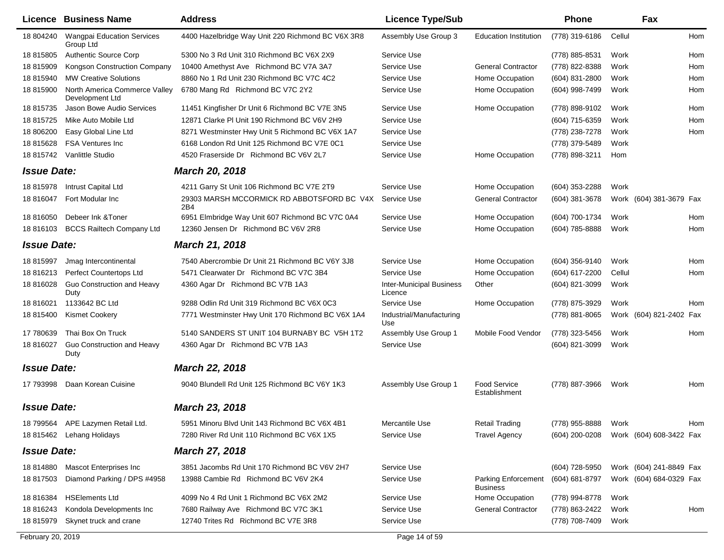| Licence            | <b>Business Name</b>                             | <b>Address</b>                                    | <b>Licence Type/Sub</b>                    |                                        | <b>Phone</b>                           |        | Fax                     |     |
|--------------------|--------------------------------------------------|---------------------------------------------------|--------------------------------------------|----------------------------------------|----------------------------------------|--------|-------------------------|-----|
| 18 804240          | <b>Wangpai Education Services</b><br>Group Ltd   | 4400 Hazelbridge Way Unit 220 Richmond BC V6X 3R8 | Assembly Use Group 3                       | <b>Education Institution</b>           | (778) 319-6186                         | Cellul |                         | Hom |
| 18 815805          | <b>Authentic Source Corp</b>                     | 5300 No 3 Rd Unit 310 Richmond BC V6X 2X9         | Service Use                                |                                        | (778) 885-8531                         | Work   |                         | Hom |
| 18 815909          | Kongson Construction Company                     | 10400 Amethyst Ave Richmond BC V7A 3A7            | Service Use                                | <b>General Contractor</b>              | (778) 822-8388                         | Work   |                         | Hom |
| 18 815940          | <b>MW Creative Solutions</b>                     | 8860 No 1 Rd Unit 230 Richmond BC V7C 4C2         | Service Use                                | Home Occupation                        | (604) 831-2800                         | Work   |                         | Hom |
| 18 815900          | North America Commerce Valley<br>Development Ltd | 6780 Mang Rd Richmond BC V7C 2Y2                  | Service Use                                | Home Occupation                        | (604) 998-7499                         | Work   |                         | Hom |
| 18 815735          | Jason Bowe Audio Services                        | 11451 Kingfisher Dr Unit 6 Richmond BC V7E 3N5    | Service Use                                | Home Occupation                        | (778) 898-9102                         | Work   |                         | Hom |
| 18 815725          | Mike Auto Mobile Ltd                             | 12871 Clarke PI Unit 190 Richmond BC V6V 2H9      | Service Use                                |                                        | $(604)$ 715-6359                       | Work   |                         | Hom |
| 18 806200          | Easy Global Line Ltd                             | 8271 Westminster Hwy Unit 5 Richmond BC V6X 1A7   | Service Use                                |                                        | (778) 238-7278                         | Work   |                         | Hom |
| 18 815628          | <b>FSA Ventures Inc.</b>                         | 6168 London Rd Unit 125 Richmond BC V7E 0C1       | Service Use                                |                                        | (778) 379-5489                         | Work   |                         |     |
| 18 815742          | Vanlittle Studio                                 | 4520 Fraserside Dr Richmond BC V6V 2L7            | Service Use                                | Home Occupation                        | (778) 898-3211                         | Hom    |                         |     |
| <b>Issue Date:</b> |                                                  | <b>March 20, 2018</b>                             |                                            |                                        |                                        |        |                         |     |
| 18 815978          | Intrust Capital Ltd                              | 4211 Garry St Unit 106 Richmond BC V7E 2T9        | Service Use                                | Home Occupation                        | (604) 353-2288                         | Work   |                         |     |
| 18 816047          | Fort Modular Inc                                 | 29303 MARSH MCCORMICK RD ABBOTSFORD BC V4X<br>2B4 | Service Use                                | <b>General Contractor</b>              | (604) 381-3678                         |        | Work (604) 381-3679 Fax |     |
| 18 816050          | Debeer Ink & Toner                               | 6951 Elmbridge Way Unit 607 Richmond BC V7C 0A4   | Service Use                                | Home Occupation                        | (604) 700-1734                         | Work   |                         | Hom |
| 18 816103          | <b>BCCS Railtech Company Ltd</b>                 | 12360 Jensen Dr Richmond BC V6V 2R8               | Service Use                                | Home Occupation                        | (604) 785-8888                         | Work   |                         | Hom |
| <b>Issue Date:</b> |                                                  | <b>March 21, 2018</b>                             |                                            |                                        |                                        |        |                         |     |
| 18 815997          | Jmag Intercontinental                            | 7540 Abercrombie Dr Unit 21 Richmond BC V6Y 3J8   | Service Use                                | <b>Home Occupation</b>                 | $(604)$ 356-9140                       | Work   |                         | Hom |
| 18 816213          | <b>Perfect Countertops Ltd</b>                   | 5471 Clearwater Dr Richmond BC V7C 3B4            | Service Use                                | Home Occupation                        | (604) 617-2200                         | Cellul |                         | Hom |
| 18 816028          | Guo Construction and Heavy<br>Duty               | 4360 Agar Dr Richmond BC V7B 1A3                  | <b>Inter-Municipal Business</b><br>Licence | Other                                  | (604) 821-3099                         | Work   |                         |     |
| 18 816021          | 1133642 BC Ltd                                   | 9288 Odlin Rd Unit 319 Richmond BC V6X 0C3        | Service Use                                | Home Occupation                        | (778) 875-3929                         | Work   |                         | Hom |
| 18 815400          | <b>Kismet Cookery</b>                            | 7771 Westminster Hwy Unit 170 Richmond BC V6X 1A4 | Industrial/Manufacturing<br>Use            |                                        | (778) 881-8065                         |        | Work (604) 821-2402 Fax |     |
| 17 780639          | Thai Box On Truck                                | 5140 SANDERS ST UNIT 104 BURNABY BC V5H 1T2       | Assembly Use Group 1                       | Mobile Food Vendor                     | (778) 323-5456                         | Work   |                         | Hom |
| 18 816027          | Guo Construction and Heavy<br>Duty               | 4360 Agar Dr Richmond BC V7B 1A3                  | Service Use                                |                                        | (604) 821-3099                         | Work   |                         |     |
| <b>Issue Date:</b> |                                                  | <b>March 22, 2018</b>                             |                                            |                                        |                                        |        |                         |     |
| 17 793998          | Daan Korean Cuisine                              | 9040 Blundell Rd Unit 125 Richmond BC V6Y 1K3     | Assembly Use Group 1                       | <b>Food Service</b><br>Establishment   | (778) 887-3966                         | Work   |                         | Hom |
| <b>Issue Date:</b> |                                                  | <b>March 23, 2018</b>                             |                                            |                                        |                                        |        |                         |     |
|                    | 18 799564 APE Lazymen Retail Ltd.                | 5951 Minoru Blvd Unit 143 Richmond BC V6X 4B1     | Mercantile Use                             | <b>Retail Trading</b>                  | (778) 955-8888 Work                    |        |                         | Hom |
|                    | 18 815462 Lehang Holidays                        | 7280 River Rd Unit 110 Richmond BC V6X 1X5        | Service Use                                | <b>Travel Agency</b>                   | (604) 200-0208 Work (604) 608-3422 Fax |        |                         |     |
| <b>Issue Date:</b> |                                                  | <b>March 27, 2018</b>                             |                                            |                                        |                                        |        |                         |     |
| 18 814880          | <b>Mascot Enterprises Inc</b>                    | 3851 Jacombs Rd Unit 170 Richmond BC V6V 2H7      | Service Use                                |                                        | (604) 728-5950                         |        | Work (604) 241-8849 Fax |     |
| 18 817503          | Diamond Parking / DPS #4958                      | 13988 Cambie Rd Richmond BC V6V 2K4               | Service Use                                | Parking Enforcement<br><b>Business</b> | (604) 681-8797                         |        | Work (604) 684-0329 Fax |     |
| 18 816384          | <b>HSElements Ltd</b>                            | 4099 No 4 Rd Unit 1 Richmond BC V6X 2M2           | Service Use                                | Home Occupation                        | (778) 994-8778                         | Work   |                         |     |
| 18 816243          | Kondola Developments Inc                         | 7680 Railway Ave Richmond BC V7C 3K1              | Service Use                                | <b>General Contractor</b>              | (778) 863-2422                         | Work   |                         | Hom |
| 18 815979          | Skynet truck and crane                           | 12740 Trites Rd Richmond BC V7E 3R8               | Service Use                                |                                        | (778) 708-7409                         | Work   |                         |     |
| February 20, 2019  |                                                  |                                                   | Page 14 of 59                              |                                        |                                        |        |                         |     |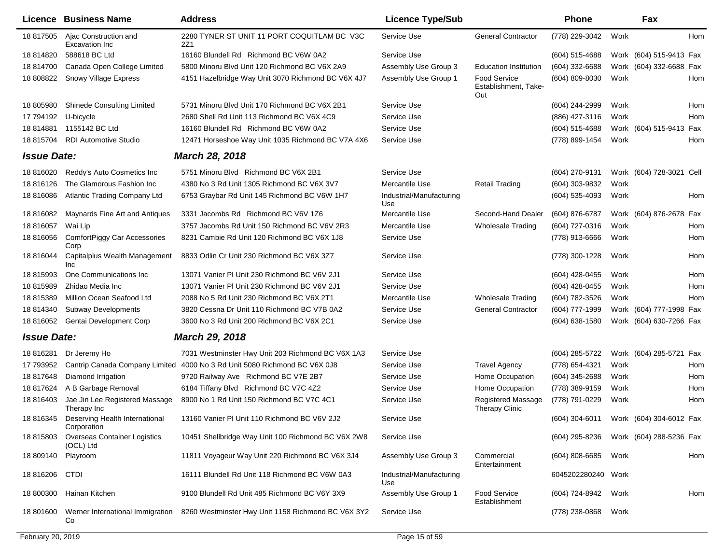|                    | <b>Licence Business Name</b>                     | <b>Address</b>                                                            | <b>Licence Type/Sub</b>         |                                                    | <b>Phone</b>       |      | Fax                      |     |
|--------------------|--------------------------------------------------|---------------------------------------------------------------------------|---------------------------------|----------------------------------------------------|--------------------|------|--------------------------|-----|
| 18 817505          | Ajac Construction and<br>Excavation Inc          | 2280 TYNER ST UNIT 11 PORT COQUITLAM BC V3C<br>2Z1                        | Service Use                     | <b>General Contractor</b>                          | (778) 229-3042     | Work |                          | Hom |
| 18 814820          | 588618 BC Ltd                                    | 16160 Blundell Rd Richmond BC V6W 0A2                                     | Service Use                     |                                                    | (604) 515-4688     |      | Work (604) 515-9413 Fax  |     |
| 18 814700          | Canada Open College Limited                      | 5800 Minoru Blvd Unit 120 Richmond BC V6X 2A9                             | Assembly Use Group 3            | <b>Education Institution</b>                       | (604) 332-6688     |      | Work (604) 332-6688 Fax  |     |
| 18 808822          | Snowy Village Express                            | 4151 Hazelbridge Way Unit 3070 Richmond BC V6X 4J7                        | Assembly Use Group 1            | <b>Food Service</b><br>Establishment, Take-<br>Out | (604) 809-8030     | Work |                          | Hom |
| 18 805980          | <b>Shinede Consulting Limited</b>                | 5731 Minoru Blvd Unit 170 Richmond BC V6X 2B1                             | Service Use                     |                                                    | (604) 244-2999     | Work |                          | Hom |
| 17 794192          | U-bicycle                                        | 2680 Shell Rd Unit 113 Richmond BC V6X 4C9                                | Service Use                     |                                                    | (886) 427-3116     | Work |                          | Hom |
| 18 814881          | 1155142 BC Ltd                                   | 16160 Blundell Rd Richmond BC V6W 0A2                                     | Service Use                     |                                                    | (604) 515-4688     |      | Work (604) 515-9413 Fax  |     |
| 18 815704          | <b>RDI Automotive Studio</b>                     | 12471 Horseshoe Way Unit 1035 Richmond BC V7A 4X6                         | Service Use                     |                                                    | (778) 899-1454     | Work |                          | Hom |
| <b>Issue Date:</b> |                                                  | <b>March 28, 2018</b>                                                     |                                 |                                                    |                    |      |                          |     |
| 18 816020          | Reddy's Auto Cosmetics Inc                       | 5751 Minoru Blvd Richmond BC V6X 2B1                                      | Service Use                     |                                                    | (604) 270-9131     |      | Work (604) 728-3021 Cell |     |
| 18 816126          | The Glamorous Fashion Inc                        | 4380 No 3 Rd Unit 1305 Richmond BC V6X 3V7                                | Mercantile Use                  | <b>Retail Trading</b>                              | (604) 303-9832     | Work |                          |     |
| 18 816086          | Atlantic Trading Company Ltd                     | 6753 Graybar Rd Unit 145 Richmond BC V6W 1H7                              | Industrial/Manufacturing<br>Use |                                                    | $(604)$ 535-4093   | Work |                          | Hom |
| 18 816082          | Maynards Fine Art and Antiques                   | 3331 Jacombs Rd Richmond BC V6V 1Z6                                       | Mercantile Use                  | Second-Hand Dealer                                 | (604) 876-6787     |      | Work (604) 876-2678 Fax  |     |
| 18 816057          | Wai Lip                                          | 3757 Jacombs Rd Unit 150 Richmond BC V6V 2R3                              | Mercantile Use                  | <b>Wholesale Trading</b>                           | (604) 727-0316     | Work |                          | Hom |
| 18 816056          | ComfortPiggy Car Accessories<br>Corp             | 8231 Cambie Rd Unit 120 Richmond BC V6X 1J8                               | Service Use                     |                                                    | (778) 913-6666     | Work |                          | Hom |
| 18 816044          | Capitalplus Wealth Management<br><b>Inc</b>      | 8833 Odlin Cr Unit 230 Richmond BC V6X 3Z7                                | Service Use                     |                                                    | (778) 300-1228     | Work |                          | Hom |
| 18 815993          | One Communications Inc                           | 13071 Vanier PI Unit 230 Richmond BC V6V 2J1                              | Service Use                     |                                                    | (604) 428-0455     | Work |                          | Hom |
| 18 815989          | Zhidao Media Inc                                 | 13071 Vanier PI Unit 230 Richmond BC V6V 2J1                              | Service Use                     |                                                    | (604) 428-0455     | Work |                          | Hom |
| 18 815389          | Million Ocean Seafood Ltd                        | 2088 No 5 Rd Unit 230 Richmond BC V6X 2T1                                 | Mercantile Use                  | <b>Wholesale Trading</b>                           | (604) 782-3526     | Work |                          | Hom |
| 18 814340          | <b>Subway Developments</b>                       | 3820 Cessna Dr Unit 110 Richmond BC V7B 0A2                               | Service Use                     | <b>General Contractor</b>                          | (604) 777-1999     |      | Work (604) 777-1998 Fax  |     |
| 18 816052          | Gentai Development Corp                          | 3600 No 3 Rd Unit 200 Richmond BC V6X 2C1                                 | Service Use                     |                                                    | $(604)$ 638-1580   |      | Work (604) 630-7266 Fax  |     |
| <b>Issue Date:</b> |                                                  | <b>March 29, 2018</b>                                                     |                                 |                                                    |                    |      |                          |     |
| 18 816281          | Dr Jeremy Ho                                     | 7031 Westminster Hwy Unit 203 Richmond BC V6X 1A3                         | Service Use                     |                                                    | (604) 285-5722     |      | Work (604) 285-5721 Fax  |     |
| 17 793952          |                                                  | Cantrip Canada Company Limited 4000 No 3 Rd Unit 5080 Richmond BC V6X 0J8 | Service Use                     | <b>Travel Agency</b>                               | (778) 654-4321     | Work |                          | Hom |
| 18 817648          | Diamond Irrigation                               | 9720 Railway Ave Richmond BC V7E 2B7                                      | Service Use                     | Home Occupation                                    | (604) 345-2688     | Work |                          | Hom |
| 18 817624          | A B Garbage Removal                              | 6184 Tiffany Blvd Richmond BC V7C 4Z2                                     | Service Use                     | Home Occupation                                    | (778) 389-9159     | Work |                          | Hom |
| 18 816403          | Jae Jin Lee Registered Massage<br>Therapy Inc    | 8900 No 1 Rd Unit 150 Richmond BC V7C 4C1                                 | Service Use                     | <b>Registered Massage</b><br><b>Therapy Clinic</b> | (778) 791-0229     | Work |                          | Hom |
| 18 816345          | Deserving Health International<br>Corporation    | 13160 Vanier PI Unit 110 Richmond BC V6V 2J2                              | Service Use                     |                                                    | $(604)$ 304-6011   |      | Work (604) 304-6012 Fax  |     |
| 18 815803          | <b>Overseas Container Logistics</b><br>(OCL) Ltd | 10451 Shellbridge Way Unit 100 Richmond BC V6X 2W8                        | Service Use                     |                                                    | (604) 295-8236     |      | Work (604) 288-5236 Fax  |     |
| 18 809140          | Playroom                                         | 11811 Voyageur Way Unit 220 Richmond BC V6X 3J4                           | Assembly Use Group 3            | Commercial<br>Entertainment                        | $(604)$ 808-6685   | Work |                          | Hom |
| 18 816206          | <b>CTDI</b>                                      | 16111 Blundell Rd Unit 118 Richmond BC V6W 0A3                            | Industrial/Manufacturing<br>Use |                                                    | 6045202280240 Work |      |                          |     |
| 18 800300          | Hainan Kitchen                                   | 9100 Blundell Rd Unit 485 Richmond BC V6Y 3X9                             | Assembly Use Group 1            | <b>Food Service</b><br>Establishment               | (604) 724-8942     | Work |                          | Hom |
| 18 801600          | Werner International Immigration<br>Co           | 8260 Westminster Hwy Unit 1158 Richmond BC V6X 3Y2                        | Service Use                     |                                                    | (778) 238-0868     | Work |                          |     |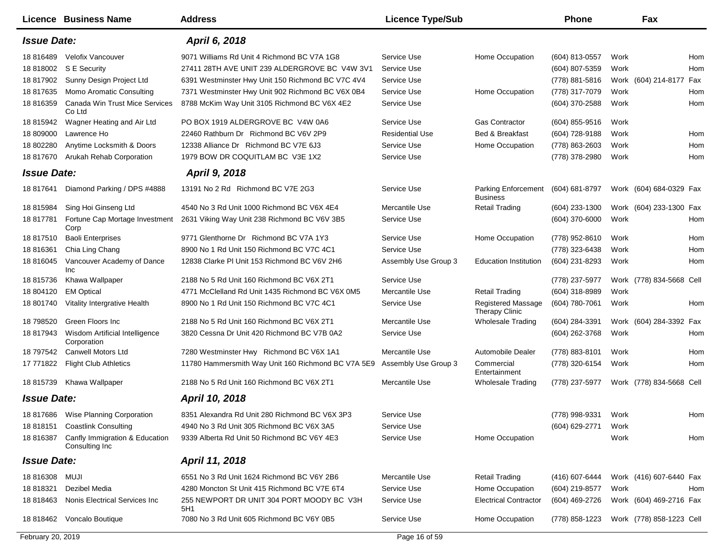|                    | Licence Business Name                                      | <b>Address</b>                                     | <b>Licence Type/Sub</b> |                                                    | <b>Phone</b>   |      | Fax                      |     |
|--------------------|------------------------------------------------------------|----------------------------------------------------|-------------------------|----------------------------------------------------|----------------|------|--------------------------|-----|
| <b>Issue Date:</b> |                                                            | April 6, 2018                                      |                         |                                                    |                |      |                          |     |
| 18 816489          | <b>Velofix Vancouver</b>                                   | 9071 Williams Rd Unit 4 Richmond BC V7A 1G8        | Service Use             | Home Occupation                                    | (604) 813-0557 | Work |                          | Hom |
| 18 818002          | S E Security                                               | 27411 28TH AVE UNIT 239 ALDERGROVE BC V4W 3V1      | Service Use             |                                                    | (604) 807-5359 | Work |                          | Hom |
| 18 817902          | Sunny Design Project Ltd                                   | 6391 Westminster Hwy Unit 150 Richmond BC V7C 4V4  | Service Use             |                                                    | (778) 881-5816 |      | Work (604) 214-8177 Fax  |     |
| 18 817635          | Momo Aromatic Consulting                                   | 7371 Westminster Hwy Unit 902 Richmond BC V6X 0B4  | Service Use             | Home Occupation                                    | (778) 317-7079 | Work |                          | Hom |
| 18 816359          | Canada Win Trust Mice Services<br>Co Ltd                   | 8788 McKim Way Unit 3105 Richmond BC V6X 4E2       | Service Use             |                                                    | (604) 370-2588 | Work |                          | Hom |
| 18 815942          | Wagner Heating and Air Ltd                                 | PO BOX 1919 ALDERGROVE BC V4W 0A6                  | Service Use             | <b>Gas Contractor</b>                              | (604) 855-9516 | Work |                          |     |
| 18 809000          | Lawrence Ho                                                | 22460 Rathburn Dr Richmond BC V6V 2P9              | <b>Residential Use</b>  | <b>Bed &amp; Breakfast</b>                         | (604) 728-9188 | Work |                          | Hom |
| 18 802280          | Anytime Locksmith & Doors                                  | 12338 Alliance Dr Richmond BC V7E 6J3              | Service Use             | Home Occupation                                    | (778) 863-2603 | Work |                          | Hom |
| 18 817670          | Arukah Rehab Corporation                                   | 1979 BOW DR COQUITLAM BC V3E 1X2                   | Service Use             |                                                    | (778) 378-2980 | Work |                          | Hom |
| <b>Issue Date:</b> |                                                            | <b>April 9, 2018</b>                               |                         |                                                    |                |      |                          |     |
| 18 817641          | Diamond Parking / DPS #4888                                | 13191 No 2 Rd Richmond BC V7E 2G3                  | Service Use             | <b>Parking Enforcement</b><br><b>Business</b>      | (604) 681-8797 |      | Work (604) 684-0329 Fax  |     |
| 18 815984          | Sing Hoi Ginseng Ltd                                       | 4540 No 3 Rd Unit 1000 Richmond BC V6X 4E4         | Mercantile Use          | <b>Retail Trading</b>                              | (604) 233-1300 |      | Work (604) 233-1300 Fax  |     |
| 18 817781          | Fortune Cap Mortage Investment<br>Corp                     | 2631 Viking Way Unit 238 Richmond BC V6V 3B5       | Service Use             |                                                    | (604) 370-6000 | Work |                          | Hom |
| 18 817510          | <b>Baoli Enterprises</b>                                   | 9771 Glenthorne Dr Richmond BC V7A 1Y3             | Service Use             | Home Occupation                                    | (778) 952-8610 | Work |                          | Hom |
| 18 816361          | Chia Ling Chang                                            | 8900 No 1 Rd Unit 150 Richmond BC V7C 4C1          | Service Use             |                                                    | (778) 323-6438 | Work |                          | Hom |
| 18 816045          | Vancouver Academy of Dance<br>Inc                          | 12838 Clarke PI Unit 153 Richmond BC V6V 2H6       | Assembly Use Group 3    | <b>Education Institution</b>                       | (604) 231-8293 | Work |                          | Hom |
| 18 815736          | Khawa Wallpaper                                            | 2188 No 5 Rd Unit 160 Richmond BC V6X 2T1          | Service Use             |                                                    | (778) 237-5977 |      | Work (778) 834-5668 Cell |     |
| 18 804120          | <b>EM Optical</b>                                          | 4771 McClelland Rd Unit 1435 Richmond BC V6X 0M5   | Mercantile Use          | <b>Retail Trading</b>                              | (604) 318-8989 | Work |                          |     |
| 18 801740          | Vitality Intergrative Health                               | 8900 No 1 Rd Unit 150 Richmond BC V7C 4C1          | Service Use             | <b>Registered Massage</b><br><b>Therapy Clinic</b> | (604) 780-7061 | Work |                          | Hom |
| 18 798520          | Green Floors Inc                                           | 2188 No 5 Rd Unit 160 Richmond BC V6X 2T1          | Mercantile Use          | <b>Wholesale Trading</b>                           | (604) 284-3391 |      | Work (604) 284-3392 Fax  |     |
| 18 817943          | Wisdom Artificial Intelligence<br>Corporation              | 3820 Cessna Dr Unit 420 Richmond BC V7B 0A2        | Service Use             |                                                    | (604) 262-3768 | Work |                          | Hom |
| 18 797542          | Canwell Motors Ltd                                         | 7280 Westminster Hwy Richmond BC V6X 1A1           | Mercantile Use          | <b>Automobile Dealer</b>                           | (778) 883-8101 | Work |                          | Hom |
| 17 771822          | <b>Flight Club Athletics</b>                               | 11780 Hammersmith Way Unit 160 Richmond BC V7A 5E9 | Assembly Use Group 3    | Commercial<br>Entertainment                        | (778) 320-6154 | Work |                          | Hom |
| 18 815739          | Khawa Wallpaper                                            | 2188 No 5 Rd Unit 160 Richmond BC V6X 2T1          | Mercantile Use          | <b>Wholesale Trading</b>                           | (778) 237-5977 |      | Work (778) 834-5668 Cell |     |
| <b>Issue Date:</b> |                                                            | April 10, 2018                                     |                         |                                                    |                |      |                          |     |
|                    | 18 817686 Wise Planning Corporation                        | 8351 Alexandra Rd Unit 280 Richmond BC V6X 3P3     | Service Use             |                                                    | (778) 998-9331 | Work |                          | Hom |
| 18 818151          | <b>Coastlink Consulting</b>                                | 4940 No 3 Rd Unit 305 Richmond BC V6X 3A5          | Service Use             |                                                    | (604) 629-2771 | Work |                          |     |
|                    | 18 816387 Canfly Immigration & Education<br>Consulting Inc | 9339 Alberta Rd Unit 50 Richmond BC V6Y 4E3        | Service Use             | Home Occupation                                    |                | Work |                          | Hom |
| <b>Issue Date:</b> |                                                            | April 11, 2018                                     |                         |                                                    |                |      |                          |     |
| 18 816308          | MUJI                                                       | 6551 No 3 Rd Unit 1624 Richmond BC V6Y 2B6         | Mercantile Use          | <b>Retail Trading</b>                              | (416) 607-6444 |      | Work (416) 607-6440 Fax  |     |
| 18 818321          | Dezibel Media                                              | 4280 Moncton St Unit 415 Richmond BC V7E 6T4       | Service Use             | Home Occupation                                    | (604) 219-8577 | Work |                          | Hom |
| 18 818463          | Nonis Electrical Services Inc                              | 255 NEWPORT DR UNIT 304 PORT MOODY BC V3H<br>5H1   | Service Use             | <b>Electrical Contractor</b>                       | (604) 469-2726 |      | Work (604) 469-2716 Fax  |     |
|                    | 18 818462 Voncalo Boutique                                 | 7080 No 3 Rd Unit 605 Richmond BC V6Y 0B5          | Service Use             | Home Occupation                                    | (778) 858-1223 |      | Work (778) 858-1223 Cell |     |
| February 20, 2019  |                                                            |                                                    | Page 16 of 59           |                                                    |                |      |                          |     |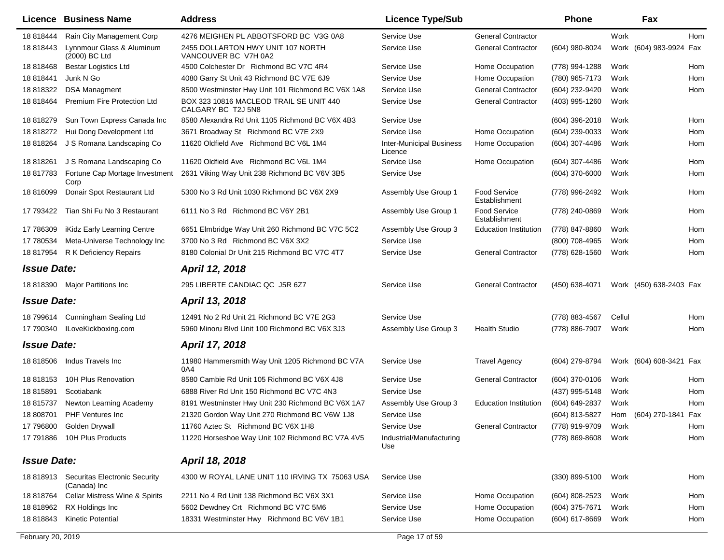|                    | <b>Licence Business Name</b>                            | <b>Address</b>                                                | <b>Licence Type/Sub</b>                    |                                      | <b>Phone</b>        |        | Fax                     |            |
|--------------------|---------------------------------------------------------|---------------------------------------------------------------|--------------------------------------------|--------------------------------------|---------------------|--------|-------------------------|------------|
| 18 818444          | Rain City Management Corp                               | 4276 MEIGHEN PL ABBOTSFORD BC V3G 0A8                         | Service Use                                | <b>General Contractor</b>            |                     | Work   |                         | <b>Hom</b> |
| 18 818443          | Lynnmour Glass & Aluminum<br>(2000) BC Ltd              | 2455 DOLLARTON HWY UNIT 107 NORTH<br>VANCOUVER BC V7H 0A2     | Service Use                                | <b>General Contractor</b>            | (604) 980-8024      |        | Work (604) 983-9924 Fax |            |
| 18 818468          | <b>Bestar Logistics Ltd</b>                             | 4500 Colchester Dr Richmond BC V7C 4R4                        | Service Use                                | Home Occupation                      | (778) 994-1288      | Work   |                         | Hom        |
| 18 818441          | Junk N Go                                               | 4080 Garry St Unit 43 Richmond BC V7E 6J9                     | Service Use                                | Home Occupation                      | (780) 965-7173      | Work   |                         | Hom        |
| 18 818322          | <b>DSA Managment</b>                                    | 8500 Westminster Hwy Unit 101 Richmond BC V6X 1A8             | Service Use                                | <b>General Contractor</b>            | (604) 232-9420      | Work   |                         | Hom        |
| 18 818464          | <b>Premium Fire Protection Ltd</b>                      | BOX 323 10816 MACLEOD TRAIL SE UNIT 440<br>CALGARY BC T2J 5N8 | Service Use                                | <b>General Contractor</b>            | (403) 995-1260      | Work   |                         |            |
| 18 818279          | Sun Town Express Canada Inc                             | 8580 Alexandra Rd Unit 1105 Richmond BC V6X 4B3               | Service Use                                |                                      | $(604)$ 396-2018    | Work   |                         | Hom        |
| 18 818272          | Hui Dong Development Ltd                                | 3671 Broadway St Richmond BC V7E 2X9                          | Service Use                                | Home Occupation                      | (604) 239-0033      | Work   |                         | Hom        |
| 18 818264          | J S Romana Landscaping Co                               | 11620 Oldfield Ave Richmond BC V6L 1M4                        | <b>Inter-Municipal Business</b><br>Licence | Home Occupation                      | (604) 307-4486      | Work   |                         | Hom        |
| 18 818261          | J S Romana Landscaping Co                               | 11620 Oldfield Ave Richmond BC V6L 1M4                        | Service Use                                | Home Occupation                      | (604) 307-4486      | Work   |                         | Hom        |
| 18 817783          | Fortune Cap Mortage Investment<br>Corp                  | 2631 Viking Way Unit 238 Richmond BC V6V 3B5                  | Service Use                                |                                      | (604) 370-6000      | Work   |                         | Hom        |
| 18 816099          | Donair Spot Restaurant Ltd                              | 5300 No 3 Rd Unit 1030 Richmond BC V6X 2X9                    | Assembly Use Group 1                       | <b>Food Service</b><br>Establishment | (778) 996-2492      | Work   |                         | Hom        |
| 17 793422          | Tian Shi Fu No 3 Restaurant                             | 6111 No 3 Rd Richmond BC V6Y 2B1                              | Assembly Use Group 1                       | <b>Food Service</b><br>Establishment | (778) 240-0869      | Work   |                         | Hom        |
| 17 786309          | iKidz Early Learning Centre                             | 6651 Elmbridge Way Unit 260 Richmond BC V7C 5C2               | Assembly Use Group 3                       | <b>Education Institution</b>         | (778) 847-8860      | Work   |                         | Hom        |
| 17 780534          | Meta-Universe Technology Inc                            | 3700 No 3 Rd Richmond BC V6X 3X2                              | Service Use                                |                                      | (800) 708-4965      | Work   |                         | Hom        |
|                    | 18 817954 R K Deficiency Repairs                        | 8180 Colonial Dr Unit 215 Richmond BC V7C 4T7                 | Service Use                                | <b>General Contractor</b>            | (778) 628-1560      | Work   |                         | Hom        |
| <b>Issue Date:</b> |                                                         | April 12, 2018                                                |                                            |                                      |                     |        |                         |            |
|                    | 18 818390 Major Partitions Inc                          | 295 LIBERTE CANDIAC QC J5R 6Z7                                | Service Use                                | <b>General Contractor</b>            | (450) 638-4071      |        | Work (450) 638-2403 Fax |            |
| <b>Issue Date:</b> |                                                         | April 13, 2018                                                |                                            |                                      |                     |        |                         |            |
|                    | 18 799614 Cunningham Sealing Ltd                        | 12491 No 2 Rd Unit 21 Richmond BC V7E 2G3                     | Service Use                                |                                      | (778) 883-4567      | Cellul |                         | Hom        |
| 17 790340          | ILoveKickboxing.com                                     | 5960 Minoru Blvd Unit 100 Richmond BC V6X 3J3                 | Assembly Use Group 3                       | <b>Health Studio</b>                 | (778) 886-7907      | Work   |                         | Hom        |
| <b>Issue Date:</b> |                                                         | April 17, 2018                                                |                                            |                                      |                     |        |                         |            |
|                    | 18 818506 Indus Travels Inc                             | 11980 Hammersmith Way Unit 1205 Richmond BC V7A<br>0A4        | Service Use                                | <b>Travel Agency</b>                 | (604) 279-8794      |        | Work (604) 608-3421 Fax |            |
| 18 818153          | 10H Plus Renovation                                     | 8580 Cambie Rd Unit 105 Richmond BC V6X 4J8                   | Service Use                                | <b>General Contractor</b>            | $(604)$ 370-0106    | Work   |                         | Hom        |
| 18 815891          | Scotiabank                                              | 6888 River Rd Unit 150 Richmond BC V7C 4N3                    | Service Use                                |                                      | (437) 995-5148      | Work   |                         | Hom        |
| 18 815737          | Newton Learning Academy                                 | 8191 Westminster Hwy Unit 230 Richmond BC V6X 1A7             | Assembly Use Group 3                       | <b>Education Institution</b>         | (604) 649-2837      | Work   |                         | Hom        |
| 18 808701          | <b>PHF Ventures Inc</b>                                 | 21320 Gordon Way Unit 270 Richmond BC V6W 1J8                 | Service Use                                |                                      | (604) 813-5827      |        | Hom (604) 270-1841 Fax  |            |
|                    | 17 796800 Golden Drywall                                | 11760 Aztec St Richmond BC V6X 1H8                            | Service Use                                | <b>General Contractor</b>            | (778) 919-9709 Work |        |                         | Hom        |
|                    | 17 791886 10H Plus Products                             | 11220 Horseshoe Way Unit 102 Richmond BC V7A 4V5              | Industrial/Manufacturing<br>Use            |                                      | (778) 869-8608      | Work   |                         | Hom        |
| <b>Issue Date:</b> |                                                         | April 18, 2018                                                |                                            |                                      |                     |        |                         |            |
|                    | 18 818913 Securitas Electronic Security<br>(Canada) Inc | 4300 W ROYAL LANE UNIT 110 IRVING TX 75063 USA                | Service Use                                |                                      | $(330)$ 899-5100    | Work   |                         | Hom        |
| 18 818764          | Cellar Mistress Wine & Spirits                          | 2211 No 4 Rd Unit 138 Richmond BC V6X 3X1                     | Service Use                                | Home Occupation                      | (604) 808-2523      | Work   |                         | Hom        |
| 18 818962          | RX Holdings Inc                                         | 5602 Dewdney Crt Richmond BC V7C 5M6                          | Service Use                                | Home Occupation                      | (604) 375-7671      | Work   |                         | Hom        |
| 18 818843          | <b>Kinetic Potential</b>                                | 18331 Westminster Hwy Richmond BC V6V 1B1                     | Service Use                                | Home Occupation                      | (604) 617-8669      | Work   |                         | Hom        |
|                    |                                                         |                                                               |                                            |                                      |                     |        |                         |            |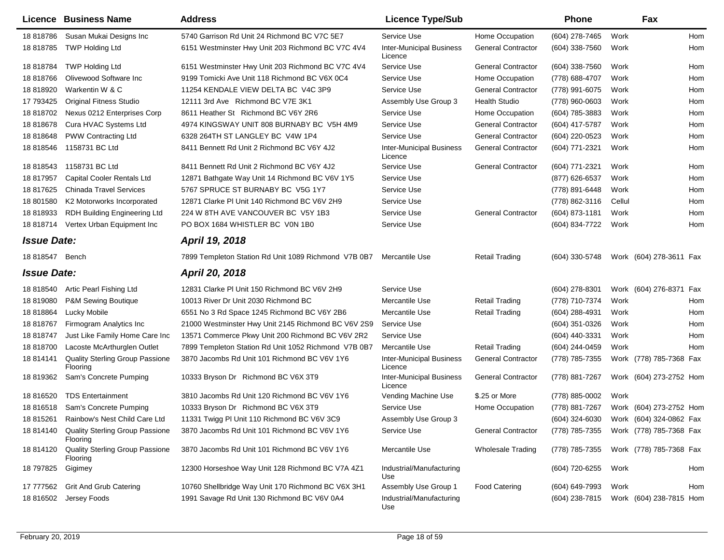|                    | Licence Business Name                                 | <b>Address</b>                                       | <b>Licence Type/Sub</b>                    |                           | <b>Phone</b>     | Fax                                    |     |
|--------------------|-------------------------------------------------------|------------------------------------------------------|--------------------------------------------|---------------------------|------------------|----------------------------------------|-----|
| 18 818786          | Susan Mukai Designs Inc                               | 5740 Garrison Rd Unit 24 Richmond BC V7C 5E7         | Service Use                                | Home Occupation           | (604) 278-7465   | Work                                   | Hom |
| 18 818785          | <b>TWP Holding Ltd</b>                                | 6151 Westminster Hwy Unit 203 Richmond BC V7C 4V4    | <b>Inter-Municipal Business</b><br>Licence | <b>General Contractor</b> | $(604)$ 338-7560 | Work                                   | Hom |
| 18 818784          | <b>TWP Holding Ltd</b>                                | 6151 Westminster Hwy Unit 203 Richmond BC V7C 4V4    | Service Use                                | <b>General Contractor</b> | (604) 338-7560   | Work                                   | Hom |
| 18 818766          | Olivewood Software Inc                                | 9199 Tomicki Ave Unit 118 Richmond BC V6X 0C4        | Service Use                                | Home Occupation           | (778) 688-4707   | Work                                   | Hom |
| 18 818920          | Warkentin W & C                                       | 11254 KENDALE VIEW DELTA BC V4C 3P9                  | Service Use                                | <b>General Contractor</b> | (778) 991-6075   | Work                                   | Hom |
| 17 793425          | <b>Original Fitness Studio</b>                        | 12111 3rd Ave Richmond BC V7E 3K1                    | Assembly Use Group 3                       | <b>Health Studio</b>      | (778) 960-0603   | Work                                   | Hom |
| 18 818702          | Nexus 0212 Enterprises Corp                           | 8611 Heather St Richmond BC V6Y 2R6                  | Service Use                                | Home Occupation           | (604) 785-3883   | Work                                   | Hom |
| 18 818678          | Cura HVAC Systems Ltd                                 | 4974 KINGSWAY UNIT 808 BURNABY BC V5H 4M9            | Service Use                                | <b>General Contractor</b> | (604) 417-5787   | Work                                   | Hom |
| 18 818648          | <b>PWW Contracting Ltd</b>                            | 6328 264TH ST LANGLEY BC V4W 1P4                     | Service Use                                | <b>General Contractor</b> | (604) 220-0523   | Work                                   | Hom |
| 18 818546          | 1158731 BC Ltd                                        | 8411 Bennett Rd Unit 2 Richmond BC V6Y 4J2           | <b>Inter-Municipal Business</b><br>Licence | <b>General Contractor</b> | (604) 771-2321   | Work                                   | Hom |
| 18 818543          | 1158731 BC Ltd                                        | 8411 Bennett Rd Unit 2 Richmond BC V6Y 4J2           | Service Use                                | <b>General Contractor</b> | (604) 771-2321   | Work                                   | Hom |
| 18 817957          | Capital Cooler Rentals Ltd                            | 12871 Bathgate Way Unit 14 Richmond BC V6V 1Y5       | Service Use                                |                           | (877) 626-6537   | Work                                   | Hom |
| 18 817625          | <b>Chinada Travel Services</b>                        | 5767 SPRUCE ST BURNABY BC V5G 1Y7                    | Service Use                                |                           | (778) 891-6448   | Work                                   | Hom |
| 18 801580          | K2 Motorworks Incorporated                            | 12871 Clarke PI Unit 140 Richmond BC V6V 2H9         | Service Use                                |                           | (778) 862-3116   | Cellul                                 | Hom |
| 18 818933          | RDH Building Engineering Ltd                          | 224 W 8TH AVE VANCOUVER BC V5Y 1B3                   | Service Use                                | <b>General Contractor</b> | (604) 873-1181   | Work                                   | Hom |
| 18 818714          | Vertex Urban Equipment Inc                            | PO BOX 1684 WHISTLER BC V0N 1B0                      | Service Use                                |                           | (604) 834-7722   | Work                                   | Hom |
| <b>Issue Date:</b> |                                                       | April 19, 2018                                       |                                            |                           |                  |                                        |     |
| 18 818547          | Bench                                                 | 7899 Templeton Station Rd Unit 1089 Richmond V7B 0B7 | Mercantile Use                             | <b>Retail Trading</b>     | (604) 330-5748   | Work (604) 278-3611 Fax                |     |
| <b>Issue Date:</b> |                                                       | April 20, 2018                                       |                                            |                           |                  |                                        |     |
| 18 818540          | Artic Pearl Fishing Ltd                               | 12831 Clarke PI Unit 150 Richmond BC V6V 2H9         | Service Use                                |                           | $(604)$ 278-8301 | Work (604) 276-8371 Fax                |     |
| 18 819080          | P&M Sewing Boutique                                   | 10013 River Dr Unit 2030 Richmond BC                 | Mercantile Use                             | <b>Retail Trading</b>     | (778) 710-7374   | Work                                   | Hom |
| 18 818864          | Lucky Mobile                                          | 6551 No 3 Rd Space 1245 Richmond BC V6Y 2B6          | Mercantile Use                             | <b>Retail Trading</b>     | (604) 288-4931   | Work                                   | Hom |
| 18 818767          | Firmogram Analytics Inc                               | 21000 Westminster Hwy Unit 2145 Richmond BC V6V 2S9  | Service Use                                |                           | (604) 351-0326   | Work                                   | Hom |
| 18 818747          | Just Like Family Home Care Inc                        | 13571 Commerce Pkwy Unit 200 Richmond BC V6V 2R2     | Service Use                                |                           | (604) 440-3331   | Work                                   | Hom |
| 18 818700          | Lacoste McArthurglen Outlet                           | 7899 Templeton Station Rd Unit 1052 Richmond V7B 0B7 | Mercantile Use                             | <b>Retail Trading</b>     | (604) 244-0459   | Work                                   | Hom |
| 18 814141          | Quality Sterling Group Passione<br>Flooring           | 3870 Jacombs Rd Unit 101 Richmond BC V6V 1Y6         | <b>Inter-Municipal Business</b><br>Licence | <b>General Contractor</b> | (778) 785-7355   | Work (778) 785-7368 Fax                |     |
| 18 819362          | Sam's Concrete Pumping                                | 10333 Bryson Dr Richmond BC V6X 3T9                  | <b>Inter-Municipal Business</b><br>Licence | <b>General Contractor</b> | (778) 881-7267   | Work (604) 273-2752 Hom                |     |
| 18 816520          | <b>TDS Entertainment</b>                              | 3810 Jacombs Rd Unit 120 Richmond BC V6V 1Y6         | Vending Machine Use                        | \$.25 or More             | (778) 885-0002   | Work                                   |     |
| 18 816518          | Sam's Concrete Pumping                                | 10333 Bryson Dr Richmond BC V6X 3T9                  | Service Use                                | Home Occupation           | (778) 881-7267   | Work (604) 273-2752 Hom                |     |
| 18 815261          | Rainbow's Nest Child Care Ltd                         | 11331 Twigg PI Unit 110 Richmond BC V6V 3C9          | Assembly Use Group 3                       |                           | (604) 324-6030   | Work (604) 324-0862 Fax                |     |
|                    | 18 814140 Quality Sterling Group Passione<br>Flooring | 3870 Jacombs Rd Unit 101 Richmond BC V6V 1Y6         | Service Use                                | <b>General Contractor</b> |                  | (778) 785-7355 Work (778) 785-7368 Fax |     |
| 18 814120          | <b>Quality Sterling Group Passione</b><br>Flooring    | 3870 Jacombs Rd Unit 101 Richmond BC V6V 1Y6         | Mercantile Use                             | Wholesale Trading         | (778) 785-7355   | Work (778) 785-7368 Fax                |     |
| 18 797825          | Gigimey                                               | 12300 Horseshoe Way Unit 128 Richmond BC V7A 4Z1     | Industrial/Manufacturing<br>Use            |                           | (604) 720-6255   | Work                                   | Hom |
| 17 777562          | <b>Grit And Grub Catering</b>                         | 10760 Shellbridge Way Unit 170 Richmond BC V6X 3H1   | Assembly Use Group 1                       | <b>Food Catering</b>      | (604) 649-7993   | Work                                   | Hom |
| 18 816502          | Jersey Foods                                          | 1991 Savage Rd Unit 130 Richmond BC V6V 0A4          | Industrial/Manufacturing<br>Use            |                           | (604) 238-7815   | Work (604) 238-7815 Hom                |     |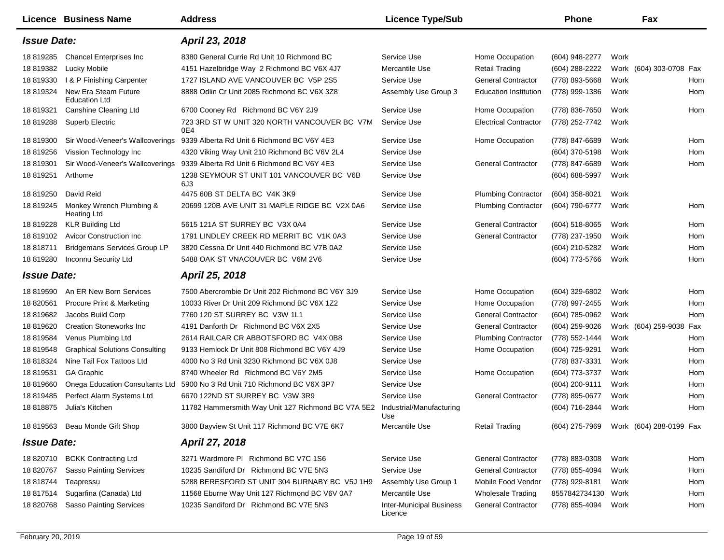|                    | Licence Business Name                          | <b>Address</b>                                      | <b>Licence Type/Sub</b>                    |                              | <b>Phone</b>                           |      | Fax                     |     |
|--------------------|------------------------------------------------|-----------------------------------------------------|--------------------------------------------|------------------------------|----------------------------------------|------|-------------------------|-----|
| <b>Issue Date:</b> |                                                | April 23, 2018                                      |                                            |                              |                                        |      |                         |     |
| 18 819285          | <b>Chancel Enterprises Inc</b>                 | 8380 General Currie Rd Unit 10 Richmond BC          | Service Use                                | Home Occupation              | (604) 948-2277                         | Work |                         |     |
| 18 819382          | Lucky Mobile                                   | 4151 Hazelbridge Way 2 Richmond BC V6X 4J7          | Mercantile Use                             | <b>Retail Trading</b>        | (604) 288-2222                         |      | Work (604) 303-0708 Fax |     |
| 18 819330          | I & P Finishing Carpenter                      | 1727 ISLAND AVE VANCOUVER BC V5P 2S5                | Service Use                                | <b>General Contractor</b>    | (778) 893-5668                         | Work |                         | Hom |
| 18 819324          | New Era Steam Future<br><b>Education Ltd</b>   | 8888 Odlin Cr Unit 2085 Richmond BC V6X 3Z8         | Assembly Use Group 3                       | <b>Education Institution</b> | (778) 999-1386                         | Work |                         | Hom |
| 18 819321          | Canshine Cleaning Ltd                          | 6700 Cooney Rd Richmond BC V6Y 2J9                  | Service Use                                | Home Occupation              | (778) 836-7650                         | Work |                         | Hom |
| 18 819288          | Superb Electric                                | 723 3RD ST W UNIT 320 NORTH VANCOUVER BC V7M<br>0E4 | Service Use                                | <b>Electrical Contractor</b> | (778) 252-7742                         | Work |                         |     |
| 18 819300          | Sir Wood-Veneer's Wallcoverings                | 9339 Alberta Rd Unit 6 Richmond BC V6Y 4E3          | Service Use                                | Home Occupation              | (778) 847-6689                         | Work |                         | Hom |
| 18 819256          | Vission Technology Inc                         | 4320 Viking Way Unit 210 Richmond BC V6V 2L4        | Service Use                                |                              | (604) 370-5198                         | Work |                         | Hom |
| 18 819301          | Sir Wood-Veneer's Wallcoverings                | 9339 Alberta Rd Unit 6 Richmond BC V6Y 4E3          | Service Use                                | <b>General Contractor</b>    | (778) 847-6689                         | Work |                         | Hom |
| 18 819251          | Arthome                                        | 1238 SEYMOUR ST UNIT 101 VANCOUVER BC V6B<br>6J3    | Service Use                                |                              | (604) 688-5997                         | Work |                         |     |
| 18 819250          | David Reid                                     | 4475 60B ST DELTA BC V4K 3K9                        | Service Use                                | <b>Plumbing Contractor</b>   | (604) 358-8021                         | Work |                         |     |
| 18 819245          | Monkey Wrench Plumbing &<br><b>Heating Ltd</b> | 20699 120B AVE UNIT 31 MAPLE RIDGE BC V2X 0A6       | Service Use                                | <b>Plumbing Contractor</b>   | (604) 790-6777                         | Work |                         | Hom |
| 18 819228          | <b>KLR Building Ltd</b>                        | 5615 121A ST SURREY BC V3X 0A4                      | Service Use                                | <b>General Contractor</b>    | (604) 518-8065                         | Work |                         | Hom |
| 18 819102          | <b>Avicor Construction Inc.</b>                | 1791 LINDLEY CREEK RD MERRIT BC V1K 0A3             | Service Use                                | <b>General Contractor</b>    | (778) 237-1950                         | Work |                         | Hom |
| 18 818711          | <b>Bridgemans Services Group LP</b>            | 3820 Cessna Dr Unit 440 Richmond BC V7B 0A2         | Service Use                                |                              | (604) 210-5282                         | Work |                         | Hom |
| 18 819280          | Inconnu Security Ltd                           | 5488 OAK ST VNACOUVER BC V6M 2V6                    | Service Use                                |                              | (604) 773-5766                         | Work |                         | Hom |
| <b>Issue Date:</b> |                                                | April 25, 2018                                      |                                            |                              |                                        |      |                         |     |
| 18 819590          | An ER New Born Services                        | 7500 Abercrombie Dr Unit 202 Richmond BC V6Y 3J9    | Service Use                                | Home Occupation              | (604) 329-6802                         | Work |                         | Hom |
| 18 820561          | <b>Procure Print &amp; Marketing</b>           | 10033 River Dr Unit 209 Richmond BC V6X 1Z2         | Service Use                                | Home Occupation              | (778) 997-2455                         | Work |                         | Hom |
| 18 819682          | Jacobs Build Corp                              | 7760 120 ST SURREY BC V3W 1L1                       | Service Use                                | <b>General Contractor</b>    | (604) 785-0962                         | Work |                         | Hom |
| 18 819620          | <b>Creation Stoneworks Inc.</b>                | 4191 Danforth Dr Richmond BC V6X 2X5                | Service Use                                | <b>General Contractor</b>    | (604) 259-9026                         |      | Work (604) 259-9038 Fax |     |
| 18 819584          | Venus Plumbing Ltd                             | 2614 RAILCAR CR ABBOTSFORD BC V4X 0B8               | Service Use                                | <b>Plumbing Contractor</b>   | (778) 552-1444                         | Work |                         | Hom |
| 18 819548          | <b>Graphical Solutions Consulting</b>          | 9133 Hemlock Dr Unit 808 Richmond BC V6Y 4J9        | Service Use                                | Home Occupation              | (604) 725-9291                         | Work |                         | Hom |
| 18 818324          | Nine Tail Fox Tattoos Ltd                      | 4000 No 3 Rd Unit 3230 Richmond BC V6X 0J8          | Service Use                                |                              | (778) 837-3331                         | Work |                         | Hom |
| 18 819531          | <b>GA Graphic</b>                              | 8740 Wheeler Rd Richmond BC V6Y 2M5                 | Service Use                                | Home Occupation              | (604) 773-3737                         | Work |                         | Hom |
| 18 819660          | Onega Education Consultants Ltd                | 5900 No 3 Rd Unit 710 Richmond BC V6X 3P7           | Service Use                                |                              | (604) 200-9111                         | Work |                         | Hom |
| 18 819485          | Perfect Alarm Systems Ltd                      | 6670 122ND ST SURREY BC V3W 3R9                     | Service Use                                | <b>General Contractor</b>    | (778) 895-0677                         | Work |                         | Hom |
| 18 818875          | Julia's Kitchen                                | 11782 Hammersmith Way Unit 127 Richmond BC V7A 5E2  | Industrial/Manufacturing<br>Use            |                              | (604) 716-2844                         | Work |                         | Hom |
|                    | 18 819563 Beau Monde Gift Shop                 | 3800 Bayview St Unit 117 Richmond BC V7E 6K7        | Mercantile Use                             | <b>Retail Trading</b>        | (604) 275-7969 Work (604) 288-0199 Fax |      |                         |     |
| <b>Issue Date:</b> |                                                | April 27, 2018                                      |                                            |                              |                                        |      |                         |     |
| 18 820710          | <b>BCKK Contracting Ltd</b>                    | 3271 Wardmore PI Richmond BC V7C 1S6                | Service Use                                | <b>General Contractor</b>    | (778) 883-0308                         | Work |                         | Hom |
| 18 820767          | <b>Sasso Painting Services</b>                 | 10235 Sandiford Dr Richmond BC V7E 5N3              | Service Use                                | <b>General Contractor</b>    | (778) 855-4094                         | Work |                         | Hom |
| 18 818744          | Teapressu                                      | 5288 BERESFORD ST UNIT 304 BURNABY BC V5J 1H9       | Assembly Use Group 1                       | Mobile Food Vendor           | (778) 929-8181                         | Work |                         | Hom |
| 18 817514          | Sugarfina (Canada) Ltd                         | 11568 Eburne Way Unit 127 Richmond BC V6V 0A7       | Mercantile Use                             | <b>Wholesale Trading</b>     | 8557842734130                          | Work |                         | Hom |
| 18 820768          | <b>Sasso Painting Services</b>                 | 10235 Sandiford Dr Richmond BC V7E 5N3              | <b>Inter-Municipal Business</b><br>Licence | <b>General Contractor</b>    | (778) 855-4094                         | Work |                         | Hom |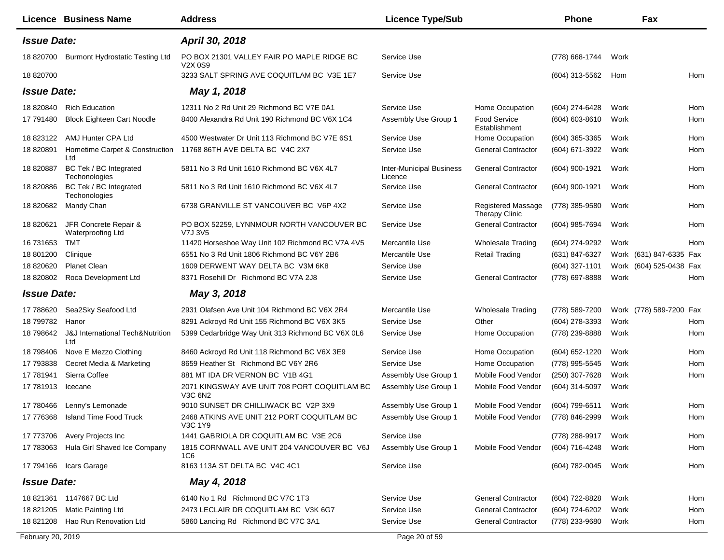|                    | <b>Licence Business Name</b>                       | <b>Address</b>                                          | <b>Licence Type/Sub</b>                    |                                             | Phone              | Fax                     |     |
|--------------------|----------------------------------------------------|---------------------------------------------------------|--------------------------------------------|---------------------------------------------|--------------------|-------------------------|-----|
| <b>Issue Date:</b> |                                                    | April 30, 2018                                          |                                            |                                             |                    |                         |     |
| 18 820700          | <b>Burmont Hydrostatic Testing Ltd</b>             | PO BOX 21301 VALLEY FAIR PO MAPLE RIDGE BC<br>V2X 0S9   | Service Use                                |                                             | (778) 668-1744     | Work                    |     |
| 18 820700          |                                                    | 3233 SALT SPRING AVE COQUITLAM BC V3E 1E7               | Service Use                                |                                             | (604) 313-5562     | Hom                     | Hom |
| <b>Issue Date:</b> |                                                    | May 1, 2018                                             |                                            |                                             |                    |                         |     |
| 18 820840          | <b>Rich Education</b>                              | 12311 No 2 Rd Unit 29 Richmond BC V7E 0A1               | Service Use                                | Home Occupation                             | (604) 274-6428     | Work                    | Hom |
| 17 791480          | <b>Block Eighteen Cart Noodle</b>                  | 8400 Alexandra Rd Unit 190 Richmond BC V6X 1C4          | Assembly Use Group 1                       | Food Service<br>Establishment               | $(604) 603 - 8610$ | Work                    | Hom |
| 18 823122          | AMJ Hunter CPA Ltd                                 | 4500 Westwater Dr Unit 113 Richmond BC V7E 6S1          | Service Use                                | Home Occupation                             | $(604)$ 365-3365   | Work                    | Hom |
| 18 820891          | Hometime Carpet & Construction<br>Ltd              | 11768 86TH AVE DELTA BC V4C 2X7                         | Service Use                                | <b>General Contractor</b>                   | (604) 671-3922     | Work                    | Hom |
| 18 820887          | BC Tek / BC Integrated<br>Techonologies            | 5811 No 3 Rd Unit 1610 Richmond BC V6X 4L7              | <b>Inter-Municipal Business</b><br>Licence | <b>General Contractor</b>                   | (604) 900-1921     | Work                    | Hom |
| 18 820886          | BC Tek / BC Integrated<br>Techonologies            | 5811 No 3 Rd Unit 1610 Richmond BC V6X 4L7              | Service Use                                | <b>General Contractor</b>                   | (604) 900-1921     | Work                    | Hom |
| 18 820682          | Mandy Chan                                         | 6738 GRANVILLE ST VANCOUVER BC V6P 4X2                  | Service Use                                | Registered Massage<br><b>Therapy Clinic</b> | (778) 385-9580     | Work                    | Hom |
| 18 820621          | JFR Concrete Repair &<br>Waterproofing Ltd         | PO BOX 52259, LYNNMOUR NORTH VANCOUVER BC<br>V7J 3V5    | Service Use                                | <b>General Contractor</b>                   | (604) 985-7694     | Work                    | Hom |
| 16 731653          | <b>TMT</b>                                         | 11420 Horseshoe Way Unit 102 Richmond BC V7A 4V5        | Mercantile Use                             | <b>Wholesale Trading</b>                    | (604) 274-9292     | Work                    | Hom |
| 18 801200          | Clinique                                           | 6551 No 3 Rd Unit 1806 Richmond BC V6Y 2B6              | Mercantile Use                             | <b>Retail Trading</b>                       | (631) 847-6327     | Work (631) 847-6335 Fax |     |
| 18 820620          | <b>Planet Clean</b>                                | 1609 DERWENT WAY DELTA BC V3M 6K8                       | Service Use                                |                                             | (604) 327-1101     | Work (604) 525-0438 Fax |     |
| 18 820802          | Roca Development Ltd                               | 8371 Rosehill Dr Richmond BC V7A 2J8                    | Service Use                                | <b>General Contractor</b>                   | (778) 697-8888     | Work                    | Hom |
| <b>Issue Date:</b> |                                                    | May 3, 2018                                             |                                            |                                             |                    |                         |     |
| 17 788620          | Sea2Sky Seafood Ltd                                | 2931 Olafsen Ave Unit 104 Richmond BC V6X 2R4           | Mercantile Use                             | <b>Wholesale Trading</b>                    | (778) 589-7200     | Work (778) 589-7200 Fax |     |
| 18 799782          | Hanor                                              | 8291 Ackroyd Rd Unit 155 Richmond BC V6X 3K5            | Service Use                                | Other                                       | (604) 278-3393     | Work                    | Hom |
| 18 798642          | <b>J&amp;J</b> International Tech&Nutrition<br>Ltd | 5399 Cedarbridge Way Unit 313 Richmond BC V6X 0L6       | Service Use                                | Home Occupation                             | (778) 239-8888     | Work                    | Hom |
| 18 798406          | Nove E Mezzo Clothing                              | 8460 Ackroyd Rd Unit 118 Richmond BC V6X 3E9            | Service Use                                | Home Occupation                             | (604) 652-1220     | Work                    | Hom |
| 17 793838          | Cecret Media & Marketing                           | 8659 Heather St Richmond BC V6Y 2R6                     | Service Use                                | Home Occupation                             | (778) 995-5545     | Work                    | Hom |
| 17 781941          | Sierra Coffee                                      | 881 MT IDA DR VERNON BC V1B 4G1                         | Assembly Use Group 1                       | Mobile Food Vendor                          | (250) 307-7628     | Work                    | Hom |
| 17 781913          | Icecane                                            | 2071 KINGSWAY AVE UNIT 708 PORT COQUITLAM BC<br>V3C 6N2 | Assembly Use Group 1                       | Mobile Food Vendor                          | (604) 314-5097     | Work                    |     |
| 17 780466          | Lenny's Lemonade                                   | 9010 SUNSET DR CHILLIWACK BC V2P 3X9                    | Assembly Use Group 1                       | Mobile Food Vendor                          | (604) 799-6511     | Work                    | Hom |
| 17 776368          | Island Time Food Truck                             | 2468 ATKINS AVE UNIT 212 PORT COQUITLAM BC<br>V3C 1Y9   | Assembly Use Group 1                       | Mobile Food Vendor                          | (778) 846-2999     | Work                    | Hom |
| 17 773706          | Avery Projects Inc                                 | 1441 GABRIOLA DR COQUITLAM BC V3E 2C6                   | Service Use                                |                                             | (778) 288-9917     | Work                    | Hom |
| 17 783063          | Hula Girl Shaved Ice Company                       | 1815 CORNWALL AVE UNIT 204 VANCOUVER BC V6J<br>1C6      | Assembly Use Group 1                       | Mobile Food Vendor                          | (604) 716-4248     | Work                    | Hom |
|                    | 17 794166 Icars Garage                             | 8163 113A ST DELTA BC V4C 4C1                           | Service Use                                |                                             | (604) 782-0045     | Work                    | Hom |
| <b>Issue Date:</b> |                                                    | May 4, 2018                                             |                                            |                                             |                    |                         |     |
|                    | 18 821361 1147667 BC Ltd                           | 6140 No 1 Rd Richmond BC V7C 1T3                        | Service Use                                | <b>General Contractor</b>                   | (604) 722-8828     | Work                    | Hom |
| 18 821205          | <b>Matic Painting Ltd</b>                          | 2473 LECLAIR DR COQUITLAM BC V3K 6G7                    | Service Use                                | <b>General Contractor</b>                   | (604) 724-6202     | Work                    | Hom |
| 18 821208          | Hao Run Renovation Ltd                             | 5860 Lancing Rd Richmond BC V7C 3A1                     | Service Use                                | <b>General Contractor</b>                   | (778) 233-9680     | Work                    | Hom |
| February 20, 2019  |                                                    |                                                         | Page 20 of 59                              |                                             |                    |                         |     |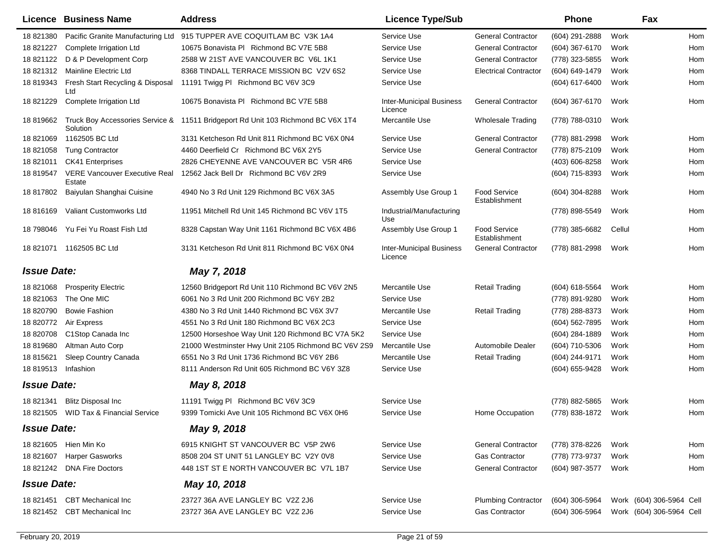|                    | Licence Business Name                          | <b>Address</b>                                                                   | <b>Licence Type/Sub</b>                    |                               | <b>Phone</b>   |        | Fax                      |     |
|--------------------|------------------------------------------------|----------------------------------------------------------------------------------|--------------------------------------------|-------------------------------|----------------|--------|--------------------------|-----|
| 18 821380          | Pacific Granite Manufacturing Ltd              | 915 TUPPER AVE COQUITLAM BC V3K 1A4                                              | Service Use                                | <b>General Contractor</b>     | (604) 291-2888 | Work   |                          | Hom |
| 18 821227          | Complete Irrigation Ltd                        | 10675 Bonavista PI Richmond BC V7E 5B8                                           | Service Use                                | <b>General Contractor</b>     | (604) 367-6170 | Work   |                          | Hom |
| 18 821122          | D & P Development Corp                         | 2588 W 21ST AVE VANCOUVER BC V6L 1K1                                             | Service Use                                | <b>General Contractor</b>     | (778) 323-5855 | Work   |                          | Hom |
| 18821312           | Mainline Electric Ltd                          | 8368 TINDALL TERRACE MISSION BC V2V 6S2                                          | Service Use                                | <b>Electrical Contractor</b>  | (604) 649-1479 | Work   |                          | Hom |
| 18 819343          | Fresh Start Recycling & Disposal<br>Ltd        | 11191 Twigg PI Richmond BC V6V 3C9                                               | Service Use                                |                               | (604) 617-6400 | Work   |                          | Hom |
| 18 821229          | Complete Irrigation Ltd                        | 10675 Bonavista PI Richmond BC V7E 5B8                                           | <b>Inter-Municipal Business</b><br>Licence | <b>General Contractor</b>     | (604) 367-6170 | Work   |                          | Hom |
| 18 819662          | Solution                                       | Truck Boy Accessories Service & 11511 Bridgeport Rd Unit 103 Richmond BC V6X 1T4 | Mercantile Use                             | <b>Wholesale Trading</b>      | (778) 788-0310 | Work   |                          |     |
| 18821069           | 1162505 BC Ltd                                 | 3131 Ketcheson Rd Unit 811 Richmond BC V6X 0N4                                   | Service Use                                | <b>General Contractor</b>     | (778) 881-2998 | Work   |                          | Hom |
| 18821058           | <b>Tung Contractor</b>                         | 4460 Deerfield Cr Richmond BC V6X 2Y5                                            | Service Use                                | <b>General Contractor</b>     | (778) 875-2109 | Work   |                          | Hom |
| 18 821011          | <b>CK41 Enterprises</b>                        | 2826 CHEYENNE AVE VANCOUVER BC V5R 4R6                                           | Service Use                                |                               | (403) 606-8258 | Work   |                          | Hom |
| 18 819547          | <b>VERE Vancouver Executive Real</b><br>Estate | 12562 Jack Bell Dr Richmond BC V6V 2R9                                           | Service Use                                |                               | (604) 715-8393 | Work   |                          | Hom |
| 18 817802          | Baiyulan Shanghai Cuisine                      | 4940 No 3 Rd Unit 129 Richmond BC V6X 3A5                                        | Assembly Use Group 1                       | Food Service<br>Establishment | (604) 304-8288 | Work   |                          | Hom |
| 18 816169          | Valiant Customworks Ltd                        | 11951 Mitchell Rd Unit 145 Richmond BC V6V 1T5                                   | Industrial/Manufacturing<br>Use            |                               | (778) 898-5549 | Work   |                          | Hom |
| 18 798046          | Yu Fei Yu Roast Fish Ltd                       | 8328 Capstan Way Unit 1161 Richmond BC V6X 4B6                                   | Assembly Use Group 1                       | Food Service<br>Establishment | (778) 385-6682 | Cellul |                          | Hom |
|                    | 18 821071 1162505 BC Ltd                       | 3131 Ketcheson Rd Unit 811 Richmond BC V6X 0N4                                   | <b>Inter-Municipal Business</b><br>Licence | <b>General Contractor</b>     | (778) 881-2998 | Work   |                          | Hom |
| <b>Issue Date:</b> |                                                | May 7, 2018                                                                      |                                            |                               |                |        |                          |     |
| 18821068           | <b>Prosperity Electric</b>                     | 12560 Bridgeport Rd Unit 110 Richmond BC V6V 2N5                                 | Mercantile Use                             | <b>Retail Trading</b>         | (604) 618-5564 | Work   |                          | Hom |
| 18 821063          | The One MIC                                    | 6061 No 3 Rd Unit 200 Richmond BC V6Y 2B2                                        | Service Use                                |                               | (778) 891-9280 | Work   |                          | Hom |
| 18 820790          | <b>Bowie Fashion</b>                           | 4380 No 3 Rd Unit 1440 Richmond BC V6X 3V7                                       | Mercantile Use                             | <b>Retail Trading</b>         | (778) 288-8373 | Work   |                          | Hom |
| 18 820772          | Air Express                                    | 4551 No 3 Rd Unit 180 Richmond BC V6X 2C3                                        | Service Use                                |                               | (604) 562-7895 | Work   |                          | Hom |
| 18 820708          | C1Stop Canada Inc                              | 12500 Horseshoe Way Unit 120 Richmond BC V7A 5K2                                 | Service Use                                |                               | (604) 284-1889 | Work   |                          | Hom |
| 18 819680          | Altman Auto Corp                               | 21000 Westminster Hwy Unit 2105 Richmond BC V6V 2S9                              | Mercantile Use                             | Automobile Dealer             | (604) 710-5306 | Work   |                          | Hom |
| 18 815621          | Sleep Country Canada                           | 6551 No 3 Rd Unit 1736 Richmond BC V6Y 2B6                                       | Mercantile Use                             | <b>Retail Trading</b>         | (604) 244-9171 | Work   |                          | Hom |
| 18 819513          | Infashion                                      | 8111 Anderson Rd Unit 605 Richmond BC V6Y 3Z8                                    | Service Use                                |                               | (604) 655-9428 | Work   |                          | Hom |
| <b>Issue Date:</b> |                                                | May 8, 2018                                                                      |                                            |                               |                |        |                          |     |
| 18 821341          | <b>Blitz Disposal Inc.</b>                     | 11191 Twigg PI Richmond BC V6V 3C9                                               | Service Use                                |                               | (778) 882-5865 | Work   |                          | Hom |
| 18 821505          | <b>WID Tax &amp; Financial Service</b>         | 9399 Tomicki Ave Unit 105 Richmond BC V6X 0H6                                    | Service Use                                | Home Occupation               | (778) 838-1872 | Work   |                          | Hom |
| <b>Issue Date:</b> |                                                | May 9, 2018                                                                      |                                            |                               |                |        |                          |     |
|                    | 18 821605 Hien Min Ko                          | 6915 KNIGHT ST VANCOUVER BC V5P 2W6                                              | Service Use                                | <b>General Contractor</b>     | (778) 378-8226 | Work   |                          | Hom |
| 18 821607          | <b>Harper Gasworks</b>                         | 8508 204 ST UNIT 51 LANGLEY BC V2Y 0V8                                           | Service Use                                | <b>Gas Contractor</b>         | (778) 773-9737 | Work   |                          | Hom |
|                    | 18 821242 DNA Fire Doctors                     | 448 1ST ST E NORTH VANCOUVER BC V7L 1B7                                          | Service Use                                | <b>General Contractor</b>     | (604) 987-3577 | Work   |                          | Hom |
| <b>Issue Date:</b> |                                                | May 10, 2018                                                                     |                                            |                               |                |        |                          |     |
| 18 821451          | <b>CBT</b> Mechanical Inc                      | 23727 36A AVE LANGLEY BC V2Z 2J6                                                 | Service Use                                | <b>Plumbing Contractor</b>    | (604) 306-5964 |        | Work (604) 306-5964 Cell |     |
| 18 821452          | <b>CBT Mechanical Inc</b>                      | 23727 36A AVE LANGLEY BC V2Z 2J6                                                 | Service Use                                | <b>Gas Contractor</b>         | (604) 306-5964 |        | Work (604) 306-5964 Cell |     |
|                    |                                                |                                                                                  |                                            |                               |                |        |                          |     |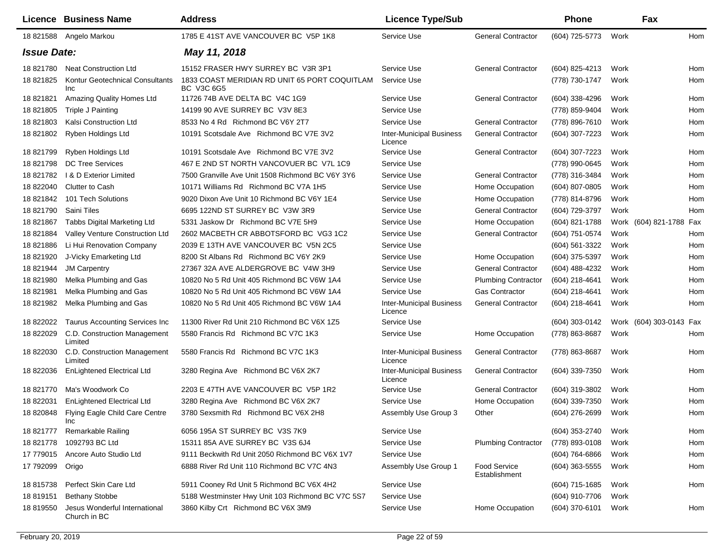|                    | Licence Business Name                         | <b>Address</b>                                              | <b>Licence Type/Sub</b>                    |                                      | <b>Phone</b>     |      | Fax                     |
|--------------------|-----------------------------------------------|-------------------------------------------------------------|--------------------------------------------|--------------------------------------|------------------|------|-------------------------|
|                    | 18 821588 Angelo Markou                       | 1785 E 41ST AVE VANCOUVER BC V5P 1K8                        | Service Use                                | <b>General Contractor</b>            | (604) 725-5773   | Work | <b>Hom</b>              |
| <b>Issue Date:</b> |                                               | May 11, 2018                                                |                                            |                                      |                  |      |                         |
| 18 821780          | <b>Neat Construction Ltd</b>                  | 15152 FRASER HWY SURREY BC V3R 3P1                          | Service Use                                | <b>General Contractor</b>            | (604) 825-4213   | Work | Hom                     |
| 18 821825          | <b>Kontur Geotechnical Consultants</b><br>Inc | 1833 COAST MERIDIAN RD UNIT 65 PORT COQUITLAM<br>BC V3C 6G5 | Service Use                                |                                      | (778) 730-1747   | Work | Hom                     |
| 18 821821          | Amazing Quality Homes Ltd                     | 11726 74B AVE DELTA BC V4C 1G9                              | Service Use                                | <b>General Contractor</b>            | (604) 338-4296   | Work | Hom                     |
| 18 821805          | Triple J Painting                             | 14199 90 AVE SURREY BC V3V 8E3                              | Service Use                                |                                      | (778) 859-9404   | Work | Hom                     |
| 18821803           | Kalsi Construction Ltd                        | 8533 No 4 Rd Richmond BC V6Y 2T7                            | Service Use                                | <b>General Contractor</b>            | (778) 896-7610   | Work | Hom                     |
| 18 821802          | Ryben Holdings Ltd                            | 10191 Scotsdale Ave Richmond BC V7E 3V2                     | <b>Inter-Municipal Business</b><br>Licence | <b>General Contractor</b>            | (604) 307-7223   | Work | Hom                     |
| 18 821799          | Ryben Holdings Ltd                            | 10191 Scotsdale Ave Richmond BC V7E 3V2                     | Service Use                                | <b>General Contractor</b>            | (604) 307-7223   | Work | Hom                     |
| 18821798           | <b>DC Tree Services</b>                       | 467 E 2ND ST NORTH VANCOVUER BC V7L 1C9                     | Service Use                                |                                      | (778) 990-0645   | Work | Hom                     |
| 18 821782          | I & D Exterior Limited                        | 7500 Granville Ave Unit 1508 Richmond BC V6Y 3Y6            | Service Use                                | <b>General Contractor</b>            | (778) 316-3484   | Work | Hom                     |
| 18 822040          | <b>Clutter to Cash</b>                        | 10171 Williams Rd Richmond BC V7A 1H5                       | Service Use                                | Home Occupation                      | (604) 807-0805   | Work | Hom                     |
| 18 821842          | 101 Tech Solutions                            | 9020 Dixon Ave Unit 10 Richmond BC V6Y 1E4                  | Service Use                                | Home Occupation                      | (778) 814-8796   | Work | Hom                     |
| 18 821790          | Saini Tiles                                   | 6695 122ND ST SURREY BC V3W 3R9                             | Service Use                                | <b>General Contractor</b>            | (604) 729-3797   | Work | Hom                     |
| 18 821867          | Tabbs Digital Marketing Ltd                   | 5331 Jaskow Dr Richmond BC V7E 5H9                          | Service Use                                | Home Occupation                      | (604) 821-1788   |      | Work (604) 821-1788 Fax |
| 18 821884          | Valley Venture Construction Ltd               | 2602 MACBETH CR ABBOTSFORD BC VG3 1C2                       | Service Use                                | <b>General Contractor</b>            | (604) 751-0574   | Work | Hom                     |
| 18821886           | Li Hui Renovation Company                     | 2039 E 13TH AVE VANCOUVER BC V5N 2C5                        | Service Use                                |                                      | (604) 561-3322   | Work | Hom                     |
| 18 821920          | J-Vicky Emarketing Ltd                        | 8200 St Albans Rd Richmond BC V6Y 2K9                       | Service Use                                | Home Occupation                      | (604) 375-5397   | Work | Hom                     |
| 18 821944          | <b>JM Carpentry</b>                           | 27367 32A AVE ALDERGROVE BC V4W 3H9                         | Service Use                                | <b>General Contractor</b>            | (604) 488-4232   | Work | Hom                     |
| 18 821980          | Melka Plumbing and Gas                        | 10820 No 5 Rd Unit 405 Richmond BC V6W 1A4                  | Service Use                                | <b>Plumbing Contractor</b>           | (604) 218-4641   | Work | Hom                     |
| 18 821981          | Melka Plumbing and Gas                        | 10820 No 5 Rd Unit 405 Richmond BC V6W 1A4                  | Service Use                                | <b>Gas Contractor</b>                | (604) 218-4641   | Work | Hom                     |
| 18 821982          | Melka Plumbing and Gas                        | 10820 No 5 Rd Unit 405 Richmond BC V6W 1A4                  | <b>Inter-Municipal Business</b><br>Licence | <b>General Contractor</b>            | (604) 218-4641   | Work | Hom                     |
| 18 822022          | <b>Taurus Accounting Services Inc.</b>        | 11300 River Rd Unit 210 Richmond BC V6X 1Z5                 | Service Use                                |                                      | (604) 303-0142   |      | Work (604) 303-0143 Fax |
| 18 822029          | C.D. Construction Management<br>Limited       | 5580 Francis Rd Richmond BC V7C 1K3                         | Service Use                                | Home Occupation                      | (778) 863-8687   | Work | Hom                     |
| 18 822030          | C.D. Construction Management<br>Limited       | 5580 Francis Rd Richmond BC V7C 1K3                         | <b>Inter-Municipal Business</b><br>Licence | <b>General Contractor</b>            | (778) 863-8687   | Work | Hom                     |
| 18 822036          | <b>EnLightened Electrical Ltd</b>             | 3280 Regina Ave Richmond BC V6X 2K7                         | <b>Inter-Municipal Business</b><br>Licence | <b>General Contractor</b>            | (604) 339-7350   | Work | Hom                     |
| 18 821770          | Ma's Woodwork Co                              | 2203 E 47TH AVE VANCOUVER BC V5P 1R2                        | Service Use                                | <b>General Contractor</b>            | (604) 319-3802   | Work | Hom                     |
| 18 822031          | <b>EnLightened Electrical Ltd</b>             | 3280 Regina Ave Richmond BC V6X 2K7                         | Service Use                                | Home Occupation                      | (604) 339-7350   | Work | Hom                     |
| 18 820848          | Flying Eagle Child Care Centre<br>Inc         | 3780 Sexsmith Rd Richmond BC V6X 2H8                        | Assembly Use Group 3                       | Other                                | (604) 276-2699   | Work | Hom                     |
| 18 821777          | Remarkable Railing                            | 6056 195A ST SURREY BC V3S 7K9                              | Service Use                                |                                      | (604) 353-2740   | Work | Hom                     |
| 18 821778          | 1092793 BC Ltd                                | 15311 85A AVE SURREY BC V3S 6J4                             | Service Use                                | <b>Plumbing Contractor</b>           | (778) 893-0108   | Work | Hom                     |
| 17 779015          | Ancore Auto Studio Ltd                        | 9111 Beckwith Rd Unit 2050 Richmond BC V6X 1V7              | Service Use                                |                                      | (604) 764-6866   | Work | Hom                     |
| 17 792099          | Origo                                         | 6888 River Rd Unit 110 Richmond BC V7C 4N3                  | Assembly Use Group 1                       | <b>Food Service</b><br>Establishment | $(604)$ 363-5555 | Work | Hom                     |
| 18 815738          | Perfect Skin Care Ltd                         | 5911 Cooney Rd Unit 5 Richmond BC V6X 4H2                   | Service Use                                |                                      | (604) 715-1685   | Work | Hom                     |
| 18 819151          | <b>Bethany Stobbe</b>                         | 5188 Westminster Hwy Unit 103 Richmond BC V7C 5S7           | Service Use                                |                                      | (604) 910-7706   | Work |                         |
| 18 819550          | Jesus Wonderful International<br>Church in BC | 3860 Kilby Crt Richmond BC V6X 3M9                          | Service Use                                | Home Occupation                      | (604) 370-6101   | Work | Hom                     |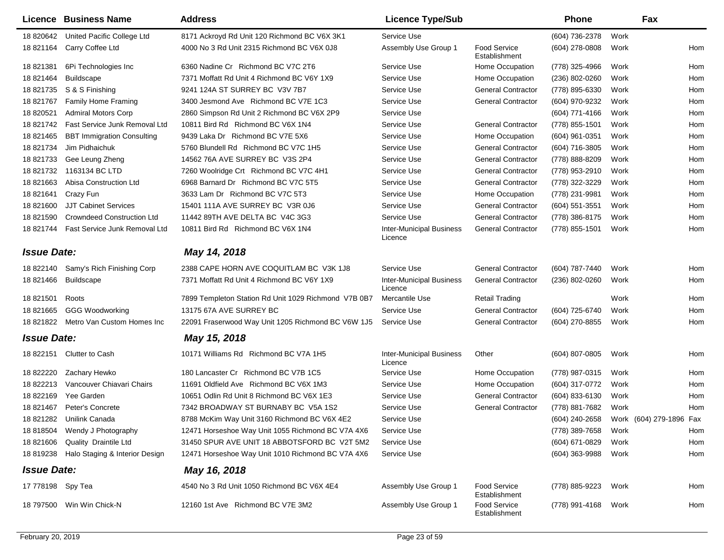|                    | Licence Business Name             | <b>Address</b>                                       | <b>Licence Type/Sub</b>                    |                                      | <b>Phone</b>     |      | Fax                     |
|--------------------|-----------------------------------|------------------------------------------------------|--------------------------------------------|--------------------------------------|------------------|------|-------------------------|
| 18 820642          | United Pacific College Ltd        | 8171 Ackroyd Rd Unit 120 Richmond BC V6X 3K1         | Service Use                                |                                      | (604) 736-2378   | Work |                         |
| 18 821164          | Carry Coffee Ltd                  | 4000 No 3 Rd Unit 2315 Richmond BC V6X 0J8           | Assembly Use Group 1                       | <b>Food Service</b><br>Establishment | (604) 278-0808   | Work | Hom                     |
| 18 821381          | 6Pi Technologies Inc              | 6360 Nadine Cr Richmond BC V7C 2T6                   | Service Use                                | Home Occupation                      | (778) 325-4966   | Work | Hom                     |
| 18 821464          | <b>Buildscape</b>                 | 7371 Moffatt Rd Unit 4 Richmond BC V6Y 1X9           | Service Use                                | Home Occupation                      | $(236)$ 802-0260 | Work | Hom                     |
| 18 821735          | S & S Finishing                   | 9241 124A ST SURREY BC V3V 7B7                       | Service Use                                | <b>General Contractor</b>            | (778) 895-6330   | Work | Hom                     |
| 18 821767          | <b>Family Home Framing</b>        | 3400 Jesmond Ave Richmond BC V7E 1C3                 | Service Use                                | <b>General Contractor</b>            | (604) 970-9232   | Work | Hom                     |
| 18 820521          | <b>Admiral Motors Corp</b>        | 2860 Simpson Rd Unit 2 Richmond BC V6X 2P9           | Service Use                                |                                      | (604) 771-4166   | Work | Hom                     |
| 18 821742          | Fast Service Junk Removal Ltd     | 10811 Bird Rd Richmond BC V6X 1N4                    | Service Use                                | <b>General Contractor</b>            | (778) 855-1501   | Work | Hom                     |
| 18 821465          | <b>BBT Immigration Consulting</b> | 9439 Laka Dr Richmond BC V7E 5X6                     | Service Use                                | Home Occupation                      | (604) 961-0351   | Work | Hom                     |
| 18 821734          | Jim Pidhaichuk                    | 5760 Blundell Rd Richmond BC V7C 1H5                 | Service Use                                | <b>General Contractor</b>            | (604) 716-3805   | Work | Hom                     |
| 18 821733          | Gee Leung Zheng                   | 14562 76A AVE SURREY BC V3S 2P4                      | Service Use                                | <b>General Contractor</b>            | (778) 888-8209   | Work | Hom                     |
| 18 821732          | 1163134 BC LTD                    | 7260 Woolridge Crt Richmond BC V7C 4H1               | Service Use                                | <b>General Contractor</b>            | (778) 953-2910   | Work | Hom                     |
| 18 821663          | Abisa Construction Ltd            | 6968 Barnard Dr Richmond BC V7C 5T5                  | Service Use                                | <b>General Contractor</b>            | (778) 322-3229   | Work | Hom                     |
| 18 821641          | Crazy Fun                         | 3633 Lam Dr Richmond BC V7C 5T3                      | Service Use                                | Home Occupation                      | (778) 231-9981   | Work | Hom                     |
| 18 821600          | <b>JJT Cabinet Services</b>       | 15401 111A AVE SURREY BC V3R 0J6                     | Service Use                                | <b>General Contractor</b>            | $(604)$ 551-3551 | Work | Hom                     |
| 18 821590          | <b>Crowndeed Construction Ltd</b> | 11442 89TH AVE DELTA BC V4C 3G3                      | Service Use                                | <b>General Contractor</b>            | (778) 386-8175   | Work | Hom                     |
| 18 821744          | Fast Service Junk Removal Ltd     | 10811 Bird Rd Richmond BC V6X 1N4                    | <b>Inter-Municipal Business</b><br>Licence | <b>General Contractor</b>            | (778) 855-1501   | Work | Hom                     |
| <b>Issue Date:</b> |                                   | May 14, 2018                                         |                                            |                                      |                  |      |                         |
| 18 822140          | Samy's Rich Finishing Corp        | 2388 CAPE HORN AVE COQUITLAM BC V3K 1J8              | Service Use                                | <b>General Contractor</b>            | (604) 787-7440   | Work | Hom                     |
| 18 821466          | <b>Buildscape</b>                 | 7371 Moffatt Rd Unit 4 Richmond BC V6Y 1X9           | <b>Inter-Municipal Business</b><br>Licence | <b>General Contractor</b>            | (236) 802-0260   | Work | Hom                     |
| 18 821501          | Roots                             | 7899 Templeton Station Rd Unit 1029 Richmond V7B 0B7 | Mercantile Use                             | <b>Retail Trading</b>                |                  | Work | Hom                     |
| 18 821665          | <b>GGG Woodworking</b>            | 13175 67A AVE SURREY BC                              | Service Use                                | <b>General Contractor</b>            | (604) 725-6740   | Work | Hom                     |
| 18 821822          | Metro Van Custom Homes Inc        | 22091 Fraserwood Way Unit 1205 Richmond BC V6W 1J5   | Service Use                                | <b>General Contractor</b>            | (604) 270-8855   | Work | Hom                     |
| <b>Issue Date:</b> |                                   | May 15, 2018                                         |                                            |                                      |                  |      |                         |
| 18 822151          | Clutter to Cash                   | 10171 Williams Rd Richmond BC V7A 1H5                | <b>Inter-Municipal Business</b><br>Licence | Other                                | (604) 807-0805   | Work | Hom                     |
| 18 822220          | Zachary Hewko                     | 180 Lancaster Cr Richmond BC V7B 1C5                 | Service Use                                | Home Occupation                      | (778) 987-0315   | Work | Hom                     |
| 18 822213          | Vancouver Chiavari Chairs         | 11691 Oldfield Ave Richmond BC V6X 1M3               | Service Use                                | Home Occupation                      | (604) 317-0772   | Work | Hom                     |
| 18 822169          | Yee Garden                        | 10651 Odlin Rd Unit 8 Richmond BC V6X 1E3            | Service Use                                | <b>General Contractor</b>            | (604) 833-6130   | Work | Hom                     |
| 18 821467          | Peter's Concrete                  | 7342 BROADWAY ST BURNABY BC V5A 1S2                  | Service Use                                | <b>General Contractor</b>            | (778) 881-7682   | Work | Hom                     |
|                    | 18 821282 Unilink Canada          | 8788 McKim Way Unit 3160 Richmond BC V6X 4E2         | Service Use                                |                                      | (604) 240-2658   |      | Work (604) 279-1896 Fax |
|                    | 18 818504 Wendy J Photography     | 12471 Horseshoe Way Unit 1055 Richmond BC V7A 4X6    | Service Use                                |                                      | (778) 389-7658   | Work | Hom                     |
| 18 821606          | Quality Draintile Ltd             | 31450 SPUR AVE UNIT 18 ABBOTSFORD BC V2T 5M2         | Service Use                                |                                      | (604) 671-0829   | Work | Hom                     |
| 18 819238          | Halo Staging & Interior Design    | 12471 Horseshoe Way Unit 1010 Richmond BC V7A 4X6    | Service Use                                |                                      | (604) 363-9988   | Work | Hom                     |
| <b>Issue Date:</b> |                                   | May 16, 2018                                         |                                            |                                      |                  |      |                         |
| 17 778198 Spy Tea  |                                   | 4540 No 3 Rd Unit 1050 Richmond BC V6X 4E4           | Assembly Use Group 1                       | <b>Food Service</b><br>Establishment | (778) 885-9223   | Work | Hom                     |
|                    | 18 797500 Win Win Chick-N         | 12160 1st Ave Richmond BC V7E 3M2                    | Assembly Use Group 1                       | <b>Food Service</b><br>Establishment | (778) 991-4168   | Work | Hom                     |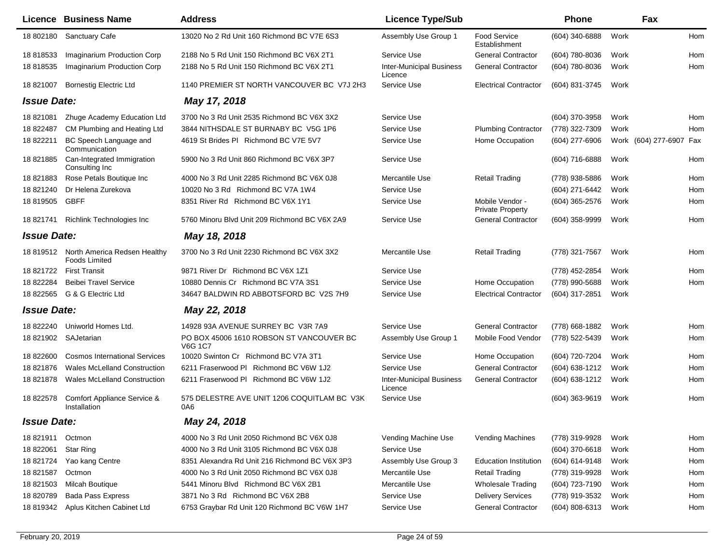|                    | Licence Business Name                                | <b>Address</b>                                             | <b>Licence Type/Sub</b>                    |                                            | <b>Phone</b>     |      | Fax                     |     |
|--------------------|------------------------------------------------------|------------------------------------------------------------|--------------------------------------------|--------------------------------------------|------------------|------|-------------------------|-----|
| 18 802180          | <b>Sanctuary Cafe</b>                                | 13020 No 2 Rd Unit 160 Richmond BC V7E 6S3                 | Assembly Use Group 1                       | <b>Food Service</b><br>Establishment       | (604) 340-6888   | Work |                         | Hom |
| 18 818533          | Imaginarium Production Corp                          | 2188 No 5 Rd Unit 150 Richmond BC V6X 2T1                  | Service Use                                | <b>General Contractor</b>                  | (604) 780-8036   | Work |                         | Hom |
| 18 818535          | Imaginarium Production Corp                          | 2188 No 5 Rd Unit 150 Richmond BC V6X 2T1                  | <b>Inter-Municipal Business</b><br>Licence | <b>General Contractor</b>                  | (604) 780-8036   | Work |                         | Hom |
| 18 821007          | <b>Bornestig Electric Ltd</b>                        | 1140 PREMIER ST NORTH VANCOUVER BC V7J 2H3                 | Service Use                                | <b>Electrical Contractor</b>               | (604) 831-3745   | Work |                         |     |
| <b>Issue Date:</b> |                                                      | May 17, 2018                                               |                                            |                                            |                  |      |                         |     |
| 18 821081          | Zhuge Academy Education Ltd                          | 3700 No 3 Rd Unit 2535 Richmond BC V6X 3X2                 | Service Use                                |                                            | (604) 370-3958   | Work |                         | Hom |
| 18 822487          | CM Plumbing and Heating Ltd                          | 3844 NITHSDALE ST BURNABY BC V5G 1P6                       | Service Use                                | <b>Plumbing Contractor</b>                 | (778) 322-7309   | Work |                         | Hom |
| 18 822211          | BC Speech Language and<br>Communication              | 4619 St Brides PI Richmond BC V7E 5V7                      | Service Use                                | Home Occupation                            | (604) 277-6906   |      | Work (604) 277-6907 Fax |     |
| 18 821885          | Can-Integrated Immigration<br>Consulting Inc         | 5900 No 3 Rd Unit 860 Richmond BC V6X 3P7                  | Service Use                                |                                            | (604) 716-6888   | Work |                         | Hom |
| 18821883           | Rose Petals Boutique Inc                             | 4000 No 3 Rd Unit 2285 Richmond BC V6X 0J8                 | Mercantile Use                             | <b>Retail Trading</b>                      | (778) 938-5886   | Work |                         | Hom |
| 18 821240          | Dr Helena Zurekova                                   | 10020 No 3 Rd Richmond BC V7A 1W4                          | Service Use                                |                                            | (604) 271-6442   | Work |                         | Hom |
| 18 819505          | GBFF                                                 | 8351 River Rd Richmond BC V6X 1Y1                          | Service Use                                | Mobile Vendor -<br><b>Private Property</b> | (604) 365-2576   | Work |                         | Hom |
| 18 821741          | <b>Richlink Technologies Inc</b>                     | 5760 Minoru Blvd Unit 209 Richmond BC V6X 2A9              | Service Use                                | <b>General Contractor</b>                  | (604) 358-9999   | Work |                         | Hom |
| <b>Issue Date:</b> |                                                      | May 18, 2018                                               |                                            |                                            |                  |      |                         |     |
| 18 819512          | North America Redsen Healthy<br><b>Foods Limited</b> | 3700 No 3 Rd Unit 2230 Richmond BC V6X 3X2                 | Mercantile Use                             | <b>Retail Trading</b>                      | (778) 321-7567   | Work |                         | Hom |
| 18 821722          | <b>First Transit</b>                                 | 9871 River Dr Richmond BC V6X 1Z1                          | Service Use                                |                                            | (778) 452-2854   | Work |                         | Hom |
| 18 822284          | <b>Beibei Travel Service</b>                         | 10880 Dennis Cr Richmond BC V7A 3S1                        | Service Use                                | Home Occupation                            | (778) 990-5688   | Work |                         | Hom |
|                    | 18 822565 G & G Electric Ltd                         | 34647 BALDWIN RD ABBOTSFORD BC V2S 7H9                     | Service Use                                | <b>Electrical Contractor</b>               | (604) 317-2851   | Work |                         |     |
| <b>Issue Date:</b> |                                                      | May 22, 2018                                               |                                            |                                            |                  |      |                         |     |
| 18 822240          | Uniworld Homes Ltd.                                  | 14928 93A AVENUE SURREY BC V3R 7A9                         | Service Use                                | <b>General Contractor</b>                  | (778) 668-1882   | Work |                         | Hom |
|                    | 18 821902 SAJetarian                                 | PO BOX 45006 1610 ROBSON ST VANCOUVER BC<br><b>V6G 1C7</b> | Assembly Use Group 1                       | Mobile Food Vendor                         | (778) 522-5439   | Work |                         | Hom |
| 18 822600          | <b>Cosmos International Services</b>                 | 10020 Swinton Cr Richmond BC V7A 3T1                       | Service Use                                | Home Occupation                            | (604) 720-7204   | Work |                         | Hom |
| 18 821876          | <b>Wales McLelland Construction</b>                  | 6211 Fraserwood PI Richmond BC V6W 1J2                     | Service Use                                | <b>General Contractor</b>                  | (604) 638-1212   | Work |                         | Hom |
| 18821878           | Wales McLelland Construction                         | 6211 Fraserwood PI Richmond BC V6W 1J2                     | <b>Inter-Municipal Business</b><br>Licence | <b>General Contractor</b>                  | (604) 638-1212   | Work |                         | Hom |
| 18 822578          | Comfort Appliance Service &<br>Installation          | 575 DELESTRE AVE UNIT 1206 COQUITLAM BC V3K<br>0A6         | Service Use                                |                                            | $(604)$ 363-9619 | Work |                         | Hom |
| <b>Issue Date:</b> |                                                      | May 24, 2018                                               |                                            |                                            |                  |      |                         |     |
| 18 821911          | Octmon                                               | 4000 No 3 Rd Unit 2050 Richmond BC V6X 0J8                 | Vending Machine Use                        | <b>Vending Machines</b>                    | (778) 319-9928   | Work |                         | Hom |
| 18 822061          | Star Ring                                            | 4000 No 3 Rd Unit 3105 Richmond BC V6X 0J8                 | Service Use                                |                                            | (604) 370-6618   | Work |                         | Hom |
| 18 821724          | Yao kang Centre                                      | 8351 Alexandra Rd Unit 216 Richmond BC V6X 3P3             | Assembly Use Group 3                       | <b>Education Institution</b>               | (604) 614-9148   | Work |                         | Hom |
| 18 821587          | Octmon                                               | 4000 No 3 Rd Unit 2050 Richmond BC V6X 0J8                 | Mercantile Use                             | Retail Trading                             | (778) 319-9928   | Work |                         | Hom |
| 18 821503          | <b>Milcah Boutique</b>                               | 5441 Minoru Blvd Richmond BC V6X 2B1                       | Mercantile Use                             | <b>Wholesale Trading</b>                   | (604) 723-7190   | Work |                         | Hom |
| 18 820789          | <b>Bada Pass Express</b>                             | 3871 No 3 Rd Richmond BC V6X 2B8                           | Service Use                                | <b>Delivery Services</b>                   | (778) 919-3532   | Work |                         | Hom |
| 18 819342          | Aplus Kitchen Cabinet Ltd                            | 6753 Graybar Rd Unit 120 Richmond BC V6W 1H7               | Service Use                                | <b>General Contractor</b>                  | (604) 808-6313   | Work |                         | Hom |
|                    |                                                      |                                                            |                                            |                                            |                  |      |                         |     |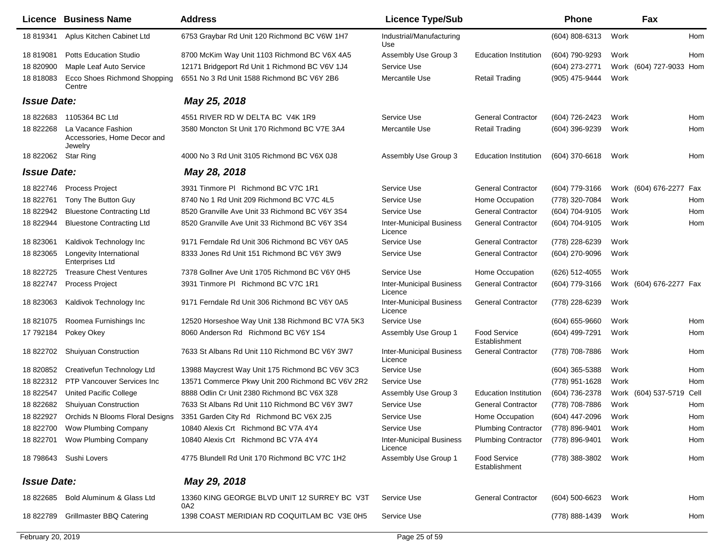|                    | Licence Business Name                                        | <b>Address</b>                                      | <b>Licence Type/Sub</b>                    |                                      | <b>Phone</b>     |      | Fax                      |     |
|--------------------|--------------------------------------------------------------|-----------------------------------------------------|--------------------------------------------|--------------------------------------|------------------|------|--------------------------|-----|
| 18 819341          | Aplus Kitchen Cabinet Ltd                                    | 6753 Graybar Rd Unit 120 Richmond BC V6W 1H7        | Industrial/Manufacturing<br>Use            |                                      | (604) 808-6313   | Work |                          | Hom |
| 18 819081          | <b>Potts Education Studio</b>                                | 8700 McKim Way Unit 1103 Richmond BC V6X 4A5        | Assembly Use Group 3                       | <b>Education Institution</b>         | (604) 790-9293   | Work |                          | Hom |
| 18 820900          | Maple Leaf Auto Service                                      | 12171 Bridgeport Rd Unit 1 Richmond BC V6V 1J4      | Service Use                                |                                      | (604) 273-2771   |      | Work (604) 727-9033 Hom  |     |
| 18 818083          | <b>Ecco Shoes Richmond Shopping</b><br>Centre                | 6551 No 3 Rd Unit 1588 Richmond BC V6Y 2B6          | Mercantile Use                             | Retail Trading                       | (905) 475-9444   | Work |                          |     |
| <b>Issue Date:</b> |                                                              | May 25, 2018                                        |                                            |                                      |                  |      |                          |     |
| 18 822683          | 1105364 BC Ltd                                               | 4551 RIVER RD W DELTA BC V4K 1R9                    | Service Use                                | <b>General Contractor</b>            | (604) 726-2423   | Work |                          | Hom |
| 18 822268          | La Vacance Fashion<br>Accessories, Home Decor and<br>Jewelry | 3580 Moncton St Unit 170 Richmond BC V7E 3A4        | Mercantile Use                             | <b>Retail Trading</b>                | (604) 396-9239   | Work |                          | Hom |
| 18 822062          | <b>Star Ring</b>                                             | 4000 No 3 Rd Unit 3105 Richmond BC V6X 0J8          | Assembly Use Group 3                       | <b>Education Institution</b>         | (604) 370-6618   | Work |                          | Hom |
| <b>Issue Date:</b> |                                                              | May 28, 2018                                        |                                            |                                      |                  |      |                          |     |
| 18 822746          | <b>Process Project</b>                                       | 3931 Tinmore PI Richmond BC V7C 1R1                 | Service Use                                | <b>General Contractor</b>            | (604) 779-3166   |      | Work (604) 676-2277 Fax  |     |
| 18 822761          | Tony The Button Guy                                          | 8740 No 1 Rd Unit 209 Richmond BC V7C 4L5           | Service Use                                | Home Occupation                      | (778) 320-7084   | Work |                          | Hom |
| 18 822942          | <b>Bluestone Contracting Ltd</b>                             | 8520 Granville Ave Unit 33 Richmond BC V6Y 3S4      | Service Use                                | <b>General Contractor</b>            | (604) 704-9105   | Work |                          | Hom |
| 18 822944          | <b>Bluestone Contracting Ltd</b>                             | 8520 Granville Ave Unit 33 Richmond BC V6Y 3S4      | <b>Inter-Municipal Business</b><br>Licence | <b>General Contractor</b>            | (604) 704-9105   | Work |                          | Hom |
| 18 823061          | Kaldivok Technology Inc                                      | 9171 Ferndale Rd Unit 306 Richmond BC V6Y 0A5       | Service Use                                | <b>General Contractor</b>            | (778) 228-6239   | Work |                          |     |
| 18 823065          | Longevity International<br><b>Enterprises Ltd</b>            | 8333 Jones Rd Unit 151 Richmond BC V6Y 3W9          | Service Use                                | <b>General Contractor</b>            | (604) 270-9096   | Work |                          |     |
| 18 822725          | <b>Treasure Chest Ventures</b>                               | 7378 Gollner Ave Unit 1705 Richmond BC V6Y 0H5      | Service Use                                | Home Occupation                      | (626) 512-4055   | Work |                          |     |
| 18 822747          | Process Project                                              | 3931 Tinmore PI Richmond BC V7C 1R1                 | <b>Inter-Municipal Business</b><br>Licence | <b>General Contractor</b>            | (604) 779-3166   |      | Work (604) 676-2277 Fax  |     |
| 18 823063          | Kaldivok Technology Inc                                      | 9171 Ferndale Rd Unit 306 Richmond BC V6Y 0A5       | <b>Inter-Municipal Business</b><br>Licence | <b>General Contractor</b>            | (778) 228-6239   | Work |                          |     |
| 18 821075          | Roomea Furnishings Inc                                       | 12520 Horseshoe Way Unit 138 Richmond BC V7A 5K3    | Service Use                                |                                      | (604) 655-9660   | Work |                          | Hom |
| 17 792184          | Pokey Okey                                                   | 8060 Anderson Rd Richmond BC V6Y 1S4                | Assembly Use Group 1                       | <b>Food Service</b><br>Establishment | (604) 499-7291   | Work |                          | Hom |
| 18 822702          | <b>Shuiyuan Construction</b>                                 | 7633 St Albans Rd Unit 110 Richmond BC V6Y 3W7      | <b>Inter-Municipal Business</b><br>Licence | <b>General Contractor</b>            | (778) 708-7886   | Work |                          | Hom |
| 18 820852          | Creativefun Technology Ltd                                   | 13988 Maycrest Way Unit 175 Richmond BC V6V 3C3     | Service Use                                |                                      | $(604)$ 365-5388 | Work |                          | Hom |
| 18 822312          | <b>PTP Vancouver Services Inc.</b>                           | 13571 Commerce Pkwy Unit 200 Richmond BC V6V 2R2    | Service Use                                |                                      | (778) 951-1628   | Work |                          | Hom |
| 18 822547          | United Pacific College                                       | 8888 Odlin Cr Unit 2380 Richmond BC V6X 3Z8         | Assembly Use Group 3                       | <b>Education Institution</b>         | (604) 736-2378   |      | Work (604) 537-5719 Cell |     |
| 18 822682          | Shuiyuan Construction                                        | 7633 St Albans Rd Unit 110 Richmond BC V6Y 3W7      | Service Use                                | <b>General Contractor</b>            | (778) 708-7886   | Work |                          | Hom |
| 18 822927          | <b>Orchids N Blooms Floral Designs</b>                       | 3351 Garden City Rd Richmond BC V6X 2J5             | Service Use                                | Home Occupation                      | (604) 447-2096   | Work |                          | Hom |
| 18 822700          | Wow Plumbing Company                                         | 10840 Alexis Crt Richmond BC V7A 4Y4                | Service Use                                | <b>Plumbing Contractor</b>           | (778) 896-9401   | Work |                          | Hom |
| 18 822701          | Wow Plumbing Company                                         | 10840 Alexis Crt Richmond BC V7A 4Y4                | <b>Inter-Municipal Business</b><br>Licence | <b>Plumbing Contractor</b>           | (778) 896-9401   | Work |                          | Hom |
|                    | 18 798643 Sushi Lovers                                       | 4775 Blundell Rd Unit 170 Richmond BC V7C 1H2       | Assembly Use Group 1                       | Food Service<br>Establishment        | (778) 388-3802   | Work |                          | Hom |
| <b>Issue Date:</b> |                                                              | May 29, 2018                                        |                                            |                                      |                  |      |                          |     |
|                    | 18 822685 Bold Aluminum & Glass Ltd                          | 13360 KING GEORGE BLVD UNIT 12 SURREY BC V3T<br>0A2 | Service Use                                | <b>General Contractor</b>            | $(604)$ 500-6623 | Work |                          | Hom |
| 18 822789          | <b>Grillmaster BBQ Catering</b>                              | 1398 COAST MERIDIAN RD COQUITLAM BC V3E 0H5         | Service Use                                |                                      | (778) 888-1439   | Work |                          | Hom |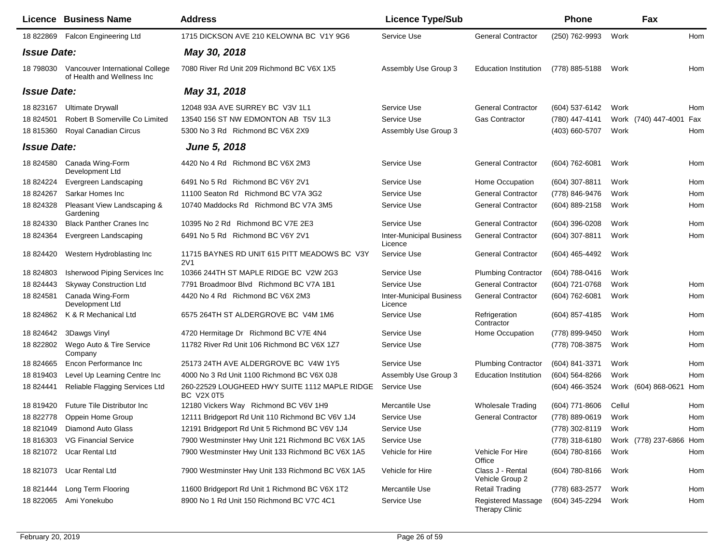|                    | Licence Business Name                                          | <b>Address</b>                                                     | <b>Licence Type/Sub</b>                    |                                             | <b>Phone</b>     |        | Fax                     |     |
|--------------------|----------------------------------------------------------------|--------------------------------------------------------------------|--------------------------------------------|---------------------------------------------|------------------|--------|-------------------------|-----|
| 18 822869          | <b>Falcon Engineering Ltd</b>                                  | 1715 DICKSON AVE 210 KELOWNA BC V1Y 9G6                            | Service Use                                | <b>General Contractor</b>                   | (250) 762-9993   | Work   |                         | Hom |
| <b>Issue Date:</b> |                                                                | May 30, 2018                                                       |                                            |                                             |                  |        |                         |     |
| 18 798030          | Vancouver International College<br>of Health and Wellness Inc. | 7080 River Rd Unit 209 Richmond BC V6X 1X5                         | Assembly Use Group 3                       | <b>Education Institution</b>                | (778) 885-5188   | Work   |                         | Hom |
| <b>Issue Date:</b> |                                                                | May 31, 2018                                                       |                                            |                                             |                  |        |                         |     |
| 18 823167          | <b>Ultimate Drywall</b>                                        | 12048 93A AVE SURREY BC V3V 1L1                                    | Service Use                                | <b>General Contractor</b>                   | (604) 537-6142   | Work   |                         | Hom |
| 18 824501          | Robert B Somerville Co Limited                                 | 13540 156 ST NW EDMONTON AB T5V 1L3                                | Service Use                                | Gas Contractor                              | (780) 447-4141   |        | Work (740) 447-4001     | Fax |
| 18 815360          | <b>Royal Canadian Circus</b>                                   | 5300 No 3 Rd Richmond BC V6X 2X9                                   | Assembly Use Group 3                       |                                             | (403) 660-5707   | Work   |                         | Hom |
| <b>Issue Date:</b> |                                                                | June 5, 2018                                                       |                                            |                                             |                  |        |                         |     |
| 18 824580          | Canada Wing-Form<br>Development Ltd                            | 4420 No 4 Rd Richmond BC V6X 2M3                                   | Service Use                                | <b>General Contractor</b>                   | (604) 762-6081   | Work   |                         | Hom |
| 18 824224          | Evergreen Landscaping                                          | 6491 No 5 Rd Richmond BC V6Y 2V1                                   | Service Use                                | Home Occupation                             | (604) 307-8811   | Work   |                         | Hom |
| 18 824267          | Sarkar Homes Inc                                               | 11100 Seaton Rd Richmond BC V7A 3G2                                | Service Use                                | <b>General Contractor</b>                   | (778) 846-9476   | Work   |                         | Hom |
| 18 824328          | Pleasant View Landscaping &<br>Gardening                       | 10740 Maddocks Rd Richmond BC V7A 3M5                              | Service Use                                | <b>General Contractor</b>                   | (604) 889-2158   | Work   |                         | Hom |
| 18 824330          | <b>Black Panther Cranes Inc.</b>                               | 10395 No 2 Rd Richmond BC V7E 2E3                                  | Service Use                                | <b>General Contractor</b>                   | (604) 396-0208   | Work   |                         | Hom |
| 18 824364          | Evergreen Landscaping                                          | 6491 No 5 Rd Richmond BC V6Y 2V1                                   | <b>Inter-Municipal Business</b><br>Licence | <b>General Contractor</b>                   | (604) 307-8811   | Work   |                         | Hom |
| 18 824420          | Western Hydroblasting Inc                                      | 11715 BAYNES RD UNIT 615 PITT MEADOWS BC V3Y<br>2V1                | Service Use                                | <b>General Contractor</b>                   | (604) 465-4492   | Work   |                         |     |
| 18 824803          | Isherwood Piping Services Inc                                  | 10366 244TH ST MAPLE RIDGE BC V2W 2G3                              | Service Use                                | <b>Plumbing Contractor</b>                  | (604) 788-0416   | Work   |                         |     |
| 18 824443          | <b>Skyway Construction Ltd</b>                                 | 7791 Broadmoor Blvd Richmond BC V7A 1B1                            | Service Use                                | <b>General Contractor</b>                   | (604) 721-0768   | Work   |                         | Hom |
| 18 824581          | Canada Wing-Form<br>Development Ltd                            | 4420 No 4 Rd Richmond BC V6X 2M3                                   | <b>Inter-Municipal Business</b><br>Licence | <b>General Contractor</b>                   | (604) 762-6081   | Work   |                         | Hom |
| 18 824862          | K & R Mechanical Ltd                                           | 6575 264TH ST ALDERGROVE BC V4M 1M6                                | Service Use                                | Refrigeration<br>Contractor                 | (604) 857-4185   | Work   |                         | Hom |
| 18 824642          | 3Dawgs Vinyl                                                   | 4720 Hermitage Dr Richmond BC V7E 4N4                              | Service Use                                | Home Occupation                             | (778) 899-9450   | Work   |                         | Hom |
| 18 822802          | Wego Auto & Tire Service<br>Company                            | 11782 River Rd Unit 106 Richmond BC V6X 1Z7                        | Service Use                                |                                             | (778) 708-3875   | Work   |                         | Hom |
| 18 824665          | Encon Performance Inc                                          | 25173 24TH AVE ALDERGROVE BC V4W 1Y5                               | Service Use                                | <b>Plumbing Contractor</b>                  | (604) 841-3371   | Work   |                         | Hom |
| 18 819403          | Level Up Learning Centre Inc                                   | 4000 No 3 Rd Unit 1100 Richmond BC V6X 0J8                         | Assembly Use Group 3                       | <b>Education Institution</b>                | $(604)$ 564-8266 | Work   |                         | Hom |
| 18 824441          | Reliable Flagging Services Ltd                                 | 260-22529 LOUGHEED HWY SUITE 1112 MAPLE RIDGE<br><b>BC V2X 0T5</b> | Service Use                                |                                             | (604) 466-3524   |        | Work (604) 868-0621     | Hom |
| 18 819420          | <b>Future Tile Distributor Inc.</b>                            | 12180 Vickers Way Richmond BC V6V 1H9                              | Mercantile Use                             | <b>Wholesale Trading</b>                    | (604) 771-8606   | Cellul |                         | Hom |
| 18 822778          | Oppein Home Group                                              | 12111 Bridgeport Rd Unit 110 Richmond BC V6V 1J4                   | Service Use                                | <b>General Contractor</b>                   | (778) 889-0619   | Work   |                         | Hom |
| 18 821049          | <b>Diamond Auto Glass</b>                                      | 12191 Bridgeport Rd Unit 5 Richmond BC V6V 1J4                     | Service Use                                |                                             | (778) 302-8119   | Work   |                         | Hom |
| 18 816303          | <b>VG Financial Service</b>                                    | 7900 Westminster Hwy Unit 121 Richmond BC V6X 1A5                  | Service Use                                |                                             | (778) 318-6180   |        | Work (778) 237-6866 Hom |     |
|                    | 18 821072 Ucar Rental Ltd                                      | 7900 Westminster Hwy Unit 133 Richmond BC V6X 1A5                  | Vehicle for Hire                           | Vehicle For Hire<br>Office                  | (604) 780-8166   | Work   |                         | Hom |
| 18 821073          | <b>Ucar Rental Ltd</b>                                         | 7900 Westminster Hwy Unit 133 Richmond BC V6X 1A5                  | Vehicle for Hire                           | Class J - Rental<br>Vehicle Group 2         | (604) 780-8166   | Work   |                         | Hom |
| 18 821444          | Long Term Flooring                                             | 11600 Bridgeport Rd Unit 1 Richmond BC V6X 1T2                     | Mercantile Use                             | <b>Retail Trading</b>                       | (778) 683-2577   | Work   |                         | Hom |
| 18 822065          | Ami Yonekubo                                                   | 8900 No 1 Rd Unit 150 Richmond BC V7C 4C1                          | Service Use                                | <b>Registered Massage</b><br>Therapy Clinic | (604) 345-2294   | Work   |                         | Hom |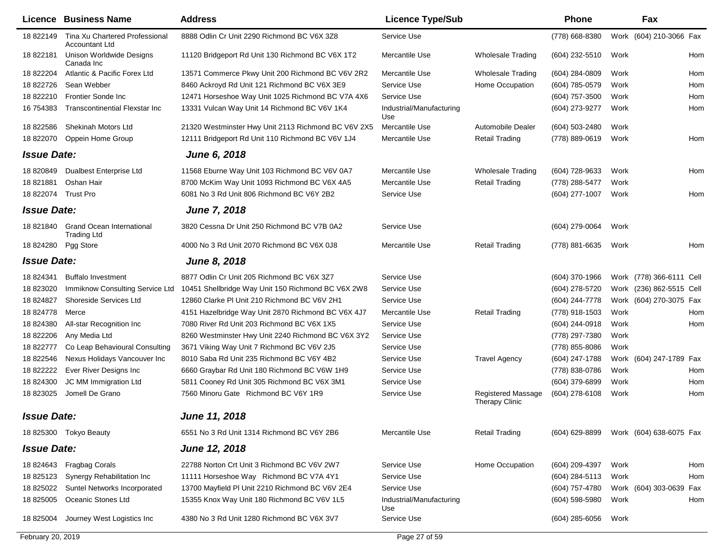|                    | Licence Business Name                                  | <b>Address</b>                                      | <b>Licence Type/Sub</b>         |                                             | <b>Phone</b>     |      | Fax                      |
|--------------------|--------------------------------------------------------|-----------------------------------------------------|---------------------------------|---------------------------------------------|------------------|------|--------------------------|
| 18 822149          | Tina Xu Chartered Professional<br>Accountant Ltd       | 8888 Odlin Cr Unit 2290 Richmond BC V6X 3Z8         | Service Use                     |                                             | (778) 668-8380   |      | Work (604) 210-3066 Fax  |
| 18 822181          | <b>Unison Worldwide Designs</b><br>Canada Inc          | 11120 Bridgeport Rd Unit 130 Richmond BC V6X 1T2    | Mercantile Use                  | <b>Wholesale Trading</b>                    | (604) 232-5510   | Work | Hom                      |
| 18 822204          | Atlantic & Pacific Forex Ltd                           | 13571 Commerce Pkwy Unit 200 Richmond BC V6V 2R2    | Mercantile Use                  | <b>Wholesale Trading</b>                    | (604) 284-0809   | Work | Hom                      |
| 18 822726          | Sean Webber                                            | 8460 Ackroyd Rd Unit 121 Richmond BC V6X 3E9        | Service Use                     | Home Occupation                             | (604) 785-0579   | Work | Hom                      |
| 18 822210          | Frontier Sonde Inc                                     | 12471 Horseshoe Way Unit 1025 Richmond BC V7A 4X6   | Service Use                     |                                             | (604) 757-3500   | Work | Hom                      |
| 16 754383          | Transcontinential Flexstar Inc                         | 13331 Vulcan Way Unit 14 Richmond BC V6V 1K4        | Industrial/Manufacturing<br>Use |                                             | (604) 273-9277   | Work | Hom                      |
| 18 822586          | Shekinah Motors Ltd                                    | 21320 Westminster Hwy Unit 2113 Richmond BC V6V 2X5 | Mercantile Use                  | Automobile Dealer                           | (604) 503-2480   | Work |                          |
| 18 822070          | Oppein Home Group                                      | 12111 Bridgeport Rd Unit 110 Richmond BC V6V 1J4    | Mercantile Use                  | <b>Retail Trading</b>                       | (778) 889-0619   | Work | Hom                      |
| <b>Issue Date:</b> |                                                        | June 6, 2018                                        |                                 |                                             |                  |      |                          |
| 18 820849          | Dualbest Enterprise Ltd                                | 11568 Eburne Way Unit 103 Richmond BC V6V 0A7       | Mercantile Use                  | <b>Wholesale Trading</b>                    | (604) 728-9633   | Work | Hom                      |
| 18821881           | Oshan Hair                                             | 8700 McKim Way Unit 1093 Richmond BC V6X 4A5        | Mercantile Use                  | <b>Retail Trading</b>                       | (778) 288-5477   | Work |                          |
| 18 822074          | <b>Trust Pro</b>                                       | 6081 No 3 Rd Unit 806 Richmond BC V6Y 2B2           | Service Use                     |                                             | (604) 277-1007   | Work | Hom                      |
| <b>Issue Date:</b> |                                                        | <b>June 7, 2018</b>                                 |                                 |                                             |                  |      |                          |
| 18 821840          | <b>Grand Ocean International</b><br><b>Trading Ltd</b> | 3820 Cessna Dr Unit 250 Richmond BC V7B 0A2         | Service Use                     |                                             | (604) 279-0064   | Work |                          |
| 18 824280          | Pgg Store                                              | 4000 No 3 Rd Unit 2070 Richmond BC V6X 0J8          | Mercantile Use                  | <b>Retail Trading</b>                       | (778) 881-6635   | Work | Hom                      |
| <b>Issue Date:</b> |                                                        | <b>June 8, 2018</b>                                 |                                 |                                             |                  |      |                          |
| 18 824341          | <b>Buffalo Investment</b>                              | 8877 Odlin Cr Unit 205 Richmond BC V6X 3Z7          | Service Use                     |                                             | (604) 370-1966   |      | Work (778) 366-6111 Cell |
| 18 823020          | Immiknow Consulting Service Ltd                        | 10451 Shellbridge Way Unit 150 Richmond BC V6X 2W8  | Service Use                     |                                             | (604) 278-5720   |      | Work (236) 862-5515 Cell |
| 18 824827          | Shoreside Services Ltd                                 | 12860 Clarke PI Unit 210 Richmond BC V6V 2H1        | Service Use                     |                                             | (604) 244-7778   |      | Work (604) 270-3075 Fax  |
| 18 824778          | Merce                                                  | 4151 Hazelbridge Way Unit 2870 Richmond BC V6X 4J7  | Mercantile Use                  | <b>Retail Trading</b>                       | (778) 918-1503   | Work | Hom                      |
| 18 824380          | All-star Recognition Inc                               | 7080 River Rd Unit 203 Richmond BC V6X 1X5          | Service Use                     |                                             | (604) 244-0918   | Work | Hom                      |
| 18 822206          | Any Media Ltd                                          | 8260 Westminster Hwy Unit 2240 Richmond BC V6X 3Y2  | Service Use                     |                                             | (778) 297-7380   | Work |                          |
| 18 822777          | Co Leap Behavioural Consulting                         | 3671 Viking Way Unit 7 Richmond BC V6V 2J5          | Service Use                     |                                             | (778) 855-8086   | Work |                          |
| 18 822546          | Nexus Holidays Vancouver Inc                           | 8010 Saba Rd Unit 235 Richmond BC V6Y 4B2           | Service Use                     | <b>Travel Agency</b>                        | (604) 247-1788   |      | Work (604) 247-1789 Fax  |
| 18 822222          | Ever River Designs Inc                                 | 6660 Graybar Rd Unit 180 Richmond BC V6W 1H9        | Service Use                     |                                             | (778) 838-0786   | Work | Hom                      |
| 18 824300          | JC MM Immigration Ltd                                  | 5811 Cooney Rd Unit 305 Richmond BC V6X 3M1         | Service Use                     |                                             | (604) 379-6899   | Work | Hom                      |
| 18 823025          | Jomell De Grano                                        | 7560 Minoru Gate Richmond BC V6Y 1R9                | Service Use                     | Registered Massage<br><b>Therapy Clinic</b> | (604) 278-6108   | Work | Hom                      |
| <b>Issue Date:</b> |                                                        | June 11, 2018                                       |                                 |                                             |                  |      |                          |
|                    | 18 825300 Tokyo Beauty                                 | 6551 No 3 Rd Unit 1314 Richmond BC V6Y 2B6          | Mercantile Use                  | <b>Retail Trading</b>                       | (604) 629-8899   |      | Work (604) 638-6075 Fax  |
| <b>Issue Date:</b> |                                                        | <b>June 12, 2018</b>                                |                                 |                                             |                  |      |                          |
|                    | 18 824643 Fragbag Corals                               | 22788 Norton Crt Unit 3 Richmond BC V6V 2W7         | Service Use                     | Home Occupation                             | (604) 209-4397   | Work | Hom                      |
| 18 825123          | Synergy Rehabilitation Inc                             | 11111 Horseshoe Way Richmond BC V7A 4Y1             | Service Use                     |                                             | (604) 284-5113   | Work | Hom                      |
| 18 825022          | Suntel Networks Incorporated                           | 13700 Mayfield PI Unit 2210 Richmond BC V6V 2E4     | Service Use                     |                                             | (604) 757-4780   |      | Work (604) 303-0639 Fax  |
| 18 825005          | Oceanic Stones Ltd                                     | 15355 Knox Way Unit 180 Richmond BC V6V 1L5         | Industrial/Manufacturing<br>Use |                                             | $(604)$ 598-5980 | Work | Hom                      |
| 18 825004          | Journey West Logistics Inc                             | 4380 No 3 Rd Unit 1280 Richmond BC V6X 3V7          | Service Use                     |                                             | $(604)$ 285-6056 | Work |                          |
| February 20, 2019  |                                                        |                                                     | Page 27 of 59                   |                                             |                  |      |                          |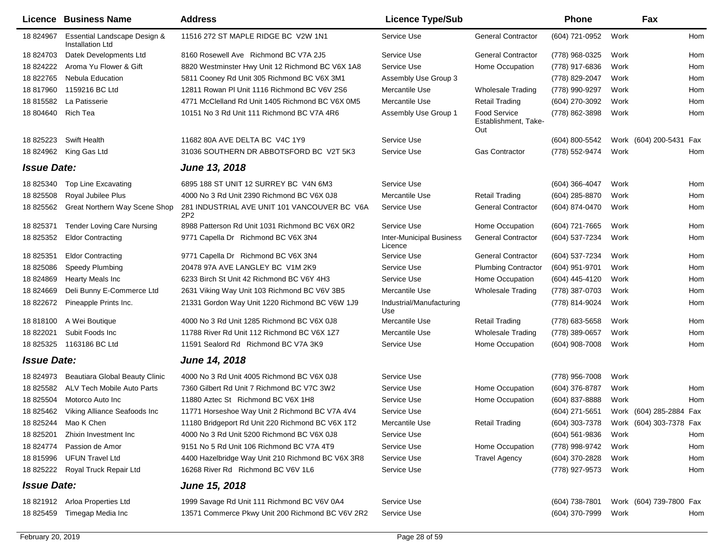|                           | <b>Licence Business Name</b>                     | <b>Address</b>                                                  | <b>Licence Type/Sub</b>                    |                                             | <b>Phone</b>     |      | Fax                     |     |
|---------------------------|--------------------------------------------------|-----------------------------------------------------------------|--------------------------------------------|---------------------------------------------|------------------|------|-------------------------|-----|
| 18 824967                 | Essential Landscape Design &<br>Installation Ltd | 11516 272 ST MAPLE RIDGE BC V2W 1N1                             | Service Use                                | <b>General Contractor</b>                   | (604) 721-0952   | Work |                         | Hom |
| 18 824703                 | Datek Developments Ltd                           | 8160 Rosewell Ave Richmond BC V7A 2J5                           | Service Use                                | <b>General Contractor</b>                   | (778) 968-0325   | Work |                         | Hom |
| 18 824222                 | Aroma Yu Flower & Gift                           | 8820 Westminster Hwy Unit 12 Richmond BC V6X 1A8                | Service Use                                | Home Occupation                             | (778) 917-6836   | Work |                         | Hom |
| 18 822765                 | <b>Nebula Education</b>                          | 5811 Cooney Rd Unit 305 Richmond BC V6X 3M1                     | Assembly Use Group 3                       |                                             | (778) 829-2047   | Work |                         | Hom |
| 18 817960                 | 1159216 BC Ltd                                   | 12811 Rowan PI Unit 1116 Richmond BC V6V 2S6                    | Mercantile Use                             | <b>Wholesale Trading</b>                    | (778) 990-9297   | Work |                         | Hom |
| 18 815582                 | La Patisserie                                    | 4771 McClelland Rd Unit 1405 Richmond BC V6X 0M5                | Mercantile Use                             | <b>Retail Trading</b>                       | (604) 270-3092   | Work |                         | Hom |
| 18 804640                 | <b>Rich Tea</b>                                  | 10151 No 3 Rd Unit 111 Richmond BC V7A 4R6                      | Assembly Use Group 1                       | Food Service<br>Establishment, Take-<br>Out | (778) 862-3898   | Work |                         | Hom |
| 18 825223                 | <b>Swift Health</b>                              | 11682 80A AVE DELTA BC V4C 1Y9                                  | Service Use                                |                                             | (604) 800-5542   |      | Work (604) 200-5431 Fax |     |
| 18 824962                 | King Gas Ltd                                     | 31036 SOUTHERN DR ABBOTSFORD BC V2T 5K3                         | Service Use                                | <b>Gas Contractor</b>                       | (778) 552-9474   | Work |                         | Hom |
| <i><b>Issue Date:</b></i> |                                                  | June 13, 2018                                                   |                                            |                                             |                  |      |                         |     |
| 18 825340                 | Top Line Excavating                              | 6895 188 ST UNIT 12 SURREY BC V4N 6M3                           | Service Use                                |                                             | (604) 366-4047   | Work |                         | Hom |
| 18 825508                 | Royal Jubilee Plus                               | 4000 No 3 Rd Unit 2390 Richmond BC V6X 0J8                      | Mercantile Use                             | <b>Retail Trading</b>                       | (604) 285-8870   | Work |                         | Hom |
| 18 825562                 | Great Northern Way Scene Shop                    | 281 INDUSTRIAL AVE UNIT 101 VANCOUVER BC V6A<br>2P <sub>2</sub> | Service Use                                | <b>General Contractor</b>                   | (604) 874-0470   | Work |                         | Hom |
| 18 825371                 | <b>Tender Loving Care Nursing</b>                | 8988 Patterson Rd Unit 1031 Richmond BC V6X 0R2                 | Service Use                                | Home Occupation                             | (604) 721-7665   | Work |                         | Hom |
| 18 825352                 | <b>Eldor Contracting</b>                         | 9771 Capella Dr Richmond BC V6X 3N4                             | <b>Inter-Municipal Business</b><br>Licence | <b>General Contractor</b>                   | (604) 537-7234   | Work |                         | Hom |
| 18 825351                 | <b>Eldor Contracting</b>                         | 9771 Capella Dr Richmond BC V6X 3N4                             | Service Use                                | <b>General Contractor</b>                   | (604) 537-7234   | Work |                         | Hom |
| 18 825086                 | <b>Speedy Plumbing</b>                           | 20478 97A AVE LANGLEY BC V1M 2K9                                | Service Use                                | <b>Plumbing Contractor</b>                  | (604) 951-9701   | Work |                         | Hom |
| 18 824869                 | <b>Hearty Meals Inc</b>                          | 6233 Birch St Unit 42 Richmond BC V6Y 4H3                       | Service Use                                | Home Occupation                             | (604) 445-4120   | Work |                         | Hom |
| 18 824669                 | Deli Bunny E-Commerce Ltd                        | 2631 Viking Way Unit 103 Richmond BC V6V 3B5                    | Mercantile Use                             | <b>Wholesale Trading</b>                    | (778) 387-0703   | Work |                         | Hom |
| 18 822672                 | Pineapple Prints Inc.                            | 21331 Gordon Way Unit 1220 Richmond BC V6W 1J9                  | Industrial/Manufacturing<br>Use            |                                             | (778) 814-9024   | Work |                         | Hom |
| 18 818100                 | A Wei Boutique                                   | 4000 No 3 Rd Unit 1285 Richmond BC V6X 0J8                      | Mercantile Use                             | <b>Retail Trading</b>                       | (778) 683-5658   | Work |                         | Hom |
| 18 822021                 | Subit Foods Inc                                  | 11788 River Rd Unit 112 Richmond BC V6X 1Z7                     | Mercantile Use                             | <b>Wholesale Trading</b>                    | (778) 389-0657   | Work |                         | Hom |
| 18 825325                 | 1163186 BC Ltd                                   | 11591 Sealord Rd Richmond BC V7A 3K9                            | Service Use                                | Home Occupation                             | (604) 908-7008   | Work |                         | Hom |
| <b>Issue Date:</b>        |                                                  | <b>June 14, 2018</b>                                            |                                            |                                             |                  |      |                         |     |
| 18 824973                 | Beautiara Global Beauty Clinic                   | 4000 No 3 Rd Unit 4005 Richmond BC V6X 0J8                      | Service Use                                |                                             | (778) 956-7008   | Work |                         |     |
| 18 825582                 | ALV Tech Mobile Auto Parts                       | 7360 Gilbert Rd Unit 7 Richmond BC V7C 3W2                      | Service Use                                | Home Occupation                             | (604) 376-8787   | Work |                         | Hom |
| 18 825504                 | Motorco Auto Inc                                 | 11880 Aztec St Richmond BC V6X 1H8                              | Service Use                                | Home Occupation                             | (604) 837-8888   | Work |                         | Hom |
| 18 825462                 | Viking Alliance Seafoods Inc                     | 11771 Horseshoe Way Unit 2 Richmond BC V7A 4V4                  | Service Use                                |                                             | (604) 271-5651   |      | Work (604) 285-2884 Fax |     |
|                           | 18 825244 Mao K Chen                             | 11180 Bridgeport Rd Unit 220 Richmond BC V6X 1T2                | Mercantile Use                             | Retail Trading                              | (604) 303-7378   |      | Work (604) 303-7378 Fax |     |
| 18 825201                 | Zhixin Investment Inc                            | 4000 No 3 Rd Unit 5200 Richmond BC V6X 0J8                      | Service Use                                |                                             | $(604)$ 561-9836 | Work |                         | Hom |
| 18 824774                 | Passion de Amor                                  | 9151 No 5 Rd Unit 106 Richmond BC V7A 4T9                       | Service Use                                | Home Occupation                             | (778) 998-9742   | Work |                         | Hom |
| 18 815996                 | <b>UFUN Travel Ltd</b>                           | 4400 Hazelbridge Way Unit 210 Richmond BC V6X 3R8               | Service Use                                | <b>Travel Agency</b>                        | (604) 370-2828   | Work |                         | Hom |
|                           | 18 825222 Royal Truck Repair Ltd                 | 16268 River Rd Richmond BC V6V 1L6                              | Service Use                                |                                             | (778) 927-9573   | Work |                         | Hom |
| <b>Issue Date:</b>        |                                                  | June 15, 2018                                                   |                                            |                                             |                  |      |                         |     |
|                           | 18 821912 Arloa Properties Ltd                   | 1999 Savage Rd Unit 111 Richmond BC V6V 0A4                     | Service Use                                |                                             | (604) 738-7801   |      | Work (604) 739-7800 Fax |     |
| 18 825459                 | Timegap Media Inc                                | 13571 Commerce Pkwy Unit 200 Richmond BC V6V 2R2                | Service Use                                |                                             | (604) 370-7999   | Work |                         | Hom |
|                           |                                                  |                                                                 |                                            |                                             |                  |      |                         |     |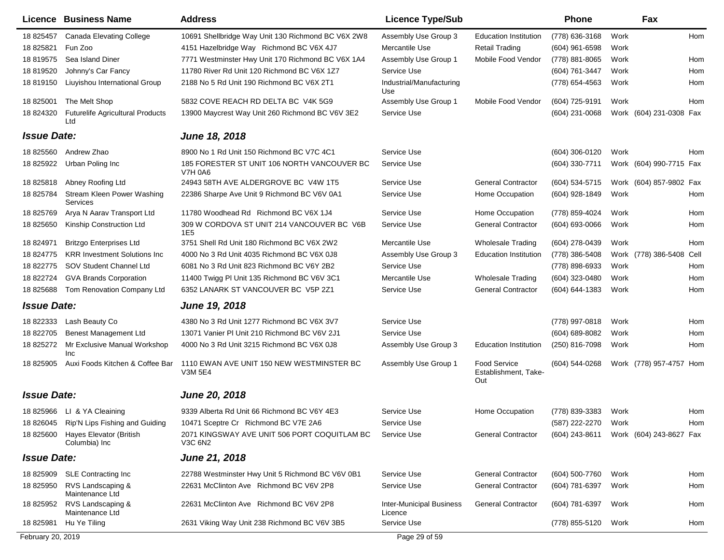|                    | <b>Licence Business Name</b>                   | <b>Address</b>                                                | <b>Licence Type/Sub</b>                    |                                                    | <b>Phone</b>        |      | Fax                     |      |
|--------------------|------------------------------------------------|---------------------------------------------------------------|--------------------------------------------|----------------------------------------------------|---------------------|------|-------------------------|------|
| 18 825457          | <b>Canada Elevating College</b>                | 10691 Shellbridge Way Unit 130 Richmond BC V6X 2W8            | Assembly Use Group 3                       | <b>Education Institution</b>                       | (778) 636-3168      | Work |                         | Hom  |
| 18 825821          | Fun Zoo                                        | 4151 Hazelbridge Way Richmond BC V6X 4J7                      | Mercantile Use                             | <b>Retail Trading</b>                              | $(604)$ 961-6598    | Work |                         |      |
| 18 819575          | Sea Island Diner                               | 7771 Westminster Hwy Unit 170 Richmond BC V6X 1A4             | Assembly Use Group 1                       | Mobile Food Vendor                                 | (778) 881-8065      | Work |                         | Hom  |
| 18 819520          | Johnny's Car Fancy                             | 11780 River Rd Unit 120 Richmond BC V6X 1Z7                   | Service Use                                |                                                    | (604) 761-3447      | Work |                         | Hom  |
| 18 819150          | Liuyishou International Group                  | 2188 No 5 Rd Unit 190 Richmond BC V6X 2T1                     | Industrial/Manufacturing<br>Use            |                                                    | (778) 654-4563      | Work |                         | Hom  |
| 18 825001          | The Melt Shop                                  | 5832 COVE REACH RD DELTA BC V4K 5G9                           | Assembly Use Group 1                       | Mobile Food Vendor                                 | (604) 725-9191      | Work |                         | Hom  |
| 18 824320          | <b>Futurelife Agricultural Products</b><br>Ltd | 13900 Maycrest Way Unit 260 Richmond BC V6V 3E2               | Service Use                                |                                                    | (604) 231-0068      |      | Work (604) 231-0308 Fax |      |
| <b>Issue Date:</b> |                                                | June 18, 2018                                                 |                                            |                                                    |                     |      |                         |      |
| 18 825560          | Andrew Zhao                                    | 8900 No 1 Rd Unit 150 Richmond BC V7C 4C1                     | Service Use                                |                                                    | (604) 306-0120      | Work |                         | Hom  |
| 18 825922          | Urban Poling Inc                               | 185 FORESTER ST UNIT 106 NORTH VANCOUVER BC<br><b>V7H 0A6</b> | Service Use                                |                                                    | $(604)$ 330-7711    |      | Work (604) 990-7715 Fax |      |
| 18825818           | Abney Roofing Ltd                              | 24943 58TH AVE ALDERGROVE BC V4W 1T5                          | Service Use                                | <b>General Contractor</b>                          | (604) 534-5715      |      | Work (604) 857-9802 Fax |      |
| 18 825784          | Stream Kleen Power Washing<br>Services         | 22386 Sharpe Ave Unit 9 Richmond BC V6V 0A1                   | Service Use                                | Home Occupation                                    | (604) 928-1849      | Work |                         | Hom  |
| 18 825769          | Arya N Aarav Transport Ltd                     | 11780 Woodhead Rd Richmond BC V6X 1J4                         | Service Use                                | Home Occupation                                    | (778) 859-4024      | Work |                         | Hom  |
| 18 825650          | Kinship Construction Ltd                       | 309 W CORDOVA ST UNIT 214 VANCOUVER BC V6B<br>1E <sub>5</sub> | Service Use                                | <b>General Contractor</b>                          | (604) 693-0066      | Work |                         | Hom  |
| 18 824971          | <b>Britzgo Enterprises Ltd</b>                 | 3751 Shell Rd Unit 180 Richmond BC V6X 2W2                    | Mercantile Use                             | Wholesale Trading                                  | (604) 278-0439      | Work |                         | Hom  |
| 18 824775          | <b>KRR Investment Solutions Inc.</b>           | 4000 No 3 Rd Unit 4035 Richmond BC V6X 0J8                    | Assembly Use Group 3                       | <b>Education Institution</b>                       | (778) 386-5408      |      | Work (778) 386-5408     | Cell |
| 18 822775          | SOV Student Channel Ltd                        | 6081 No 3 Rd Unit 823 Richmond BC V6Y 2B2                     | Service Use                                |                                                    | (778) 898-6933      | Work |                         | Hom  |
| 18 822724          | <b>GVA Brands Corporation</b>                  | 11400 Twigg PI Unit 135 Richmond BC V6V 3C1                   | Mercantile Use                             | <b>Wholesale Trading</b>                           | (604) 323-0480      | Work |                         | Hom  |
| 18 825688          | Tom Renovation Company Ltd                     | 6352 LANARK ST VANCOUVER BC V5P 2Z1                           | Service Use                                | <b>General Contractor</b>                          | (604) 644-1383      | Work |                         | Hom  |
| <b>Issue Date:</b> |                                                | <b>June 19, 2018</b>                                          |                                            |                                                    |                     |      |                         |      |
| 18 822333          | Lash Beauty Co                                 | 4380 No 3 Rd Unit 1277 Richmond BC V6X 3V7                    | Service Use                                |                                                    | (778) 997-0818      | Work |                         | Hom  |
| 18 822705          | <b>Benest Management Ltd</b>                   | 13071 Vanier PI Unit 210 Richmond BC V6V 2J1                  | Service Use                                |                                                    | (604) 689-8082      | Work |                         | Hom  |
| 18 825272          | Mr Exclusive Manual Workshop<br>Inc            | 4000 No 3 Rd Unit 3215 Richmond BC V6X 0J8                    | Assembly Use Group 3                       | <b>Education Institution</b>                       | (250) 816-7098      | Work |                         | Hom  |
| 18 825905          | Auxi Foods Kitchen & Coffee Bar                | 1110 EWAN AVE UNIT 150 NEW WESTMINSTER BC<br><b>V3M 5E4</b>   | Assembly Use Group 1                       | <b>Food Service</b><br>Establishment, Take-<br>Out | (604) 544-0268      |      | Work (778) 957-4757 Hom |      |
| <b>Issue Date:</b> |                                                | <b>June 20, 2018</b>                                          |                                            |                                                    |                     |      |                         |      |
|                    | 18 825966 LI & YA Cleaining                    | 9339 Alberta Rd Unit 66 Richmond BC V6Y 4E3                   | Service Use                                | Home Occupation                                    | (778) 839-3383 Work |      |                         | Hom  |
| 18 826045          | Rip'N Lips Fishing and Guiding                 | 10471 Sceptre Cr Richmond BC V7E 2A6                          | Service Use                                |                                                    | (587) 222-2270      | Work |                         | Hom  |
| 18 825600          | Hayes Elevator (British<br>Columbia) Inc       | 2071 KINGSWAY AVE UNIT 506 PORT COQUITLAM BC<br>V3C 6N2       | Service Use                                | <b>General Contractor</b>                          | (604) 243-8611      |      | Work (604) 243-8627 Fax |      |
| <b>Issue Date:</b> |                                                | June 21, 2018                                                 |                                            |                                                    |                     |      |                         |      |
|                    | 18 825909 SLE Contracting Inc                  | 22788 Westminster Hwy Unit 5 Richmond BC V6V 0B1              | Service Use                                | <b>General Contractor</b>                          | (604) 500-7760      | Work |                         | Hom  |
| 18 825950          | RVS Landscaping &<br>Maintenance Ltd           | 22631 McClinton Ave Richmond BC V6V 2P8                       | Service Use                                | <b>General Contractor</b>                          | (604) 781-6397      | Work |                         | Hom  |
| 18 825952          | RVS Landscaping &<br>Maintenance Ltd           | 22631 McClinton Ave Richmond BC V6V 2P8                       | <b>Inter-Municipal Business</b><br>Licence | <b>General Contractor</b>                          | (604) 781-6397      | Work |                         | Hom  |
| 18 825981          | Hu Ye Tiling                                   | 2631 Viking Way Unit 238 Richmond BC V6V 3B5                  | Service Use                                |                                                    | (778) 855-5120      | Work |                         | Hom  |
| February 20, 2019  |                                                |                                                               | Page 29 of 59                              |                                                    |                     |      |                         |      |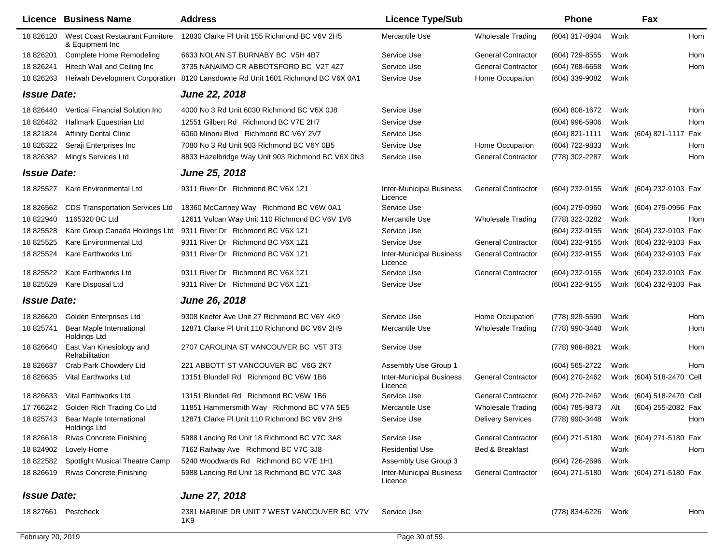|                    | Licence Business Name                              | <b>Address</b>                                     | <b>Licence Type/Sub</b>                    |                           | <b>Phone</b>     |      | Fax                      |     |
|--------------------|----------------------------------------------------|----------------------------------------------------|--------------------------------------------|---------------------------|------------------|------|--------------------------|-----|
| 18 826120          | West Coast Restaurant Furniture<br>& Equipment Inc | 12830 Clarke PI Unit 155 Richmond BC V6V 2H5       | Mercantile Use                             | <b>Wholesale Trading</b>  | (604) 317-0904   | Work |                          | Hom |
| 18 826201          | Complete Home Remodeling                           | 6633 NOLAN ST BURNABY BC V5H 4B7                   | Service Use                                | <b>General Contractor</b> | (604) 729-8555   | Work |                          | Hom |
| 18 826241          | Hitech Wall and Ceiling Inc                        | 3735 NANAIMO CR ABBOTSFORD BC V2T 4Z7              | Service Use                                | <b>General Contractor</b> | (604) 768-6658   | Work |                          | Hom |
| 18 826263          | <b>Heiwah Development Corporation</b>              | 8120 Lansdowne Rd Unit 1601 Richmond BC V6X 0A1    | Service Use                                | Home Occupation           | (604) 339-9082   | Work |                          |     |
| <b>Issue Date:</b> |                                                    | <b>June 22, 2018</b>                               |                                            |                           |                  |      |                          |     |
| 18 826440          | Vertical Financial Solution Inc                    | 4000 No 3 Rd Unit 6030 Richmond BC V6X 0J8         | Service Use                                |                           | $(604)$ 808-1672 | Work |                          | Hom |
| 18 826482          | Hallmark Equestrian Ltd                            | 12551 Gilbert Rd Richmond BC V7E 2H7               | Service Use                                |                           | (604) 996-5906   | Work |                          | Hom |
| 18 821824          | <b>Affinity Dental Clinic</b>                      | 6060 Minoru Blvd Richmond BC V6Y 2V7               | Service Use                                |                           | (604) 821-1111   |      | Work (604) 821-1117 Fax  |     |
| 18 826322          | Seraji Enterprises Inc                             | 7080 No 3 Rd Unit 903 Richmond BC V6Y 0B5          | Service Use                                | Home Occupation           | (604) 722-9833   | Work |                          | Hom |
| 18 826382          | Ming's Services Ltd                                | 8833 Hazelbridge Way Unit 903 Richmond BC V6X 0N3  | Service Use                                | <b>General Contractor</b> | (778) 302-2287   | Work |                          | Hom |
| <b>Issue Date:</b> |                                                    | <b>June 25, 2018</b>                               |                                            |                           |                  |      |                          |     |
| 18 825527          | Kare Environmental Ltd                             | 9311 River Dr Richmond BC V6X 1Z1                  | <b>Inter-Municipal Business</b><br>Licence | <b>General Contractor</b> | (604) 232-9155   |      | Work (604) 232-9103 Fax  |     |
| 18 826562          | <b>CDS Transportation Services Ltd</b>             | 18360 McCartney Way Richmond BC V6W 0A1            | Service Use                                |                           | (604) 279-0960   |      | Work (604) 279-0956 Fax  |     |
| 18 822940          | 1165320 BC Ltd                                     | 12611 Vulcan Way Unit 110 Richmond BC V6V 1V6      | Mercantile Use                             | <b>Wholesale Trading</b>  | (778) 322-3282   | Work |                          | Hom |
| 18 825528          | Kare Group Canada Holdings Ltd                     | 9311 River Dr Richmond BC V6X 1Z1                  | Service Use                                |                           | (604) 232-9155   |      | Work (604) 232-9103 Fax  |     |
| 18 825525          | Kare Environmental Ltd                             | 9311 River Dr Richmond BC V6X 1Z1                  | Service Use                                | <b>General Contractor</b> | (604) 232-9155   |      | Work (604) 232-9103 Fax  |     |
| 18 825524          | Kare Earthworks Ltd                                | 9311 River Dr Richmond BC V6X 1Z1                  | <b>Inter-Municipal Business</b><br>Licence | <b>General Contractor</b> | (604) 232-9155   |      | Work (604) 232-9103 Fax  |     |
| 18 825522          | Kare Earthworks Ltd                                | 9311 River Dr Richmond BC V6X 1Z1                  | Service Use                                | <b>General Contractor</b> | (604) 232-9155   |      | Work (604) 232-9103 Fax  |     |
| 18 825529          | Kare Disposal Ltd                                  | 9311 River Dr Richmond BC V6X 1Z1                  | Service Use                                |                           | (604) 232-9155   |      | Work (604) 232-9103 Fax  |     |
| <b>Issue Date:</b> |                                                    | <b>June 26, 2018</b>                               |                                            |                           |                  |      |                          |     |
| 18 826620          | Golden Enterprises Ltd                             | 9308 Keefer Ave Unit 27 Richmond BC V6Y 4K9        | Service Use                                | Home Occupation           | (778) 929-5590   | Work |                          | Hom |
| 18 825741          | Bear Maple International<br>Holdings Ltd           | 12871 Clarke PI Unit 110 Richmond BC V6V 2H9       | Mercantile Use                             | <b>Wholesale Trading</b>  | (778) 990-3448   | Work |                          | Hom |
| 18 826640          | East Van Kinesiology and<br>Rehabilitation         | 2707 CAROLINA ST VANCOUVER BC V5T 3T3              | Service Use                                |                           | (778) 988-8821   | Work |                          | Hom |
| 18 826637          | Crab Park Chowdery Ltd                             | 221 ABBOTT ST VANCOUVER BC V6G 2K7                 | Assembly Use Group 1                       |                           | (604) 565-2722   | Work |                          | Hom |
| 18 826635          | Vital Earthworks Ltd                               | 13151 Blundell Rd Richmond BC V6W 1B6              | <b>Inter-Municipal Business</b><br>Licence | <b>General Contractor</b> | (604) 270-2462   |      | Work (604) 518-2470 Cell |     |
| 18 826633          | Vital Earthworks Ltd                               | 13151 Blundell Rd Richmond BC V6W 1B6              | Service Use                                | <b>General Contractor</b> | (604) 270-2462   |      | Work (604) 518-2470 Cell |     |
| 17 766242          | Golden Rich Trading Co Ltd                         | 11851 Hammersmith Way Richmond BC V7A 5E5          | Mercantile Use                             | <b>Wholesale Trading</b>  | (604) 785-9873   | Alt  | (604) 255-2082 Fax       |     |
| 18 825743          | <b>Bear Maple International</b><br>Holdings Ltd    | 12871 Clarke PI Unit 110 Richmond BC V6V 2H9       | Service Use                                | <b>Delivery Services</b>  | (778) 990-3448   | Work |                          | Hom |
| 18 826618          | <b>Rivas Concrete Finishing</b>                    | 5988 Lancing Rd Unit 18 Richmond BC V7C 3A8        | Service Use                                | <b>General Contractor</b> | (604) 271-5180   |      | Work (604) 271-5180 Fax  |     |
| 18 824902          | Lovely Home                                        | 7162 Railway Ave Richmond BC V7C 3J8               | <b>Residential Use</b>                     | Bed & Breakfast           |                  | Work |                          | Hom |
| 18 822582          | Spotlight Musical Theatre Camp                     | 5240 Woodwards Rd Richmond BC V7E 1H1              | Assembly Use Group 3                       |                           | (604) 726-2696   | Work |                          |     |
| 18 826619          | <b>Rivas Concrete Finishing</b>                    | 5988 Lancing Rd Unit 18 Richmond BC V7C 3A8        | <b>Inter-Municipal Business</b><br>Licence | <b>General Contractor</b> | (604) 271-5180   |      | Work (604) 271-5180 Fax  |     |
| <b>Issue Date:</b> |                                                    | June 27, 2018                                      |                                            |                           |                  |      |                          |     |
| 18 827661          | Pestcheck                                          | 2381 MARINE DR UNIT 7 WEST VANCOUVER BC V7V<br>1K9 | Service Use                                |                           | (778) 834-6226   | Work |                          | Hom |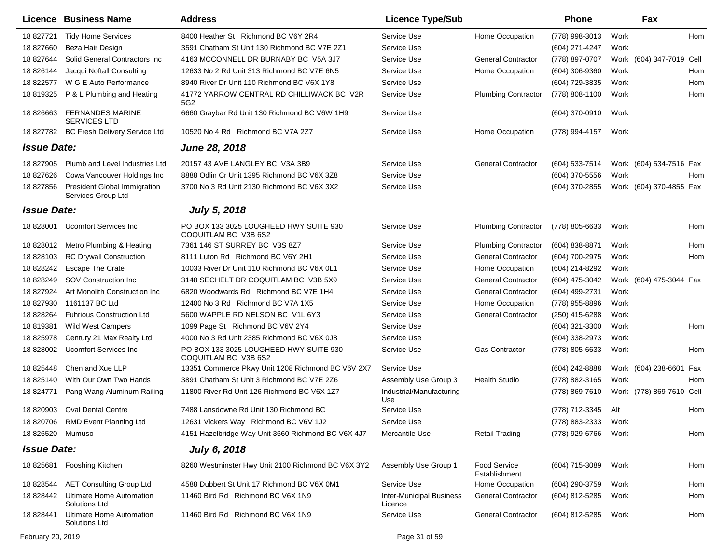|                    | Licence Business Name                                     | <b>Address</b>                                                 | <b>Licence Type/Sub</b>                    |                                      | Phone               |      | Fax                      |     |
|--------------------|-----------------------------------------------------------|----------------------------------------------------------------|--------------------------------------------|--------------------------------------|---------------------|------|--------------------------|-----|
| 18 827721          | <b>Tidy Home Services</b>                                 | 8400 Heather St Richmond BC V6Y 2R4                            | Service Use                                | Home Occupation                      | (778) 998-3013      | Work |                          | Hom |
| 18 827660          | Beza Hair Design                                          | 3591 Chatham St Unit 130 Richmond BC V7E 2Z1                   | Service Use                                |                                      | (604) 271-4247      | Work |                          |     |
| 18 827644          | Solid General Contractors Inc                             | 4163 MCCONNELL DR BURNABY BC V5A 3J7                           | Service Use                                | <b>General Contractor</b>            | (778) 897-0707      |      | Work (604) 347-7019 Cell |     |
| 18 826144          | Jacqui Noftall Consulting                                 | 12633 No 2 Rd Unit 313 Richmond BC V7E 6N5                     | Service Use                                | Home Occupation                      | (604) 306-9360      | Work |                          | Hom |
| 18 822577          | W G E Auto Performance                                    | 8940 River Dr Unit 110 Richmond BC V6X 1Y8                     | Service Use                                |                                      | (604) 729-3835      | Work |                          | Hom |
| 18 819325          | P & L Plumbing and Heating                                | 41772 YARROW CENTRAL RD CHILLIWACK BC V2R<br>5G2               | Service Use                                | <b>Plumbing Contractor</b>           | (778) 808-1100      | Work |                          | Hom |
| 18 826663          | <b>FERNANDES MARINE</b><br><b>SERVICES LTD</b>            | 6660 Graybar Rd Unit 130 Richmond BC V6W 1H9                   | Service Use                                |                                      | (604) 370-0910      | Work |                          |     |
| 18 827782          | <b>BC Fresh Delivery Service Ltd</b>                      | 10520 No 4 Rd Richmond BC V7A 2Z7                              | Service Use                                | Home Occupation                      | (778) 994-4157      | Work |                          |     |
| <b>Issue Date:</b> |                                                           | June 28, 2018                                                  |                                            |                                      |                     |      |                          |     |
| 18 827905          | Plumb and Level Industries Ltd                            | 20157 43 AVE LANGLEY BC V3A 3B9                                | Service Use                                | <b>General Contractor</b>            | (604) 533-7514      |      | Work (604) 534-7516 Fax  |     |
| 18 827626          | Cowa Vancouver Holdings Inc                               | 8888 Odlin Cr Unit 1395 Richmond BC V6X 3Z8                    | Service Use                                |                                      | (604) 370-5556      | Work |                          | Hom |
| 18 827856          | <b>President Global Immigration</b><br>Services Group Ltd | 3700 No 3 Rd Unit 2130 Richmond BC V6X 3X2                     | Service Use                                |                                      | (604) 370-2855      |      | Work (604) 370-4855 Fax  |     |
| <b>Issue Date:</b> |                                                           | <b>July 5, 2018</b>                                            |                                            |                                      |                     |      |                          |     |
| 18 828001          | <b>Ucomfort Services Inc.</b>                             | PO BOX 133 3025 LOUGHEED HWY SUITE 930<br>COQUITLAM BC V3B 6S2 | Service Use                                | <b>Plumbing Contractor</b>           | (778) 805-6633      | Work |                          | Hom |
| 18 828012          | Metro Plumbing & Heating                                  | 7361 146 ST SURREY BC V3S 8Z7                                  | Service Use                                | <b>Plumbing Contractor</b>           | (604) 838-8871      | Work |                          | Hom |
| 18 828103          | <b>RC Drywall Construction</b>                            | 8111 Luton Rd Richmond BC V6Y 2H1                              | Service Use                                | <b>General Contractor</b>            | (604) 700-2975      | Work |                          | Hom |
| 18 828242          | <b>Escape The Crate</b>                                   | 10033 River Dr Unit 110 Richmond BC V6X 0L1                    | Service Use                                | Home Occupation                      | (604) 214-8292      | Work |                          |     |
| 18 828249          | SOV Construction Inc.                                     | 3148 SECHELT DR COQUITLAM BC V3B 5X9                           | Service Use                                | <b>General Contractor</b>            | (604) 475-3042      |      | Work (604) 475-3044 Fax  |     |
| 18 827924          | Art Monolith Construction Inc                             | 6820 Woodwards Rd Richmond BC V7E 1H4                          | Service Use                                | <b>General Contractor</b>            | (604) 499-2731      | Work |                          |     |
| 18 827930          | 1161137 BC Ltd                                            | 12400 No 3 Rd Richmond BC V7A 1X5                              | Service Use                                | Home Occupation                      | (778) 955-8896      | Work |                          |     |
| 18 828264          | <b>Fuhrious Construction Ltd</b>                          | 5600 WAPPLE RD NELSON BC V1L 6Y3                               | Service Use                                | <b>General Contractor</b>            | (250) 415-6288      | Work |                          |     |
| 18 819381          | <b>Wild West Campers</b>                                  | 1099 Page St Richmond BC V6V 2Y4                               | Service Use                                |                                      | $(604)$ 321-3300    | Work |                          | Hom |
| 18 825978          | Century 21 Max Realty Ltd                                 | 4000 No 3 Rd Unit 2385 Richmond BC V6X 0J8                     | Service Use                                |                                      | $(604)$ 338-2973    | Work |                          |     |
| 18 828002          | <b>Ucomfort Services Inc.</b>                             | PO BOX 133 3025 LOUGHEED HWY SUITE 930<br>COQUITLAM BC V3B 6S2 | Service Use                                | <b>Gas Contractor</b>                | (778) 805-6633      | Work |                          | Hom |
| 18 825448          | Chen and Xue LLP                                          | 13351 Commerce Pkwy Unit 1208 Richmond BC V6V 2X7              | Service Use                                |                                      | (604) 242-8888      |      | Work (604) 238-6601 Fax  |     |
| 18 825140          | With Our Own Two Hands                                    | 3891 Chatham St Unit 3 Richmond BC V7E 2Z6                     | Assembly Use Group 3                       | <b>Health Studio</b>                 | (778) 882-3165      | Work |                          | Hom |
| 18 824771          | Pang Wang Aluminum Railing                                | 11800 River Rd Unit 126 Richmond BC V6X 1Z7                    | Industrial/Manufacturing<br>Use            |                                      | (778) 869-7610      |      | Work (778) 869-7610 Cell |     |
| 18 820903          | <b>Oval Dental Centre</b>                                 | 7488 Lansdowne Rd Unit 130 Richmond BC                         | Service Use                                |                                      | (778) 712-3345      | Alt  |                          | Hom |
|                    | 18 820706 RMD Event Planning Ltd                          | 12631 Vickers Way Richmond BC V6V 1J2                          | Service Use                                |                                      | (778) 883-2333      | Work |                          |     |
| 18 826520 Mumuso   |                                                           | 4151 Hazelbridge Way Unit 3660 Richmond BC V6X 4J7             | Mercantile Use                             | <b>Retail Trading</b>                | (778) 929-6766 Work |      |                          | Hom |
| <b>Issue Date:</b> |                                                           | <b>July 6, 2018</b>                                            |                                            |                                      |                     |      |                          |     |
| 18 825681          | Fooshing Kitchen                                          | 8260 Westminster Hwy Unit 2100 Richmond BC V6X 3Y2             | Assembly Use Group 1                       | <b>Food Service</b><br>Establishment | (604) 715-3089      | Work |                          | Hom |
| 18 828544          | <b>AET Consulting Group Ltd</b>                           | 4588 Dubbert St Unit 17 Richmond BC V6X 0M1                    | Service Use                                | Home Occupation                      | (604) 290-3759      | Work |                          | Hom |
| 18 828442          | <b>Ultimate Home Automation</b><br>Solutions Ltd          | 11460 Bird Rd Richmond BC V6X 1N9                              | <b>Inter-Municipal Business</b><br>Licence | <b>General Contractor</b>            | (604) 812-5285      | Work |                          | Hom |
| 18 828441          | Ultimate Home Automation<br>Solutions Ltd                 | 11460 Bird Rd Richmond BC V6X 1N9                              | Service Use                                | <b>General Contractor</b>            | (604) 812-5285      | Work |                          | Hom |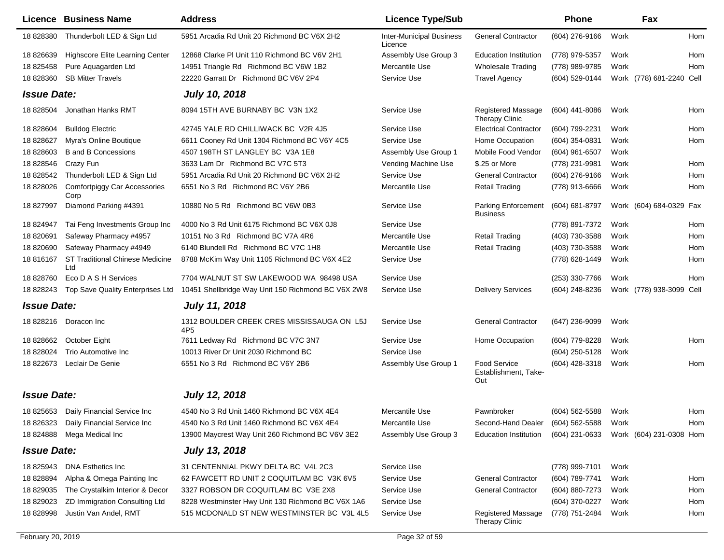| Licence            | <b>Business Name</b>                          | <b>Address</b>                                     | <b>Licence Type/Sub</b>                    |                                                              | <b>Phone</b>   |      | Fax                      |     |
|--------------------|-----------------------------------------------|----------------------------------------------------|--------------------------------------------|--------------------------------------------------------------|----------------|------|--------------------------|-----|
| 18828380           | Thunderbolt LED & Sign Ltd                    | 5951 Arcadia Rd Unit 20 Richmond BC V6X 2H2        | <b>Inter-Municipal Business</b><br>Licence | <b>General Contractor</b>                                    | (604) 276-9166 | Work |                          | Hom |
| 18 826639          | Highscore Elite Learning Center               | 12868 Clarke PI Unit 110 Richmond BC V6V 2H1       | Assembly Use Group 3                       | <b>Education Institution</b>                                 | (778) 979-5357 | Work |                          | Hom |
| 18 825458          | Pure Aquagarden Ltd                           | 14951 Triangle Rd Richmond BC V6W 1B2              | Mercantile Use                             | <b>Wholesale Trading</b>                                     | (778) 989-9785 | Work |                          | Hom |
| 18 828360          | <b>SB Mitter Travels</b>                      | 22220 Garratt Dr Richmond BC V6V 2P4               | Service Use                                | <b>Travel Agency</b>                                         | (604) 529-0144 |      | Work (778) 681-2240 Cell |     |
| <b>Issue Date:</b> |                                               | <b>July 10, 2018</b>                               |                                            |                                                              |                |      |                          |     |
| 18 828504          | Jonathan Hanks RMT                            | 8094 15TH AVE BURNABY BC V3N 1X2                   | Service Use                                | <b>Registered Massage</b><br>Therapy Clinic                  | (604) 441-8086 | Work |                          | Hom |
| 18 828604          | <b>Bulldog Electric</b>                       | 42745 YALE RD CHILLIWACK BC V2R 4J5                | Service Use                                | <b>Electrical Contractor</b>                                 | (604) 799-2231 | Work |                          | Hom |
| 18 828627          | Myra's Online Boutique                        | 6611 Cooney Rd Unit 1304 Richmond BC V6Y 4C5       | Service Use                                | Home Occupation                                              | (604) 354-0831 | Work |                          | Hom |
| 18 828603          | <b>B</b> and <b>B</b> Concessions             | 4507 198TH ST LANGLEY BC V3A 1E8                   | Assembly Use Group 1                       | Mobile Food Vendor                                           | (604) 961-6507 | Work |                          |     |
| 18 828546          | Crazy Fun                                     | 3633 Lam Dr Richmond BC V7C 5T3                    | Vending Machine Use                        | \$.25 or More                                                | (778) 231-9981 | Work |                          | Hom |
| 18 828542          | Thunderbolt LED & Sign Ltd                    | 5951 Arcadia Rd Unit 20 Richmond BC V6X 2H2        | Service Use                                | <b>General Contractor</b>                                    | (604) 276-9166 | Work |                          | Hom |
| 18 828026          | <b>Comfortpiggy Car Accessories</b><br>Corp   | 6551 No 3 Rd Richmond BC V6Y 2B6                   | Mercantile Use                             | <b>Retail Trading</b>                                        | (778) 913-6666 | Work |                          | Hom |
| 18 827997          | Diamond Parking #4391                         | 10880 No 5 Rd Richmond BC V6W 0B3                  | Service Use                                | <b>Parking Enforcement</b><br><b>Business</b>                | (604) 681-8797 |      | Work (604) 684-0329 Fax  |     |
| 18 824947          | Tai Feng Investments Group Inc                | 4000 No 3 Rd Unit 6175 Richmond BC V6X 0J8         | Service Use                                |                                                              | (778) 891-7372 | Work |                          | Hom |
| 18 820691          | Safeway Pharmacy #4957                        | 10151 No 3 Rd Richmond BC V7A 4R6                  | Mercantile Use                             | <b>Retail Trading</b>                                        | (403) 730-3588 | Work |                          | Hom |
| 18 820690          | Safeway Pharmacy #4949                        | 6140 Blundell Rd Richmond BC V7C 1H8               | Mercantile Use                             | <b>Retail Trading</b>                                        | (403) 730-3588 | Work |                          | Hom |
| 18 816167          | <b>ST Traditional Chinese Medicine</b><br>Ltd | 8788 McKim Way Unit 1105 Richmond BC V6X 4E2       | Service Use                                |                                                              | (778) 628-1449 | Work |                          | Hom |
| 18 828760          | Eco D A S H Services                          | 7704 WALNUT ST SW LAKEWOOD WA 98498 USA            | Service Use                                |                                                              | (253) 330-7766 | Work |                          | Hom |
| 18 828243          | Top Save Quality Enterprises Ltd              | 10451 Shellbridge Way Unit 150 Richmond BC V6X 2W8 | Service Use                                | <b>Delivery Services</b>                                     | (604) 248-8236 |      | Work (778) 938-3099 Cell |     |
| <b>Issue Date:</b> |                                               | <b>July 11, 2018</b>                               |                                            |                                                              |                |      |                          |     |
| 18 828216          | Doracon Inc                                   | 1312 BOULDER CREEK CRES MISSISSAUGA ON L5J<br>4P5  | Service Use                                | <b>General Contractor</b>                                    | (647) 236-9099 | Work |                          |     |
| 18 828662          | October Eight                                 | 7611 Ledway Rd Richmond BC V7C 3N7                 | Service Use                                | Home Occupation                                              | (604) 779-8228 | Work |                          | Hom |
| 18 828024          | Trio Automotive Inc                           | 10013 River Dr Unit 2030 Richmond BC               | Service Use                                |                                                              | (604) 250-5128 | Work |                          |     |
| 18 822673          | Leclair De Genie                              | 6551 No 3 Rd Richmond BC V6Y 2B6                   | Assembly Use Group 1                       | <b>Food Service</b><br>Establishment, Take-<br>Out           | (604) 428-3318 | Work |                          | Hom |
| <b>Issue Date:</b> |                                               | <b>July 12, 2018</b>                               |                                            |                                                              |                |      |                          |     |
|                    | 18 825653 Daily Financial Service Inc         | 4540 No 3 Rd Unit 1460 Richmond BC V6X 4E4         | Mercantile Use                             | Pawnbroker                                                   | (604) 562-5588 | Work |                          | Hom |
|                    | 18 826323 Daily Financial Service Inc         | 4540 No 3 Rd Unit 1460 Richmond BC V6X 4E4         | Mercantile Use                             | Second-Hand Dealer (604) 562-5588                            |                | Work |                          | Hom |
|                    | 18 824888 Mega Medical Inc                    | 13900 Maycrest Way Unit 260 Richmond BC V6V 3E2    | Assembly Use Group 3                       | Education Institution (604) 231-0633 Work (604) 231-0308 Hom |                |      |                          |     |
| <b>Issue Date:</b> |                                               | <b>July 13, 2018</b>                               |                                            |                                                              |                |      |                          |     |
| 18 825943          | <b>DNA Esthetics Inc</b>                      | 31 CENTENNIAL PKWY DELTA BC V4L 2C3                | Service Use                                |                                                              | (778) 999-7101 | Work |                          |     |
| 18 828894          | Alpha & Omega Painting Inc                    | 62 FAWCETT RD UNIT 2 COQUITLAM BC V3K 6V5          | Service Use                                | <b>General Contractor</b>                                    | (604) 789-7741 | Work |                          | Hom |
| 18 829035          | The Crystalkim Interior & Decor               | 3327 ROBSON DR COQUITLAM BC V3E 2X8                | Service Use                                | <b>General Contractor</b>                                    | (604) 880-7273 | Work |                          | Hom |
| 18 829023          | ZD Immigration Consulting Ltd                 | 8228 Westminster Hwy Unit 130 Richmond BC V6X 1A6  | Service Use                                |                                                              | (604) 370-0227 | Work |                          | Hom |
| 18828998           | Justin Van Andel, RMT                         | 515 MCDONALD ST NEW WESTMINSTER BC V3L 4L5         | Service Use                                | Registered Massage<br><b>Therapy Clinic</b>                  | (778) 751-2484 | Work |                          | Hom |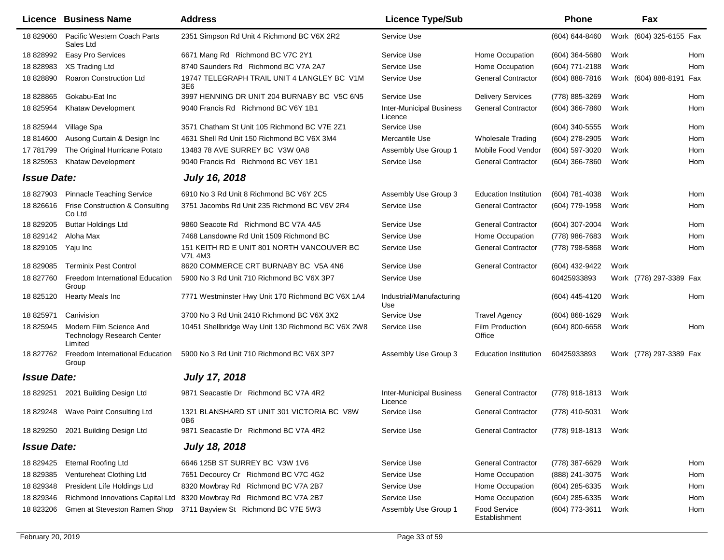|                    | <b>Licence Business Name</b>                                            | <b>Address</b>                                                | <b>Licence Type/Sub</b>                    |                               | Phone              |      | Fax                     |
|--------------------|-------------------------------------------------------------------------|---------------------------------------------------------------|--------------------------------------------|-------------------------------|--------------------|------|-------------------------|
| 18 829060          | Pacific Western Coach Parts<br>Sales Ltd                                | 2351 Simpson Rd Unit 4 Richmond BC V6X 2R2                    | Service Use                                |                               | (604) 644-8460     |      | Work (604) 325-6155 Fax |
| 18 828992          | Easy Pro Services                                                       | 6671 Mang Rd Richmond BC V7C 2Y1                              | Service Use                                | Home Occupation               | $(604)$ 364-5680   | Work | Hom                     |
| 18 828983          | XS Trading Ltd                                                          | 8740 Saunders Rd Richmond BC V7A 2A7                          | Service Use                                | Home Occupation               | (604) 771-2188     | Work | Hom                     |
| 18 828890          | <b>Roaron Construction Ltd</b>                                          | 19747 TELEGRAPH TRAIL UNIT 4 LANGLEY BC V1M<br>3E6            | Service Use                                | <b>General Contractor</b>     | $(604) 888 - 7816$ |      | Work (604) 888-8191 Fax |
| 18 828865          | Gokabu-Eat Inc                                                          | 3997 HENNING DR UNIT 204 BURNABY BC V5C 6N5                   | Service Use                                | <b>Delivery Services</b>      | (778) 885-3269     | Work | Hom                     |
| 18 825954          | Khataw Development                                                      | 9040 Francis Rd Richmond BC V6Y 1B1                           | <b>Inter-Municipal Business</b><br>Licence | <b>General Contractor</b>     | $(604)$ 366-7860   | Work | Hom                     |
| 18 825944          | Village Spa                                                             | 3571 Chatham St Unit 105 Richmond BC V7E 2Z1                  | Service Use                                |                               | (604) 340-5555     | Work | Hom                     |
| 18 814600          | Ausong Curtain & Design Inc                                             | 4631 Shell Rd Unit 150 Richmond BC V6X 3M4                    | Mercantile Use                             | <b>Wholesale Trading</b>      | (604) 278-2905     | Work | Hom                     |
| 17 781799          | The Original Hurricane Potato                                           | 13483 78 AVE SURREY BC V3W 0A8                                | Assembly Use Group 1                       | Mobile Food Vendor            | (604) 597-3020     | Work | Hom                     |
| 18 825953          | <b>Khataw Development</b>                                               | 9040 Francis Rd Richmond BC V6Y 1B1                           | Service Use                                | <b>General Contractor</b>     | $(604)$ 366-7860   | Work | Hom                     |
| <b>Issue Date:</b> |                                                                         | <b>July 16, 2018</b>                                          |                                            |                               |                    |      |                         |
| 18 827903          | <b>Pinnacle Teaching Service</b>                                        | 6910 No 3 Rd Unit 8 Richmond BC V6Y 2C5                       | Assembly Use Group 3                       | <b>Education Institution</b>  | (604) 781-4038     | Work | Hom                     |
| 18 826616          | Frise Construction & Consulting<br>Co Ltd                               | 3751 Jacombs Rd Unit 235 Richmond BC V6V 2R4                  | Service Use                                | <b>General Contractor</b>     | (604) 779-1958     | Work | Hom                     |
| 18 829205          | <b>Buttar Holdings Ltd</b>                                              | 9860 Seacote Rd Richmond BC V7A 4A5                           | Service Use                                | <b>General Contractor</b>     | (604) 307-2004     | Work | Hom                     |
| 18 829142          | Aloha Max                                                               | 7468 Lansdowne Rd Unit 1509 Richmond BC                       | Service Use                                | Home Occupation               | (778) 986-7683     | Work | Hom                     |
| 18 829105          | Yaju Inc                                                                | 151 KEITH RD E UNIT 801 NORTH VANCOUVER BC<br><b>V7L 4M3</b>  | Service Use                                | <b>General Contractor</b>     | (778) 798-5868     | Work | Hom                     |
| 18 829085          | <b>Terminix Pest Control</b>                                            | 8620 COMMERCE CRT BURNABY BC V5A 4N6                          | Service Use                                | <b>General Contractor</b>     | (604) 432-9422     | Work |                         |
| 18 827760          | <b>Freedom International Education</b><br>Group                         | 5900 No 3 Rd Unit 710 Richmond BC V6X 3P7                     | Service Use                                |                               | 60425933893        |      | Work (778) 297-3389 Fax |
| 18 825120          | <b>Hearty Meals Inc</b>                                                 | 7771 Westminster Hwy Unit 170 Richmond BC V6X 1A4             | Industrial/Manufacturing<br>Use            |                               | (604) 445-4120     | Work | Hom                     |
| 18 825971          | Canivision                                                              | 3700 No 3 Rd Unit 2410 Richmond BC V6X 3X2                    | Service Use                                | <b>Travel Agency</b>          | $(604)$ 868-1629   | Work |                         |
| 18 825945          | Modern Film Science And<br><b>Technology Research Center</b><br>Limited | 10451 Shellbridge Way Unit 130 Richmond BC V6X 2W8            | Service Use                                | Film Production<br>Office     | $(604)$ 800-6658   | Work | Hom                     |
| 18 827762          | <b>Freedom International Education</b><br>Group                         | 5900 No 3 Rd Unit 710 Richmond BC V6X 3P7                     | Assembly Use Group 3                       | <b>Education Institution</b>  | 60425933893        |      | Work (778) 297-3389 Fax |
| <b>Issue Date:</b> |                                                                         | <b>July 17, 2018</b>                                          |                                            |                               |                    |      |                         |
| 18 829251          | 2021 Building Design Ltd                                                | 9871 Seacastle Dr Richmond BC V7A 4R2                         | <b>Inter-Municipal Business</b><br>Licence | <b>General Contractor</b>     | (778) 918-1813     | Work |                         |
| 18 829248          | Wave Point Consulting Ltd                                               | 1321 BLANSHARD ST UNIT 301 VICTORIA BC V8W<br>0B <sub>6</sub> | Service Use                                | <b>General Contractor</b>     | (778) 410-5031     | Work |                         |
|                    | 18 829250 2021 Building Design Ltd                                      | 9871 Seacastle Dr Richmond BC V7A 4R2                         | Service Use                                | <b>General Contractor</b>     | (778) 918-1813     | Work |                         |
| <b>Issue Date:</b> |                                                                         | <b>July 18, 2018</b>                                          |                                            |                               |                    |      |                         |
| 18 829425          | <b>Eternal Roofing Ltd</b>                                              | 6646 125B ST SURREY BC V3W 1V6                                | Service Use                                | <b>General Contractor</b>     | (778) 387-6629     | Work | Hom                     |
| 18 829385          | Ventureheat Clothing Ltd                                                | 7651 Decourcy Cr Richmond BC V7C 4G2                          | Service Use                                | Home Occupation               | (888) 241-3075     | Work | Hom                     |
| 18 829348          | President Life Holdings Ltd                                             | 8320 Mowbray Rd Richmond BC V7A 2B7                           | Service Use                                | Home Occupation               | (604) 285-6335     | Work | Hom                     |
| 18 829346          | Richmond Innovations Capital Ltd                                        | 8320 Mowbray Rd Richmond BC V7A 2B7                           | Service Use                                | Home Occupation               | (604) 285-6335     | Work | Hom                     |
| 18 823206          | Gmen at Steveston Ramen Shop                                            | 3711 Bayview St Richmond BC V7E 5W3                           | Assembly Use Group 1                       | Food Service<br>Establishment | (604) 773-3611     | Work | Hom                     |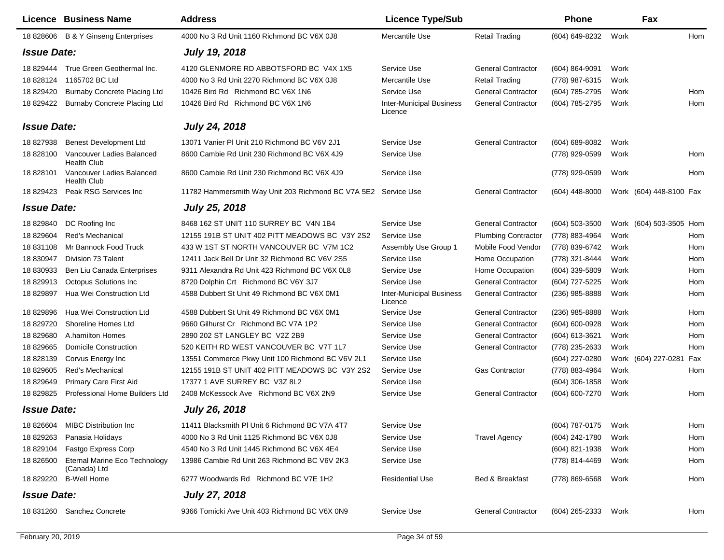|                                                                                                                                                                                                | <b>Licence Business Name</b>                                                                                                                                                                                                                                                                                                                                                                          | <b>Address</b>                                                                                                                                                                                                                                                                                                                                                                                                                                                                                                                                                                                                                                                                     | <b>Licence Type/Sub</b>                                                                                                                                                                                                                                               |                                                                                                                                                                                                                                                                                                                                                         | <b>Phone</b>                                                                                                                                                                                                                                                                   | Fax                                                                                                                                                    |                                                                                         |
|------------------------------------------------------------------------------------------------------------------------------------------------------------------------------------------------|-------------------------------------------------------------------------------------------------------------------------------------------------------------------------------------------------------------------------------------------------------------------------------------------------------------------------------------------------------------------------------------------------------|------------------------------------------------------------------------------------------------------------------------------------------------------------------------------------------------------------------------------------------------------------------------------------------------------------------------------------------------------------------------------------------------------------------------------------------------------------------------------------------------------------------------------------------------------------------------------------------------------------------------------------------------------------------------------------|-----------------------------------------------------------------------------------------------------------------------------------------------------------------------------------------------------------------------------------------------------------------------|---------------------------------------------------------------------------------------------------------------------------------------------------------------------------------------------------------------------------------------------------------------------------------------------------------------------------------------------------------|--------------------------------------------------------------------------------------------------------------------------------------------------------------------------------------------------------------------------------------------------------------------------------|--------------------------------------------------------------------------------------------------------------------------------------------------------|-----------------------------------------------------------------------------------------|
| 18 828606                                                                                                                                                                                      | <b>B &amp; Y Ginseng Enterprises</b>                                                                                                                                                                                                                                                                                                                                                                  | 4000 No 3 Rd Unit 1160 Richmond BC V6X 0J8                                                                                                                                                                                                                                                                                                                                                                                                                                                                                                                                                                                                                                         | Mercantile Use                                                                                                                                                                                                                                                        | <b>Retail Trading</b>                                                                                                                                                                                                                                                                                                                                   | (604) 649-8232                                                                                                                                                                                                                                                                 | Work                                                                                                                                                   | <b>Hom</b>                                                                              |
| <b>Issue Date:</b>                                                                                                                                                                             |                                                                                                                                                                                                                                                                                                                                                                                                       | <b>July 19, 2018</b>                                                                                                                                                                                                                                                                                                                                                                                                                                                                                                                                                                                                                                                               |                                                                                                                                                                                                                                                                       |                                                                                                                                                                                                                                                                                                                                                         |                                                                                                                                                                                                                                                                                |                                                                                                                                                        |                                                                                         |
| 18 829444<br>18 828124<br>18 829420<br>18 829422                                                                                                                                               | True Green Geothermal Inc.<br>1165702 BC Ltd<br><b>Burnaby Concrete Placing Ltd</b><br><b>Burnaby Concrete Placing Ltd</b>                                                                                                                                                                                                                                                                            | 4120 GLENMORE RD ABBOTSFORD BC V4X 1X5<br>4000 No 3 Rd Unit 2270 Richmond BC V6X 0J8<br>10426 Bird Rd Richmond BC V6X 1N6<br>10426 Bird Rd Richmond BC V6X 1N6                                                                                                                                                                                                                                                                                                                                                                                                                                                                                                                     | Service Use<br>Mercantile Use<br>Service Use<br><b>Inter-Municipal Business</b><br>Licence                                                                                                                                                                            | <b>General Contractor</b><br><b>Retail Trading</b><br><b>General Contractor</b><br><b>General Contractor</b>                                                                                                                                                                                                                                            | (604) 864-9091<br>(778) 987-6315<br>(604) 785-2795<br>(604) 785-2795                                                                                                                                                                                                           | Work<br>Work<br>Work<br>Work                                                                                                                           | Hom<br>Hom                                                                              |
| <b>Issue Date:</b>                                                                                                                                                                             |                                                                                                                                                                                                                                                                                                                                                                                                       | <b>July 24, 2018</b>                                                                                                                                                                                                                                                                                                                                                                                                                                                                                                                                                                                                                                                               |                                                                                                                                                                                                                                                                       |                                                                                                                                                                                                                                                                                                                                                         |                                                                                                                                                                                                                                                                                |                                                                                                                                                        |                                                                                         |
| 18 827938<br>18 828100<br>18 828101                                                                                                                                                            | <b>Benest Development Ltd</b><br>Vancouver Ladies Balanced<br><b>Health Club</b><br>Vancouver Ladies Balanced<br><b>Health Club</b>                                                                                                                                                                                                                                                                   | 13071 Vanier PI Unit 210 Richmond BC V6V 2J1<br>8600 Cambie Rd Unit 230 Richmond BC V6X 4J9<br>8600 Cambie Rd Unit 230 Richmond BC V6X 4J9                                                                                                                                                                                                                                                                                                                                                                                                                                                                                                                                         | Service Use<br>Service Use<br>Service Use                                                                                                                                                                                                                             | <b>General Contractor</b>                                                                                                                                                                                                                                                                                                                               | (604) 689-8082<br>(778) 929-0599<br>(778) 929-0599                                                                                                                                                                                                                             | Work<br>Work<br>Work                                                                                                                                   | Hom<br>Hom                                                                              |
| 18 829423                                                                                                                                                                                      | Peak RSG Services Inc                                                                                                                                                                                                                                                                                                                                                                                 | 11782 Hammersmith Way Unit 203 Richmond BC V7A 5E2 Service Use                                                                                                                                                                                                                                                                                                                                                                                                                                                                                                                                                                                                                     |                                                                                                                                                                                                                                                                       | <b>General Contractor</b>                                                                                                                                                                                                                                                                                                                               | $(604)$ 448-8000                                                                                                                                                                                                                                                               | Work (604) 448-8100 Fax                                                                                                                                |                                                                                         |
| <b>Issue Date:</b>                                                                                                                                                                             |                                                                                                                                                                                                                                                                                                                                                                                                       | <b>July 25, 2018</b>                                                                                                                                                                                                                                                                                                                                                                                                                                                                                                                                                                                                                                                               |                                                                                                                                                                                                                                                                       |                                                                                                                                                                                                                                                                                                                                                         |                                                                                                                                                                                                                                                                                |                                                                                                                                                        |                                                                                         |
| 18 829840<br>18 829604<br>18 831108<br>18 830947<br>18 830933<br>18 829913<br>18 829897<br>18829896<br>18 829720<br>18 829680<br>18 829665<br>18 828139<br>18 829605<br>18 829649<br>18 829825 | DC Roofing Inc<br>Red's Mechanical<br>Mr Bannock Food Truck<br>Division 73 Talent<br>Ben Liu Canada Enterprises<br><b>Octopus Solutions Inc</b><br>Hua Wei Construction Ltd<br>Hua Wei Construction Ltd<br>Shoreline Homes Ltd<br>A.hamilton Homes<br><b>Domicile Construction</b><br>Corvus Energy Inc<br><b>Red's Mechanical</b><br><b>Primary Care First Aid</b><br>Professional Home Builders Ltd | 8468 162 ST UNIT 110 SURREY BC V4N 1B4<br>12155 191B ST UNIT 402 PITT MEADOWS BC V3Y 2S2<br>433 W 1ST ST NORTH VANCOUVER BC V7M 1C2<br>12411 Jack Bell Dr Unit 32 Richmond BC V6V 2S5<br>9311 Alexandra Rd Unit 423 Richmond BC V6X 0L8<br>8720 Dolphin Crt Richmond BC V6Y 3J7<br>4588 Dubbert St Unit 49 Richmond BC V6X 0M1<br>4588 Dubbert St Unit 49 Richmond BC V6X 0M1<br>9660 Gilhurst Cr Richmond BC V7A 1P2<br>2890 202 ST LANGLEY BC V2Z 2B9<br>520 KEITH RD WEST VANCOUVER BC V7T 1L7<br>13551 Commerce Pkwy Unit 100 Richmond BC V6V 2L1<br>12155 191B ST UNIT 402 PITT MEADOWS BC V3Y 2S2<br>17377 1 AVE SURREY BC V3Z 8L2<br>2408 McKessock Ave Richmond BC V6X 2N9 | Service Use<br>Service Use<br>Assembly Use Group 1<br>Service Use<br>Service Use<br>Service Use<br><b>Inter-Municipal Business</b><br>Licence<br>Service Use<br>Service Use<br>Service Use<br>Service Use<br>Service Use<br>Service Use<br>Service Use<br>Service Use | <b>General Contractor</b><br><b>Plumbing Contractor</b><br>Mobile Food Vendor<br>Home Occupation<br>Home Occupation<br><b>General Contractor</b><br><b>General Contractor</b><br><b>General Contractor</b><br><b>General Contractor</b><br><b>General Contractor</b><br><b>General Contractor</b><br><b>Gas Contractor</b><br><b>General Contractor</b> | $(604)$ 503-3500<br>(778) 883-4964<br>(778) 839-6742<br>(778) 321-8444<br>(604) 339-5809<br>(604) 727-5225<br>(236) 985-8888<br>(236) 985-8888<br>(604) 600-0928<br>(604) 613-3621<br>(778) 235-2633<br>(604) 227-0280<br>(778) 883-4964<br>$(604)$ 306-1858<br>(604) 600-7270 | Work (604) 503-3505 Hom<br>Work<br>Work<br>Work<br>Work<br>Work<br>Work<br>Work<br>Work<br>Work<br>Work<br>Work (604) 227-0281<br>Work<br>Work<br>Work | Hom<br>Hom<br>Hom<br>Hom<br>Hom<br>Hom<br>Hom<br>Hom<br>Hom<br>Hom<br>Fax<br>Hom<br>Hom |
| <b>Issue Date:</b>                                                                                                                                                                             |                                                                                                                                                                                                                                                                                                                                                                                                       | <b>July 26, 2018</b>                                                                                                                                                                                                                                                                                                                                                                                                                                                                                                                                                                                                                                                               |                                                                                                                                                                                                                                                                       |                                                                                                                                                                                                                                                                                                                                                         |                                                                                                                                                                                                                                                                                |                                                                                                                                                        |                                                                                         |
| 18 826604<br>18 829263<br>18 829104<br>18 826500<br>18 829220                                                                                                                                  | <b>MIBC Distribution Inc.</b><br>Panasia Holidays<br>Fastgo Express Corp<br>Eternal Marine Eco Technology<br>(Canada) Ltd<br><b>B-Well Home</b>                                                                                                                                                                                                                                                       | 11411 Blacksmith PI Unit 6 Richmond BC V7A 4T7<br>4000 No 3 Rd Unit 1125 Richmond BC V6X 0J8<br>4540 No 3 Rd Unit 1445 Richmond BC V6X 4E4<br>13986 Cambie Rd Unit 263 Richmond BC V6V 2K3<br>6277 Woodwards Rd Richmond BC V7E 1H2                                                                                                                                                                                                                                                                                                                                                                                                                                                | Service Use<br>Service Use<br>Service Use<br>Service Use<br><b>Residential Use</b>                                                                                                                                                                                    | <b>Travel Agency</b><br>Bed & Breakfast                                                                                                                                                                                                                                                                                                                 | (604) 787-0175<br>(604) 242-1780<br>(604) 821-1938<br>(778) 814-4469<br>(778) 869-6568                                                                                                                                                                                         | Work<br>Work<br>Work<br>Work<br>Work                                                                                                                   | Hom<br>Hom<br>Hom<br>Hom<br>Hom                                                         |
| <b>Issue Date:</b>                                                                                                                                                                             |                                                                                                                                                                                                                                                                                                                                                                                                       | <b>July 27, 2018</b>                                                                                                                                                                                                                                                                                                                                                                                                                                                                                                                                                                                                                                                               |                                                                                                                                                                                                                                                                       |                                                                                                                                                                                                                                                                                                                                                         |                                                                                                                                                                                                                                                                                |                                                                                                                                                        |                                                                                         |
|                                                                                                                                                                                                | 18 831260 Sanchez Concrete                                                                                                                                                                                                                                                                                                                                                                            | 9366 Tomicki Ave Unit 403 Richmond BC V6X 0N9                                                                                                                                                                                                                                                                                                                                                                                                                                                                                                                                                                                                                                      | Service Use                                                                                                                                                                                                                                                           | <b>General Contractor</b>                                                                                                                                                                                                                                                                                                                               | (604) 265-2333                                                                                                                                                                                                                                                                 | Work                                                                                                                                                   | Hom                                                                                     |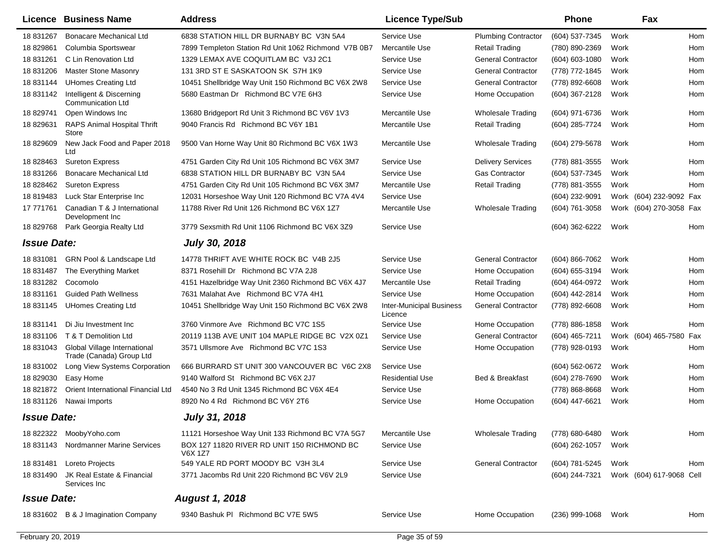|                    | Licence Business Name                                    | <b>Address</b>                                         | <b>Licence Type/Sub</b>                    |                            | <b>Phone</b>       |      | Fax                      |            |
|--------------------|----------------------------------------------------------|--------------------------------------------------------|--------------------------------------------|----------------------------|--------------------|------|--------------------------|------------|
| 18 831267          | <b>Bonacare Mechanical Ltd</b>                           | 6838 STATION HILL DR BURNABY BC V3N 5A4                | Service Use                                | <b>Plumbing Contractor</b> | (604) 537-7345     | Work |                          | Hom        |
| 18 829861          | Columbia Sportswear                                      | 7899 Templeton Station Rd Unit 1062 Richmond V7B 0B7   | Mercantile Use                             | Retail Trading             | (780) 890-2369     | Work |                          | Hom        |
| 18 831261          | C Lin Renovation Ltd                                     | 1329 LEMAX AVE COQUITLAM BC V3J 2C1                    | Service Use                                | <b>General Contractor</b>  | $(604) 603 - 1080$ | Work |                          | Hom        |
| 18 831206          | <b>Master Stone Masonry</b>                              | 131 3RD ST E SASKATOON SK S7H 1K9                      | Service Use                                | <b>General Contractor</b>  | (778) 772-1845     | Work |                          | Hom        |
| 18 831144          | <b>UHomes Creating Ltd</b>                               | 10451 Shellbridge Way Unit 150 Richmond BC V6X 2W8     | Service Use                                | <b>General Contractor</b>  | (778) 892-6608     | Work |                          | Hom        |
| 18 831142          | Intelligent & Discerning<br><b>Communication Ltd</b>     | 5680 Eastman Dr Richmond BC V7E 6H3                    | Service Use                                | Home Occupation            | (604) 367-2128     | Work |                          | Hom        |
| 18 829741          | Open Windows Inc                                         | 13680 Bridgeport Rd Unit 3 Richmond BC V6V 1V3         | Mercantile Use                             | <b>Wholesale Trading</b>   | (604) 971-6736     | Work |                          | Hom        |
| 18 829631          | <b>RAPS Animal Hospital Thrift</b><br>Store              | 9040 Francis Rd Richmond BC V6Y 1B1                    | Mercantile Use                             | <b>Retail Trading</b>      | (604) 285-7724     | Work |                          | Hom        |
| 18 829609          | New Jack Food and Paper 2018<br>Ltd                      | 9500 Van Horne Way Unit 80 Richmond BC V6X 1W3         | Mercantile Use                             | <b>Wholesale Trading</b>   | (604) 279-5678     | Work |                          | Hom        |
| 18 828463          | <b>Sureton Express</b>                                   | 4751 Garden City Rd Unit 105 Richmond BC V6X 3M7       | Service Use                                | <b>Delivery Services</b>   | (778) 881-3555     | Work |                          | Hom        |
| 18 831266          | <b>Bonacare Mechanical Ltd</b>                           | 6838 STATION HILL DR BURNABY BC V3N 5A4                | Service Use                                | Gas Contractor             | (604) 537-7345     | Work |                          | Hom        |
| 18 828462          | <b>Sureton Express</b>                                   | 4751 Garden City Rd Unit 105 Richmond BC V6X 3M7       | Mercantile Use                             | <b>Retail Trading</b>      | (778) 881-3555     | Work |                          | Hom        |
| 18 819483          | Luck Star Enterprise Inc                                 | 12031 Horseshoe Way Unit 120 Richmond BC V7A 4V4       | Service Use                                |                            | (604) 232-9091     |      | Work (604) 232-9092 Fax  |            |
| 17 77 17 61        | Canadian T & J International<br>Development Inc          | 11788 River Rd Unit 126 Richmond BC V6X 1Z7            | Mercantile Use                             | <b>Wholesale Trading</b>   | (604) 761-3058     |      | Work (604) 270-3058 Fax  |            |
| 18 829768          | Park Georgia Realty Ltd                                  | 3779 Sexsmith Rd Unit 1106 Richmond BC V6X 3Z9         | Service Use                                |                            | (604) 362-6222     | Work |                          | Hom        |
| <b>Issue Date:</b> |                                                          | <b>July 30, 2018</b>                                   |                                            |                            |                    |      |                          |            |
| 18 831081          | <b>GRN Pool &amp; Landscape Ltd</b>                      | 14778 THRIFT AVE WHITE ROCK BC V4B 2J5                 | Service Use                                | <b>General Contractor</b>  | (604) 866-7062     | Work |                          | Hom        |
| 18 831487          | The Everything Market                                    | 8371 Rosehill Dr Richmond BC V7A 2J8                   | Service Use                                | Home Occupation            | (604) 655-3194     | Work |                          | Hom        |
| 18 831282          | Cocomolo                                                 | 4151 Hazelbridge Way Unit 2360 Richmond BC V6X 4J7     | Mercantile Use                             | <b>Retail Trading</b>      | (604) 464-0972     | Work |                          | Hom        |
| 18 831161          | <b>Guided Path Wellness</b>                              | 7631 Malahat Ave Richmond BC V7A 4H1                   | Service Use                                | Home Occupation            | (604) 442-2814     | Work |                          | Hom        |
| 18 831145          | <b>UHomes Creating Ltd</b>                               | 10451 Shellbridge Way Unit 150 Richmond BC V6X 2W8     | <b>Inter-Municipal Business</b><br>Licence | <b>General Contractor</b>  | (778) 892-6608     | Work |                          | Hom        |
| 18 831141          | Di Jiu Investment Inc                                    | 3760 Vinmore Ave Richmond BC V7C 1S5                   | Service Use                                | Home Occupation            | (778) 886-1858     | Work |                          | <b>Hom</b> |
| 18 831106          | T & T Demolition Ltd                                     | 20119 113B AVE UNIT 104 MAPLE RIDGE BC V2X 0Z1         | Service Use                                | <b>General Contractor</b>  | (604) 465-7211     |      | Work (604) 465-7580 Fax  |            |
| 18 831043          | Global Village International<br>Trade (Canada) Group Ltd | 3571 Ullsmore Ave Richmond BC V7C 1S3                  | Service Use                                | Home Occupation            | (778) 928-0193     | Work |                          | Hom        |
| 18 831002          | Long View Systems Corporation                            | 666 BURRARD ST UNIT 300 VANCOUVER BC V6C 2X8           | Service Use                                |                            | (604) 562-0672     | Work |                          | Hom        |
| 18 829030          | Easy Home                                                | 9140 Walford St Richmond BC V6X 2J7                    | <b>Residential Use</b>                     | Bed & Breakfast            | (604) 278-7690     | Work |                          | Hom        |
| 18 821872          | Orient International Financial Ltd                       | 4540 No 3 Rd Unit 1345 Richmond BC V6X 4E4             | Service Use                                |                            | (778) 868-8668     | Work |                          | Hom        |
| 18 831126          | Nawai Imports                                            | 8920 No 4 Rd Richmond BC V6Y 2T6                       | Service Use                                | Home Occupation            | (604) 447-6621     | Work |                          | Hom        |
| <b>Issue Date:</b> |                                                          | <b>July 31, 2018</b>                                   |                                            |                            |                    |      |                          |            |
| 18 822322          | MoobyYoho.com                                            | 11121 Horseshoe Way Unit 133 Richmond BC V7A 5G7       | Mercantile Use                             | <b>Wholesale Trading</b>   | (778) 680-6480     | Work |                          | Hom        |
| 18 831143          | Nordmanner Marine Services                               | BOX 127 11820 RIVER RD UNIT 150 RICHMOND BC<br>V6X 1Z7 | Service Use                                |                            | (604) 262-1057     | Work |                          |            |
| 18 831481          | Loreto Projects                                          | 549 YALE RD PORT MOODY BC V3H 3L4                      | Service Use                                | <b>General Contractor</b>  | (604) 781-5245     | Work |                          | Hom        |
| 18 831490          | JK Real Estate & Financial<br>Services Inc               | 3771 Jacombs Rd Unit 220 Richmond BC V6V 2L9           | Service Use                                |                            | (604) 244-7321     |      | Work (604) 617-9068 Cell |            |
| <b>Issue Date:</b> |                                                          | <b>August 1, 2018</b>                                  |                                            |                            |                    |      |                          |            |
|                    | 18 831602 B & J Imagination Company                      | 9340 Bashuk PI Richmond BC V7E 5W5                     | Service Use                                | Home Occupation            | $(236)$ 999-1068   | Work |                          | Hom        |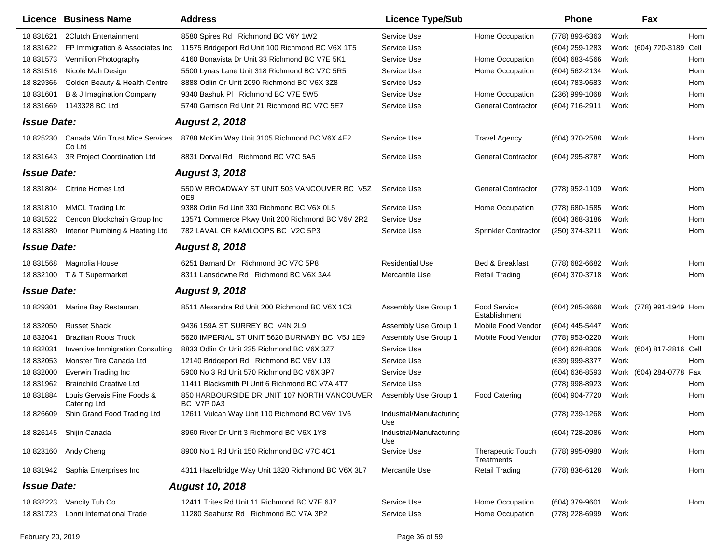| <b>Licence Business Name</b>                                   | <b>Address</b>         |                                                    | <b>Licence Type/Sub</b>         |                                        | <b>Phone</b>     |      | Fax                      |     |
|----------------------------------------------------------------|------------------------|----------------------------------------------------|---------------------------------|----------------------------------------|------------------|------|--------------------------|-----|
| 18 831621<br>2Clutch Entertainment                             |                        | 8580 Spires Rd Richmond BC V6Y 1W2                 | Service Use                     | Home Occupation                        | (778) 893-6363   | Work |                          | Hom |
| 18 831622<br>FP Immigration & Associates Inc                   |                        | 11575 Bridgeport Rd Unit 100 Richmond BC V6X 1T5   | Service Use                     |                                        | (604) 259-1283   |      | Work (604) 720-3189 Cell |     |
| 18 831573<br>Vermilion Photography                             |                        | 4160 Bonavista Dr Unit 33 Richmond BC V7E 5K1      | Service Use                     | Home Occupation                        | (604) 683-4566   | Work |                          | Hom |
| 18 831516<br>Nicole Mah Design                                 |                        | 5500 Lynas Lane Unit 318 Richmond BC V7C 5R5       | Service Use                     | Home Occupation                        | (604) 562-2134   | Work |                          | Hom |
| Golden Beauty & Health Centre<br>18829366                      |                        | 8888 Odlin Cr Unit 2090 Richmond BC V6X 3Z8        | Service Use                     |                                        | (604) 783-9683   | Work |                          | Hom |
| 18 831601<br>B & J Imagination Company                         |                        | 9340 Bashuk PI Richmond BC V7E 5W5                 | Service Use                     | Home Occupation                        | $(236)$ 999-1068 | Work |                          | Hom |
| 18 831669<br>1143328 BC Ltd                                    |                        | 5740 Garrison Rd Unit 21 Richmond BC V7C 5E7       | Service Use                     | <b>General Contractor</b>              | (604) 716-2911   | Work |                          | Hom |
| <b>Issue Date:</b>                                             |                        | <b>August 2, 2018</b>                              |                                 |                                        |                  |      |                          |     |
| Canada Win Trust Mice Services<br>18 825230<br>Co Ltd          |                        | 8788 McKim Way Unit 3105 Richmond BC V6X 4E2       | Service Use                     | <b>Travel Agency</b>                   | (604) 370-2588   | Work |                          | Hom |
| 3R Project Coordination Ltd<br>18 831643                       |                        | 8831 Dorval Rd Richmond BC V7C 5A5                 | Service Use                     | <b>General Contractor</b>              | (604) 295-8787   | Work |                          | Hom |
| <b>Issue Date:</b>                                             |                        | <b>August 3, 2018</b>                              |                                 |                                        |                  |      |                          |     |
| 18 831804<br><b>Citrine Homes Ltd</b>                          | 0E9                    | 550 W BROADWAY ST UNIT 503 VANCOUVER BC V5Z        | Service Use                     | <b>General Contractor</b>              | (778) 952-1109   | Work |                          | Hom |
| 18831810<br><b>MMCL Trading Ltd</b>                            |                        | 9388 Odlin Rd Unit 330 Richmond BC V6X 0L5         | Service Use                     | Home Occupation                        | (778) 680-1585   | Work |                          | Hom |
| Cencon Blockchain Group Inc<br>18 831522                       |                        | 13571 Commerce Pkwy Unit 200 Richmond BC V6V 2R2   | Service Use                     |                                        | $(604)$ 368-3186 | Work |                          | Hom |
| Interior Plumbing & Heating Ltd<br>18 831880                   |                        | 782 LAVAL CR KAMLOOPS BC V2C 5P3                   | Service Use                     | Sprinkler Contractor                   | (250) 374-3211   | Work |                          | Hom |
| <b>Issue Date:</b>                                             |                        | <b>August 8, 2018</b>                              |                                 |                                        |                  |      |                          |     |
| 18 831568<br>Magnolia House                                    |                        | 6251 Barnard Dr Richmond BC V7C 5P8                | <b>Residential Use</b>          | Bed & Breakfast                        | (778) 682-6682   | Work |                          | Hom |
| T & T Supermarket<br>18 832100                                 |                        | 8311 Lansdowne Rd Richmond BC V6X 3A4              | Mercantile Use                  | <b>Retail Trading</b>                  | (604) 370-3718   | Work |                          | Hom |
| <b>Issue Date:</b>                                             |                        | <b>August 9, 2018</b>                              |                                 |                                        |                  |      |                          |     |
| Marine Bay Restaurant<br>18 829301                             |                        | 8511 Alexandra Rd Unit 200 Richmond BC V6X 1C3     | Assembly Use Group 1            | <b>Food Service</b><br>Establishment   | $(604)$ 285-3668 |      | Work (778) 991-1949 Hom  |     |
| 18 832050<br><b>Russet Shack</b>                               |                        | 9436 159A ST SURREY BC V4N 2L9                     | Assembly Use Group 1            | Mobile Food Vendor                     | (604) 445-5447   | Work |                          |     |
| 18 832041<br><b>Brazilian Roots Truck</b>                      |                        | 5620 IMPERIAL ST UNIT 5620 BURNABY BC V5J 1E9      | Assembly Use Group 1            | Mobile Food Vendor                     | (778) 953-0220   | Work |                          | Hom |
| 18 832031<br>Inventive Immigration Consulting                  |                        | 8833 Odlin Cr Unit 235 Richmond BC V6X 3Z7         | Service Use                     |                                        | $(604)$ 628-8306 |      | Work (604) 817-2816 Cell |     |
| 18 832053<br>Monster Tire Canada Ltd                           |                        | 12140 Bridgeport Rd Richmond BC V6V 1J3            | Service Use                     |                                        | (639) 999-8377   | Work |                          | Hom |
| 18 832000<br>Everwin Trading Inc                               |                        | 5900 No 3 Rd Unit 570 Richmond BC V6X 3P7          | Service Use                     |                                        | (604) 636-8593   |      | Work (604) 284-0778 Fax  |     |
| 18 831962<br><b>Brainchild Creative Ltd</b>                    |                        | 11411 Blacksmith PI Unit 6 Richmond BC V7A 4T7     | Service Use                     |                                        | (778) 998-8923   | Work |                          | Hom |
| 18 831884<br>Louis Gervais Fine Foods &<br><b>Catering Ltd</b> | BC V7P 0A3             | 850 HARBOURSIDE DR UNIT 107 NORTH VANCOUVER        | Assembly Use Group 1            | <b>Food Catering</b>                   | (604) 904-7720   | Work |                          | Hom |
| Shin Grand Food Trading Ltd<br>18 826609                       |                        | 12611 Vulcan Way Unit 110 Richmond BC V6V 1V6      | Industrial/Manufacturing<br>Use |                                        | (778) 239-1268   | Work |                          | Hom |
| 18 826145 Shijin Canada                                        |                        | 8960 River Dr Unit 3 Richmond BC V6X 1Y8           | Industrial/Manufacturing<br>Use |                                        | (604) 728-2086   | Work |                          | Hom |
| Andy Cheng<br>18 823160                                        |                        | 8900 No 1 Rd Unit 150 Richmond BC V7C 4C1          | Service Use                     | <b>Therapeutic Touch</b><br>Treatments | (778) 995-0980   | Work |                          | Hom |
| 18 831942 Saphia Enterprises Inc                               |                        | 4311 Hazelbridge Way Unit 1820 Richmond BC V6X 3L7 | Mercantile Use                  | <b>Retail Trading</b>                  | (778) 836-6128   | Work |                          | Hom |
| <b>Issue Date:</b>                                             | <b>August 10, 2018</b> |                                                    |                                 |                                        |                  |      |                          |     |
| Vancity Tub Co<br>18 832223                                    |                        | 12411 Trites Rd Unit 11 Richmond BC V7E 6J7        | Service Use                     | Home Occupation                        | $(604)$ 379-9601 | Work |                          | Hom |
| 18 831723<br>Lonni International Trade                         |                        | 11280 Seahurst Rd Richmond BC V7A 3P2              | Service Use                     | Home Occupation                        | (778) 228-6999   | Work |                          |     |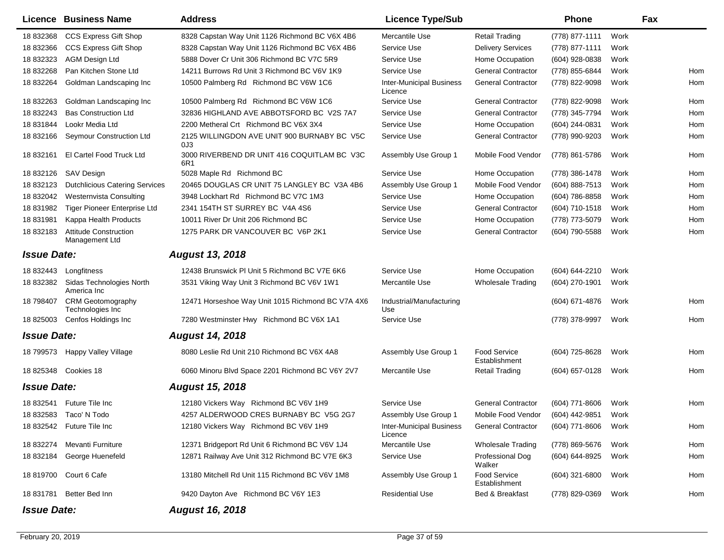|                    | <b>Licence Business Name</b>                   | <b>Address</b>                                     | <b>Licence Type/Sub</b>                    |                                      | <b>Phone</b>        |      | Fax        |
|--------------------|------------------------------------------------|----------------------------------------------------|--------------------------------------------|--------------------------------------|---------------------|------|------------|
| 18 832368          | <b>CCS Express Gift Shop</b>                   | 8328 Capstan Way Unit 1126 Richmond BC V6X 4B6     | Mercantile Use                             | <b>Retail Trading</b>                | (778) 877-1111      | Work |            |
| 18 832366          | <b>CCS Express Gift Shop</b>                   | 8328 Capstan Way Unit 1126 Richmond BC V6X 4B6     | Service Use                                | <b>Delivery Services</b>             | (778) 877-1111      | Work |            |
| 18 832323          | <b>AGM Design Ltd</b>                          | 5888 Dover Cr Unit 306 Richmond BC V7C 5R9         | Service Use                                | Home Occupation                      | (604) 928-0838      | Work |            |
| 18 832268          | Pan Kitchen Stone Ltd                          | 14211 Burrows Rd Unit 3 Richmond BC V6V 1K9        | Service Use                                | <b>General Contractor</b>            | (778) 855-6844      | Work | <b>Hom</b> |
| 18 832264          | Goldman Landscaping Inc                        | 10500 Palmberg Rd Richmond BC V6W 1C6              | <b>Inter-Municipal Business</b><br>Licence | <b>General Contractor</b>            | (778) 822-9098      | Work | Hom        |
| 18 832263          | Goldman Landscaping Inc                        | 10500 Palmberg Rd Richmond BC V6W 1C6              | Service Use                                | <b>General Contractor</b>            | (778) 822-9098      | Work | <b>Hom</b> |
| 18 832243          | <b>Bas Construction Ltd</b>                    | 32836 HIGHLAND AVE ABBOTSFORD BC V2S 7A7           | Service Use                                | <b>General Contractor</b>            | (778) 345-7794      | Work | Hom        |
| 18831844           | Lookr Media Ltd                                | 2200 Metheral Crt Richmond BC V6X 3X4              | Service Use                                | Home Occupation                      | (604) 244-0831      | Work | Hom        |
| 18 832166          | Seymour Construction Ltd                       | 2125 WILLINGDON AVE UNIT 900 BURNABY BC V5C<br>0J3 | Service Use                                | <b>General Contractor</b>            | (778) 990-9203      | Work | Hom        |
| 18 832161          | El Cartel Food Truck Ltd                       | 3000 RIVERBEND DR UNIT 416 COQUITLAM BC V3C<br>6R1 | Assembly Use Group 1                       | Mobile Food Vendor                   | (778) 861-5786      | Work | Hom        |
| 18 832126          | <b>SAV Design</b>                              | 5028 Maple Rd Richmond BC                          | Service Use                                | Home Occupation                      | (778) 386-1478      | Work | Hom        |
| 18 832123          | <b>Dutchlicious Catering Services</b>          | 20465 DOUGLAS CR UNIT 75 LANGLEY BC V3A 4B6        | Assembly Use Group 1                       | Mobile Food Vendor                   | (604) 888-7513      | Work | Hom        |
| 18 832042          | Westernvista Consulting                        | 3948 Lockhart Rd Richmond BC V7C 1M3               | Service Use                                | Home Occupation                      | (604) 786-8858      | Work | Hom        |
| 18 831982          | Tiger Pioneer Enterprise Ltd                   | 2341 154TH ST SURREY BC V4A 4S6                    | Service Use                                | <b>General Contractor</b>            | (604) 710-1518      | Work | Hom        |
| 18 831981          | Kappa Health Products                          | 10011 River Dr Unit 206 Richmond BC                | Service Use                                | Home Occupation                      | (778) 773-5079      | Work | Hom        |
| 18 832183          | <b>Attitude Construction</b><br>Management Ltd | 1275 PARK DR VANCOUVER BC V6P 2K1                  | Service Use                                | <b>General Contractor</b>            | (604) 790-5588      | Work | Hom        |
| <b>Issue Date:</b> |                                                | <b>August 13, 2018</b>                             |                                            |                                      |                     |      |            |
| 18 832443          | Longfitness                                    | 12438 Brunswick PI Unit 5 Richmond BC V7E 6K6      | Service Use                                | Home Occupation                      | (604) 644-2210      | Work |            |
| 18 832382          | Sidas Technologies North<br>America Inc        | 3531 Viking Way Unit 3 Richmond BC V6V 1W1         | Mercantile Use                             | <b>Wholesale Trading</b>             | (604) 270-1901      | Work |            |
| 18 798407          | <b>CRM Geotomography</b><br>Technologies Inc   | 12471 Horseshoe Way Unit 1015 Richmond BC V7A 4X6  | Industrial/Manufacturing<br>Use            |                                      | (604) 671-4876      | Work | Hom        |
| 18 825003          | Cenfos Holdings Inc                            | 7280 Westminster Hwy Richmond BC V6X 1A1           | Service Use                                |                                      | (778) 378-9997      | Work | Hom        |
| <b>Issue Date:</b> |                                                | <b>August 14, 2018</b>                             |                                            |                                      |                     |      |            |
| 18 799573          | Happy Valley Village                           | 8080 Leslie Rd Unit 210 Richmond BC V6X 4A8        | Assembly Use Group 1                       | <b>Food Service</b><br>Establishment | (604) 725-8628      | Work | Hom        |
| 18 825348          | Cookies 18                                     | 6060 Minoru Blvd Space 2201 Richmond BC V6Y 2V7    | Mercantile Use                             | <b>Retail Trading</b>                | (604) 657-0128      | Work | Hom        |
| <b>Issue Date:</b> |                                                | <b>August 15, 2018</b>                             |                                            |                                      |                     |      |            |
| 18 832541          | <b>Future Tile Inc.</b>                        | 12180 Vickers Way Richmond BC V6V 1H9              | Service Use                                | <b>General Contractor</b>            | (604) 771-8606      | Work | Hom        |
| 18 832583          | Taco' N Todo                                   | 4257 ALDERWOOD CRES BURNABY BC V5G 2G7             | Assembly Use Group 1                       | Mobile Food Vendor                   | (604) 442-9851      | Work |            |
|                    | 18 832542 Future Tile Inc                      | 12180 Vickers Way Richmond BC V6V 1H9              | <b>Inter-Municipal Business</b><br>Licence | <b>General Contractor</b>            | (604) 771-8606 Work |      | Hom        |
| 18 832274          | Mevanti Furniture                              | 12371 Bridgeport Rd Unit 6 Richmond BC V6V 1J4     | Mercantile Use                             | <b>Wholesale Trading</b>             | (778) 869-5676      | Work | Hom        |
| 18 832184          | George Huenefeld                               | 12871 Railway Ave Unit 312 Richmond BC V7E 6K3     | Service Use                                | Professional Dog<br>Walker           | (604) 644-8925      | Work | Hom        |
| 18 819700          | Court 6 Cafe                                   | 13180 Mitchell Rd Unit 115 Richmond BC V6V 1M8     | Assembly Use Group 1                       | <b>Food Service</b><br>Establishment | (604) 321-6800      | Work | Hom        |
| 18 831781          | Better Bed Inn                                 | 9420 Dayton Ave Richmond BC V6Y 1E3                | <b>Residential Use</b>                     | Bed & Breakfast                      | (778) 829-0369      | Work | Hom        |
| <b>Issue Date:</b> |                                                | <b>August 16, 2018</b>                             |                                            |                                      |                     |      |            |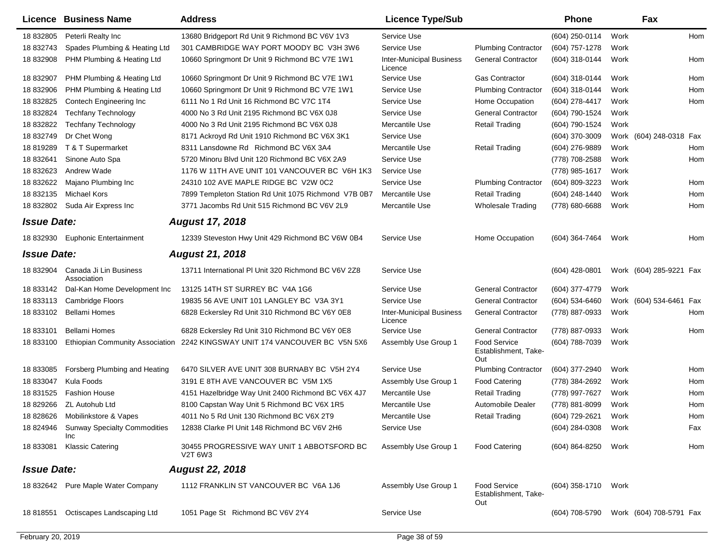|                    | <b>Licence Business Name</b>                      | <b>Address</b>                                        | <b>Licence Type/Sub</b>                    |                                                    | Phone               |      | Fax                     |     |
|--------------------|---------------------------------------------------|-------------------------------------------------------|--------------------------------------------|----------------------------------------------------|---------------------|------|-------------------------|-----|
| 18 832805          | Peterli Realty Inc                                | 13680 Bridgeport Rd Unit 9 Richmond BC V6V 1V3        | Service Use                                |                                                    | (604) 250-0114      | Work |                         | Hom |
| 18 832743          | Spades Plumbing & Heating Ltd                     | 301 CAMBRIDGE WAY PORT MOODY BC V3H 3W6               | Service Use                                | <b>Plumbing Contractor</b>                         | (604) 757-1278      | Work |                         |     |
| 18 832908          | PHM Plumbing & Heating Ltd                        | 10660 Springmont Dr Unit 9 Richmond BC V7E 1W1        | <b>Inter-Municipal Business</b><br>Licence | <b>General Contractor</b>                          | (604) 318-0144      | Work |                         | Hom |
| 18 832907          | PHM Plumbing & Heating Ltd                        | 10660 Springmont Dr Unit 9 Richmond BC V7E 1W1        | Service Use                                | <b>Gas Contractor</b>                              | (604) 318-0144      | Work |                         | Hom |
| 18 832906          | PHM Plumbing & Heating Ltd                        | 10660 Springmont Dr Unit 9 Richmond BC V7E 1W1        | Service Use                                | <b>Plumbing Contractor</b>                         | (604) 318-0144      | Work |                         | Hom |
| 18 832825          | Contech Engineering Inc                           | 6111 No 1 Rd Unit 16 Richmond BC V7C 1T4              | Service Use                                | Home Occupation                                    | (604) 278-4417      | Work |                         | Hom |
| 18 832824          | <b>Techfany Technology</b>                        | 4000 No 3 Rd Unit 2195 Richmond BC V6X 0J8            | Service Use                                | <b>General Contractor</b>                          | (604) 790-1524      | Work |                         |     |
| 18 832822          | <b>Techfany Technology</b>                        | 4000 No 3 Rd Unit 2195 Richmond BC V6X 0J8            | Mercantile Use                             | <b>Retail Trading</b>                              | (604) 790-1524      | Work |                         |     |
| 18 832749          | Dr Chet Wong                                      | 8171 Ackroyd Rd Unit 1910 Richmond BC V6X 3K1         | Service Use                                |                                                    | (604) 370-3009      |      | Work (604) 248-0318     | Fax |
| 18 819289          | T & T Supermarket                                 | 8311 Lansdowne Rd Richmond BC V6X 3A4                 | Mercantile Use                             | <b>Retail Trading</b>                              | (604) 276-9889      | Work |                         | Hom |
| 18 832641          | Sinone Auto Spa                                   | 5720 Minoru Blvd Unit 120 Richmond BC V6X 2A9         | Service Use                                |                                                    | (778) 708-2588      | Work |                         | Hom |
| 18 832623          | Andrew Wade                                       | 1176 W 11TH AVE UNIT 101 VANCOUVER BC V6H 1K3         | Service Use                                |                                                    | (778) 985-1617      | Work |                         |     |
| 18 832622          | Majano Plumbing Inc                               | 24310 102 AVE MAPLE RIDGE BC V2W 0C2                  | Service Use                                | <b>Plumbing Contractor</b>                         | (604) 809-3223      | Work |                         | Hom |
| 18 832135          | <b>Michael Kors</b>                               | 7899 Templeton Station Rd Unit 1075 Richmond V7B 0B7  | Mercantile Use                             | <b>Retail Trading</b>                              | (604) 248-1440      | Work |                         | Hom |
| 18 832802          | Suda Air Express Inc                              | 3771 Jacombs Rd Unit 515 Richmond BC V6V 2L9          | Mercantile Use                             | <b>Wholesale Trading</b>                           | (778) 680-6688      | Work |                         | Hom |
| <b>Issue Date:</b> |                                                   | <b>August 17, 2018</b>                                |                                            |                                                    |                     |      |                         |     |
|                    | 18 832930 Euphonic Entertainment                  | 12339 Steveston Hwy Unit 429 Richmond BC V6W 0B4      | Service Use                                | Home Occupation                                    | (604) 364-7464      | Work |                         | Hom |
| <b>Issue Date:</b> |                                                   | <b>August 21, 2018</b>                                |                                            |                                                    |                     |      |                         |     |
| 18 832904          | Canada Ji Lin Business<br>Association             | 13711 International PI Unit 320 Richmond BC V6V 2Z8   | Service Use                                |                                                    | (604) 428-0801      |      | Work (604) 285-9221 Fax |     |
| 18 833142          | Dal-Kan Home Development Inc                      | 13125 14TH ST SURREY BC V4A 1G6                       | Service Use                                | <b>General Contractor</b>                          | (604) 377-4779      | Work |                         |     |
| 18 833113          | <b>Cambridge Floors</b>                           | 19835 56 AVE UNIT 101 LANGLEY BC V3A 3Y1              | Service Use                                | <b>General Contractor</b>                          | (604) 534-6460      |      | Work (604) 534-6461     | Fax |
| 18 833102          | <b>Bellami Homes</b>                              | 6828 Eckersley Rd Unit 310 Richmond BC V6Y 0E8        | <b>Inter-Municipal Business</b><br>Licence | <b>General Contractor</b>                          | (778) 887-0933      | Work |                         | Hom |
| 18 833101          | <b>Bellami Homes</b>                              | 6828 Eckersley Rd Unit 310 Richmond BC V6Y 0E8        | Service Use                                | <b>General Contractor</b>                          | (778) 887-0933      | Work |                         | Hom |
| 18 833100          | <b>Ethiopian Community Association</b>            | 2242 KINGSWAY UNIT 174 VANCOUVER BC V5N 5X6           | Assembly Use Group 1                       | <b>Food Service</b><br>Establishment, Take-<br>Out | (604) 788-7039      | Work |                         |     |
| 18 833085          | Forsberg Plumbing and Heating                     | 6470 SILVER AVE UNIT 308 BURNABY BC V5H 2Y4           | Service Use                                | <b>Plumbing Contractor</b>                         | (604) 377-2940      | Work |                         | Hom |
| 18 833047          | Kula Foods                                        | 3191 E 8TH AVE VANCOUVER BC V5M 1X5                   | Assembly Use Group 1                       | <b>Food Catering</b>                               | (778) 384-2692      | Work |                         | Hom |
| 18 831525          | <b>Fashion House</b>                              | 4151 Hazelbridge Way Unit 2400 Richmond BC V6X 4J7    | Mercantile Use                             | <b>Retail Trading</b>                              | (778) 997-7627      | Work |                         | Hom |
| 18 829266          | <b>ZL Autohub Ltd</b>                             | 8100 Capstan Way Unit 5 Richmond BC V6X 1R5           | Mercantile Use                             | Automobile Dealer                                  | (778) 881-8099      | Work |                         | Hom |
| 18 828626          | Mobilinkstore & Vapes                             | 4011 No 5 Rd Unit 130 Richmond BC V6X 2T9             | Mercantile Use                             | <b>Retail Trading</b>                              | (604) 729-2621      | Work |                         | Hom |
| 18 824946          | <b>Sunway Specialty Commodities</b><br><b>Inc</b> | 12838 Clarke PI Unit 148 Richmond BC V6V 2H6          | Service Use                                |                                                    | (604) 284-0308      | Work |                         | Fax |
| 18 833081          | <b>Klassic Catering</b>                           | 30455 PROGRESSIVE WAY UNIT 1 ABBOTSFORD BC<br>V2T 6W3 | Assembly Use Group 1                       | <b>Food Catering</b>                               | (604) 864-8250      | Work |                         | Hom |
| <b>Issue Date:</b> |                                                   | <b>August 22, 2018</b>                                |                                            |                                                    |                     |      |                         |     |
|                    | 18 832642 Pure Maple Water Company                | 1112 FRANKLIN ST VANCOUVER BC V6A 1J6                 | Assembly Use Group 1                       | <b>Food Service</b><br>Establishment, Take-<br>Out | (604) 358-1710 Work |      |                         |     |
| 18 818551          | Octiscapes Landscaping Ltd                        | 1051 Page St Richmond BC V6V 2Y4                      | Service Use                                |                                                    | (604) 708-5790      |      | Work (604) 708-5791 Fax |     |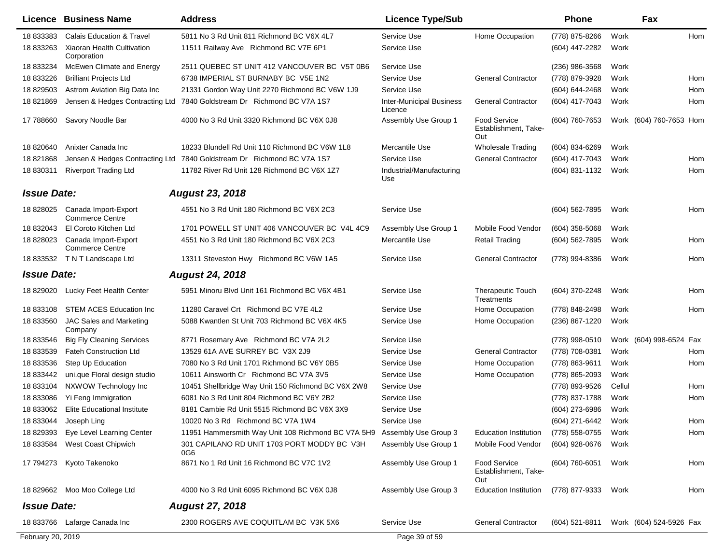|                    | Licence Business Name                                    | <b>Address</b>                                                         | <b>Licence Type/Sub</b>                    |                                                    | Phone            |        | Fax                                    |
|--------------------|----------------------------------------------------------|------------------------------------------------------------------------|--------------------------------------------|----------------------------------------------------|------------------|--------|----------------------------------------|
| 18 833383          | <b>Calais Education &amp; Travel</b>                     | 5811 No 3 Rd Unit 811 Richmond BC V6X 4L7                              | Service Use                                | Home Occupation                                    | (778) 875-8266   | Work   | Hom                                    |
| 18 833263          | Xiaoran Health Cultivation<br>Corporation                | 11511 Railway Ave Richmond BC V7E 6P1                                  | Service Use                                |                                                    | (604) 447-2282   | Work   |                                        |
| 18 833234          | McEwen Climate and Energy                                | 2511 QUEBEC ST UNIT 412 VANCOUVER BC V5T 0B6                           | Service Use                                |                                                    | $(236)$ 986-3568 | Work   |                                        |
| 18 833226          | <b>Brilliant Projects Ltd</b>                            | 6738 IMPERIAL ST BURNABY BC V5E 1N2                                    | Service Use                                | <b>General Contractor</b>                          | (778) 879-3928   | Work   | Hom                                    |
| 18 829503          | Astrom Aviation Big Data Inc                             | 21331 Gordon Way Unit 2270 Richmond BC V6W 1J9                         | Service Use                                |                                                    | (604) 644-2468   | Work   | Hom                                    |
| 18821869           |                                                          | Jensen & Hedges Contracting Ltd 7840 Goldstream Dr Richmond BC V7A 1S7 | <b>Inter-Municipal Business</b><br>Licence | <b>General Contractor</b>                          | (604) 417-7043   | Work   | Hom                                    |
| 17 788660          | Savory Noodle Bar                                        | 4000 No 3 Rd Unit 3320 Richmond BC V6X 0J8                             | Assembly Use Group 1                       | <b>Food Service</b><br>Establishment, Take-<br>Out | (604) 760-7653   |        | Work (604) 760-7653 Hom                |
| 18 820640          | Anixter Canada Inc                                       | 18233 Blundell Rd Unit 110 Richmond BC V6W 1L8                         | Mercantile Use                             | <b>Wholesale Trading</b>                           | (604) 834-6269   | Work   |                                        |
| 18821868           |                                                          | Jensen & Hedges Contracting Ltd 7840 Goldstream Dr Richmond BC V7A 1S7 | Service Use                                | <b>General Contractor</b>                          | (604) 417-7043   | Work   | Hom                                    |
| 18 830311          | <b>Riverport Trading Ltd</b>                             | 11782 River Rd Unit 128 Richmond BC V6X 1Z7                            | Industrial/Manufacturing<br>Use            |                                                    | (604) 831-1132   | Work   | Hom                                    |
| <b>Issue Date:</b> |                                                          | <b>August 23, 2018</b>                                                 |                                            |                                                    |                  |        |                                        |
|                    | 18 828025 Canada Import-Export<br><b>Commerce Centre</b> | 4551 No 3 Rd Unit 180 Richmond BC V6X 2C3                              | Service Use                                |                                                    | (604) 562-7895   | Work   | Hom                                    |
| 18 832043          | El Coroto Kitchen Ltd                                    | 1701 POWELL ST UNIT 406 VANCOUVER BC V4L 4C9                           | Assembly Use Group 1                       | Mobile Food Vendor                                 | $(604)$ 358-5068 | Work   |                                        |
| 18 828023          | Canada Import-Export<br><b>Commerce Centre</b>           | 4551 No 3 Rd Unit 180 Richmond BC V6X 2C3                              | Mercantile Use                             | <b>Retail Trading</b>                              | (604) 562-7895   | Work   | Hom                                    |
|                    | 18 833532 TNT Landscape Ltd                              | 13311 Steveston Hwy Richmond BC V6W 1A5                                | Service Use                                | <b>General Contractor</b>                          | (778) 994-8386   | Work   | Hom                                    |
| <b>Issue Date:</b> |                                                          | <b>August 24, 2018</b>                                                 |                                            |                                                    |                  |        |                                        |
| 18 829020          | Lucky Feet Health Center                                 | 5951 Minoru Blvd Unit 161 Richmond BC V6X 4B1                          | Service Use                                | <b>Therapeutic Touch</b><br>Treatments             | (604) 370-2248   | Work   | Hom                                    |
| 18 833108          | <b>STEM ACES Education Inc</b>                           | 11280 Caravel Crt Richmond BC V7E 4L2                                  | Service Use                                | Home Occupation                                    | (778) 848-2498   | Work   | Hom                                    |
| 18 833560          | <b>JAC Sales and Marketing</b><br>Company                | 5088 Kwantlen St Unit 703 Richmond BC V6X 4K5                          | Service Use                                | Home Occupation                                    | (236) 867-1220   | Work   |                                        |
| 18 833546          | <b>Big Fly Cleaning Services</b>                         | 8771 Rosemary Ave Richmond BC V7A 2L2                                  | Service Use                                |                                                    | (778) 998-0510   |        | Work (604) 998-6524<br>Fax             |
| 18 833539          | <b>Fateh Construction Ltd</b>                            | 13529 61A AVE SURREY BC V3X 2J9                                        | Service Use                                | <b>General Contractor</b>                          | (778) 708-0381   | Work   | Hom                                    |
| 18 833536          | Step Up Education                                        | 7080 No 3 Rd Unit 1701 Richmond BC V6Y 0B5                             | Service Use                                | Home Occupation                                    | (778) 863-9611   | Work   | Hom                                    |
| 18 833442          | uni.que Floral design studio                             | 10611 Ainsworth Cr Richmond BC V7A 3V5                                 | Service Use                                | Home Occupation                                    | (778) 865-2093   | Work   |                                        |
| 18 833104          | NXWOW Technology Inc                                     | 10451 Shellbridge Way Unit 150 Richmond BC V6X 2W8                     | Service Use                                |                                                    | (778) 893-9526   | Cellul | Hom                                    |
| 18 833086          | Yi Feng Immigration                                      | 6081 No 3 Rd Unit 804 Richmond BC V6Y 2B2                              | Service Use                                |                                                    | (778) 837-1788   | Work   | Hom                                    |
| 18 833062          | <b>Elite Educational Institute</b>                       | 8181 Cambie Rd Unit 5515 Richmond BC V6X 3X9                           | Service Use                                |                                                    | (604) 273-6986   | Work   |                                        |
| 18 833044          | Joseph Ling                                              | 10020 No 3 Rd Richmond BC V7A 1W4                                      | Service Use                                |                                                    | (604) 271-6442   | Work   | Hom                                    |
| 18 829393          | Eye Level Learning Center                                | 11951 Hammersmith Way Unit 108 Richmond BC V7A 5H9                     | Assembly Use Group 3                       | <b>Education Institution</b>                       | (778) 558-0755   | Work   | Hom                                    |
| 18 833584          | West Coast Chipwich                                      | 301 CAPILANO RD UNIT 1703 PORT MODDY BC V3H<br>0G6                     | Assembly Use Group 1                       | Mobile Food Vendor                                 | (604) 928-0676   | Work   |                                        |
|                    | 17 794273 Kyoto Takenoko                                 | 8671 No 1 Rd Unit 16 Richmond BC V7C 1V2                               | Assembly Use Group 1                       | <b>Food Service</b><br>Establishment, Take-<br>Out | (604) 760-6051   | Work   | Hom                                    |
|                    | 18 829662 Moo Moo College Ltd                            | 4000 No 3 Rd Unit 6095 Richmond BC V6X 0J8                             | Assembly Use Group 3                       | <b>Education Institution</b>                       | (778) 877-9333   | Work   | Hom                                    |
| <b>Issue Date:</b> |                                                          | <b>August 27, 2018</b>                                                 |                                            |                                                    |                  |        |                                        |
|                    | 18 833766 Lafarge Canada Inc                             | 2300 ROGERS AVE COQUITLAM BC V3K 5X6                                   | Service Use                                | <b>General Contractor</b>                          |                  |        | (604) 521-8811 Work (604) 524-5926 Fax |
| February 20, 2019  |                                                          |                                                                        | Page 39 of 59                              |                                                    |                  |        |                                        |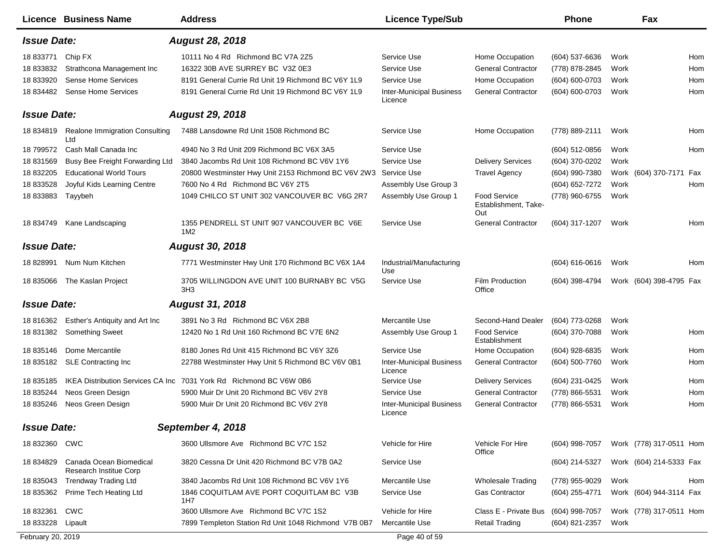|                      | <b>Licence Business Name</b>                      | <b>Address</b>                                                 | <b>Licence Type/Sub</b>                    |                                                    | <b>Phone</b>       | Fax                     |     |
|----------------------|---------------------------------------------------|----------------------------------------------------------------|--------------------------------------------|----------------------------------------------------|--------------------|-------------------------|-----|
| <b>Issue Date:</b>   |                                                   | <b>August 28, 2018</b>                                         |                                            |                                                    |                    |                         |     |
| 18 833771            | Chip FX                                           | 10111 No 4 Rd Richmond BC V7A 2Z5                              | Service Use                                | Home Occupation                                    | (604) 537-6636     | Work                    | Hom |
| 18 833832            | Strathcona Management Inc                         | 16322 30B AVE SURREY BC V3Z 0E3                                | Service Use                                | <b>General Contractor</b>                          | (778) 878-2845     | Work                    | Hom |
| 18 833920            | Sense Home Services                               | 8191 General Currie Rd Unit 19 Richmond BC V6Y 1L9             | Service Use                                | Home Occupation                                    | (604) 600-0703     | Work                    | Hom |
| 18 834482            | Sense Home Services                               | 8191 General Currie Rd Unit 19 Richmond BC V6Y 1L9             | <b>Inter-Municipal Business</b><br>Licence | <b>General Contractor</b>                          | (604) 600-0703     | Work                    | Hom |
| <b>Issue Date:</b>   |                                                   | <b>August 29, 2018</b>                                         |                                            |                                                    |                    |                         |     |
| 18 834819            | Realone Immigration Consulting<br>Ltd             | 7488 Lansdowne Rd Unit 1508 Richmond BC                        | Service Use                                | Home Occupation                                    | (778) 889-2111     | Work                    | Hom |
| 18 799572            | Cash Mall Canada Inc                              | 4940 No 3 Rd Unit 209 Richmond BC V6X 3A5                      | Service Use                                |                                                    | (604) 512-0856     | Work                    | Hom |
| 18 831569            | Busy Bee Freight Forwarding Ltd                   | 3840 Jacombs Rd Unit 108 Richmond BC V6V 1Y6                   | Service Use                                | <b>Delivery Services</b>                           | (604) 370-0202     | Work                    |     |
| 18 832205            | <b>Educational World Tours</b>                    | 20800 Westminster Hwy Unit 2153 Richmond BC V6V 2W3            | Service Use                                | <b>Travel Agency</b>                               | (604) 990-7380     | Work (604) 370-7171     | Fax |
| 18 833528            | Joyful Kids Learning Centre                       | 7600 No 4 Rd Richmond BC V6Y 2T5                               | Assembly Use Group 3                       |                                                    | (604) 652-7272     | Work                    | Hom |
| 18 833883            | Tayybeh                                           | 1049 CHILCO ST UNIT 302 VANCOUVER BC V6G 2R7                   | Assembly Use Group 1                       | <b>Food Service</b><br>Establishment, Take-<br>Out | (778) 960-6755     | Work                    |     |
| 18 834749            | Kane Landscaping                                  | 1355 PENDRELL ST UNIT 907 VANCOUVER BC V6E<br>1M <sub>2</sub>  | Service Use                                | <b>General Contractor</b>                          | (604) 317-1207     | Work                    | Hom |
| <b>Issue Date:</b>   |                                                   | <b>August 30, 2018</b>                                         |                                            |                                                    |                    |                         |     |
| 18 828991            | Num Num Kitchen                                   | 7771 Westminster Hwy Unit 170 Richmond BC V6X 1A4              | Industrial/Manufacturing<br>Use            |                                                    | $(604) 616 - 0616$ | Work                    | Hom |
| 18 835066            | The Kaslan Project                                | 3705 WILLINGDON AVE UNIT 100 BURNABY BC V5G<br>3H <sub>3</sub> | Service Use                                | <b>Film Production</b><br>Office                   | (604) 398-4794     | Work (604) 398-4795 Fax |     |
| <b>Issue Date:</b>   |                                                   | <b>August 31, 2018</b>                                         |                                            |                                                    |                    |                         |     |
| 18 816362            | Esther's Antiquity and Art Inc                    | 3891 No 3 Rd Richmond BC V6X 2B8                               | Mercantile Use                             | Second-Hand Dealer                                 | (604) 773-0268     | Work                    |     |
| 18 831382            | <b>Something Sweet</b>                            | 12420 No 1 Rd Unit 160 Richmond BC V7E 6N2                     | Assembly Use Group 1                       | Food Service<br>Establishment                      | (604) 370-7088     | Work                    | Hom |
| 18 835146            | Dome Mercantile                                   | 8180 Jones Rd Unit 415 Richmond BC V6Y 3Z6                     | Service Use                                | Home Occupation                                    | (604) 928-6835     | Work                    | Hom |
| 18 835182            | <b>SLE Contracting Inc</b>                        | 22788 Westminster Hwy Unit 5 Richmond BC V6V 0B1               | <b>Inter-Municipal Business</b><br>Licence | <b>General Contractor</b>                          | (604) 500-7760     | Work                    | Hom |
| 18 835185            | <b>IKEA Distribution Services CA Inc.</b>         | 7031 York Rd Richmond BC V6W 0B6                               | Service Use                                | <b>Delivery Services</b>                           | (604) 231-0425     | Work                    | Hom |
| 18 835244            | Neos Green Design                                 | 5900 Muir Dr Unit 20 Richmond BC V6V 2Y8                       | Service Use                                | <b>General Contractor</b>                          | (778) 866-5531     | Work                    | Hom |
| 18 835246            | Neos Green Design                                 | 5900 Muir Dr Unit 20 Richmond BC V6V 2Y8                       | <b>Inter-Municipal Business</b><br>Licence | <b>General Contractor</b>                          | (778) 866-5531     | Work                    | Hom |
| <b>Issue Date:</b>   |                                                   | September 4, 2018                                              |                                            |                                                    |                    |                         |     |
| 18 832360 CWC        |                                                   | 3600 Ullsmore Ave Richmond BC V7C 1S2                          | Vehicle for Hire                           | Vehicle For Hire<br>Office                         | (604) 998-7057     | Work (778) 317-0511 Hom |     |
| 18 834829            | Canada Ocean Biomedical<br>Research Institue Corp | 3820 Cessna Dr Unit 420 Richmond BC V7B 0A2                    | Service Use                                |                                                    | (604) 214-5327     | Work (604) 214-5333 Fax |     |
| 18 835043            | <b>Trendway Trading Ltd</b>                       | 3840 Jacombs Rd Unit 108 Richmond BC V6V 1Y6                   | Mercantile Use                             | <b>Wholesale Trading</b>                           | (778) 955-9029     | Work                    | Hom |
| 18 835362            | Prime Tech Heating Ltd                            | 1846 COQUITLAM AVE PORT COQUITLAM BC V3B<br>1H7                | Service Use                                | Gas Contractor                                     | (604) 255-4771     | Work (604) 944-3114 Fax |     |
| 18 832361            | CWC                                               | 3600 Ullsmore Ave Richmond BC V7C 1S2                          | Vehicle for Hire                           | Class E - Private Bus                              | (604) 998-7057     | Work (778) 317-0511 Hom |     |
| 18 833228    Lipault |                                                   | 7899 Templeton Station Rd Unit 1048 Richmond V7B 0B7           | Mercantile Use                             | <b>Retail Trading</b>                              | (604) 821-2357     | Work                    |     |
| February 20, 2019    |                                                   |                                                                | Page 40 of 59                              |                                                    |                    |                         |     |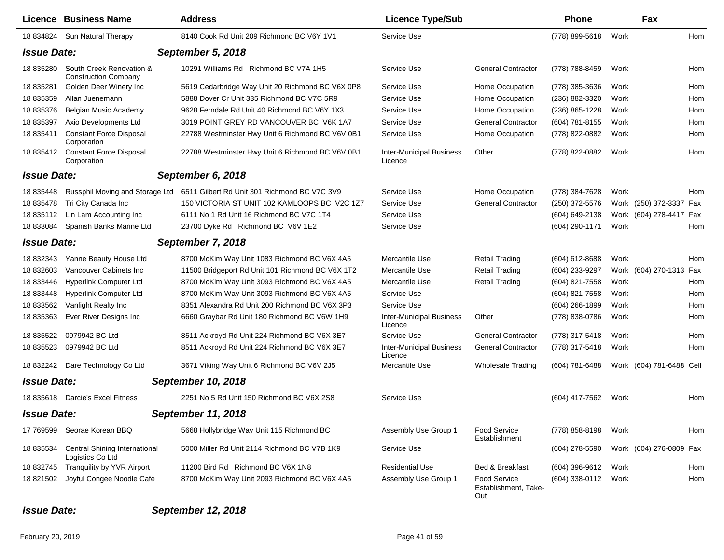|                    | <b>Licence Business Name</b>                            | <b>Address</b>                                   | <b>Licence Type/Sub</b>                    |                                                    | Phone            | Fax                      |     |
|--------------------|---------------------------------------------------------|--------------------------------------------------|--------------------------------------------|----------------------------------------------------|------------------|--------------------------|-----|
| 18 834824          | Sun Natural Therapy                                     | 8140 Cook Rd Unit 209 Richmond BC V6Y 1V1        | Service Use                                |                                                    | (778) 899-5618   | Work                     | Hom |
| <b>Issue Date:</b> |                                                         | September 5, 2018                                |                                            |                                                    |                  |                          |     |
| 18 835280          | South Creek Renovation &<br><b>Construction Company</b> | 10291 Williams Rd Richmond BC V7A 1H5            | Service Use                                | <b>General Contractor</b>                          | (778) 788-8459   | Work                     | Hom |
| 18 835281          | Golden Deer Winery Inc                                  | 5619 Cedarbridge Way Unit 20 Richmond BC V6X 0P8 | Service Use                                | Home Occupation                                    | (778) 385-3636   | Work                     | Hom |
| 18 835359          | Allan Juenemann                                         | 5888 Dover Cr Unit 335 Richmond BC V7C 5R9       | Service Use                                | Home Occupation                                    | (236) 882-3320   | Work                     | Hom |
| 18 835376          | Belgian Music Academy                                   | 9628 Ferndale Rd Unit 40 Richmond BC V6Y 1X3     | Service Use                                | Home Occupation                                    | $(236)$ 865-1228 | Work                     | Hom |
| 18 835397          | Axio Developments Ltd                                   | 3019 POINT GREY RD VANCOUVER BC V6K 1A7          | Service Use                                | <b>General Contractor</b>                          | (604) 781-8155   | Work                     | Hom |
| 18 835411          | <b>Constant Force Disposal</b><br>Corporation           | 22788 Westminster Hwy Unit 6 Richmond BC V6V 0B1 | Service Use                                | Home Occupation                                    | (778) 822-0882   | Work                     | Hom |
| 18 835412          | <b>Constant Force Disposal</b><br>Corporation           | 22788 Westminster Hwy Unit 6 Richmond BC V6V 0B1 | <b>Inter-Municipal Business</b><br>Licence | Other                                              | (778) 822-0882   | Work                     | Hom |
| <b>Issue Date:</b> |                                                         | September 6, 2018                                |                                            |                                                    |                  |                          |     |
| 18 835448          | Russphil Moving and Storage Ltd                         | 6511 Gilbert Rd Unit 301 Richmond BC V7C 3V9     | Service Use                                | Home Occupation                                    | (778) 384-7628   | Work                     | Hom |
| 18 835478          | Tri City Canada Inc                                     | 150 VICTORIA ST UNIT 102 KAMLOOPS BC V2C 1Z7     | Service Use                                | <b>General Contractor</b>                          | (250) 372-5576   | Work (250) 372-3337 Fax  |     |
| 18 835112          | Lin Lam Accounting Inc                                  | 6111 No 1 Rd Unit 16 Richmond BC V7C 1T4         | Service Use                                |                                                    | (604) 649-2138   | Work (604) 278-4417 Fax  |     |
| 18 833084          | Spanish Banks Marine Ltd                                | 23700 Dyke Rd Richmond BC V6V 1E2                | Service Use                                |                                                    | (604) 290-1171   | Work                     | Hom |
| <b>Issue Date:</b> |                                                         | September 7, 2018                                |                                            |                                                    |                  |                          |     |
| 18 832343          | Yanne Beauty House Ltd                                  | 8700 McKim Way Unit 1083 Richmond BC V6X 4A5     | Mercantile Use                             | Retail Trading                                     | (604) 612-8688   | Work                     | Hom |
| 18 832603          | Vancouver Cabinets Inc                                  | 11500 Bridgeport Rd Unit 101 Richmond BC V6X 1T2 | Mercantile Use                             | Retail Trading                                     | (604) 233-9297   | Work (604) 270-1313 Fax  |     |
| 18 833446          | <b>Hyperlink Computer Ltd</b>                           | 8700 McKim Way Unit 3093 Richmond BC V6X 4A5     | Mercantile Use                             | <b>Retail Trading</b>                              | (604) 821-7558   | Work                     | Hom |
| 18 833448          | <b>Hyperlink Computer Ltd</b>                           | 8700 McKim Way Unit 3093 Richmond BC V6X 4A5     | Service Use                                |                                                    | (604) 821-7558   | Work                     | Hom |
| 18 833562          | Vanlight Realty Inc                                     | 8351 Alexandra Rd Unit 200 Richmond BC V6X 3P3   | Service Use                                |                                                    | $(604)$ 266-1899 | Work                     | Hom |
| 18 835363          | Ever River Designs Inc                                  | 6660 Graybar Rd Unit 180 Richmond BC V6W 1H9     | <b>Inter-Municipal Business</b><br>Licence | Other                                              | (778) 838-0786   | Work                     | Hom |
| 18 835522          | 0979942 BC Ltd                                          | 8511 Ackroyd Rd Unit 224 Richmond BC V6X 3E7     | Service Use                                | <b>General Contractor</b>                          | (778) 317-5418   | Work                     | Hom |
| 18 835523          | 0979942 BC Ltd                                          | 8511 Ackroyd Rd Unit 224 Richmond BC V6X 3E7     | <b>Inter-Municipal Business</b><br>Licence | <b>General Contractor</b>                          | (778) 317-5418   | Work                     | Hom |
|                    | 18 832242 Dare Technology Co Ltd                        | 3671 Viking Way Unit 6 Richmond BC V6V 2J5       | Mercantile Use                             | <b>Wholesale Trading</b>                           | (604) 781-6488   | Work (604) 781-6488 Cell |     |
| <b>Issue Date:</b> |                                                         | September 10, 2018                               |                                            |                                                    |                  |                          |     |
| 18 835618          | Darcie's Excel Fitness                                  | 2251 No 5 Rd Unit 150 Richmond BC V6X 2S8        | Service Use                                |                                                    | (604) 417-7562   | Work                     | Hom |
| <b>Issue Date:</b> |                                                         | <b>September 11, 2018</b>                        |                                            |                                                    |                  |                          |     |
| 17 769599          | Seorae Korean BBQ                                       | 5668 Hollybridge Way Unit 115 Richmond BC        | Assembly Use Group 1                       | Food Service<br>Establishment                      | (778) 858-8198   | Work                     | Hom |
| 18 835534          | Central Shining International<br>Logistics Co Ltd       | 5000 Miller Rd Unit 2114 Richmond BC V7B 1K9     | Service Use                                |                                                    | (604) 278-5590   | Work (604) 276-0809 Fax  |     |
| 18 832745          | Tranquility by YVR Airport                              | 11200 Bird Rd Richmond BC V6X 1N8                | <b>Residential Use</b>                     | Bed & Breakfast                                    | (604) 396-9612   | Work                     | Hom |
| 18 821502          | Joyful Congee Noodle Cafe                               | 8700 McKim Way Unit 2093 Richmond BC V6X 4A5     | Assembly Use Group 1                       | <b>Food Service</b><br>Establishment, Take-<br>Out | (604) 338-0112   | Work                     | Hom |

## *Issue Date: September 12, 2018*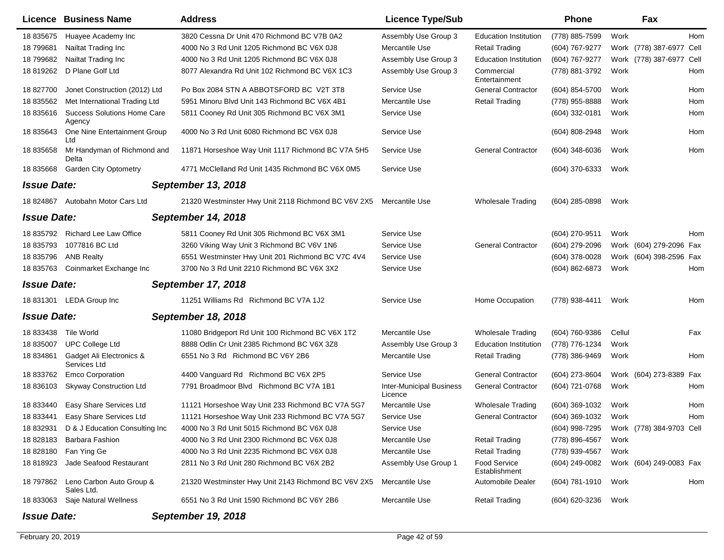|                    | <b>Licence Business Name</b>                 | <b>Address</b>                                      | <b>Licence Type/Sub</b>                    |                                      | Phone            |        | Fax                      |      |
|--------------------|----------------------------------------------|-----------------------------------------------------|--------------------------------------------|--------------------------------------|------------------|--------|--------------------------|------|
| 18 835675          | Huayee Academy Inc                           | 3820 Cessna Dr Unit 470 Richmond BC V7B 0A2         | Assembly Use Group 3                       | <b>Education Institution</b>         | (778) 885-7599   | Work   |                          | Hom  |
| 18 799681          | Nailtat Trading Inc                          | 4000 No 3 Rd Unit 1205 Richmond BC V6X 0J8          | Mercantile Use                             | <b>Retail Trading</b>                | (604) 767-9277   |        | Work (778) 387-6977 Cell |      |
| 18 799682          | Nailtat Trading Inc                          | 4000 No 3 Rd Unit 1205 Richmond BC V6X 0J8          | Assembly Use Group 3                       | <b>Education Institution</b>         | (604) 767-9277   |        | Work (778) 387-6977      | Cell |
| 18 819262          | D Plane Golf Ltd                             | 8077 Alexandra Rd Unit 102 Richmond BC V6X 1C3      | Assembly Use Group 3                       | Commercial<br>Entertainment          | (778) 881-3792   | Work   |                          | Hom  |
| 18 827700          | Jonet Construction (2012) Ltd                | Po Box 2084 STN A ABBOTSFORD BC V2T 3T8             | Service Use                                | <b>General Contractor</b>            | (604) 854-5700   | Work   |                          | Hom  |
| 18 835562          | Met International Trading Ltd                | 5951 Minoru Blvd Unit 143 Richmond BC V6X 4B1       | Mercantile Use                             | <b>Retail Trading</b>                | (778) 955-8888   | Work   |                          | Hom  |
| 18 835616          | <b>Success Solutions Home Care</b><br>Agency | 5811 Cooney Rd Unit 305 Richmond BC V6X 3M1         | Service Use                                |                                      | (604) 332-0181   | Work   |                          | Hom  |
| 18 835643          | One Nine Entertainment Group<br>Ltd          | 4000 No 3 Rd Unit 6080 Richmond BC V6X 0J8          | Service Use                                |                                      | (604) 808-2948   | Work   |                          | Hom  |
| 18 835658          | Mr Handyman of Richmond and<br>Delta         | 11871 Horseshoe Way Unit 1117 Richmond BC V7A 5H5   | Service Use                                | <b>General Contractor</b>            | $(604)$ 348-6036 | Work   |                          | Hom  |
| 18 835668          | <b>Garden City Optometry</b>                 | 4771 McClelland Rd Unit 1435 Richmond BC V6X 0M5    | Service Use                                |                                      | (604) 370-6333   | Work   |                          |      |
| <b>Issue Date:</b> |                                              | <b>September 13, 2018</b>                           |                                            |                                      |                  |        |                          |      |
| 18 824867          | Autobahn Motor Cars Ltd                      | 21320 Westminster Hwy Unit 2118 Richmond BC V6V 2X5 | Mercantile Use                             | <b>Wholesale Trading</b>             | (604) 285-0898   | Work   |                          |      |
| <b>Issue Date:</b> |                                              | <b>September 14, 2018</b>                           |                                            |                                      |                  |        |                          |      |
| 18 835792          | <b>Richard Lee Law Office</b>                | 5811 Cooney Rd Unit 305 Richmond BC V6X 3M1         | Service Use                                |                                      | (604) 270-9511   | Work   |                          | Hom  |
| 18 835793          | 1077816 BC Ltd                               | 3260 Viking Way Unit 3 Richmond BC V6V 1N6          | Service Use                                | <b>General Contractor</b>            | (604) 279-2096   |        | Work (604) 279-2096 Fax  |      |
| 18 835796          | <b>ANB Realty</b>                            | 6551 Westminster Hwy Unit 201 Richmond BC V7C 4V4   | Service Use                                |                                      | (604) 378-0028   |        | Work (604) 398-2596 Fax  |      |
| 18 835763          | Coinmarket Exchange Inc                      | 3700 No 3 Rd Unit 2210 Richmond BC V6X 3X2          | Service Use                                |                                      | (604) 862-6873   | Work   |                          | Hom  |
| <b>Issue Date:</b> |                                              | September 17, 2018                                  |                                            |                                      |                  |        |                          |      |
| 18 831301          | <b>LEDA Group Inc</b>                        | 11251 Williams Rd Richmond BC V7A 1J2               | Service Use                                | Home Occupation                      | (778) 938-4411   | Work   |                          | Hom  |
| <b>Issue Date:</b> |                                              | September 18, 2018                                  |                                            |                                      |                  |        |                          |      |
| 18 833438          | Tile World                                   | 11080 Bridgeport Rd Unit 100 Richmond BC V6X 1T2    | Mercantile Use                             | <b>Wholesale Trading</b>             | (604) 760-9386   | Cellul |                          | Fax  |
| 18 835007          | <b>UPC College Ltd</b>                       | 8888 Odlin Cr Unit 2385 Richmond BC V6X 3Z8         | Assembly Use Group 3                       | <b>Education Institution</b>         | (778) 776-1234   | Work   |                          |      |
| 18 834861          | Gadget Ali Electronics &<br>Services Ltd     | 6551 No 3 Rd Richmond BC V6Y 2B6                    | Mercantile Use                             | <b>Retail Trading</b>                | (778) 386-9469   | Work   |                          | Hom  |
| 18 833762          | <b>Emco Corporation</b>                      | 4400 Vanguard Rd Richmond BC V6X 2P5                | Service Use                                | <b>General Contractor</b>            | (604) 273-8604   |        | Work (604) 273-8389 Fax  |      |
| 18 836103          | <b>Skyway Construction Ltd</b>               | 7791 Broadmoor Blvd Richmond BC V7A 1B1             | <b>Inter-Municipal Business</b><br>Licence | <b>General Contractor</b>            | (604) 721-0768   | Work   |                          | Hom  |
| 18 833440          | Easy Share Services Ltd                      | 11121 Horseshoe Way Unit 233 Richmond BC V7A 5G7    | Mercantile Use                             | <b>Wholesale Trading</b>             | (604) 369-1032   | Work   |                          | Hom  |
| 18 833441          | Easy Share Services Ltd                      | 11121 Horseshoe Way Unit 233 Richmond BC V7A 5G7    | Service Use                                | <b>General Contractor</b>            | (604) 369-1032   | Work   |                          | Hom  |
| 18 832931          | D & J Education Consulting Inc               | 4000 No 3 Rd Unit 5015 Richmond BC V6X 0J8          | Service Use                                |                                      | (604) 998-7295   |        | Work (778) 384-9703 Cell |      |
| 18 828183          | Barbara Fashion                              | 4000 No 3 Rd Unit 2300 Richmond BC V6X 0J8          | Mercantile Use                             | <b>Retail Trading</b>                | (778) 896-4567   | Work   |                          |      |
| 18 828180          | Fan Ying Ge                                  | 4000 No 3 Rd Unit 2235 Richmond BC V6X 0J8          | Mercantile Use                             | <b>Retail Trading</b>                | (778) 939-4567   | Work   |                          |      |
| 18 818923          | Jade Seafood Restaurant                      | 2811 No 3 Rd Unit 280 Richmond BC V6X 2B2           | Assembly Use Group 1                       | <b>Food Service</b><br>Establishment | (604) 249-0082   |        | Work (604) 249-0083 Fax  |      |
| 18 797862          | Leno Carbon Auto Group &<br>Sales Ltd.       | 21320 Westminster Hwy Unit 2143 Richmond BC V6V 2X5 | Mercantile Use                             | Automobile Dealer                    | (604) 781-1910   | Work   |                          | Hom  |
| 18 833063          | Saje Natural Wellness                        | 6551 No 3 Rd Unit 1590 Richmond BC V6Y 2B6          | Mercantile Use                             | <b>Retail Trading</b>                | (604) 620-3236   | Work   |                          |      |
| <b>Issue Date:</b> |                                              | <b>September 19, 2018</b>                           |                                            |                                      |                  |        |                          |      |

 $\overline{a}$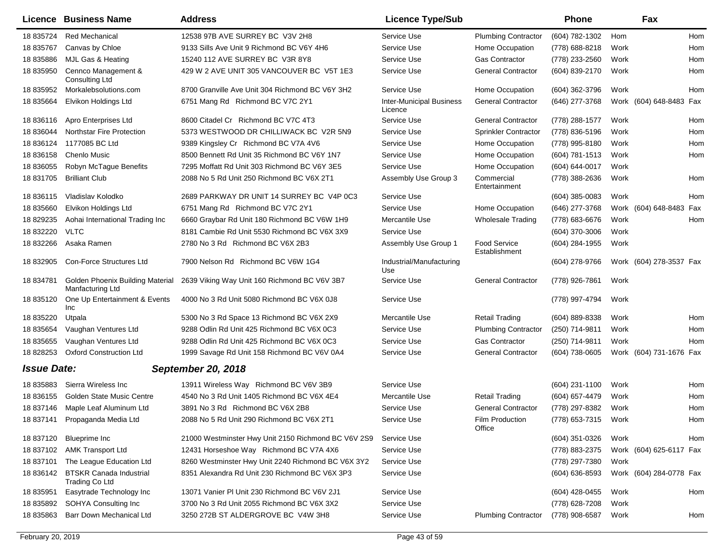|                    | Licence Business Name                                       | <b>Address</b>                                      | <b>Licence Type/Sub</b>                    |                               | <b>Phone</b>       |      | Fax                     |            |
|--------------------|-------------------------------------------------------------|-----------------------------------------------------|--------------------------------------------|-------------------------------|--------------------|------|-------------------------|------------|
| 18 835724          | <b>Red Mechanical</b>                                       | 12538 97B AVE SURREY BC V3V 2H8                     | Service Use                                | <b>Plumbing Contractor</b>    | (604) 782-1302     | Hom  |                         | <b>Hom</b> |
| 18 835767          | Canvas by Chloe                                             | 9133 Sills Ave Unit 9 Richmond BC V6Y 4H6           | Service Use                                | Home Occupation               | (778) 688-8218     | Work |                         | Hom        |
| 18 835886          | MJL Gas & Heating                                           | 15240 112 AVE SURREY BC V3R 8Y8                     | Service Use                                | <b>Gas Contractor</b>         | (778) 233-2560     | Work |                         | Hom        |
| 18 835950          | Cennco Management &<br><b>Consulting Ltd</b>                | 429 W 2 AVE UNIT 305 VANCOUVER BC V5T 1E3           | Service Use                                | <b>General Contractor</b>     | (604) 839-2170     | Work |                         | Hom        |
| 18 835952          | Morkalebsolutions.com                                       | 8700 Granville Ave Unit 304 Richmond BC V6Y 3H2     | Service Use                                | Home Occupation               | (604) 362-3796     | Work |                         | Hom        |
| 18 835664          | Elvikon Holdings Ltd                                        | 6751 Mang Rd Richmond BC V7C 2Y1                    | <b>Inter-Municipal Business</b><br>Licence | <b>General Contractor</b>     | (646) 277-3768     |      | Work (604) 648-8483 Fax |            |
| 18 836116          | Apro Enterprises Ltd                                        | 8600 Citadel Cr Richmond BC V7C 4T3                 | Service Use                                | <b>General Contractor</b>     | (778) 288-1577     | Work |                         | Hom        |
| 18 836044          | <b>Northstar Fire Protection</b>                            | 5373 WESTWOOD DR CHILLIWACK BC V2R 5N9              | Service Use                                | <b>Sprinkler Contractor</b>   | (778) 836-5196     | Work |                         | Hom        |
| 18 836124          | 1177085 BC Ltd                                              | 9389 Kingsley Cr Richmond BC V7A 4V6                | Service Use                                | Home Occupation               | (778) 995-8180     | Work |                         | Hom        |
| 18 836158          | <b>Chenlo Music</b>                                         | 8500 Bennett Rd Unit 35 Richmond BC V6Y 1N7         | Service Use                                | Home Occupation               | (604) 781-1513     | Work |                         | Hom        |
| 18 836055          | Robyn McTague Benefits                                      | 7295 Moffatt Rd Unit 303 Richmond BC V6Y 3E5        | Service Use                                | Home Occupation               | (604) 644-0017     | Work |                         |            |
| 18 831705          | <b>Brilliant Club</b>                                       | 2088 No 5 Rd Unit 250 Richmond BC V6X 2T1           | Assembly Use Group 3                       | Commercial<br>Entertainment   | (778) 388-2636     | Work |                         | Hom        |
| 18 836115          | Vladislav Kolodko                                           | 2689 PARKWAY DR UNIT 14 SURREY BC V4P 0C3           | Service Use                                |                               | $(604)$ 385-0083   | Work |                         | Hom        |
| 18 835660          | Elvikon Holdings Ltd                                        | 6751 Mang Rd Richmond BC V7C 2Y1                    | Service Use                                | Home Occupation               | (646) 277-3768     |      | Work (604) 648-8483 Fax |            |
| 18 829235          | Aohai International Trading Inc                             | 6660 Graybar Rd Unit 180 Richmond BC V6W 1H9        | Mercantile Use                             | <b>Wholesale Trading</b>      | (778) 683-6676     | Work |                         | Hom        |
| 18 832220          | <b>VLTC</b>                                                 | 8181 Cambie Rd Unit 5530 Richmond BC V6X 3X9        | Service Use                                |                               | $(604)$ 370-3006   | Work |                         |            |
| 18 832266          | Asaka Ramen                                                 | 2780 No 3 Rd Richmond BC V6X 2B3                    | Assembly Use Group 1                       | Food Service<br>Establishment | (604) 284-1955     | Work |                         |            |
| 18 832905          | <b>Con-Force Structures Ltd</b>                             | 7900 Nelson Rd Richmond BC V6W 1G4                  | Industrial/Manufacturing<br>Use            |                               | (604) 278-9766     |      | Work (604) 278-3537 Fax |            |
| 18 834781          | <b>Golden Phoenix Building Material</b><br>Manfacturing Ltd | 2639 Viking Way Unit 160 Richmond BC V6V 3B7        | Service Use                                | <b>General Contractor</b>     | (778) 926-7861     | Work |                         |            |
| 18 835120          | One Up Entertainment & Events<br>Inc                        | 4000 No 3 Rd Unit 5080 Richmond BC V6X 0J8          | Service Use                                |                               | (778) 997-4794     | Work |                         |            |
| 18 835220          | Utpala                                                      | 5300 No 3 Rd Space 13 Richmond BC V6X 2X9           | Mercantile Use                             | <b>Retail Trading</b>         | (604) 889-8338     | Work |                         | Hom        |
| 18 835654          | Vaughan Ventures Ltd                                        | 9288 Odlin Rd Unit 425 Richmond BC V6X 0C3          | Service Use                                | <b>Plumbing Contractor</b>    | (250) 714-9811     | Work |                         | Hom        |
| 18 835655          | Vaughan Ventures Ltd                                        | 9288 Odlin Rd Unit 425 Richmond BC V6X 0C3          | Service Use                                | <b>Gas Contractor</b>         | (250) 714-9811     | Work |                         | Hom        |
| 18 828253          | <b>Oxford Construction Ltd</b>                              | 1999 Savage Rd Unit 158 Richmond BC V6V 0A4         | Service Use                                | <b>General Contractor</b>     | (604) 738-0605     |      | Work (604) 731-1676 Fax |            |
| <b>Issue Date:</b> |                                                             | <b>September 20, 2018</b>                           |                                            |                               |                    |      |                         |            |
| 18 835883          | Sierra Wireless Inc                                         | 13911 Wireless Way Richmond BC V6V 3B9              | Service Use                                |                               | (604) 231-1100     | Work |                         | Hom        |
| 18 836155          | Golden State Music Centre                                   | 4540 No 3 Rd Unit 1405 Richmond BC V6X 4E4          | Mercantile Use                             | <b>Retail Trading</b>         | (604) 657-4479     | Work |                         | Hom        |
| 18 837146          | Maple Leaf Aluminum Ltd                                     | 3891 No 3 Rd Richmond BC V6X 2B8                    | Service Use                                | <b>General Contractor</b>     | (778) 297-8382     | Work |                         | Hom        |
| 18 837141          | Propaganda Media Ltd                                        | 2088 No 5 Rd Unit 290 Richmond BC V6X 2T1           | Service Use                                | Film Production<br>Office     | (778) 653-7315     | Work |                         | Hom        |
| 18 837120          | Blueprime Inc                                               | 21000 Westminster Hwy Unit 2150 Richmond BC V6V 2S9 | Service Use                                |                               | (604) 351-0326     | Work |                         | Hom        |
| 18 837102          | <b>AMK Transport Ltd</b>                                    | 12431 Horseshoe Way Richmond BC V7A 4X6             | Service Use                                |                               | (778) 883-2375     |      | Work (604) 625-6117 Fax |            |
| 18 837101          | The League Education Ltd                                    | 8260 Westminster Hwy Unit 2240 Richmond BC V6X 3Y2  | Service Use                                |                               | (778) 297-7380     | Work |                         |            |
| 18 836142          | <b>BTSKR Canada Industrial</b><br>Trading Co Ltd            | 8351 Alexandra Rd Unit 230 Richmond BC V6X 3P3      | Service Use                                |                               | $(604) 636 - 8593$ |      | Work (604) 284-0778 Fax |            |
| 18 835951          | Easytrade Technology Inc                                    | 13071 Vanier PI Unit 230 Richmond BC V6V 2J1        | Service Use                                |                               | (604) 428-0455     | Work |                         | Hom        |
| 18 835892          | SOHYA Consulting Inc                                        | 3700 No 3 Rd Unit 2055 Richmond BC V6X 3X2          | Service Use                                |                               | (778) 628-7208     | Work |                         |            |
| 18 835863          | Barr Down Mechanical Ltd                                    | 3250 272B ST ALDERGROVE BC V4W 3H8                  | Service Use                                | <b>Plumbing Contractor</b>    | (778) 908-6587     | Work |                         | Hom        |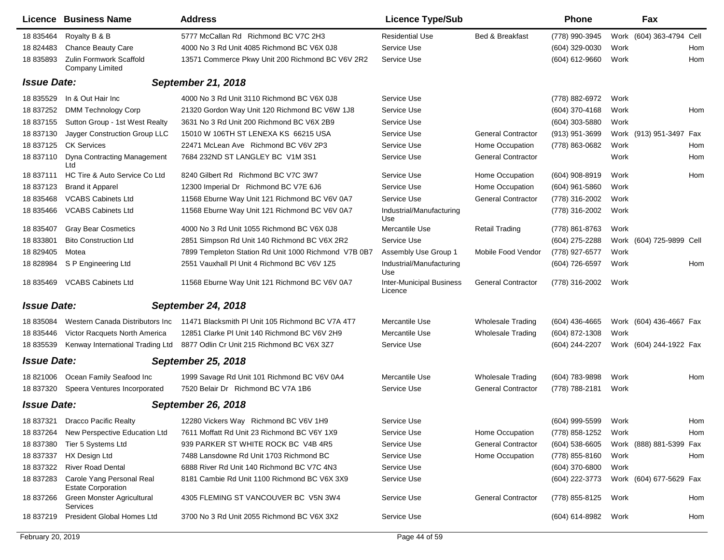|                    | Licence Business Name                                  | <b>Address</b>                                       | <b>Licence Type/Sub</b>                    |                            | <b>Phone</b>        |      | Fax                      |     |
|--------------------|--------------------------------------------------------|------------------------------------------------------|--------------------------------------------|----------------------------|---------------------|------|--------------------------|-----|
| 18 835464          | Royalty B & B                                          | 5777 McCallan Rd Richmond BC V7C 2H3                 | <b>Residential Use</b>                     | <b>Bed &amp; Breakfast</b> | (778) 990-3945      |      | Work (604) 363-4794 Cell |     |
| 18 824483          | <b>Chance Beauty Care</b>                              | 4000 No 3 Rd Unit 4085 Richmond BC V6X 0J8           | Service Use                                |                            | (604) 329-0030      | Work |                          | Hom |
| 18 835893          | Zulin Formwork Scaffold<br>Company Limited             | 13571 Commerce Pkwy Unit 200 Richmond BC V6V 2R2     | Service Use                                |                            | (604) 612-9660      | Work |                          | Hom |
| <b>Issue Date:</b> |                                                        | <b>September 21, 2018</b>                            |                                            |                            |                     |      |                          |     |
| 18 835529          | In & Out Hair Inc                                      | 4000 No 3 Rd Unit 3110 Richmond BC V6X 0J8           | Service Use                                |                            | (778) 882-6972      | Work |                          |     |
| 18 837252          | <b>DMM Technology Corp</b>                             | 21320 Gordon Way Unit 120 Richmond BC V6W 1J8        | Service Use                                |                            | (604) 370-4168      | Work |                          | Hom |
| 18 837155          | Sutton Group - 1st West Realty                         | 3631 No 3 Rd Unit 200 Richmond BC V6X 2B9            | Service Use                                |                            | (604) 303-5880      | Work |                          |     |
| 18 837130          | Jayger Construction Group LLC                          | 15010 W 106TH ST LENEXA KS 66215 USA                 | Service Use                                | <b>General Contractor</b>  | (913) 951-3699      |      | Work (913) 951-3497 Fax  |     |
| 18 837125          | <b>CK Services</b>                                     | 22471 McLean Ave Richmond BC V6V 2P3                 | Service Use                                | Home Occupation            | (778) 863-0682      | Work |                          | Hom |
| 18 837110          | Dyna Contracting Management<br>Ltd                     | 7684 232ND ST LANGLEY BC V1M 3S1                     | Service Use                                | <b>General Contractor</b>  |                     | Work |                          | Hom |
| 18 837111          | HC Tire & Auto Service Co Ltd                          | 8240 Gilbert Rd Richmond BC V7C 3W7                  | Service Use                                | Home Occupation            | $(604)$ 908-8919    | Work |                          | Hom |
| 18 837123          | <b>Brand it Apparel</b>                                | 12300 Imperial Dr Richmond BC V7E 6J6                | Service Use                                | Home Occupation            | $(604)$ 961-5860    | Work |                          |     |
| 18 835468          | <b>VCABS Cabinets Ltd</b>                              | 11568 Eburne Way Unit 121 Richmond BC V6V 0A7        | Service Use                                | <b>General Contractor</b>  | (778) 316-2002      | Work |                          |     |
| 18 835466          | <b>VCABS Cabinets Ltd</b>                              | 11568 Eburne Way Unit 121 Richmond BC V6V 0A7        | Industrial/Manufacturing<br>Use            |                            | (778) 316-2002      | Work |                          |     |
| 18 835407          | <b>Gray Bear Cosmetics</b>                             | 4000 No 3 Rd Unit 1055 Richmond BC V6X 0J8           | Mercantile Use                             | <b>Retail Trading</b>      | (778) 861-8763      | Work |                          |     |
| 18 833801          | <b>Bito Construction Ltd</b>                           | 2851 Simpson Rd Unit 140 Richmond BC V6X 2R2         | Service Use                                |                            | (604) 275-2288      |      | Work (604) 725-9899 Cell |     |
| 18 829405          | Motea                                                  | 7899 Templeton Station Rd Unit 1000 Richmond V7B 0B7 | Assembly Use Group 1                       | Mobile Food Vendor         | (778) 927-6577      | Work |                          |     |
| 18 828984          | S P Engineering Ltd                                    | 2551 Vauxhall PI Unit 4 Richmond BC V6V 1Z5          | Industrial/Manufacturing<br>Use            |                            | (604) 726-6597      | Work |                          | Hom |
| 18 835469          | <b>VCABS Cabinets Ltd</b>                              | 11568 Eburne Way Unit 121 Richmond BC V6V 0A7        | <b>Inter-Municipal Business</b><br>Licence | <b>General Contractor</b>  | (778) 316-2002      | Work |                          |     |
| <b>Issue Date:</b> |                                                        | <b>September 24, 2018</b>                            |                                            |                            |                     |      |                          |     |
| 18 835084          | Western Canada Distributors Inc                        | 11471 Blacksmith PI Unit 105 Richmond BC V7A 4T7     | Mercantile Use                             | <b>Wholesale Trading</b>   | $(604)$ 436-4665    |      | Work (604) 436-4667 Fax  |     |
| 18 835446          | Victor Racquets North America                          | 12851 Clarke PI Unit 140 Richmond BC V6V 2H9         | Mercantile Use                             | <b>Wholesale Trading</b>   | (604) 872-1308      | Work |                          |     |
| 18 835539          | Kenway International Trading Ltd                       | 8877 Odlin Cr Unit 215 Richmond BC V6X 3Z7           | Service Use                                |                            | (604) 244-2207      |      | Work (604) 244-1922 Fax  |     |
| <b>Issue Date:</b> |                                                        | <b>September 25, 2018</b>                            |                                            |                            |                     |      |                          |     |
| 18 821006          | Ocean Family Seafood Inc                               | 1999 Savage Rd Unit 101 Richmond BC V6V 0A4          | Mercantile Use                             | Wholesale Trading          | (604) 783-9898      | Work |                          | Hom |
| 18 837320          | Speera Ventures Incorporated                           | 7520 Belair Dr Richmond BC V7A 1B6                   | Service Use                                | <b>General Contractor</b>  | (778) 788-2181      | Work |                          |     |
| <b>Issue Date:</b> |                                                        | <b>September 26, 2018</b>                            |                                            |                            |                     |      |                          |     |
|                    | 18 837321 Dracco Pacific Realty                        | 12280 Vickers Way Richmond BC V6V 1H9                | Service Use                                |                            | (604) 999-5599 Work |      |                          | Hom |
|                    | 18 837264 New Perspective Education Ltd                | 7611 Moffatt Rd Unit 23 Richmond BC V6Y 1X9          | Service Use                                | Home Occupation            | (778) 858-1252      | Work |                          | Hom |
| 18 837380          | Tier 5 Systems Ltd                                     | 939 PARKER ST WHITE ROCK BC V4B 4R5                  | Service Use                                | <b>General Contractor</b>  | $(604)$ 538-6605    |      | Work (888) 881-5399 Fax  |     |
| 18 837337          | HX Design Ltd                                          | 7488 Lansdowne Rd Unit 1703 Richmond BC              | Service Use                                | Home Occupation            | (778) 855-8160      | Work |                          | Hom |
| 18 837322          | <b>River Road Dental</b>                               | 6888 River Rd Unit 140 Richmond BC V7C 4N3           | Service Use                                |                            | (604) 370-6800      | Work |                          |     |
| 18 837283          | Carole Yang Personal Real<br><b>Estate Corporation</b> | 8181 Cambie Rd Unit 1100 Richmond BC V6X 3X9         | Service Use                                |                            | (604) 222-3773      |      | Work (604) 677-5629 Fax  |     |
| 18 837266          | Green Monster Agricultural<br>Services                 | 4305 FLEMING ST VANCOUVER BC V5N 3W4                 | Service Use                                | <b>General Contractor</b>  | (778) 855-8125      | Work |                          | Hom |
| 18 837219          | President Global Homes Ltd                             | 3700 No 3 Rd Unit 2055 Richmond BC V6X 3X2           | Service Use                                |                            | (604) 614-8982      | Work |                          | Hom |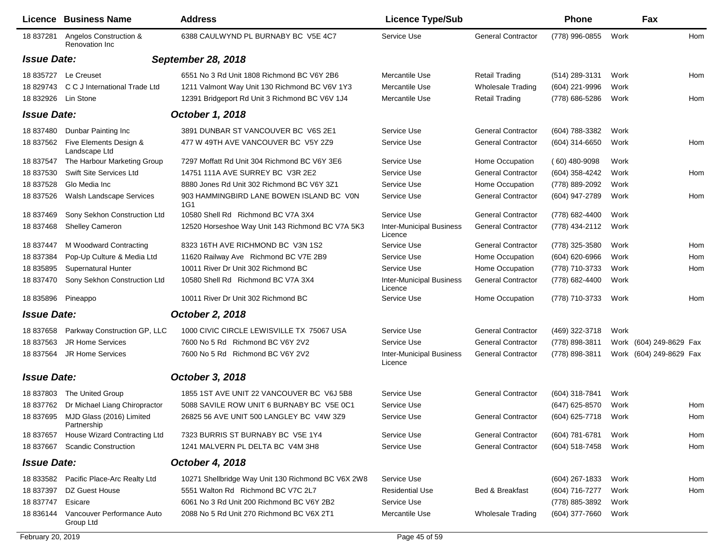|                    | Licence Business Name                    | <b>Address</b>                                     | <b>Licence Type/Sub</b>                    |                           | <b>Phone</b>     |      | Fax                     |     |
|--------------------|------------------------------------------|----------------------------------------------------|--------------------------------------------|---------------------------|------------------|------|-------------------------|-----|
| 18 837281          | Angelos Construction &<br>Renovation Inc | 6388 CAULWYND PL BURNABY BC V5E 4C7                | Service Use                                | <b>General Contractor</b> | (778) 996-0855   | Work |                         | Hom |
| <b>Issue Date:</b> |                                          | <b>September 28, 2018</b>                          |                                            |                           |                  |      |                         |     |
|                    | 18 835727 Le Creuset                     | 6551 No 3 Rd Unit 1808 Richmond BC V6Y 2B6         | Mercantile Use                             | <b>Retail Trading</b>     | (514) 289-3131   | Work |                         | Hom |
| 18 829743          | C C J International Trade Ltd            | 1211 Valmont Way Unit 130 Richmond BC V6V 1Y3      | Mercantile Use                             | <b>Wholesale Trading</b>  | (604) 221-9996   | Work |                         |     |
| 18 832926          | Lin Stone                                | 12391 Bridgeport Rd Unit 3 Richmond BC V6V 1J4     | Mercantile Use                             | <b>Retail Trading</b>     | (778) 686-5286   | Work |                         | Hom |
| <b>Issue Date:</b> |                                          | October 1, 2018                                    |                                            |                           |                  |      |                         |     |
| 18 837480          | Dunbar Painting Inc                      | 3891 DUNBAR ST VANCOUVER BC V6S 2E1                | Service Use                                | <b>General Contractor</b> | (604) 788-3382   | Work |                         |     |
| 18 837562          | Five Elements Design &<br>Landscape Ltd  | 477 W 49TH AVE VANCOUVER BC V5Y 2Z9                | Service Use                                | <b>General Contractor</b> | (604) 314-6650   | Work |                         | Hom |
| 18 837547          | The Harbour Marketing Group              | 7297 Moffatt Rd Unit 304 Richmond BC V6Y 3E6       | Service Use                                | Home Occupation           | $(60)$ 480-9098  | Work |                         |     |
| 18 837530          | Swift Site Services Ltd                  | 14751 111A AVE SURREY BC V3R 2E2                   | Service Use                                | <b>General Contractor</b> | (604) 358-4242   | Work |                         | Hom |
| 18 837528          | Glo Media Inc                            | 8880 Jones Rd Unit 302 Richmond BC V6Y 3Z1         | Service Use                                | Home Occupation           | (778) 889-2092   | Work |                         |     |
| 18 837526          | Walsh Landscape Services                 | 903 HAMMINGBIRD LANE BOWEN ISLAND BC VON<br>1G1    | Service Use                                | <b>General Contractor</b> | (604) 947-2789   | Work |                         | Hom |
| 18 837469          | Sony Sekhon Construction Ltd             | 10580 Shell Rd Richmond BC V7A 3X4                 | Service Use                                | <b>General Contractor</b> | (778) 682-4400   | Work |                         |     |
| 18 837468          | <b>Shelley Cameron</b>                   | 12520 Horseshoe Way Unit 143 Richmond BC V7A 5K3   | <b>Inter-Municipal Business</b><br>Licence | <b>General Contractor</b> | (778) 434-2112   | Work |                         |     |
| 18 837447          | M Woodward Contracting                   | 8323 16TH AVE RICHMOND BC V3N 1S2                  | Service Use                                | <b>General Contractor</b> | (778) 325-3580   | Work |                         | Hom |
| 18 837384          | Pop-Up Culture & Media Ltd               | 11620 Railway Ave Richmond BC V7E 2B9              | Service Use                                | Home Occupation           | (604) 620-6966   | Work |                         | Hom |
| 18 835895          | <b>Supernatural Hunter</b>               | 10011 River Dr Unit 302 Richmond BC                | Service Use                                | Home Occupation           | (778) 710-3733   | Work |                         | Hom |
| 18 837470          | Sony Sekhon Construction Ltd             | 10580 Shell Rd Richmond BC V7A 3X4                 | <b>Inter-Municipal Business</b><br>Licence | <b>General Contractor</b> | (778) 682-4400   | Work |                         |     |
|                    | 18 835896 Pineappo                       | 10011 River Dr Unit 302 Richmond BC                | Service Use                                | Home Occupation           | (778) 710-3733   | Work |                         | Hom |
| <b>Issue Date:</b> |                                          | <b>October 2, 2018</b>                             |                                            |                           |                  |      |                         |     |
| 18 837658          | Parkway Construction GP, LLC             | 1000 CIVIC CIRCLE LEWISVILLE TX 75067 USA          | Service Use                                | <b>General Contractor</b> | (469) 322-3718   | Work |                         |     |
| 18 837563          | <b>JR Home Services</b>                  | 7600 No 5 Rd Richmond BC V6Y 2V2                   | Service Use                                | <b>General Contractor</b> | (778) 898-3811   |      | Work (604) 249-8629 Fax |     |
| 18 837564          | <b>JR Home Services</b>                  | 7600 No 5 Rd Richmond BC V6Y 2V2                   | <b>Inter-Municipal Business</b><br>Licence | <b>General Contractor</b> | (778) 898-3811   |      | Work (604) 249-8629 Fax |     |
| <b>Issue Date:</b> |                                          | October 3, 2018                                    |                                            |                           |                  |      |                         |     |
| 18 837803          | The United Group                         | 1855 1ST AVE UNIT 22 VANCOUVER BC V6J 5B8          | Service Use                                | <b>General Contractor</b> | (604) 318-7841   | Work |                         |     |
| 18 837762          | Dr Michael Liang Chiropractor            | 5088 SAVILE ROW UNIT 6 BURNABY BC V5E 0C1          | Service Use                                |                           | (647) 625-8570   | Work |                         | Hom |
| 18 837695          | MJD Glass (2016) Limited<br>Partnership  | 26825 56 AVE UNIT 500 LANGLEY BC V4W 3Z9           | Service Use                                | <b>General Contractor</b> | (604) 625-7718   | Work |                         | Hom |
| 18 837657          | House Wizard Contracting Ltd             | 7323 BURRIS ST BURNABY BC V5E 1Y4                  | Service Use                                | <b>General Contractor</b> | (604) 781-6781   | Work |                         | Hom |
| 18 837667          | <b>Scandic Construction</b>              | 1241 MALVERN PL DELTA BC V4M 3H8                   | Service Use                                | <b>General Contractor</b> | (604) 518-7458   | Work |                         | Hom |
| <b>Issue Date:</b> |                                          | October 4, 2018                                    |                                            |                           |                  |      |                         |     |
| 18 833582          | Pacific Place-Arc Realty Ltd             | 10271 Shellbridge Way Unit 130 Richmond BC V6X 2W8 | Service Use                                |                           | $(604)$ 267-1833 | Work |                         | Hom |
| 18 837397          | DZ Guest House                           | 5551 Walton Rd Richmond BC V7C 2L7                 | <b>Residential Use</b>                     | Bed & Breakfast           | (604) 716-7277   | Work |                         | Hom |
| 18 837747          | Esicare                                  | 6061 No 3 Rd Unit 200 Richmond BC V6Y 2B2          | Service Use                                |                           | (778) 885-3892   | Work |                         |     |
| 18 836144          | Vancouver Performance Auto<br>Group Ltd  | 2088 No 5 Rd Unit 270 Richmond BC V6X 2T1          | Mercantile Use                             | <b>Wholesale Trading</b>  | (604) 377-7660   | Work |                         |     |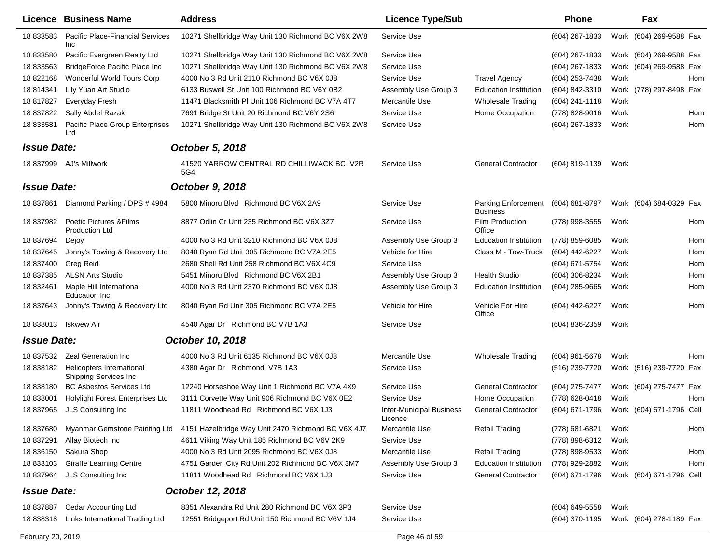|                    | <b>Licence Business Name</b>                              | <b>Address</b>                                     | <b>Licence Type/Sub</b>                    |                                               | <b>Phone</b>       |      | Fax                      |  |
|--------------------|-----------------------------------------------------------|----------------------------------------------------|--------------------------------------------|-----------------------------------------------|--------------------|------|--------------------------|--|
| 18 833583          | <b>Pacific Place-Financial Services</b><br><b>Inc</b>     | 10271 Shellbridge Way Unit 130 Richmond BC V6X 2W8 | Service Use                                |                                               | (604) 267-1833     |      | Work (604) 269-9588 Fax  |  |
| 18 833580          | Pacific Evergreen Realty Ltd                              | 10271 Shellbridge Way Unit 130 Richmond BC V6X 2W8 | Service Use                                |                                               | (604) 267-1833     |      | Work (604) 269-9588 Fax  |  |
| 18 833563          | <b>BridgeForce Pacific Place Inc</b>                      | 10271 Shellbridge Way Unit 130 Richmond BC V6X 2W8 | Service Use                                |                                               | (604) 267-1833     |      | Work (604) 269-9588 Fax  |  |
| 18 822168          | Wonderful World Tours Corp                                | 4000 No 3 Rd Unit 2110 Richmond BC V6X 0J8         | Service Use                                | <b>Travel Agency</b>                          | (604) 253-7438     | Work | Hom                      |  |
| 18 814341          | Lily Yuan Art Studio                                      | 6133 Buswell St Unit 100 Richmond BC V6Y 0B2       | Assembly Use Group 3                       | <b>Education Institution</b>                  | (604) 842-3310     |      | Work (778) 297-8498 Fax  |  |
| 18 817827          | Everyday Fresh                                            | 11471 Blacksmith PI Unit 106 Richmond BC V7A 4T7   | Mercantile Use                             | <b>Wholesale Trading</b>                      | (604) 241-1118     | Work |                          |  |
| 18 837822          | Sally Abdel Razak                                         | 7691 Bridge St Unit 20 Richmond BC V6Y 2S6         | Service Use                                | Home Occupation                               | (778) 828-9016     | Work | Hom                      |  |
| 18 833581          | Pacific Place Group Enterprises<br>Ltd                    | 10271 Shellbridge Way Unit 130 Richmond BC V6X 2W8 | Service Use                                |                                               | (604) 267-1833     | Work | Hom                      |  |
| <b>Issue Date:</b> |                                                           | October 5, 2018                                    |                                            |                                               |                    |      |                          |  |
|                    | 18 837999 AJ's Millwork                                   | 41520 YARROW CENTRAL RD CHILLIWACK BC V2R<br>5G4   | Service Use                                | <b>General Contractor</b>                     | (604) 819-1139     | Work |                          |  |
| <b>Issue Date:</b> |                                                           | October 9, 2018                                    |                                            |                                               |                    |      |                          |  |
| 18 837861          | Diamond Parking / DPS # 4984                              | 5800 Minoru Blvd Richmond BC V6X 2A9               | Service Use                                | <b>Parking Enforcement</b><br><b>Business</b> | (604) 681-8797     |      | Work (604) 684-0329 Fax  |  |
| 18 837982          | Poetic Pictures & Films<br><b>Production Ltd</b>          | 8877 Odlin Cr Unit 235 Richmond BC V6X 3Z7         | Service Use                                | <b>Film Production</b><br>Office              | (778) 998-3555     | Work | Hom                      |  |
| 18 837694          | Dejoy                                                     | 4000 No 3 Rd Unit 3210 Richmond BC V6X 0J8         | Assembly Use Group 3                       | <b>Education Institution</b>                  | (778) 859-6085     | Work | Hom                      |  |
| 18 837645          | Jonny's Towing & Recovery Ltd                             | 8040 Ryan Rd Unit 305 Richmond BC V7A 2E5          | Vehicle for Hire                           | Class M - Tow-Truck                           | (604) 442-6227     | Work | Hom                      |  |
| 18 837400          | <b>Greg Reid</b>                                          | 2680 Shell Rd Unit 258 Richmond BC V6X 4C9         | Service Use                                |                                               | (604) 671-5754     | Work | Hom                      |  |
| 18 837385          | <b>ALSN Arts Studio</b>                                   | 5451 Minoru Blvd Richmond BC V6X 2B1               | Assembly Use Group 3                       | <b>Health Studio</b>                          | (604) 306-8234     | Work | Hom                      |  |
| 18 832461          | Maple Hill International<br>Education Inc                 | 4000 No 3 Rd Unit 2370 Richmond BC V6X 0J8         | Assembly Use Group 3                       | <b>Education Institution</b>                  | $(604)$ 285-9665   | Work | Hom                      |  |
| 18 837643          | Jonny's Towing & Recovery Ltd                             | 8040 Ryan Rd Unit 305 Richmond BC V7A 2E5          | Vehicle for Hire                           | Vehicle For Hire<br>Office                    | (604) 442-6227     | Work | Hom                      |  |
| 18 838013          | Iskwew Air                                                | 4540 Agar Dr Richmond BC V7B 1A3                   | Service Use                                |                                               | $(604)$ 836-2359   | Work |                          |  |
| <b>Issue Date:</b> |                                                           | October 10, 2018                                   |                                            |                                               |                    |      |                          |  |
| 18 837532          | <b>Zeal Generation Inc</b>                                | 4000 No 3 Rd Unit 6135 Richmond BC V6X 0J8         | Mercantile Use                             | <b>Wholesale Trading</b>                      | $(604)$ 961-5678   | Work | Hom                      |  |
| 18 838182          | Helicopters International<br><b>Shipping Services Inc</b> | 4380 Agar Dr Richmond V7B 1A3                      | Service Use                                |                                               | (516) 239-7720     |      | Work (516) 239-7720 Fax  |  |
| 18 838180          | <b>BC Asbestos Services Ltd</b>                           | 12240 Horseshoe Way Unit 1 Richmond BC V7A 4X9     | Service Use                                | <b>General Contractor</b>                     | (604) 275-7477     |      | Work (604) 275-7477 Fax  |  |
| 18 838001          | Holylight Forest Enterprises Ltd                          | 3111 Corvette Way Unit 906 Richmond BC V6X 0E2     | Service Use                                | Home Occupation                               | (778) 628-0418     | Work | Hom                      |  |
| 18 837965          | JLS Consulting Inc                                        | 11811 Woodhead Rd Richmond BC V6X 1J3              | <b>Inter-Municipal Business</b><br>Licence | <b>General Contractor</b>                     | (604) 671-1796     |      | Work (604) 671-1796 Cell |  |
|                    | 18 837680 Myanmar Gemstone Painting Ltd                   | 4151 Hazelbridge Way Unit 2470 Richmond BC V6X 4J7 | Mercantile Use                             | <b>Retail Trading</b>                         | (778) 681-6821     | Work | Hom                      |  |
| 18 837291          | Allay Biotech Inc                                         | 4611 Viking Way Unit 185 Richmond BC V6V 2K9       | Service Use                                |                                               | (778) 898-6312     | Work |                          |  |
| 18 836150          | Sakura Shop                                               | 4000 No 3 Rd Unit 2095 Richmond BC V6X 0J8         | Mercantile Use                             | <b>Retail Trading</b>                         | (778) 898-9533     | Work | Hom                      |  |
| 18 833103          | <b>Giraffe Learning Centre</b>                            | 4751 Garden City Rd Unit 202 Richmond BC V6X 3M7   | Assembly Use Group 3                       | <b>Education Institution</b>                  | (778) 929-2882     | Work | Hom                      |  |
| 18 837964          | JLS Consulting Inc                                        | 11811 Woodhead Rd Richmond BC V6X 1J3              | Service Use                                | <b>General Contractor</b>                     | (604) 671-1796     |      | Work (604) 671-1796 Cell |  |
| <b>Issue Date:</b> |                                                           | October 12, 2018                                   |                                            |                                               |                    |      |                          |  |
| 18 837887          | Cedar Accounting Ltd                                      | 8351 Alexandra Rd Unit 280 Richmond BC V6X 3P3     | Service Use                                |                                               | $(604) 649 - 5558$ | Work |                          |  |
| 18 838318          | Links International Trading Ltd                           | 12551 Bridgeport Rd Unit 150 Richmond BC V6V 1J4   | Service Use                                |                                               | (604) 370-1195     |      | Work (604) 278-1189 Fax  |  |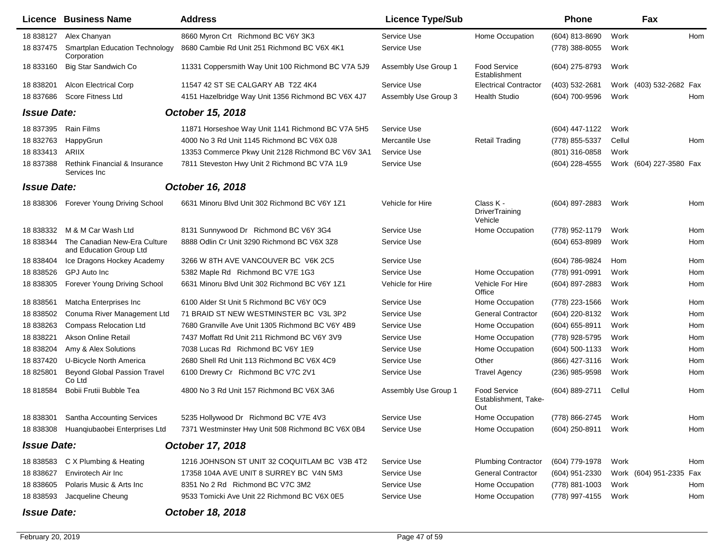|                    | Licence Business Name                                   | <b>Address</b>                                     | <b>Licence Type/Sub</b> |                                                    | Phone               |        | Fax                     |     |
|--------------------|---------------------------------------------------------|----------------------------------------------------|-------------------------|----------------------------------------------------|---------------------|--------|-------------------------|-----|
| 18 838127          | Alex Chanyan                                            | 8660 Myron Crt Richmond BC V6Y 3K3                 | Service Use             | Home Occupation                                    | (604) 813-8690      | Work   |                         | Hom |
| 18 837475          | <b>Smartplan Education Technology</b><br>Corporation    | 8680 Cambie Rd Unit 251 Richmond BC V6X 4K1        | Service Use             |                                                    | (778) 388-8055      | Work   |                         |     |
| 18 833160          | Big Star Sandwich Co                                    | 11331 Coppersmith Way Unit 100 Richmond BC V7A 5J9 | Assembly Use Group 1    | Food Service<br>Establishment                      | (604) 275-8793      | Work   |                         |     |
| 18 838201          | <b>Alcon Electrical Corp</b>                            | 11547 42 ST SE CALGARY AB T2Z 4K4                  | Service Use             | <b>Electrical Contractor</b>                       | (403) 532-2681      |        | Work (403) 532-2682 Fax |     |
| 18 837686          | <b>Score Fitness Ltd</b>                                | 4151 Hazelbridge Way Unit 1356 Richmond BC V6X 4J7 | Assembly Use Group 3    | <b>Health Studio</b>                               | (604) 700-9596      | Work   |                         | Hom |
| <b>Issue Date:</b> |                                                         | October 15, 2018                                   |                         |                                                    |                     |        |                         |     |
| 18 837395          | Rain Films                                              | 11871 Horseshoe Way Unit 1141 Richmond BC V7A 5H5  | Service Use             |                                                    | (604) 447-1122      | Work   |                         |     |
| 18 832763          | HappyGrun                                               | 4000 No 3 Rd Unit 1145 Richmond BC V6X 0J8         | Mercantile Use          | <b>Retail Trading</b>                              | (778) 855-5337      | Cellul |                         | Hom |
| 18 833413          | ARIIX                                                   | 13353 Commerce Pkwy Unit 2128 Richmond BC V6V 3A1  | Service Use             |                                                    | (801) 316-0858      | Work   |                         |     |
| 18 837388          | Rethink Financial & Insurance<br>Services Inc           | 7811 Steveston Hwy Unit 2 Richmond BC V7A 1L9      | Service Use             |                                                    | (604) 228-4555      |        | Work (604) 227-3580 Fax |     |
| <b>Issue Date:</b> |                                                         | October 16, 2018                                   |                         |                                                    |                     |        |                         |     |
| 18 838306          | Forever Young Driving School                            | 6631 Minoru Blvd Unit 302 Richmond BC V6Y 1Z1      | Vehicle for Hire        | Class K -<br><b>DriverTraining</b><br>Vehicle      | (604) 897-2883      | Work   |                         | Hom |
| 18 838332          | M & M Car Wash Ltd                                      | 8131 Sunnywood Dr Richmond BC V6Y 3G4              | Service Use             | Home Occupation                                    | (778) 952-1179      | Work   |                         | Hom |
| 18 838344          | The Canadian New-Era Culture<br>and Education Group Ltd | 8888 Odlin Cr Unit 3290 Richmond BC V6X 3Z8        | Service Use             |                                                    | (604) 653-8989      | Work   |                         | Hom |
| 18 838404          | Ice Dragons Hockey Academy                              | 3266 W 8TH AVE VANCOUVER BC V6K 2C5                | Service Use             |                                                    | (604) 786-9824      | Hom    |                         | Hom |
| 18 838526          | GPJ Auto Inc                                            | 5382 Maple Rd Richmond BC V7E 1G3                  | Service Use             | Home Occupation                                    | (778) 991-0991      | Work   |                         | Hom |
| 18 838305          | Forever Young Driving School                            | 6631 Minoru Blvd Unit 302 Richmond BC V6Y 1Z1      | Vehicle for Hire        | Vehicle For Hire<br>Office                         | (604) 897-2883      | Work   |                         | Hom |
| 18 838561          | Matcha Enterprises Inc                                  | 6100 Alder St Unit 5 Richmond BC V6Y 0C9           | Service Use             | Home Occupation                                    | (778) 223-1566      | Work   |                         | Hom |
| 18 838502          | Conuma River Management Ltd                             | 71 BRAID ST NEW WESTMINSTER BC V3L 3P2             | Service Use             | <b>General Contractor</b>                          | (604) 220-8132      | Work   |                         | Hom |
| 18 838263          | <b>Compass Relocation Ltd</b>                           | 7680 Granville Ave Unit 1305 Richmond BC V6Y 4B9   | Service Use             | Home Occupation                                    | (604) 655-8911      | Work   |                         | Hom |
| 18 838221          | Akson Online Retail                                     | 7437 Moffatt Rd Unit 211 Richmond BC V6Y 3V9       | Service Use             | Home Occupation                                    | (778) 928-5795      | Work   |                         | Hom |
| 18 838204          | Amy & Alex Solutions                                    | 7038 Lucas Rd Richmond BC V6Y 1E9                  | Service Use             | Home Occupation                                    | (604) 500-1133      | Work   |                         | Hom |
| 18 837420          | U-Bicycle North America                                 | 2680 Shell Rd Unit 113 Richmond BC V6X 4C9         | Service Use             | Other                                              | (866) 427-3116      | Work   |                         | Hom |
| 18 825801          | <b>Beyond Global Passion Travel</b><br>Co Ltd           | 6100 Drewry Cr Richmond BC V7C 2V1                 | Service Use             | <b>Travel Agency</b>                               | (236) 985-9598      | Work   |                         | Hom |
| 18 818584          | Bobii Frutii Bubble Tea                                 | 4800 No 3 Rd Unit 157 Richmond BC V6X 3A6          | Assembly Use Group 1    | <b>Food Service</b><br>Establishment, Take-<br>Out | (604) 889-2711      | Cellul |                         | Hom |
| 18 838301          | <b>Santha Accounting Services</b>                       | 5235 Hollywood Dr Richmond BC V7E 4V3              | Service Use             | Home Occupation                                    | (778) 866-2745      | Work   |                         | Hom |
|                    | 18 838308 Huanqiubaobei Enterprises Ltd                 | 7371 Westminster Hwy Unit 508 Richmond BC V6X 0B4  | Service Use             | Home Occupation                                    | (604) 250-8911 Work |        |                         | Hom |
| <b>Issue Date:</b> |                                                         | October 17, 2018                                   |                         |                                                    |                     |        |                         |     |
|                    | 18 838583 C X Plumbing & Heating                        | 1216 JOHNSON ST UNIT 32 COQUITLAM BC V3B 4T2       | Service Use             | <b>Plumbing Contractor</b>                         | (604) 779-1978      | Work   |                         | Hom |
| 18 838627          | Envirotech Air Inc                                      | 17358 104A AVE UNIT 8 SURREY BC V4N 5M3            | Service Use             | <b>General Contractor</b>                          | (604) 951-2330      |        | Work (604) 951-2335 Fax |     |
| 18 838605          | Polaris Music & Arts Inc                                | 8351 No 2 Rd Richmond BC V7C 3M2                   | Service Use             | Home Occupation                                    | (778) 881-1003      | Work   |                         | Hom |
| 18 838593          | Jacqueline Cheung                                       | 9533 Tomicki Ave Unit 22 Richmond BC V6X 0E5       | Service Use             | Home Occupation                                    | (778) 997-4155      | Work   |                         | Hom |
| <b>Issue Date:</b> |                                                         | October 18, 2018                                   |                         |                                                    |                     |        |                         |     |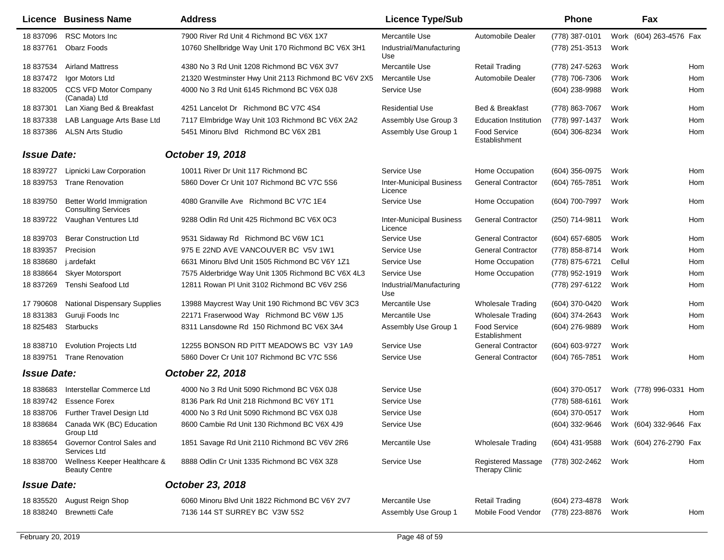|                    | Licence Business Name                                          | <b>Address</b>                                      | <b>Licence Type/Sub</b>                    |                                      | <b>Phone</b>        |        | Fax                                    |     |
|--------------------|----------------------------------------------------------------|-----------------------------------------------------|--------------------------------------------|--------------------------------------|---------------------|--------|----------------------------------------|-----|
| 18 837096          | <b>RSC Motors Inc</b>                                          | 7900 River Rd Unit 4 Richmond BC V6X 1X7            | Mercantile Use                             | Automobile Dealer                    | (778) 387-0101      |        | Work (604) 263-4576 Fax                |     |
| 18 837761          | <b>Obarz Foods</b>                                             | 10760 Shellbridge Way Unit 170 Richmond BC V6X 3H1  | Industrial/Manufacturing<br>Use            |                                      | (778) 251-3513      | Work   |                                        |     |
| 18 837534          | <b>Airland Mattress</b>                                        | 4380 No 3 Rd Unit 1208 Richmond BC V6X 3V7          | Mercantile Use                             | <b>Retail Trading</b>                | (778) 247-5263      | Work   |                                        | Hom |
| 18 837472          | Igor Motors Ltd                                                | 21320 Westminster Hwy Unit 2113 Richmond BC V6V 2X5 | Mercantile Use                             | Automobile Dealer                    | (778) 706-7306      | Work   |                                        | Hom |
|                    | 18 832005 CCS VFD Motor Company<br>(Canada) Ltd                | 4000 No 3 Rd Unit 6145 Richmond BC V6X 0J8          | Service Use                                |                                      | (604) 238-9988      | Work   |                                        | Hom |
| 18 837301          | Lan Xiang Bed & Breakfast                                      | 4251 Lancelot Dr Richmond BC V7C 4S4                | <b>Residential Use</b>                     | Bed & Breakfast                      | (778) 863-7067      | Work   |                                        | Hom |
| 18 837338          | LAB Language Arts Base Ltd                                     | 7117 Elmbridge Way Unit 103 Richmond BC V6X 2A2     | Assembly Use Group 3                       | <b>Education Institution</b>         | (778) 997-1437      | Work   |                                        | Hom |
| 18 837386          | <b>ALSN Arts Studio</b>                                        | 5451 Minoru Blvd Richmond BC V6X 2B1                | Assembly Use Group 1                       | <b>Food Service</b><br>Establishment | (604) 306-8234      | Work   |                                        | Hom |
| <b>Issue Date:</b> |                                                                | October 19, 2018                                    |                                            |                                      |                     |        |                                        |     |
| 18 839727          | Lipnicki Law Corporation                                       | 10011 River Dr Unit 117 Richmond BC                 | Service Use                                | Home Occupation                      | (604) 356-0975      | Work   |                                        | Hom |
| 18 839753          | <b>Trane Renovation</b>                                        | 5860 Dover Cr Unit 107 Richmond BC V7C 5S6          | <b>Inter-Municipal Business</b><br>Licence | <b>General Contractor</b>            | (604) 765-7851      | Work   |                                        | Hom |
| 18 839750          | <b>Better World Immigration</b><br><b>Consulting Services</b>  | 4080 Granville Ave Richmond BC V7C 1E4              | Service Use                                | Home Occupation                      | (604) 700-7997      | Work   |                                        | Hom |
| 18 839722          | Vaughan Ventures Ltd                                           | 9288 Odlin Rd Unit 425 Richmond BC V6X 0C3          | <b>Inter-Municipal Business</b><br>Licence | <b>General Contractor</b>            | (250) 714-9811      | Work   |                                        | Hom |
| 18 839703          | <b>Berar Construction Ltd</b>                                  | 9531 Sidaway Rd Richmond BC V6W 1C1                 | Service Use                                | <b>General Contractor</b>            | $(604)$ 657-6805    | Work   |                                        | Hom |
| 18 839357          | Precision                                                      | 975 E 22ND AVE VANCOUVER BC V5V 1W1                 | Service Use                                | <b>General Contractor</b>            | (778) 858-8714      | Work   |                                        | Hom |
| 18 838680          | j.ardefakt                                                     | 6631 Minoru Blvd Unit 1505 Richmond BC V6Y 1Z1      | Service Use                                | Home Occupation                      | (778) 875-6721      | Cellul |                                        | Hom |
| 18 838664          | <b>Skyer Motorsport</b>                                        | 7575 Alderbridge Way Unit 1305 Richmond BC V6X 4L3  | Service Use                                | Home Occupation                      | (778) 952-1919      | Work   |                                        | Hom |
| 18 837269          | Tenshi Seafood Ltd                                             | 12811 Rowan PI Unit 3102 Richmond BC V6V 2S6        | Industrial/Manufacturing<br>Use            |                                      | (778) 297-6122      | Work   |                                        | Hom |
| 17 790608          | <b>National Dispensary Supplies</b>                            | 13988 Maycrest Way Unit 190 Richmond BC V6V 3C3     | Mercantile Use                             | <b>Wholesale Trading</b>             | (604) 370-0420      | Work   |                                        | Hom |
| 18 831383          | Guruji Foods Inc                                               | 22171 Fraserwood Way Richmond BC V6W 1J5            | Mercantile Use                             | <b>Wholesale Trading</b>             | (604) 374-2643      | Work   |                                        | Hom |
| 18 825483          | Starbucks                                                      | 8311 Lansdowne Rd 150 Richmond BC V6X 3A4           | Assembly Use Group 1                       | <b>Food Service</b><br>Establishment | (604) 276-9889      | Work   |                                        | Hom |
| 18 838710          | <b>Evolution Projects Ltd</b>                                  | 12255 BONSON RD PITT MEADOWS BC V3Y 1A9             | Service Use                                | <b>General Contractor</b>            | (604) 603-9727      | Work   |                                        |     |
| 18 839751          | <b>Trane Renovation</b>                                        | 5860 Dover Cr Unit 107 Richmond BC V7C 5S6          | Service Use                                | <b>General Contractor</b>            | (604) 765-7851      | Work   |                                        | Hom |
| <b>Issue Date:</b> |                                                                | October 22, 2018                                    |                                            |                                      |                     |        |                                        |     |
| 18 838683          | Interstellar Commerce Ltd                                      | 4000 No 3 Rd Unit 5090 Richmond BC V6X 0J8          | Service Use                                |                                      | (604) 370-0517      |        | Work (778) 996-0331 Hom                |     |
| 18 839742          | <b>Essence Forex</b>                                           | 8136 Park Rd Unit 218 Richmond BC V6Y 1T1           | Service Use                                |                                      | (778) 588-6161      | Work   |                                        |     |
|                    | 18 838706 Further Travel Design Ltd                            | 4000 No 3 Rd Unit 5090 Richmond BC V6X 0J8          | Service Use                                |                                      | (604) 370-0517      | Work   |                                        | Hom |
| 18 838684          | Canada WK (BC) Education<br>Group Ltd                          | 8600 Cambie Rd Unit 130 Richmond BC V6X 4J9         | Service Use                                |                                      |                     |        | (604) 332-9646 Work (604) 332-9646 Fax |     |
| 18 838654          | Governor Control Sales and<br>Services Ltd                     | 1851 Savage Rd Unit 2110 Richmond BC V6V 2R6        | Mercantile Use                             | <b>Wholesale Trading</b>             | (604) 431-9588      |        | Work (604) 276-2790 Fax                |     |
|                    | 18 838700 Wellness Keeper Healthcare &<br><b>Beauty Centre</b> | 8888 Odlin Cr Unit 1335 Richmond BC V6X 3Z8         | Service Use                                | Registered Massage<br>Therapy Clinic | (778) 302-2462 Work |        |                                        | Hom |
| <b>Issue Date:</b> |                                                                | October 23, 2018                                    |                                            |                                      |                     |        |                                        |     |
| 18 835520          | August Reign Shop                                              | 6060 Minoru Blvd Unit 1822 Richmond BC V6Y 2V7      | Mercantile Use                             | <b>Retail Trading</b>                | (604) 273-4878      | Work   |                                        |     |
| 18 838240          | <b>Brewnetti Cafe</b>                                          | 7136 144 ST SURREY BC V3W 5S2                       | Assembly Use Group 1                       | Mobile Food Vendor                   | (778) 223-8876      | Work   |                                        | Hom |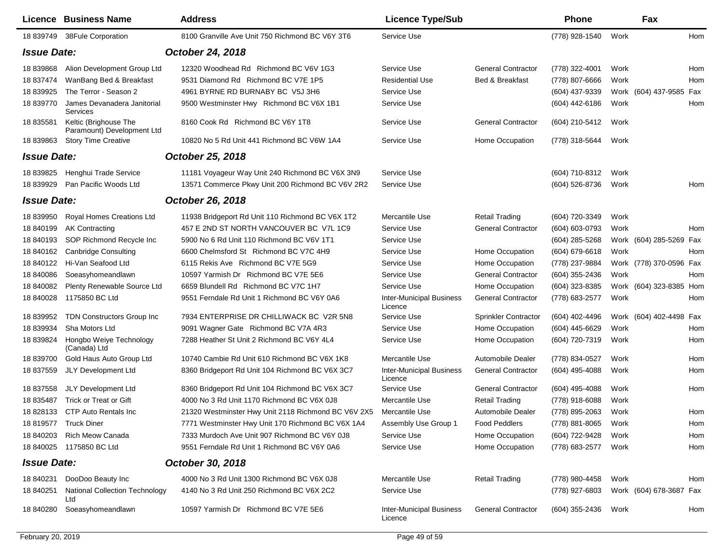|                    | Licence Business Name                               | <b>Address</b>                                      | <b>Licence Type/Sub</b>                    |                           | <b>Phone</b>        |      | Fax                     |     |
|--------------------|-----------------------------------------------------|-----------------------------------------------------|--------------------------------------------|---------------------------|---------------------|------|-------------------------|-----|
| 18 839749          | 38Fule Corporation                                  | 8100 Granville Ave Unit 750 Richmond BC V6Y 3T6     | Service Use                                |                           | (778) 928-1540      | Work |                         | Hom |
| <b>Issue Date:</b> |                                                     | October 24, 2018                                    |                                            |                           |                     |      |                         |     |
| 18 839868          | Alion Development Group Ltd                         | 12320 Woodhead Rd Richmond BC V6V 1G3               | Service Use                                | <b>General Contractor</b> | (778) 322-4001      | Work |                         | Hom |
| 18 837474          | WanBang Bed & Breakfast                             | 9531 Diamond Rd Richmond BC V7E 1P5                 | <b>Residential Use</b>                     | Bed & Breakfast           | (778) 807-6666      | Work |                         | Hom |
| 18 839925          | The Terror - Season 2                               | 4961 BYRNE RD BURNABY BC V5J 3H6                    | Service Use                                |                           | (604) 437-9339      |      | Work (604) 437-9585 Fax |     |
| 18 839770          | James Devanadera Janitorial<br>Services             | 9500 Westminster Hwy Richmond BC V6X 1B1            | Service Use                                |                           | (604) 442-6186      | Work |                         | Hom |
| 18 835581          | Keltic (Brighouse The<br>Paramount) Development Ltd | 8160 Cook Rd Richmond BC V6Y 1T8                    | Service Use                                | <b>General Contractor</b> | (604) 210-5412      | Work |                         |     |
| 18 839863          | <b>Story Time Creative</b>                          | 10820 No 5 Rd Unit 441 Richmond BC V6W 1A4          | Service Use                                | Home Occupation           | (778) 318-5644      | Work |                         |     |
| <b>Issue Date:</b> |                                                     | October 25, 2018                                    |                                            |                           |                     |      |                         |     |
| 18 839825          | Henghui Trade Service                               | 11181 Voyageur Way Unit 240 Richmond BC V6X 3N9     | Service Use                                |                           | (604) 710-8312      | Work |                         |     |
| 18 839929          | Pan Pacific Woods Ltd                               | 13571 Commerce Pkwy Unit 200 Richmond BC V6V 2R2    | Service Use                                |                           | (604) 526-8736      | Work |                         | Hom |
| <b>Issue Date:</b> |                                                     | October 26, 2018                                    |                                            |                           |                     |      |                         |     |
| 18 839950          | <b>Royal Homes Creations Ltd</b>                    | 11938 Bridgeport Rd Unit 110 Richmond BC V6X 1T2    | Mercantile Use                             | <b>Retail Trading</b>     | (604) 720-3349      | Work |                         |     |
| 18 840199          | <b>AK Contracting</b>                               | 457 E 2ND ST NORTH VANCOUVER BC V7L 1C9             | Service Use                                | <b>General Contractor</b> | (604) 603-0793      | Work |                         | Hom |
| 18 840193          | SOP Richmond Recycle Inc                            | 5900 No 6 Rd Unit 110 Richmond BC V6V 1T1           | Service Use                                |                           | (604) 285-5268      |      | Work (604) 285-5269 Fax |     |
| 18 840162          | <b>Canbridge Consulting</b>                         | 6600 Chelmsford St Richmond BC V7C 4H9              | Service Use                                | Home Occupation           | $(604)$ 679-6618    | Work |                         | Hom |
| 18 840122          | Hi-Van Seafood Ltd                                  | 6115 Rekis Ave Richmond BC V7E 5G9                  | Service Use                                | Home Occupation           | (778) 237-9884      |      | Work (778) 370-0596 Fax |     |
| 18 840086          | Soeasyhomeandlawn                                   | 10597 Yarmish Dr Richmond BC V7E 5E6                | Service Use                                | <b>General Contractor</b> | (604) 355-2436      | Work |                         | Hom |
| 18 840082          | Plenty Renewable Source Ltd                         | 6659 Blundell Rd Richmond BC V7C 1H7                | Service Use                                | Home Occupation           | (604) 323-8385      |      | Work (604) 323-8385 Hom |     |
| 18 840028          | 1175850 BC Ltd                                      | 9551 Ferndale Rd Unit 1 Richmond BC V6Y 0A6         | <b>Inter-Municipal Business</b><br>Licence | <b>General Contractor</b> | (778) 683-2577      | Work |                         | Hom |
| 18 839952          | TDN Constructors Group Inc                          | 7934 ENTERPRISE DR CHILLIWACK BC V2R 5N8            | Service Use                                | Sprinkler Contractor      | (604) 402-4496      |      | Work (604) 402-4498 Fax |     |
| 18 839934          | Sha Motors Ltd                                      | 9091 Wagner Gate Richmond BC V7A 4R3                | Service Use                                | Home Occupation           | (604) 445-6629      | Work |                         | Hom |
| 18 839824          | Hongbo Weiye Technology<br>(Canada) Ltd             | 7288 Heather St Unit 2 Richmond BC V6Y 4L4          | Service Use                                | Home Occupation           | (604) 720-7319      | Work |                         | Hom |
| 18 839700          | Gold Haus Auto Group Ltd                            | 10740 Cambie Rd Unit 610 Richmond BC V6X 1K8        | Mercantile Use                             | Automobile Dealer         | (778) 834-0527      | Work |                         | Hom |
| 18 837559          | JLY Development Ltd                                 | 8360 Bridgeport Rd Unit 104 Richmond BC V6X 3C7     | <b>Inter-Municipal Business</b><br>Licence | <b>General Contractor</b> | (604) 495-4088      | Work |                         | Hom |
| 18 837558          | JLY Development Ltd                                 | 8360 Bridgeport Rd Unit 104 Richmond BC V6X 3C7     | Service Use                                | <b>General Contractor</b> | $(604)$ 495-4088    | Work |                         | Hom |
| 18 835487          | Trick or Treat or Gift                              | 4000 No 3 Rd Unit 1170 Richmond BC V6X 0J8          | Mercantile Use                             | <b>Retail Trading</b>     | (778) 918-6088      | Work |                         |     |
|                    | 18 828133 CTP Auto Rentals Inc                      | 21320 Westminster Hwy Unit 2118 Richmond BC V6V 2X5 | Mercantile Use                             | Automobile Dealer         | (778) 895-2063      | Work |                         | Hom |
|                    | 18 819577 Truck Diner                               | 7771 Westminster Hwy Unit 170 Richmond BC V6X 1A4   | Assembly Use Group 1                       | <b>Food Peddlers</b>      | (778) 881-8065 Work |      |                         | Hom |
| 18 840203          | <b>Rich Meow Canada</b>                             | 7333 Murdoch Ave Unit 907 Richmond BC V6Y 0J8       | Service Use                                | Home Occupation           | (604) 722-9428      | Work |                         | Hom |
|                    | 18 840025 1175850 BC Ltd                            | 9551 Ferndale Rd Unit 1 Richmond BC V6Y 0A6         | Service Use                                | Home Occupation           | (778) 683-2577      | Work |                         | Hom |
| <b>Issue Date:</b> |                                                     | October 30, 2018                                    |                                            |                           |                     |      |                         |     |
| 18 840231          | DooDoo Beauty Inc                                   | 4000 No 3 Rd Unit 1300 Richmond BC V6X 0J8          | Mercantile Use                             | <b>Retail Trading</b>     | (778) 980-4458      | Work |                         | Hom |
| 18 840251          | National Collection Technology<br>Ltd               | 4140 No 3 Rd Unit 250 Richmond BC V6X 2C2           | Service Use                                |                           | (778) 927-6803      |      | Work (604) 678-3687 Fax |     |
| 18 840280          | Soeasyhomeandlawn                                   | 10597 Yarmish Dr Richmond BC V7E 5E6                | <b>Inter-Municipal Business</b><br>Licence | <b>General Contractor</b> | (604) 355-2436      | Work |                         | Hom |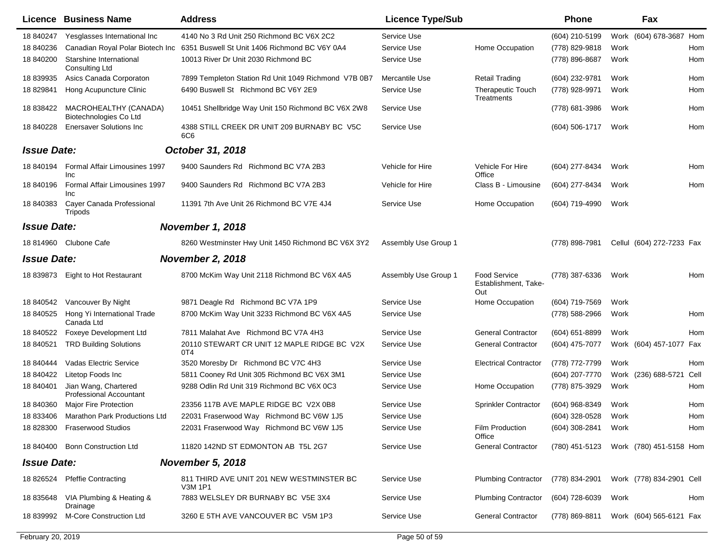|                    | Licence Business Name                            | <b>Address</b>                                       | <b>Licence Type/Sub</b> |                                             | <b>Phone</b>     |      | Fax                       |     |
|--------------------|--------------------------------------------------|------------------------------------------------------|-------------------------|---------------------------------------------|------------------|------|---------------------------|-----|
| 18 840247          | Yesglasses International Inc                     | 4140 No 3 Rd Unit 250 Richmond BC V6X 2C2            | Service Use             |                                             | (604) 210-5199   |      | Work (604) 678-3687 Hom   |     |
| 18 840236          | Canadian Royal Polar Biotech Inc                 | 6351 Buswell St Unit 1406 Richmond BC V6Y 0A4        | Service Use             | Home Occupation                             | (778) 829-9818   | Work |                           | Hom |
| 18 840200          | Starshine International<br><b>Consulting Ltd</b> | 10013 River Dr Unit 2030 Richmond BC                 | Service Use             |                                             | (778) 896-8687   | Work |                           | Hom |
| 18 839935          | Asics Canada Corporaton                          | 7899 Templeton Station Rd Unit 1049 Richmond V7B 0B7 | Mercantile Use          | <b>Retail Trading</b>                       | (604) 232-9781   | Work |                           | Hom |
| 18 829841          | Hong Acupuncture Clinic                          | 6490 Buswell St Richmond BC V6Y 2E9                  | Service Use             | Therapeutic Touch<br>Treatments             | (778) 928-9971   | Work |                           | Hom |
| 18 838422          | MACROHEALTHY (CANADA)<br>Biotechnologies Co Ltd  | 10451 Shellbridge Way Unit 150 Richmond BC V6X 2W8   | Service Use             |                                             | (778) 681-3986   | Work |                           | Hom |
| 18 840228          | <b>Enersaver Solutions Inc.</b>                  | 4388 STILL CREEK DR UNIT 209 BURNABY BC V5C<br>6C6   | Service Use             |                                             | $(604)$ 506-1717 | Work |                           | Hom |
| <b>Issue Date:</b> |                                                  | October 31, 2018                                     |                         |                                             |                  |      |                           |     |
| 18 840194          | Formal Affair Limousines 1997<br>Inc             | 9400 Saunders Rd Richmond BC V7A 2B3                 | Vehicle for Hire        | Vehicle For Hire<br>Office                  | (604) 277-8434   | Work |                           | Hom |
| 18 840196          | Formal Affair Limousines 1997<br><b>Inc</b>      | 9400 Saunders Rd Richmond BC V7A 2B3                 | Vehicle for Hire        | Class B - Limousine                         | (604) 277-8434   | Work |                           | Hom |
| 18 840383          | Cayer Canada Professional<br>Tripods             | 11391 7th Ave Unit 26 Richmond BC V7E 4J4            | Service Use             | Home Occupation                             | (604) 719-4990   | Work |                           |     |
| <b>Issue Date:</b> |                                                  | <b>November 1, 2018</b>                              |                         |                                             |                  |      |                           |     |
| 18 814960          | Clubone Cafe                                     | 8260 Westminster Hwy Unit 1450 Richmond BC V6X 3Y2   | Assembly Use Group 1    |                                             | (778) 898-7981   |      | Cellul (604) 272-7233 Fax |     |
| <b>Issue Date:</b> |                                                  | <b>November 2, 2018</b>                              |                         |                                             |                  |      |                           |     |
| 18 839873          | Eight to Hot Restaurant                          | 8700 McKim Way Unit 2118 Richmond BC V6X 4A5         | Assembly Use Group 1    | Food Service<br>Establishment, Take-<br>Out | (778) 387-6336   | Work |                           | Hom |
| 18 840542          | Vancouver By Night                               | 9871 Deagle Rd Richmond BC V7A 1P9                   | Service Use             | Home Occupation                             | (604) 719-7569   | Work |                           |     |
| 18 840525          | Hong Yi International Trade<br>Canada Ltd        | 8700 McKim Way Unit 3233 Richmond BC V6X 4A5         | Service Use             |                                             | (778) 588-2966   | Work |                           | Hom |
| 18 840522          | Foxeye Development Ltd                           | 7811 Malahat Ave Richmond BC V7A 4H3                 | Service Use             | <b>General Contractor</b>                   | $(604)$ 651-8899 | Work |                           | Hom |
| 18 840521          | <b>TRD Building Solutions</b>                    | 20110 STEWART CR UNIT 12 MAPLE RIDGE BC V2X<br>0T4   | Service Use             | <b>General Contractor</b>                   | (604) 475-7077   |      | Work (604) 457-1077 Fax   |     |
| 18 840444          | <b>Vadas Electric Service</b>                    | 3520 Moresby Dr Richmond BC V7C 4H3                  | Service Use             | <b>Electrical Contractor</b>                | (778) 772-7799   | Work |                           | Hom |
| 18 840422          | Litetop Foods Inc                                | 5811 Cooney Rd Unit 305 Richmond BC V6X 3M1          | Service Use             |                                             | (604) 207-7770   |      | Work (236) 688-5721 Cell  |     |
| 18 840401          | Jian Wang, Chartered<br>Professional Accountant  | 9288 Odlin Rd Unit 319 Richmond BC V6X 0C3           | Service Use             | Home Occupation                             | (778) 875-3929   | Work |                           | Hom |
| 18 840360          | Major Fire Protection                            | 23356 117B AVE MAPLE RIDGE BC V2X 0B8                | Service Use             | Sprinkler Contractor                        | (604) 968-8349   | Work |                           | Hom |
| 18 833406          | <b>Marathon Park Productions Ltd</b>             | 22031 Fraserwood Way Richmond BC V6W 1J5             | Service Use             |                                             | (604) 328-0528   | Work |                           | Hom |
|                    | 18 828300 Fraserwood Studios                     | 22031 Fraserwood Way Richmond BC V6W 1J5             | Service Use             | Film Production<br>Office                   | (604) 308-2841   | Work |                           | Hom |
| 18 840400          | <b>Bonn Construction Ltd</b>                     | 11820 142ND ST EDMONTON AB T5L 2G7                   | Service Use             | <b>General Contractor</b>                   | (780) 451-5123   |      | Work (780) 451-5158 Hom   |     |
| <b>Issue Date:</b> |                                                  | <b>November 5, 2018</b>                              |                         |                                             |                  |      |                           |     |
| 18 826524          | <b>Pfeffie Contracting</b>                       | 811 THIRD AVE UNIT 201 NEW WESTMINSTER BC<br>V3M 1P1 | Service Use             | <b>Plumbing Contractor</b>                  | (778) 834-2901   |      | Work (778) 834-2901 Cell  |     |
| 18 835648          | VIA Plumbing & Heating &<br>Drainage             | 7883 WELSLEY DR BURNABY BC V5E 3X4                   | Service Use             | <b>Plumbing Contractor</b>                  | (604) 728-6039   | Work |                           | Hom |
|                    | 18 839992 M-Core Construction Ltd                | 3260 E 5TH AVE VANCOUVER BC V5M 1P3                  | Service Use             | <b>General Contractor</b>                   | (778) 869-8811   |      | Work (604) 565-6121 Fax   |     |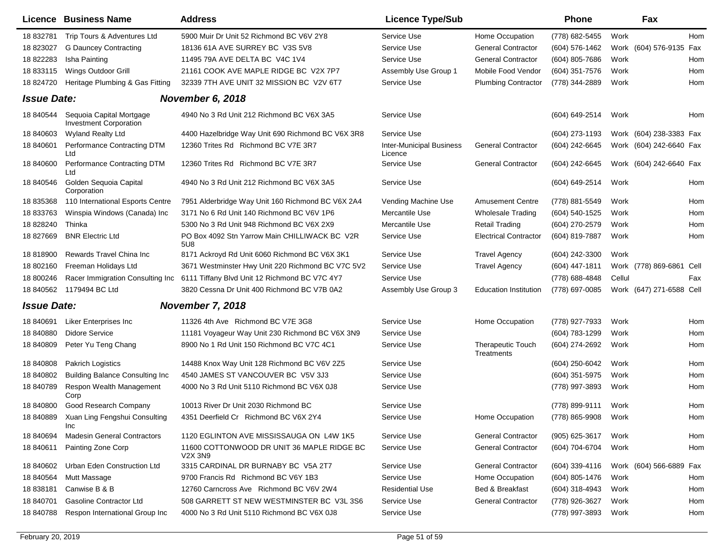|                    | <b>Licence Business Name</b>                              | <b>Address</b>                                               | <b>Licence Type/Sub</b>                    |                                 | <b>Phone</b>   | Fax                      |      |
|--------------------|-----------------------------------------------------------|--------------------------------------------------------------|--------------------------------------------|---------------------------------|----------------|--------------------------|------|
| 18 832781          | Trip Tours & Adventures Ltd                               | 5900 Muir Dr Unit 52 Richmond BC V6V 2Y8                     | Service Use                                | Home Occupation                 | (778) 682-5455 | Work                     | Hom  |
| 18 823027          | <b>G Dauncey Contracting</b>                              | 18136 61A AVE SURREY BC V3S 5V8                              | Service Use                                | <b>General Contractor</b>       | (604) 576-1462 | Work (604) 576-9135 Fax  |      |
| 18 822283          | Isha Painting                                             | 11495 79A AVE DELTA BC V4C 1V4                               | Service Use                                | <b>General Contractor</b>       | (604) 805-7686 | Work                     | Hom  |
| 18 833115          | Wings Outdoor Grill                                       | 21161 COOK AVE MAPLE RIDGE BC V2X 7P7                        | Assembly Use Group 1                       | Mobile Food Vendor              | (604) 351-7576 | Work                     | Hom  |
| 18 824720          | Heritage Plumbing & Gas Fitting                           | 32339 7TH AVE UNIT 32 MISSION BC V2V 6T7                     | Service Use                                | <b>Plumbing Contractor</b>      | (778) 344-2889 | Work                     | Hom  |
| <b>Issue Date:</b> |                                                           | November 6, 2018                                             |                                            |                                 |                |                          |      |
| 18 840544          | Sequoia Capital Mortgage<br><b>Investment Corporation</b> | 4940 No 3 Rd Unit 212 Richmond BC V6X 3A5                    | Service Use                                |                                 | (604) 649-2514 | Work                     | Hom  |
| 18 840603          | <b>Wyland Realty Ltd</b>                                  | 4400 Hazelbridge Way Unit 690 Richmond BC V6X 3R8            | Service Use                                |                                 | (604) 273-1193 | Work (604) 238-3383 Fax  |      |
| 18 840601          | Performance Contracting DTM<br>Ltd                        | 12360 Trites Rd Richmond BC V7E 3R7                          | <b>Inter-Municipal Business</b><br>Licence | <b>General Contractor</b>       | (604) 242-6645 | Work (604) 242-6640 Fax  |      |
| 18 840600          | Performance Contracting DTM<br>Ltd                        | 12360 Trites Rd Richmond BC V7E 3R7                          | Service Use                                | <b>General Contractor</b>       | (604) 242-6645 | Work (604) 242-6640 Fax  |      |
| 18 840546          | Golden Sequoia Capital<br>Corporation                     | 4940 No 3 Rd Unit 212 Richmond BC V6X 3A5                    | Service Use                                |                                 | (604) 649-2514 | Work                     | Hom  |
| 18 835368          | 110 International Esports Centre                          | 7951 Alderbridge Way Unit 160 Richmond BC V6X 2A4            | Vending Machine Use                        | <b>Amusement Centre</b>         | (778) 881-5549 | Work                     | Hom  |
| 18 833763          | Winspia Windows (Canada) Inc                              | 3171 No 6 Rd Unit 140 Richmond BC V6V 1P6                    | Mercantile Use                             | <b>Wholesale Trading</b>        | (604) 540-1525 | Work                     | Hom  |
| 18 828240          | Thinka                                                    | 5300 No 3 Rd Unit 948 Richmond BC V6X 2X9                    | Mercantile Use                             | <b>Retail Trading</b>           | (604) 270-2579 | Work                     | Hom  |
| 18 827669          | <b>BNR Electric Ltd</b>                                   | PO Box 4092 Stn Yarrow Main CHILLIWACK BC V2R<br>5U8         | Service Use                                | <b>Electrical Contractor</b>    | (604) 819-7887 | Work                     | Hom  |
| 18 818900          | Rewards Travel China Inc                                  | 8171 Ackroyd Rd Unit 6060 Richmond BC V6X 3K1                | Service Use                                | <b>Travel Agency</b>            | (604) 242-3300 | Work                     |      |
| 18 802160          | Freeman Holidays Ltd                                      | 3671 Westminster Hwy Unit 220 Richmond BC V7C 5V2            | Service Use                                | <b>Travel Agency</b>            | (604) 447-1811 | Work (778) 869-6861      | Cell |
| 18 800246          | Racer Immigration Consulting Inc                          | 6111 Tiffany Blvd Unit 12 Richmond BC V7C 4Y7                | Service Use                                |                                 | (778) 688-4848 | Cellul                   | Fax  |
| 18 840562          | 1179494 BC Ltd                                            | 3820 Cessna Dr Unit 400 Richmond BC V7B 0A2                  | Assembly Use Group 3                       | <b>Education Institution</b>    | (778) 697-0085 | Work (647) 271-6588 Cell |      |
| <b>Issue Date:</b> |                                                           | <b>November 7, 2018</b>                                      |                                            |                                 |                |                          |      |
| 18 840691          | Liker Enterprises Inc                                     | 11326 4th Ave Richmond BC V7E 3G8                            | Service Use                                | Home Occupation                 | (778) 927-7933 | Work                     | Hom  |
| 18 840880          | <b>Didore Service</b>                                     | 11181 Voyageur Way Unit 230 Richmond BC V6X 3N9              | Service Use                                |                                 | (604) 783-1299 | Work                     | Hom  |
| 18 840809          | Peter Yu Teng Chang                                       | 8900 No 1 Rd Unit 150 Richmond BC V7C 4C1                    | Service Use                                | Therapeutic Touch<br>Treatments | (604) 274-2692 | Work                     | Hom  |
| 18 840808          | <b>Pakrich Logistics</b>                                  | 14488 Knox Way Unit 128 Richmond BC V6V 2Z5                  | Service Use                                |                                 | (604) 250-6042 | Work                     | Hom  |
| 18 840802          | <b>Building Balance Consulting Inc</b>                    | 4540 JAMES ST VANCOUVER BC V5V 3J3                           | Service Use                                |                                 | (604) 351-5975 | Work                     | Hom  |
| 18 840789          | Respon Wealth Management<br>Corp                          | 4000 No 3 Rd Unit 5110 Richmond BC V6X 0J8                   | Service Use                                |                                 | (778) 997-3893 | Work                     | Hom  |
| 18 840800          | Good Research Company                                     | 10013 River Dr Unit 2030 Richmond BC                         | Service Use                                |                                 | (778) 899-9111 | Work                     | Hom  |
| 18 840889          | Xuan Ling Fengshui Consulting<br>Inc                      | 4351 Deerfield Cr Richmond BC V6X 2Y4                        | Service Use                                | Home Occupation                 | (778) 865-9908 | Work                     | Hom  |
| 18 840694          | <b>Madesin General Contractors</b>                        | 1120 EGLINTON AVE MISSISSAUGA ON L4W 1K5                     | Service Use                                | <b>General Contractor</b>       | (905) 625-3617 | Work                     | Hom  |
| 18 840611          | Painting Zone Corp                                        | 11600 COTTONWOOD DR UNIT 36 MAPLE RIDGE BC<br><b>V2X 3N9</b> | Service Use                                | <b>General Contractor</b>       | (604) 704-6704 | Work                     | Hom  |
| 18 840602          | Urban Eden Construction Ltd                               | 3315 CARDINAL DR BURNABY BC V5A 2T7                          | Service Use                                | <b>General Contractor</b>       | (604) 339-4116 | Work (604) 566-6889 Fax  |      |
| 18 840564          | Mutt Massage                                              | 9700 Francis Rd Richmond BC V6Y 1B3                          | Service Use                                | Home Occupation                 | (604) 805-1476 | Work                     | Hom  |
| 18 838181          | Canwise B & B                                             | 12760 Carncross Ave Richmond BC V6V 2W4                      | <b>Residential Use</b>                     | Bed & Breakfast                 | (604) 318-4943 | Work                     | Hom  |
| 18 840701          | Gasoline Contractor Ltd                                   | 508 GARRETT ST NEW WESTMINSTER BC V3L 3S6                    | Service Use                                | <b>General Contractor</b>       | (778) 926-3627 | Work                     | Hom  |
| 18 840788          | Respon International Group Inc                            | 4000 No 3 Rd Unit 5110 Richmond BC V6X 0J8                   | Service Use                                |                                 | (778) 997-3893 | Work                     | Hom  |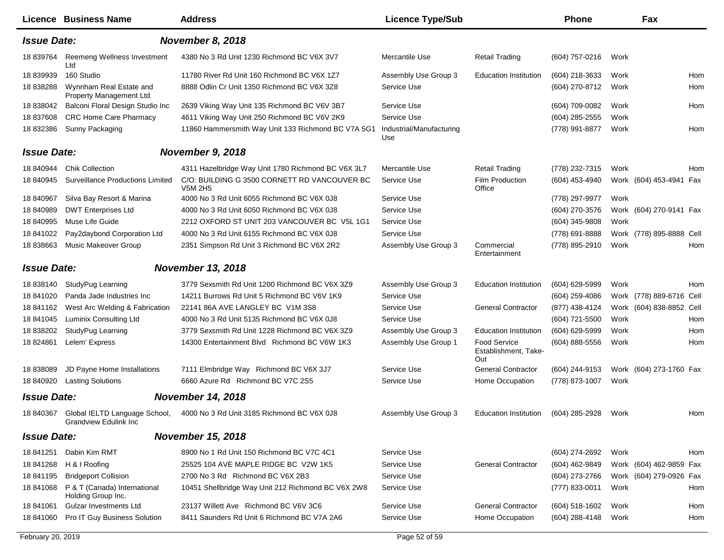|                    | Licence Business Name                                         | <b>Address</b>                                                 | <b>Licence Type/Sub</b>         |                                             | <b>Phone</b>     |      | Fax                      |     |
|--------------------|---------------------------------------------------------------|----------------------------------------------------------------|---------------------------------|---------------------------------------------|------------------|------|--------------------------|-----|
| <b>Issue Date:</b> |                                                               | November 8, 2018                                               |                                 |                                             |                  |      |                          |     |
| 18 839764          | Reemeng Wellness Investment<br>Ltd                            | 4380 No 3 Rd Unit 1230 Richmond BC V6X 3V7                     | Mercantile Use                  | <b>Retail Trading</b>                       | (604) 757-0216   | Work |                          |     |
| 18 839939          | 160 Studio                                                    | 11780 River Rd Unit 160 Richmond BC V6X 1Z7                    | Assembly Use Group 3            | <b>Education Institution</b>                | (604) 218-3633   | Work |                          | Hom |
| 18 838288          | Wynnham Real Estate and<br>Property Management Ltd            | 8888 Odlin Cr Unit 1350 Richmond BC V6X 3Z8                    | Service Use                     |                                             | (604) 270-8712   | Work |                          | Hom |
| 18 838042          | Balconi Floral Design Studio Inc                              | 2639 Viking Way Unit 135 Richmond BC V6V 3B7                   | Service Use                     |                                             | (604) 709-0082   | Work |                          | Hom |
| 18 837608          | <b>CRC Home Care Pharmacy</b>                                 | 4611 Viking Way Unit 250 Richmond BC V6V 2K9                   | Service Use                     |                                             | $(604)$ 285-2555 | Work |                          |     |
| 18 832386          | Sunny Packaging                                               | 11860 Hammersmith Way Unit 133 Richmond BC V7A 5G1             | Industrial/Manufacturing<br>Use |                                             | (778) 991-8877   | Work |                          | Hom |
| <b>Issue Date:</b> |                                                               | November 9, 2018                                               |                                 |                                             |                  |      |                          |     |
| 18 840944          | <b>Chik Collection</b>                                        | 4311 Hazelbridge Way Unit 1780 Richmond BC V6X 3L7             | Mercantile Use                  | <b>Retail Trading</b>                       | (778) 232-7315   | Work |                          | Hom |
| 18 840945          | <b>Surveillance Productions Limited</b>                       | C/O: BUILDING G 3500 CORNETT RD VANCOUVER BC<br><b>V5M 2H5</b> | Service Use                     | Film Production<br>Office                   | (604) 453-4940   |      | Work (604) 453-4941 Fax  |     |
| 18 840967          | Silva Bay Resort & Marina                                     | 4000 No 3 Rd Unit 6055 Richmond BC V6X 0J8                     | Service Use                     |                                             | (778) 297-9977   | Work |                          |     |
| 18 840989          | <b>DWT Enterprises Ltd</b>                                    | 4000 No 3 Rd Unit 6050 Richmond BC V6X 0J8                     | Service Use                     |                                             | (604) 270-3576   |      | Work (604) 270-9141 Fax  |     |
| 18 840995          | Muse Life Guide                                               | 2212 OXFORD ST UNIT 203 VANCOUVER BC V5L 1G1                   | Service Use                     |                                             | (604) 345-9808   | Work |                          |     |
| 18 841022          | Pay2daybond Corporation Ltd                                   | 4000 No 3 Rd Unit 6155 Richmond BC V6X 0J8                     | Service Use                     |                                             | (778) 691-8888   |      | Work (778) 895-8888 Cell |     |
| 18 838663          | Music Makeover Group                                          | 2351 Simpson Rd Unit 3 Richmond BC V6X 2R2                     | Assembly Use Group 3            | Commercial<br>Entertainment                 | (778) 895-2910   | Work |                          | Hom |
| <b>Issue Date:</b> |                                                               | <b>November 13, 2018</b>                                       |                                 |                                             |                  |      |                          |     |
| 18 838140          | StudyPug Learning                                             | 3779 Sexsmith Rd Unit 1200 Richmond BC V6X 3Z9                 | Assembly Use Group 3            | <b>Education Institution</b>                | (604) 629-5999   | Work |                          | Hom |
| 18 841020          | Panda Jade Industries Inc                                     | 14211 Burrows Rd Unit 5 Richmond BC V6V 1K9                    | Service Use                     |                                             | $(604)$ 259-4086 |      | Work (778) 889-6716 Cell |     |
| 18 841162          | West Arc Welding & Fabrication                                | 22141 86A AVE LANGLEY BC V1M 3S8                               | Service Use                     | <b>General Contractor</b>                   | (877) 438-4124   |      | Work (604) 838-8852 Cell |     |
| 18 841045          | Luminix Consulting Ltd                                        | 4000 No 3 Rd Unit 5135 Richmond BC V6X 0J8                     | Service Use                     |                                             | (604) 721-5500   | Work |                          | Hom |
| 18 838202          | StudyPug Learning                                             | 3779 Sexsmith Rd Unit 1228 Richmond BC V6X 3Z9                 | Assembly Use Group 3            | <b>Education Institution</b>                | (604) 629-5999   | Work |                          | Hom |
| 18 824861          | Lelem' Express                                                | 14300 Entertainment Blvd Richmond BC V6W 1K3                   | Assembly Use Group 1            | Food Service<br>Establishment, Take-<br>Out | (604) 888-5556   | Work |                          | Hom |
| 18 838089          | JD Payne Home Installations                                   | 7111 Elmbridge Way Richmond BC V6X 3J7                         | Service Use                     | <b>General Contractor</b>                   | (604) 244-9153   |      | Work (604) 273-1760 Fax  |     |
| 18 840920          | <b>Lasting Solutions</b>                                      | 6660 Azure Rd Richmond BC V7C 2S5                              | Service Use                     | Home Occupation                             | (778) 873-1007   | Work |                          |     |
| <b>Issue Date:</b> |                                                               | <b>November 14, 2018</b>                                       |                                 |                                             |                  |      |                          |     |
| 18 840367          | Global IELTD Language School,<br><b>Grandview Edulink Inc</b> | 4000 No 3 Rd Unit 3185 Richmond BC V6X 0J8                     | Assembly Use Group 3            | <b>Education Institution</b>                | (604) 285-2928   | Work |                          | Hom |
| <b>Issue Date:</b> |                                                               | <b>November 15, 2018</b>                                       |                                 |                                             |                  |      |                          |     |
| 18 841251          | Dabin Kim RMT                                                 | 8900 No 1 Rd Unit 150 Richmond BC V7C 4C1                      | Service Use                     |                                             | (604) 274-2692   | Work |                          | Hom |
| 18 841268          | H & I Roofing                                                 | 25525 104 AVE MAPLE RIDGE BC V2W 1K5                           | Service Use                     | <b>General Contractor</b>                   | (604) 462-9849   |      | Work (604) 462-9859 Fax  |     |
| 18 841195          | <b>Bridgeport Collision</b>                                   | 2700 No 3 Rd Richmond BC V6X 2B3                               | Service Use                     |                                             | (604) 273-2766   |      | Work (604) 279-0926 Fax  |     |
| 18 841068          | P & T (Canada) International<br>Holding Group Inc.            | 10451 Shellbridge Way Unit 212 Richmond BC V6X 2W8             | Service Use                     |                                             | (777) 833-0011   | Work |                          | Hom |
| 18 841061          | Gulzar Investments Ltd                                        | 23137 Willett Ave Richmond BC V6V 3C6                          | Service Use                     | <b>General Contractor</b>                   | $(604)$ 518-1602 | Work |                          | Hom |
| 18 841060          | Pro IT Guy Business Solution                                  | 8411 Saunders Rd Unit 6 Richmond BC V7A 2A6                    | Service Use                     | Home Occupation                             | $(604)$ 288-4148 | Work |                          | Hom |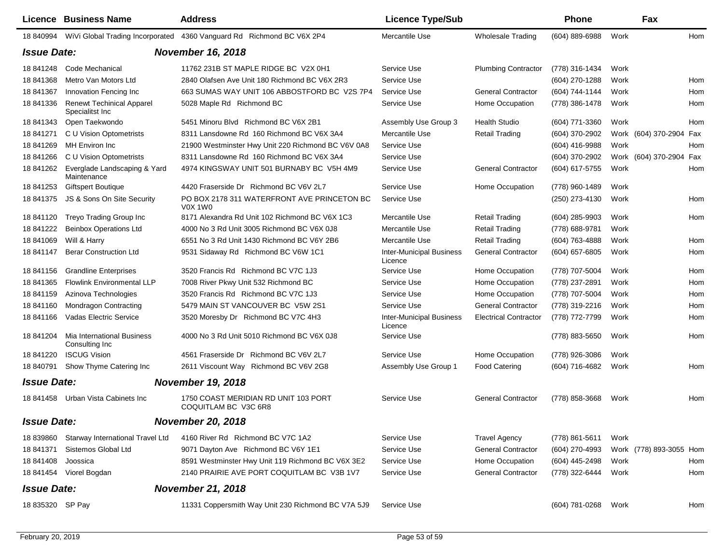|                    | Licence Business Name                               | <b>Address</b>                                                        | <b>Licence Type/Sub</b>                    |                              | <b>Phone</b>   |      | Fax                     |  |
|--------------------|-----------------------------------------------------|-----------------------------------------------------------------------|--------------------------------------------|------------------------------|----------------|------|-------------------------|--|
| 18 840994          |                                                     | WiVi Global Trading Incorporated 4360 Vanguard Rd Richmond BC V6X 2P4 | Mercantile Use                             | <b>Wholesale Trading</b>     | (604) 889-6988 | Work | Hom                     |  |
|                    | <b>Issue Date:</b><br><b>November 16, 2018</b>      |                                                                       |                                            |                              |                |      |                         |  |
| 18 841248          | Code Mechanical                                     | 11762 231B ST MAPLE RIDGE BC V2X 0H1                                  | Service Use                                | <b>Plumbing Contractor</b>   | (778) 316-1434 | Work |                         |  |
| 18 841368          | Metro Van Motors Ltd                                | 2840 Olafsen Ave Unit 180 Richmond BC V6X 2R3                         | Service Use                                |                              | (604) 270-1288 | Work | Hom                     |  |
| 18 841367          | Innovation Fencing Inc                              | 663 SUMAS WAY UNIT 106 ABBOSTFORD BC V2S 7P4                          | Service Use                                | <b>General Contractor</b>    | (604) 744-1144 | Work | Hom                     |  |
| 18 841336          | <b>Renewt Techinical Apparel</b><br>Specialitst Inc | 5028 Maple Rd Richmond BC                                             | Service Use                                | Home Occupation              | (778) 386-1478 | Work | Hom                     |  |
| 18 841343          | Open Taekwondo                                      | 5451 Minoru Blvd Richmond BC V6X 2B1                                  | Assembly Use Group 3                       | <b>Health Studio</b>         | (604) 771-3360 | Work | Hom                     |  |
| 18 841271          | C U Vision Optometrists                             | 8311 Lansdowne Rd 160 Richmond BC V6X 3A4                             | Mercantile Use                             | <b>Retail Trading</b>        | (604) 370-2902 |      | Work (604) 370-2904 Fax |  |
| 18 841269          | <b>MH</b> Environ Inc                               | 21900 Westminster Hwy Unit 220 Richmond BC V6V 0A8                    | Service Use                                |                              | (604) 416-9988 | Work | Hom                     |  |
| 18 841266          | C U Vision Optometrists                             | 8311 Lansdowne Rd 160 Richmond BC V6X 3A4                             | Service Use                                |                              | (604) 370-2902 |      | Work (604) 370-2904 Fax |  |
| 18 841262          | Everglade Landscaping & Yard<br>Maintenance         | 4974 KINGSWAY UNIT 501 BURNABY BC V5H 4M9                             | Service Use                                | <b>General Contractor</b>    | (604) 617-5755 | Work | Hom                     |  |
| 18 841253          | <b>Giftspert Boutique</b>                           | 4420 Fraserside Dr Richmond BC V6V 2L7                                | Service Use                                | Home Occupation              | (778) 960-1489 | Work |                         |  |
| 18 841375          | JS & Sons On Site Security                          | PO BOX 2178 311 WATERFRONT AVE PRINCETON BC<br>V0X 1W0                | Service Use                                |                              | (250) 273-4130 | Work | Hom                     |  |
| 18 841120          | Treyo Trading Group Inc                             | 8171 Alexandra Rd Unit 102 Richmond BC V6X 1C3                        | Mercantile Use                             | <b>Retail Trading</b>        | (604) 285-9903 | Work | Hom                     |  |
| 18 841222          | <b>Beinbox Operations Ltd</b>                       | 4000 No 3 Rd Unit 3005 Richmond BC V6X 0J8                            | Mercantile Use                             | <b>Retail Trading</b>        | (778) 688-9781 | Work |                         |  |
| 18 841069          | Will & Harry                                        | 6551 No 3 Rd Unit 1430 Richmond BC V6Y 2B6                            | Mercantile Use                             | <b>Retail Trading</b>        | (604) 763-4888 | Work | Hom                     |  |
| 18 841147          | <b>Berar Construction Ltd</b>                       | 9531 Sidaway Rd Richmond BC V6W 1C1                                   | <b>Inter-Municipal Business</b><br>Licence | <b>General Contractor</b>    | (604) 657-6805 | Work | Hom                     |  |
| 18 841156          | <b>Grandline Enterprises</b>                        | 3520 Francis Rd Richmond BC V7C 1J3                                   | Service Use                                | Home Occupation              | (778) 707-5004 | Work | Hom                     |  |
| 18 841365          | <b>Flowlink Environmental LLP</b>                   | 7008 River Pkwy Unit 532 Richmond BC                                  | Service Use                                | Home Occupation              | (778) 237-2891 | Work | Hom                     |  |
| 18 841159          | Azinova Technologies                                | 3520 Francis Rd Richmond BC V7C 1J3                                   | Service Use                                | Home Occupation              | (778) 707-5004 | Work | Hom                     |  |
| 18 841160          | Mondragon Contracting                               | 5479 MAIN ST VANCOUVER BC V5W 2S1                                     | Service Use                                | <b>General Contractor</b>    | (778) 319-2216 | Work | Hom                     |  |
| 18 841166          | Vadas Electric Service                              | 3520 Moresby Dr Richmond BC V7C 4H3                                   | <b>Inter-Municipal Business</b><br>Licence | <b>Electrical Contractor</b> | (778) 772-7799 | Work | Hom                     |  |
| 18 841204          | Mia International Business<br>Consulting Inc        | 4000 No 3 Rd Unit 5010 Richmond BC V6X 0J8                            | Service Use                                |                              | (778) 883-5650 | Work | Hom                     |  |
| 18 841220          | <b>ISCUG Vision</b>                                 | 4561 Fraserside Dr Richmond BC V6V 2L7                                | Service Use                                | Home Occupation              | (778) 926-3086 | Work |                         |  |
| 18 840791          | Show Thyme Catering Inc                             | 2611 Viscount Way Richmond BC V6V 2G8                                 | Assembly Use Group 1                       | <b>Food Catering</b>         | (604) 716-4682 | Work | Hom                     |  |
| <b>Issue Date:</b> |                                                     | <b>November 19, 2018</b>                                              |                                            |                              |                |      |                         |  |
|                    | 18 841458 Urban Vista Cabinets Inc                  | 1750 COAST MERIDIAN RD UNIT 103 PORT<br>COQUITLAM BC V3C 6R8          | Service Use                                | <b>General Contractor</b>    | (778) 858-3668 | Work | Hom                     |  |
| <b>Issue Date:</b> |                                                     | <b>November 20, 2018</b>                                              |                                            |                              |                |      |                         |  |
| 18 839860          | Starway International Travel Ltd                    | 4160 River Rd Richmond BC V7C 1A2                                     | Service Use                                | <b>Travel Agency</b>         | (778) 861-5611 | Work |                         |  |
| 18 841371          | Sistemos Global Ltd                                 | 9071 Dayton Ave Richmond BC V6Y 1E1                                   | Service Use                                | <b>General Contractor</b>    | (604) 270-4993 |      | Work (778) 893-3055 Hom |  |
| 18 841408          | Joossica                                            | 8591 Westminster Hwy Unit 119 Richmond BC V6X 3E2                     | Service Use                                | Home Occupation              | (604) 445-2498 | Work | Hom                     |  |
|                    | 18 841454 Viorel Bogdan                             | 2140 PRAIRIE AVE PORT COQUITLAM BC V3B 1V7                            | Service Use                                | <b>General Contractor</b>    | (778) 322-6444 | Work | Hom                     |  |
| <b>Issue Date:</b> |                                                     | <b>November 21, 2018</b>                                              |                                            |                              |                |      |                         |  |
| 18 835320 SP Pay   |                                                     | 11331 Coppersmith Way Unit 230 Richmond BC V7A 5J9                    | Service Use                                |                              | (604) 781-0268 | Work | Hom                     |  |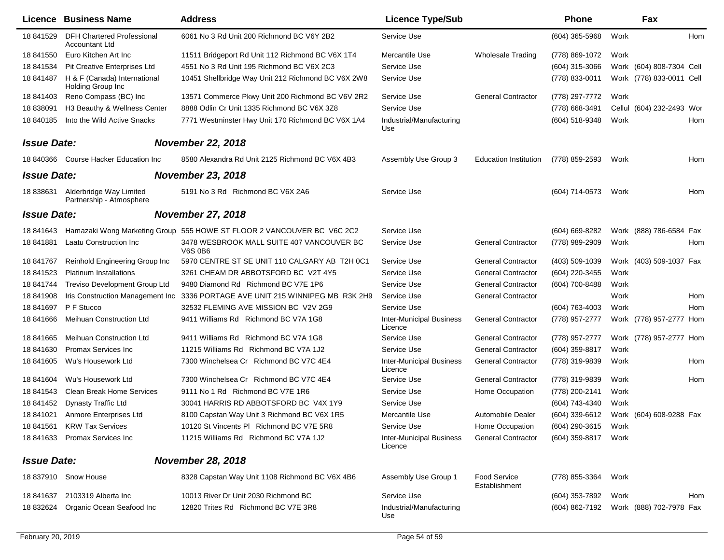|                    | Licence Business Name                               | <b>Address</b>                                              | <b>Licence Type/Sub</b>                    |                               | Phone            |      | Fax                       |            |
|--------------------|-----------------------------------------------------|-------------------------------------------------------------|--------------------------------------------|-------------------------------|------------------|------|---------------------------|------------|
| 18 841529          | <b>DFH Chartered Professional</b><br>Accountant Ltd | 6061 No 3 Rd Unit 200 Richmond BC V6Y 2B2                   | Service Use                                |                               | $(604)$ 365-5968 | Work |                           | Hom        |
| 18 841550          | Euro Kitchen Art Inc                                | 11511 Bridgeport Rd Unit 112 Richmond BC V6X 1T4            | Mercantile Use                             | <b>Wholesale Trading</b>      | (778) 869-1072   | Work |                           |            |
| 18 841534          | <b>Pit Creative Enterprises Ltd</b>                 | 4551 No 3 Rd Unit 195 Richmond BC V6X 2C3                   | Service Use                                |                               | (604) 315-3066   |      | Work (604) 808-7304 Cell  |            |
| 18 841487          | H & F (Canada) International<br>Holding Group Inc   | 10451 Shellbridge Way Unit 212 Richmond BC V6X 2W8          | Service Use                                |                               | (778) 833-0011   |      | Work (778) 833-0011 Cell  |            |
| 18 841403          | Reno Compass (BC) Inc                               | 13571 Commerce Pkwy Unit 200 Richmond BC V6V 2R2            | Service Use                                | <b>General Contractor</b>     | (778) 297-7772   | Work |                           |            |
| 18 838091          | H3 Beauthy & Wellness Center                        | 8888 Odlin Cr Unit 1335 Richmond BC V6X 3Z8                 | Service Use                                |                               | (778) 668-3491   |      | Cellul (604) 232-2493 Wor |            |
| 18 840185          | Into the Wild Active Snacks                         | 7771 Westminster Hwy Unit 170 Richmond BC V6X 1A4           | Industrial/Manufacturing<br>Use            |                               | (604) 518-9348   | Work |                           | Hom        |
| <b>Issue Date:</b> |                                                     | <b>November 22, 2018</b>                                    |                                            |                               |                  |      |                           |            |
| 18 840366          | Course Hacker Education Inc                         | 8580 Alexandra Rd Unit 2125 Richmond BC V6X 4B3             | Assembly Use Group 3                       | <b>Education Institution</b>  | (778) 859-2593   | Work |                           | Hom        |
| <b>Issue Date:</b> |                                                     | <b>November 23, 2018</b>                                    |                                            |                               |                  |      |                           |            |
| 18 838631          | Alderbridge Way Limited<br>Partnership - Atmosphere | 5191 No 3 Rd Richmond BC V6X 2A6                            | Service Use                                |                               | (604) 714-0573   | Work |                           | Hom        |
| <b>Issue Date:</b> |                                                     | <b>November 27, 2018</b>                                    |                                            |                               |                  |      |                           |            |
| 18 841643          | Hamazaki Wong Marketing Group                       | 555 HOWE ST FLOOR 2 VANCOUVER BC V6C 2C2                    | Service Use                                |                               | (604) 669-8282   |      | Work (888) 786-6584 Fax   |            |
| 18 841881          | <b>Laatu Construction Inc</b>                       | 3478 WESBROOK MALL SUITE 407 VANCOUVER BC<br><b>V6S 0B6</b> | Service Use                                | <b>General Contractor</b>     | (778) 989-2909   | Work |                           | Hom        |
| 18 841767          | Reinhold Engineering Group Inc                      | 5970 CENTRE ST SE UNIT 110 CALGARY AB T2H 0C1               | Service Use                                | <b>General Contractor</b>     | (403) 509-1039   |      | Work (403) 509-1037 Fax   |            |
| 18 841523          | <b>Platinum Installations</b>                       | 3261 CHEAM DR ABBOTSFORD BC V2T 4Y5                         | Service Use                                | <b>General Contractor</b>     | (604) 220-3455   | Work |                           |            |
| 18 841744          | Treviso Development Group Ltd                       | 9480 Diamond Rd Richmond BC V7E 1P6                         | Service Use                                | <b>General Contractor</b>     | (604) 700-8488   | Work |                           |            |
| 18 841908          | Iris Construction Management Inc                    | 3336 PORTAGE AVE UNIT 215 WINNIPEG MB R3K 2H9               | Service Use                                | <b>General Contractor</b>     |                  | Work |                           | <b>Hom</b> |
| 18 841697          | P F Stucco                                          | 32532 FLEMING AVE MISSION BC V2V 2G9                        | Service Use                                |                               | (604) 763-4003   | Work |                           | Hom        |
| 18 841666          | <b>Meihuan Construction Ltd</b>                     | 9411 Williams Rd Richmond BC V7A 1G8                        | <b>Inter-Municipal Business</b><br>Licence | <b>General Contractor</b>     | (778) 957-2777   |      | Work (778) 957-2777 Hom   |            |
| 18 841665          | <b>Meihuan Construction Ltd</b>                     | 9411 Williams Rd Richmond BC V7A 1G8                        | Service Use                                | <b>General Contractor</b>     | (778) 957-2777   |      | Work (778) 957-2777 Hom   |            |
| 18 841630          | Promax Services Inc                                 | 11215 Williams Rd Richmond BC V7A 1J2                       | Service Use                                | <b>General Contractor</b>     | (604) 359-8817   | Work |                           |            |
| 18 841605          | Wu's Housework Ltd                                  | 7300 Winchelsea Cr Richmond BC V7C 4E4                      | <b>Inter-Municipal Business</b><br>Licence | <b>General Contractor</b>     | (778) 319-9839   | Work |                           | Hom        |
| 18 841604          | Wu's Housework Ltd                                  | 7300 Winchelsea Cr Richmond BC V7C 4E4                      | Service Use                                | <b>General Contractor</b>     | (778) 319-9839   | Work |                           | Hom        |
| 18 841543          | <b>Clean Break Home Services</b>                    | 9111 No 1 Rd Richmond BC V7E 1R6                            | Service Use                                | Home Occupation               | (778) 200-2141   | Work |                           |            |
| 18 841452          | <b>Dynasty Traffic Ltd</b>                          | 30041 HARRIS RD ABBOTSFORD BC V4X 1Y9                       | Service Use                                |                               | (604) 743-4340   | Work |                           |            |
| 18 841021          | Anmore Enterprises Ltd                              | 8100 Capstan Way Unit 3 Richmond BC V6X 1R5                 | Mercantile Use                             | Automobile Dealer             | (604) 339-6612   |      | Work (604) 608-9288 Fax   |            |
| 18 841561          | <b>KRW Tax Services</b>                             | 10120 St Vincents PI Richmond BC V7E 5R8                    | Service Use                                | Home Occupation               | (604) 290-3615   | Work |                           |            |
|                    | 18 841633 Promax Services Inc                       | 11215 Williams Rd Richmond BC V7A 1J2                       | <b>Inter-Municipal Business</b><br>Licence | <b>General Contractor</b>     | (604) 359-8817   | Work |                           |            |
| <b>Issue Date:</b> |                                                     | <b>November 28, 2018</b>                                    |                                            |                               |                  |      |                           |            |
|                    | 18 837910 Snow House                                | 8328 Capstan Way Unit 1108 Richmond BC V6X 4B6              | Assembly Use Group 1                       | Food Service<br>Establishment | (778) 855-3364   | Work |                           |            |
|                    | 18 841637 2103319 Alberta Inc                       | 10013 River Dr Unit 2030 Richmond BC                        | Service Use                                |                               | (604) 353-7892   | Work |                           | Hom        |
| 18 832624          | Organic Ocean Seafood Inc                           | 12820 Trites Rd Richmond BC V7E 3R8                         | Industrial/Manufacturing<br>Use            |                               | (604) 862-7192   |      | Work (888) 702-7978 Fax   |            |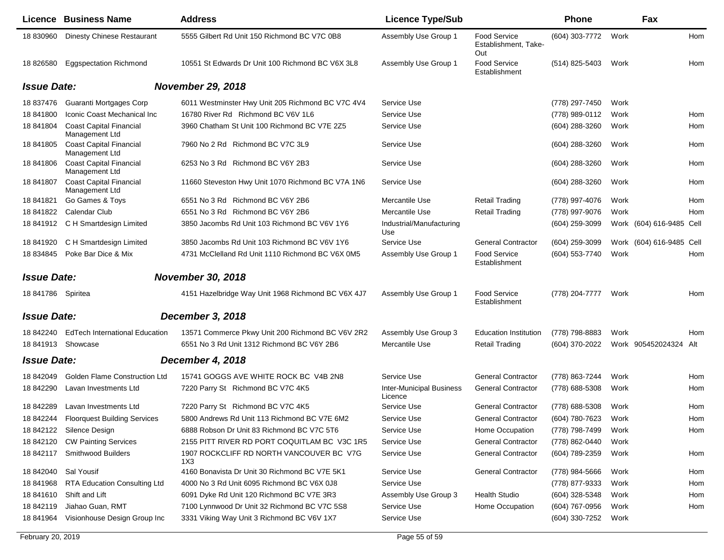|                    | <b>Licence Business Name</b>                     | <b>Address</b>                                     | <b>Licence Type/Sub</b>                    |                                             | <b>Phone</b>   |      | Fax                      |     |
|--------------------|--------------------------------------------------|----------------------------------------------------|--------------------------------------------|---------------------------------------------|----------------|------|--------------------------|-----|
| 18 830960          | <b>Dinesty Chinese Restaurant</b>                | 5555 Gilbert Rd Unit 150 Richmond BC V7C 0B8       | Assembly Use Group 1                       | Food Service<br>Establishment, Take-<br>Out | (604) 303-7772 | Work |                          | Hom |
| 18 826580          | <b>Eggspectation Richmond</b>                    | 10551 St Edwards Dr Unit 100 Richmond BC V6X 3L8   | Assembly Use Group 1                       | <b>Food Service</b><br>Establishment        | (514) 825-5403 | Work |                          | Hom |
| <b>Issue Date:</b> |                                                  | <b>November 29, 2018</b>                           |                                            |                                             |                |      |                          |     |
| 18 837476          | Guaranti Mortgages Corp                          | 6011 Westminster Hwy Unit 205 Richmond BC V7C 4V4  | Service Use                                |                                             | (778) 297-7450 | Work |                          |     |
| 18 841800          | Iconic Coast Mechanical Inc                      | 16780 River Rd Richmond BC V6V 1L6                 | Service Use                                |                                             | (778) 989-0112 | Work |                          | Hom |
| 18 841804          | <b>Coast Capital Financial</b><br>Management Ltd | 3960 Chatham St Unit 100 Richmond BC V7E 2Z5       | Service Use                                |                                             | (604) 288-3260 | Work |                          | Hom |
| 18 841805          | <b>Coast Capital Financial</b><br>Management Ltd | 7960 No 2 Rd Richmond BC V7C 3L9                   | Service Use                                |                                             | (604) 288-3260 | Work |                          | Hom |
| 18 841806          | <b>Coast Capital Financial</b><br>Management Ltd | 6253 No 3 Rd Richmond BC V6Y 2B3                   | Service Use                                |                                             | (604) 288-3260 | Work |                          | Hom |
| 18 841807          | <b>Coast Capital Financial</b><br>Management Ltd | 11660 Steveston Hwy Unit 1070 Richmond BC V7A 1N6  | Service Use                                |                                             | (604) 288-3260 | Work |                          | Hom |
| 18 841821          | Go Games & Toys                                  | 6551 No 3 Rd Richmond BC V6Y 2B6                   | Mercantile Use                             | <b>Retail Trading</b>                       | (778) 997-4076 | Work |                          | Hom |
| 18 841822          | Calendar Club                                    | 6551 No 3 Rd Richmond BC V6Y 2B6                   | Mercantile Use                             | <b>Retail Trading</b>                       | (778) 997-9076 | Work |                          | Hom |
| 18 841912          | C H Smartdesign Limited                          | 3850 Jacombs Rd Unit 103 Richmond BC V6V 1Y6       | Industrial/Manufacturing<br>Use            |                                             | (604) 259-3099 |      | Work (604) 616-9485 Cell |     |
| 18 841920          | C H Smartdesign Limited                          | 3850 Jacombs Rd Unit 103 Richmond BC V6V 1Y6       | Service Use                                | <b>General Contractor</b>                   | (604) 259-3099 |      | Work (604) 616-9485 Cell |     |
| 18 834845          | Poke Bar Dice & Mix                              | 4731 McClelland Rd Unit 1110 Richmond BC V6X 0M5   | Assembly Use Group 1                       | <b>Food Service</b><br>Establishment        | (604) 553-7740 | Work |                          | Hom |
| <b>Issue Date:</b> |                                                  | <b>November 30, 2018</b>                           |                                            |                                             |                |      |                          |     |
| 18 841786 Spiritea |                                                  | 4151 Hazelbridge Way Unit 1968 Richmond BC V6X 4J7 | Assembly Use Group 1                       | <b>Food Service</b><br>Establishment        | (778) 204-7777 | Work |                          | Hom |
| <b>Issue Date:</b> |                                                  | December 3, 2018                                   |                                            |                                             |                |      |                          |     |
| 18 842240          | <b>EdTech International Education</b>            | 13571 Commerce Pkwy Unit 200 Richmond BC V6V 2R2   | Assembly Use Group 3                       | <b>Education Institution</b>                | (778) 798-8883 | Work |                          | Hom |
| 18 841913          | Showcase                                         | 6551 No 3 Rd Unit 1312 Richmond BC V6Y 2B6         | Mercantile Use                             | <b>Retail Trading</b>                       | (604) 370-2022 |      | Work 905452024324 Alt    |     |
| <b>Issue Date:</b> |                                                  | December 4, 2018                                   |                                            |                                             |                |      |                          |     |
| 18 842049          | <b>Golden Flame Construction Ltd</b>             | 15741 GOGGS AVE WHITE ROCK BC V4B 2N8              | Service Use                                | <b>General Contractor</b>                   | (778) 863-7244 | Work |                          | Hom |
| 18 842290          | Lavan Investments Ltd                            | 7220 Parry St Richmond BC V7C 4K5                  | <b>Inter-Municipal Business</b><br>Licence | <b>General Contractor</b>                   | (778) 688-5308 | Work |                          | Hom |
| 18 842289          | Lavan Investments Ltd                            | 7220 Parry St Richmond BC V7C 4K5                  | Service Use                                | <b>General Contractor</b>                   | (778) 688-5308 | Work |                          | Hom |
| 18 842244          | <b>Floorquest Building Services</b>              | 5800 Andrews Rd Unit 113 Richmond BC V7E 6M2       | Service Use                                | <b>General Contractor</b>                   | (604) 780-7623 | Work |                          | Hom |
|                    | 18 842122 Silence Design                         | 6888 Robson Dr Unit 83 Richmond BC V7C 5T6         | Service Use                                | Home Occupation                             | (778) 798-7499 | Work |                          | Hom |
| 18 842120          | <b>CW Painting Services</b>                      | 2155 PITT RIVER RD PORT COQUITLAM BC V3C 1R5       | Service Use                                | <b>General Contractor</b>                   | (778) 862-0440 | Work |                          |     |
|                    | 18 842117 Smithwood Builders                     | 1907 ROCKCLIFF RD NORTH VANCOUVER BC V7G<br>1X3    | Service Use                                | <b>General Contractor</b>                   | (604) 789-2359 | Work |                          | Hom |
| 18 842040          | Sal Yousif                                       | 4160 Bonavista Dr Unit 30 Richmond BC V7E 5K1      | Service Use                                | <b>General Contractor</b>                   | (778) 984-5666 | Work |                          | Hom |
| 18 841968          | <b>RTA Education Consulting Ltd</b>              | 4000 No 3 Rd Unit 6095 Richmond BC V6X 0J8         | Service Use                                |                                             | (778) 877-9333 | Work |                          | Hom |
| 18 841610          | Shift and Lift                                   | 6091 Dyke Rd Unit 120 Richmond BC V7E 3R3          | Assembly Use Group 3                       | <b>Health Studio</b>                        | (604) 328-5348 | Work |                          | Hom |
| 18 842119          | Jiahao Guan, RMT                                 | 7100 Lynnwood Dr Unit 32 Richmond BC V7C 5S8       | Service Use                                | Home Occupation                             | (604) 767-0956 | Work |                          | Hom |
| 18 841964          | Visionhouse Design Group Inc                     | 3331 Viking Way Unit 3 Richmond BC V6V 1X7         | Service Use                                |                                             | (604) 330-7252 | Work |                          |     |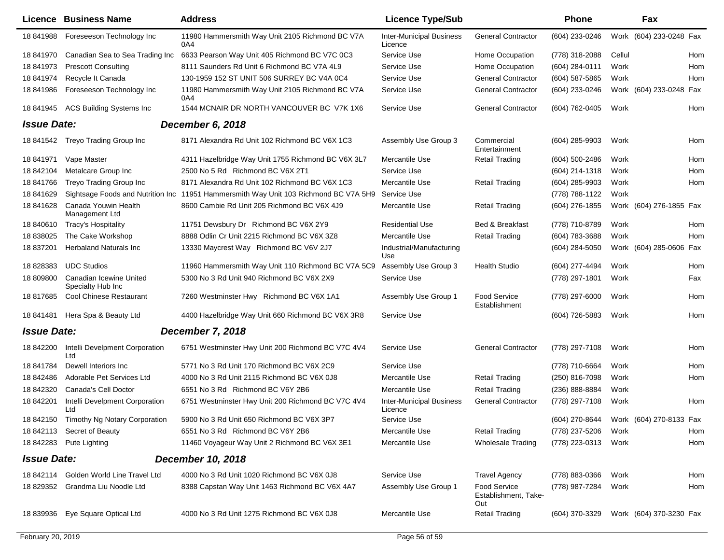|                    | <b>Licence Business Name</b>                                               | <b>Address</b>                                                                               | <b>Licence Type/Sub</b>                    |                                                                            | Phone                            |              | Fax                     |
|--------------------|----------------------------------------------------------------------------|----------------------------------------------------------------------------------------------|--------------------------------------------|----------------------------------------------------------------------------|----------------------------------|--------------|-------------------------|
| 18 841988          | Foreseeson Technology Inc                                                  | 11980 Hammersmith Way Unit 2105 Richmond BC V7A<br>0A4                                       | <b>Inter-Municipal Business</b><br>Licence | <b>General Contractor</b>                                                  | (604) 233-0246                   |              | Work (604) 233-0248 Fax |
| 18 841970          | Canadian Sea to Sea Trading Inc                                            | 6633 Pearson Way Unit 405 Richmond BC V7C 0C3                                                | Service Use                                | Home Occupation                                                            | (778) 318-2088                   | Cellul       | Hom                     |
| 18 841973          | <b>Prescott Consulting</b>                                                 | 8111 Saunders Rd Unit 6 Richmond BC V7A 4L9                                                  | Service Use                                | Home Occupation                                                            | (604) 284-0111                   | Work         | Hom                     |
| 18 841974          | Recycle It Canada                                                          | 130-1959 152 ST UNIT 506 SURREY BC V4A 0C4                                                   | Service Use                                | <b>General Contractor</b>                                                  | $(604)$ 587-5865                 | Work         | Hom                     |
| 18 841986          | Foreseeson Technology Inc                                                  | 11980 Hammersmith Way Unit 2105 Richmond BC V7A<br>0A4                                       | Service Use                                | <b>General Contractor</b>                                                  | (604) 233-0246                   |              | Work (604) 233-0248 Fax |
| 18 841945          | <b>ACS Building Systems Inc</b>                                            | 1544 MCNAIR DR NORTH VANCOUVER BC V7K 1X6                                                    | Service Use                                | <b>General Contractor</b>                                                  | (604) 762-0405                   | Work         | Hom                     |
| <b>Issue Date:</b> |                                                                            | December 6, 2018                                                                             |                                            |                                                                            |                                  |              |                         |
|                    | 18 841542 Treyo Trading Group Inc                                          | 8171 Alexandra Rd Unit 102 Richmond BC V6X 1C3                                               | Assembly Use Group 3                       | Commercial<br>Entertainment                                                | $(604)$ 285-9903                 | Work         | Hom                     |
| 18 841971          | Vape Master                                                                | 4311 Hazelbridge Way Unit 1755 Richmond BC V6X 3L7                                           | Mercantile Use                             | Retail Trading                                                             | $(604)$ 500-2486                 | Work         | Hom                     |
| 18 842104          | Metalcare Group Inc                                                        | 2500 No 5 Rd Richmond BC V6X 2T1                                                             | Service Use                                |                                                                            | (604) 214-1318                   | Work         | Hom                     |
| 18 841766          | Treyo Trading Group Inc                                                    | 8171 Alexandra Rd Unit 102 Richmond BC V6X 1C3                                               | Mercantile Use                             | <b>Retail Trading</b>                                                      | $(604)$ 285-9903                 | Work         | Hom                     |
| 18 841629          |                                                                            | Sightsage Foods and Nutrition Inc 11951 Hammersmith Way Unit 103 Richmond BC V7A 5H9         | Service Use                                |                                                                            | (778) 788-1122                   | Work         |                         |
| 18 841628          | Canada Youwin Health<br>Management Ltd                                     | 8600 Cambie Rd Unit 205 Richmond BC V6X 4J9                                                  | Mercantile Use                             | <b>Retail Trading</b>                                                      | (604) 276-1855                   |              | Work (604) 276-1855 Fax |
| 18 840610          | <b>Tracy's Hospitality</b>                                                 | 11751 Dewsbury Dr Richmond BC V6X 2Y9                                                        | <b>Residential Use</b>                     | Bed & Breakfast                                                            | (778) 710-8789                   | Work         | Hom                     |
| 18 838025          | The Cake Workshop                                                          | 8888 Odlin Cr Unit 2215 Richmond BC V6X 3Z8                                                  | Mercantile Use                             | <b>Retail Trading</b>                                                      | (604) 783-3688                   | Work         | Hom                     |
| 18 837201          | <b>Herbaland Naturals Inc.</b>                                             | 13330 Maycrest Way Richmond BC V6V 2J7                                                       | Industrial/Manufacturing<br>Use            |                                                                            | (604) 284-5050                   |              | Work (604) 285-0606 Fax |
| 18828383           | <b>UDC Studios</b>                                                         | 11960 Hammersmith Way Unit 110 Richmond BC V7A 5C9                                           | Assembly Use Group 3                       | <b>Health Studio</b>                                                       | (604) 277-4494                   | Work         | Hom                     |
| 18 809800          | Canadian Icewine United<br>Specialty Hub Inc                               | 5300 No 3 Rd Unit 940 Richmond BC V6X 2X9                                                    | Service Use                                |                                                                            | (778) 297-1801                   | Work         | Fax                     |
| 18 817685          | <b>Cool Chinese Restaurant</b>                                             | 7260 Westminster Hwy Richmond BC V6X 1A1                                                     | Assembly Use Group 1                       | Food Service<br>Establishment                                              | (778) 297-6000                   | Work         | Hom                     |
| 18 841481          | Hera Spa & Beauty Ltd                                                      | 4400 Hazelbridge Way Unit 660 Richmond BC V6X 3R8                                            | Service Use                                |                                                                            | (604) 726-5883                   | Work         | Hom                     |
| <b>Issue Date:</b> |                                                                            | <b>December 7, 2018</b>                                                                      |                                            |                                                                            |                                  |              |                         |
| 18 842200          | Intelli Develpment Corporation<br>Ltd                                      | 6751 Westminster Hwy Unit 200 Richmond BC V7C 4V4                                            | Service Use                                | <b>General Contractor</b>                                                  | (778) 297-7108                   | Work         | Hom                     |
| 18 841784          | Dewell Interiors Inc.                                                      | 5771 No 3 Rd Unit 170 Richmond BC V6X 2C9                                                    | Service Use                                |                                                                            | (778) 710-6664                   | Work         | Hom                     |
| 18 842486          | Adorable Pet Services Ltd                                                  | 4000 No 3 Rd Unit 2115 Richmond BC V6X 0J8                                                   | Mercantile Use                             | <b>Retail Trading</b>                                                      | (250) 816-7098                   | Work         | Hom                     |
| 18 842320          | <b>Canada's Cell Doctor</b>                                                | 6551 No 3 Rd Richmond BC V6Y 2B6                                                             | Mercantile Use                             | <b>Retail Trading</b>                                                      | (236) 888-8884                   | Work         |                         |
| 18 842201          | Intelli Develpment Corporation<br>Ltd                                      | 6751 Westminster Hwy Unit 200 Richmond BC V7C 4V4                                            | <b>Inter-Municipal Business</b><br>Licence | <b>General Contractor</b>                                                  | (778) 297-7108                   | Work         | Hom                     |
| 18 842150          | Timothy Ng Notary Corporation                                              | 5900 No 3 Rd Unit 650 Richmond BC V6X 3P7                                                    | Service Use                                |                                                                            | (604) 270-8644                   |              | Work (604) 270-8133 Fax |
|                    | 18 842113 Secret of Beauty                                                 | 6551 No 3 Rd Richmond BC V6Y 2B6                                                             | Mercantile Use                             | <b>Retail Trading</b>                                                      | (778) 237-5206                   | Work         | Hom                     |
|                    | 18 842283 Pute Lighting                                                    | 11460 Voyageur Way Unit 2 Richmond BC V6X 3E1                                                | Mercantile Use                             | <b>Wholesale Trading</b>                                                   | (778) 223-0313                   | Work         | Hom                     |
| <b>Issue Date:</b> |                                                                            | December 10, 2018                                                                            |                                            |                                                                            |                                  |              |                         |
|                    |                                                                            |                                                                                              |                                            |                                                                            |                                  |              |                         |
|                    | 18 842114 Golden World Line Travel Ltd<br>18 829352 Grandma Liu Noodle Ltd | 4000 No 3 Rd Unit 1020 Richmond BC V6X 0J8<br>8388 Capstan Way Unit 1463 Richmond BC V6X 4A7 | Service Use<br>Assembly Use Group 1        | <b>Travel Agency</b><br><b>Food Service</b><br>Establishment, Take-<br>Out | (778) 883-0366<br>(778) 987-7284 | Work<br>Work | Hom<br>Hom              |
| 18 839936          | Eye Square Optical Ltd                                                     | 4000 No 3 Rd Unit 1275 Richmond BC V6X 0J8                                                   | Mercantile Use                             | <b>Retail Trading</b>                                                      | (604) 370-3329                   |              | Work (604) 370-3230 Fax |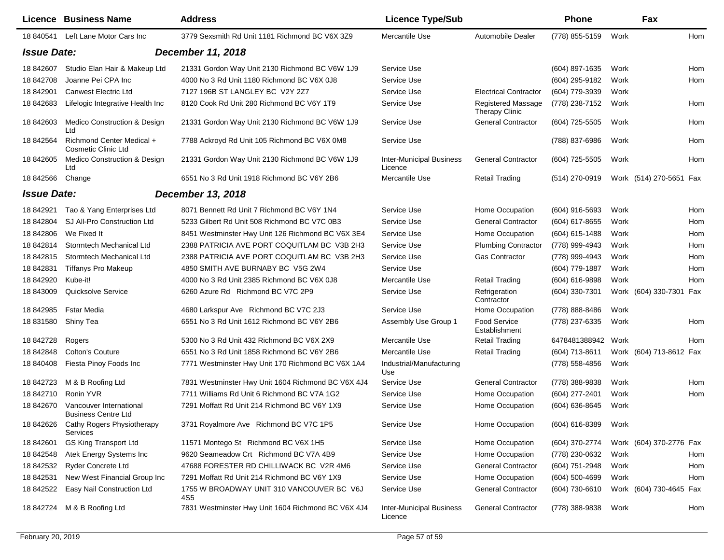|                    | Licence Business Name                                   | <b>Address</b>                                     | <b>Licence Type/Sub</b>                    |                                                    | <b>Phone</b>     |      | Fax                     |     |
|--------------------|---------------------------------------------------------|----------------------------------------------------|--------------------------------------------|----------------------------------------------------|------------------|------|-------------------------|-----|
| 18 840541          | Left Lane Motor Cars Inc                                | 3779 Sexsmith Rd Unit 1181 Richmond BC V6X 3Z9     | Mercantile Use                             | Automobile Dealer                                  | (778) 855-5159   | Work |                         | Hom |
| <b>Issue Date:</b> |                                                         | December 11, 2018                                  |                                            |                                                    |                  |      |                         |     |
| 18 842607          | Studio Elan Hair & Makeup Ltd                           | 21331 Gordon Way Unit 2130 Richmond BC V6W 1J9     | Service Use                                |                                                    | (604) 897-1635   | Work |                         | Hom |
| 18 842708          | Joanne Pei CPA Inc                                      | 4000 No 3 Rd Unit 1180 Richmond BC V6X 0J8         | Service Use                                |                                                    | (604) 295-9182   | Work |                         | Hom |
| 18 842901          | Canwest Electric Ltd                                    | 7127 196B ST LANGLEY BC V2Y 2Z7                    | Service Use                                | <b>Electrical Contractor</b>                       | (604) 779-3939   | Work |                         |     |
| 18 842683          | Lifelogic Integrative Health Inc                        | 8120 Cook Rd Unit 280 Richmond BC V6Y 1T9          | Service Use                                | <b>Registered Massage</b><br><b>Therapy Clinic</b> | (778) 238-7152   | Work |                         | Hom |
| 18 842603          | Medico Construction & Design<br>Ltd                     | 21331 Gordon Way Unit 2130 Richmond BC V6W 1J9     | Service Use                                | <b>General Contractor</b>                          | (604) 725-5505   | Work |                         | Hom |
| 18 842564          | Richmond Center Medical +<br><b>Cosmetic Clinic Ltd</b> | 7788 Ackroyd Rd Unit 105 Richmond BC V6X 0M8       | Service Use                                |                                                    | (788) 837-6986   | Work |                         | Hom |
| 18 842605          | Medico Construction & Design<br>Ltd                     | 21331 Gordon Way Unit 2130 Richmond BC V6W 1J9     | <b>Inter-Municipal Business</b><br>Licence | <b>General Contractor</b>                          | $(604)$ 725-5505 | Work |                         | Hom |
| 18 842566          | Change                                                  | 6551 No 3 Rd Unit 1918 Richmond BC V6Y 2B6         | Mercantile Use                             | <b>Retail Trading</b>                              | (514) 270-0919   |      | Work (514) 270-5651 Fax |     |
| <b>Issue Date:</b> |                                                         | December 13, 2018                                  |                                            |                                                    |                  |      |                         |     |
| 18 842921          | Tao & Yang Enterprises Ltd                              | 8071 Bennett Rd Unit 7 Richmond BC V6Y 1N4         | Service Use                                | Home Occupation                                    | $(604)$ 916-5693 | Work |                         | Hom |
| 18 842804          | SJ All-Pro Construction Ltd                             | 5233 Gilbert Rd Unit 508 Richmond BC V7C 0B3       | Service Use                                | <b>General Contractor</b>                          | (604) 617-8655   | Work |                         | Hom |
| 18 842806          | We Fixed It                                             | 8451 Westminster Hwy Unit 126 Richmond BC V6X 3E4  | Service Use                                | Home Occupation                                    | (604) 615-1488   | Work |                         | Hom |
| 18 842814          | Stormtech Mechanical Ltd                                | 2388 PATRICIA AVE PORT COQUITLAM BC V3B 2H3        | Service Use                                | <b>Plumbing Contractor</b>                         | (778) 999-4943   | Work |                         | Hom |
| 18 842815          | Stormtech Mechanical Ltd                                | 2388 PATRICIA AVE PORT COQUITLAM BC V3B 2H3        | Service Use                                | <b>Gas Contractor</b>                              | (778) 999-4943   | Work |                         | Hom |
| 18 842831          | <b>Tiffanys Pro Makeup</b>                              | 4850 SMITH AVE BURNABY BC V5G 2W4                  | Service Use                                |                                                    | (604) 779-1887   | Work |                         | Hom |
| 18 842920          | Kube-it!                                                | 4000 No 3 Rd Unit 2385 Richmond BC V6X 0J8         | Mercantile Use                             | <b>Retail Trading</b>                              | (604) 616-9898   | Work |                         | Hom |
| 18 843009          | Quicksolve Service                                      | 6260 Azure Rd Richmond BC V7C 2P9                  | Service Use                                | Refrigeration<br>Contractor                        | (604) 330-7301   |      | Work (604) 330-7301 Fax |     |
| 18 842985          | Fstar Media                                             | 4680 Larkspur Ave Richmond BC V7C 2J3              | Service Use                                | Home Occupation                                    | (778) 888-8486   | Work |                         |     |
| 18 831580          | Shiny Tea                                               | 6551 No 3 Rd Unit 1612 Richmond BC V6Y 2B6         | Assembly Use Group 1                       | Food Service<br>Establishment                      | (778) 237-6335   | Work |                         | Hom |
| 18 842728          | Rogers                                                  | 5300 No 3 Rd Unit 432 Richmond BC V6X 2X9          | Mercantile Use                             | <b>Retail Trading</b>                              | 6478481388942    | Work |                         | Hom |
| 18 842848          | <b>Colton's Couture</b>                                 | 6551 No 3 Rd Unit 1858 Richmond BC V6Y 2B6         | Mercantile Use                             | <b>Retail Trading</b>                              | (604) 713-8611   |      | Work (604) 713-8612 Fax |     |
| 18 840408          | Fiesta Pinoy Foods Inc                                  | 7771 Westminster Hwy Unit 170 Richmond BC V6X 1A4  | Industrial/Manufacturing<br>Use            |                                                    | (778) 558-4856   | Work |                         |     |
| 18 842723          | M & B Roofing Ltd                                       | 7831 Westminster Hwy Unit 1604 Richmond BC V6X 4J4 | Service Use                                | <b>General Contractor</b>                          | (778) 388-9838   | Work |                         | Hom |
| 18 842710          | Ronin YVR                                               | 7711 Williams Rd Unit 6 Richmond BC V7A 1G2        | Service Use                                | Home Occupation                                    | (604) 277-2401   | Work |                         | Hom |
| 18 842670          | Vancouver International<br><b>Business Centre Ltd</b>   | 7291 Moffatt Rd Unit 214 Richmond BC V6Y 1X9       | Service Use                                | Home Occupation                                    | (604) 636-8645   | Work |                         |     |
| 18 842626          | Cathy Rogers Physiotherapy<br>Services                  | 3731 Royalmore Ave Richmond BC V7C 1P5             | Service Use                                | Home Occupation                                    | $(604)$ 616-8389 | Work |                         |     |
| 18 842601          | <b>GS King Transport Ltd</b>                            | 11571 Montego St Richmond BC V6X 1H5               | Service Use                                | Home Occupation                                    | (604) 370-2774   |      | Work (604) 370-2776 Fax |     |
| 18 842548          | Atek Energy Systems Inc                                 | 9620 Seameadow Crt Richmond BC V7A 4B9             | Service Use                                | Home Occupation                                    | (778) 230-0632   | Work |                         | Hom |
| 18 842532          | <b>Ryder Concrete Ltd</b>                               | 47688 FORESTER RD CHILLIWACK BC V2R 4M6            | Service Use                                | <b>General Contractor</b>                          | (604) 751-2948   | Work |                         | Hom |
| 18 842531          | New West Financial Group Inc                            | 7291 Moffatt Rd Unit 214 Richmond BC V6Y 1X9       | Service Use                                | Home Occupation                                    | $(604)$ 500-4699 | Work |                         | Hom |
| 18 842522          | Easy Nail Construction Ltd                              | 1755 W BROADWAY UNIT 310 VANCOUVER BC V6J<br>4S5   | Service Use                                | <b>General Contractor</b>                          | (604) 730-6610   |      | Work (604) 730-4645 Fax |     |
| 18 842724          | M & B Roofing Ltd                                       | 7831 Westminster Hwy Unit 1604 Richmond BC V6X 4J4 | <b>Inter-Municipal Business</b><br>Licence | <b>General Contractor</b>                          | (778) 388-9838   | Work |                         | Hom |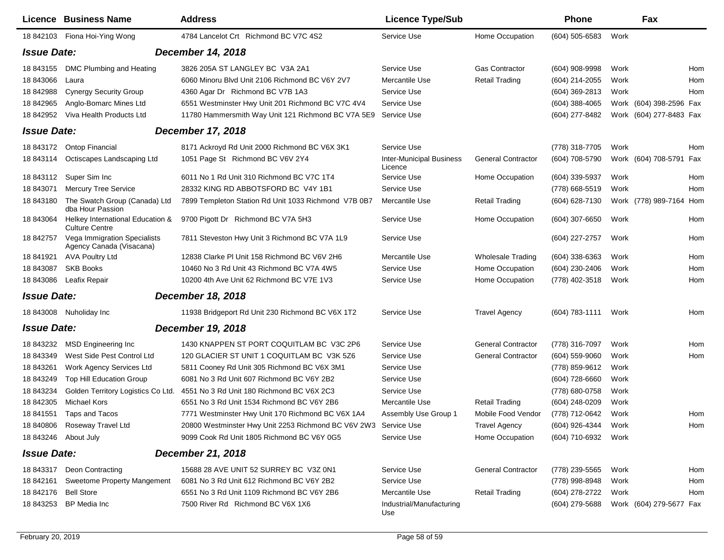|                                         | <b>Licence Business Name</b>                              | <b>Address</b>                                       | <b>Licence Type/Sub</b>                    |                           | <b>Phone</b>     |      | Fax                     |            |
|-----------------------------------------|-----------------------------------------------------------|------------------------------------------------------|--------------------------------------------|---------------------------|------------------|------|-------------------------|------------|
| 18 842103                               | Fiona Hoi-Ying Wong                                       | 4784 Lancelot Crt Richmond BC V7C 4S2                | Service Use                                | Home Occupation           | $(604)$ 505-6583 | Work |                         |            |
| <b>Issue Date:</b><br>December 14, 2018 |                                                           |                                                      |                                            |                           |                  |      |                         |            |
| 18 843155                               | DMC Plumbing and Heating                                  | 3826 205A ST LANGLEY BC V3A 2A1                      | Service Use                                | <b>Gas Contractor</b>     | (604) 908-9998   | Work |                         | Hom        |
| 18 843066                               | Laura                                                     | 6060 Minoru Blvd Unit 2106 Richmond BC V6Y 2V7       | Mercantile Use                             | <b>Retail Trading</b>     | (604) 214-2055   | Work |                         | Hom        |
| 18 842988                               | <b>Cynergy Security Group</b>                             | 4360 Agar Dr Richmond BC V7B 1A3                     | Service Use                                |                           | (604) 369-2813   | Work |                         | Hom        |
| 18 842965                               | Anglo-Bomarc Mines Ltd                                    | 6551 Westminster Hwy Unit 201 Richmond BC V7C 4V4    | Service Use                                |                           | $(604)$ 388-4065 |      | Work (604) 398-2596 Fax |            |
| 18 842952                               | Viva Health Products Ltd                                  | 11780 Hammersmith Way Unit 121 Richmond BC V7A 5E9   | Service Use                                |                           | (604) 277-8482   |      | Work (604) 277-8483 Fax |            |
| <b>Issue Date:</b>                      |                                                           | December 17, 2018                                    |                                            |                           |                  |      |                         |            |
| 18 843172                               | Ontop Financial                                           | 8171 Ackroyd Rd Unit 2000 Richmond BC V6X 3K1        | Service Use                                |                           | (778) 318-7705   | Work |                         | Hom        |
| 18 843114                               | Octiscapes Landscaping Ltd                                | 1051 Page St Richmond BC V6V 2Y4                     | <b>Inter-Municipal Business</b><br>Licence | <b>General Contractor</b> | (604) 708-5790   |      | Work (604) 708-5791 Fax |            |
| 18 843112                               | Super Sim Inc                                             | 6011 No 1 Rd Unit 310 Richmond BC V7C 1T4            | Service Use                                | Home Occupation           | (604) 339-5937   | Work |                         | Hom        |
| 18 843071                               | <b>Mercury Tree Service</b>                               | 28332 KING RD ABBOTSFORD BC V4Y 1B1                  | Service Use                                |                           | (778) 668-5519   | Work |                         | <b>Hom</b> |
| 18 843180                               | The Swatch Group (Canada) Ltd<br>dba Hour Passion         | 7899 Templeton Station Rd Unit 1033 Richmond V7B 0B7 | Mercantile Use                             | <b>Retail Trading</b>     | (604) 628-7130   |      | Work (778) 989-7164 Hom |            |
| 18 843064                               | Helkey International Education &<br><b>Culture Centre</b> | 9700 Pigott Dr Richmond BC V7A 5H3                   | Service Use                                | Home Occupation           | (604) 307-6650   | Work |                         | Hom        |
| 18 842757                               | Vega Immigration Specialists<br>Agency Canada (Visacana)  | 7811 Steveston Hwy Unit 3 Richmond BC V7A 1L9        | Service Use                                |                           | (604) 227-2757   | Work |                         | Hom        |
| 18 841921                               | <b>AVA Poultry Ltd</b>                                    | 12838 Clarke PI Unit 158 Richmond BC V6V 2H6         | Mercantile Use                             | <b>Wholesale Trading</b>  | (604) 338-6363   | Work |                         | Hom        |
| 18 843087                               | <b>SKB Books</b>                                          | 10460 No 3 Rd Unit 43 Richmond BC V7A 4W5            | Service Use                                | Home Occupation           | (604) 230-2406   | Work |                         | Hom        |
| 18 843086                               | Leafix Repair                                             | 10200 4th Ave Unit 62 Richmond BC V7E 1V3            | Service Use                                | Home Occupation           | (778) 402-3518   | Work |                         | Hom        |
| <b>Issue Date:</b>                      |                                                           | December 18, 2018                                    |                                            |                           |                  |      |                         |            |
| 18 843008                               | Nuholiday Inc                                             | 11938 Bridgeport Rd Unit 230 Richmond BC V6X 1T2     | Service Use                                | <b>Travel Agency</b>      | (604) 783-1111   | Work |                         | Hom        |
| <b>Issue Date:</b>                      |                                                           | December 19, 2018                                    |                                            |                           |                  |      |                         |            |
| 18 843232                               | MSD Engineering Inc.                                      | 1430 KNAPPEN ST PORT COQUITLAM BC V3C 2P6            | Service Use                                | <b>General Contractor</b> | (778) 316-7097   | Work |                         | Hom        |
| 18 843349                               | West Side Pest Control Ltd                                | 120 GLACIER ST UNIT 1 COQUITLAM BC V3K 5Z6           | Service Use                                | <b>General Contractor</b> | (604) 559-9060   | Work |                         | Hom        |
| 18 843261                               | <b>Work Agency Services Ltd</b>                           | 5811 Cooney Rd Unit 305 Richmond BC V6X 3M1          | Service Use                                |                           | (778) 859-9612   | Work |                         |            |
| 18 843249                               | <b>Top Hill Education Group</b>                           | 6081 No 3 Rd Unit 607 Richmond BC V6Y 2B2            | Service Use                                |                           | (604) 728-6660   | Work |                         |            |
| 18 843234                               | Golden Territory Logistics Co Ltd.                        | 4551 No 3 Rd Unit 180 Richmond BC V6X 2C3            | Service Use                                |                           | (778) 680-0758   | Work |                         |            |
| 18 842305                               | <b>Michael Kors</b>                                       | 6551 No 3 Rd Unit 1534 Richmond BC V6Y 2B6           | Mercantile Use                             | <b>Retail Trading</b>     | $(604)$ 248-0209 | Work |                         |            |
| 18 841551                               | Taps and Tacos                                            | 7771 Westminster Hwy Unit 170 Richmond BC V6X 1A4    | Assembly Use Group 1                       | Mobile Food Vendor        | (778) 712-0642   | Work |                         | Hom        |
| 18 840806                               | Roseway Travel Ltd                                        | 20800 Westminster Hwy Unit 2253 Richmond BC V6V 2W3  | Service Use                                | <b>Travel Agency</b>      | (604) 926-4344   | Work |                         | Hom        |
| 18 843246                               | About July                                                | 9099 Cook Rd Unit 1805 Richmond BC V6Y 0G5           | Service Use                                | Home Occupation           | (604) 710-6932   | Work |                         |            |
| <b>Issue Date:</b>                      |                                                           | December 21, 2018                                    |                                            |                           |                  |      |                         |            |
| 18 843317                               | Deon Contracting                                          | 15688 28 AVE UNIT 52 SURREY BC V3Z 0N1               | Service Use                                | <b>General Contractor</b> | (778) 239-5565   | Work |                         | Hom        |
| 18 842161                               | <b>Sweetome Property Mangement</b>                        | 6081 No 3 Rd Unit 612 Richmond BC V6Y 2B2            | Service Use                                |                           | (778) 998-8948   | Work |                         | Hom        |
| 18 842176                               | <b>Bell Store</b>                                         | 6551 No 3 Rd Unit 1109 Richmond BC V6Y 2B6           | Mercantile Use                             | <b>Retail Trading</b>     | (604) 278-2722   | Work |                         | Hom        |
| 18 843253                               | <b>BP</b> Media Inc                                       | 7500 River Rd Richmond BC V6X 1X6                    | Industrial/Manufacturing<br>Use            |                           | (604) 279-5688   |      | Work (604) 279-5677 Fax |            |